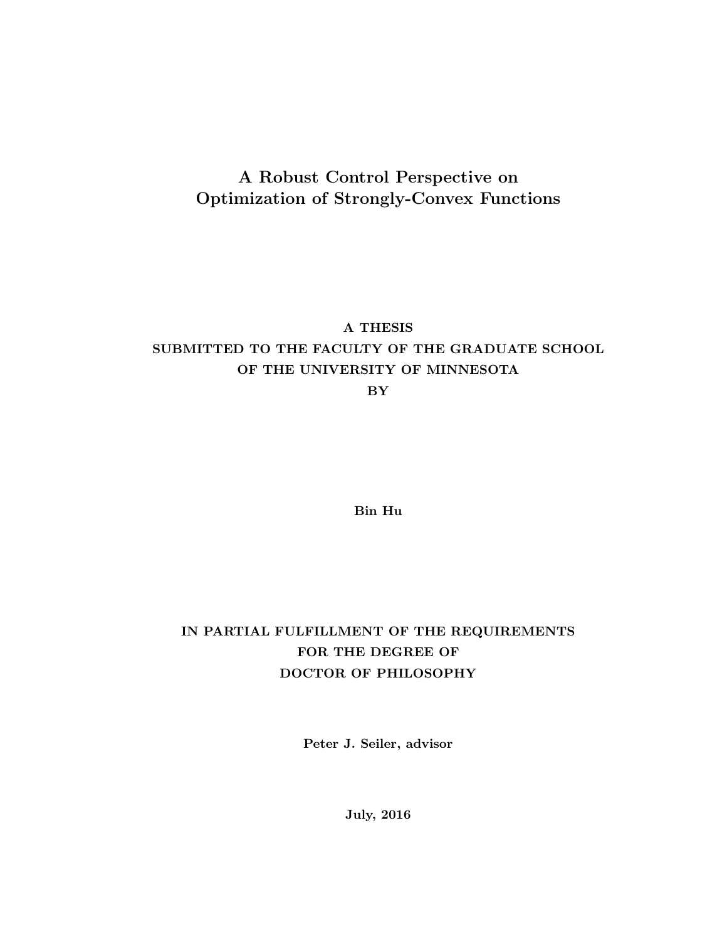### A Robust Control Perspective on Optimization of Strongly-Convex Functions

### A THESIS

### SUBMITTED TO THE FACULTY OF THE GRADUATE SCHOOL OF THE UNIVERSITY OF MINNESOTA

BY

Bin Hu

### IN PARTIAL FULFILLMENT OF THE REQUIREMENTS FOR THE DEGREE OF DOCTOR OF PHILOSOPHY

Peter J. Seiler, advisor

July, 2016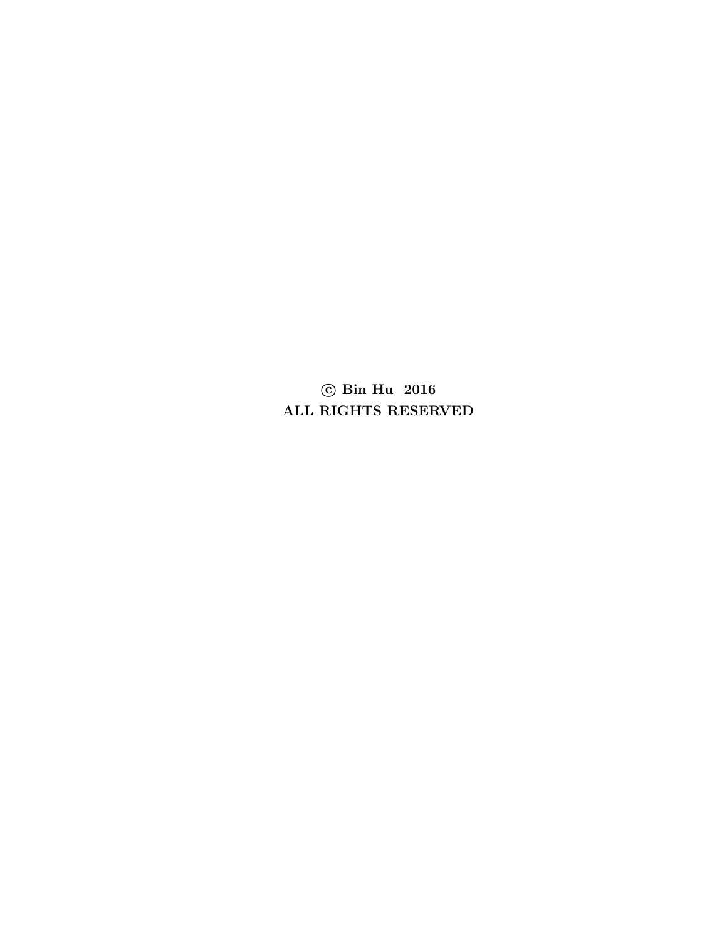© Bin Hu 2016 ALL RIGHTS RESERVED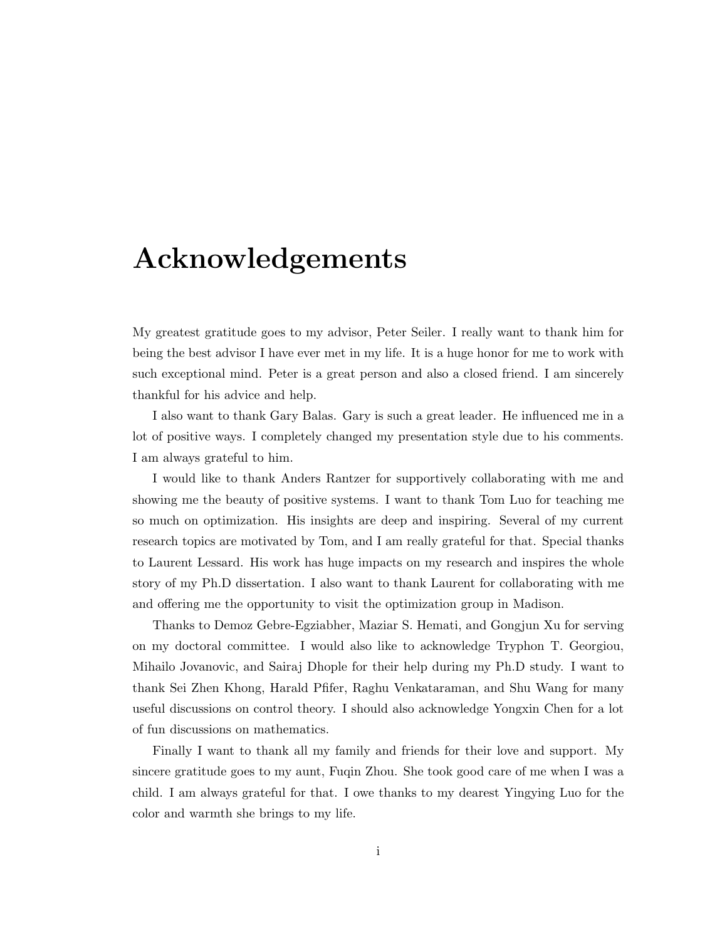## Acknowledgements

My greatest gratitude goes to my advisor, Peter Seiler. I really want to thank him for being the best advisor I have ever met in my life. It is a huge honor for me to work with such exceptional mind. Peter is a great person and also a closed friend. I am sincerely thankful for his advice and help.

I also want to thank Gary Balas. Gary is such a great leader. He influenced me in a lot of positive ways. I completely changed my presentation style due to his comments. I am always grateful to him.

I would like to thank Anders Rantzer for supportively collaborating with me and showing me the beauty of positive systems. I want to thank Tom Luo for teaching me so much on optimization. His insights are deep and inspiring. Several of my current research topics are motivated by Tom, and I am really grateful for that. Special thanks to Laurent Lessard. His work has huge impacts on my research and inspires the whole story of my Ph.D dissertation. I also want to thank Laurent for collaborating with me and offering me the opportunity to visit the optimization group in Madison.

Thanks to Demoz Gebre-Egziabher, Maziar S. Hemati, and Gongjun Xu for serving on my doctoral committee. I would also like to acknowledge Tryphon T. Georgiou, Mihailo Jovanovic, and Sairaj Dhople for their help during my Ph.D study. I want to thank Sei Zhen Khong, Harald Pfifer, Raghu Venkataraman, and Shu Wang for many useful discussions on control theory. I should also acknowledge Yongxin Chen for a lot of fun discussions on mathematics.

Finally I want to thank all my family and friends for their love and support. My sincere gratitude goes to my aunt, Fuqin Zhou. She took good care of me when I was a child. I am always grateful for that. I owe thanks to my dearest Yingying Luo for the color and warmth she brings to my life.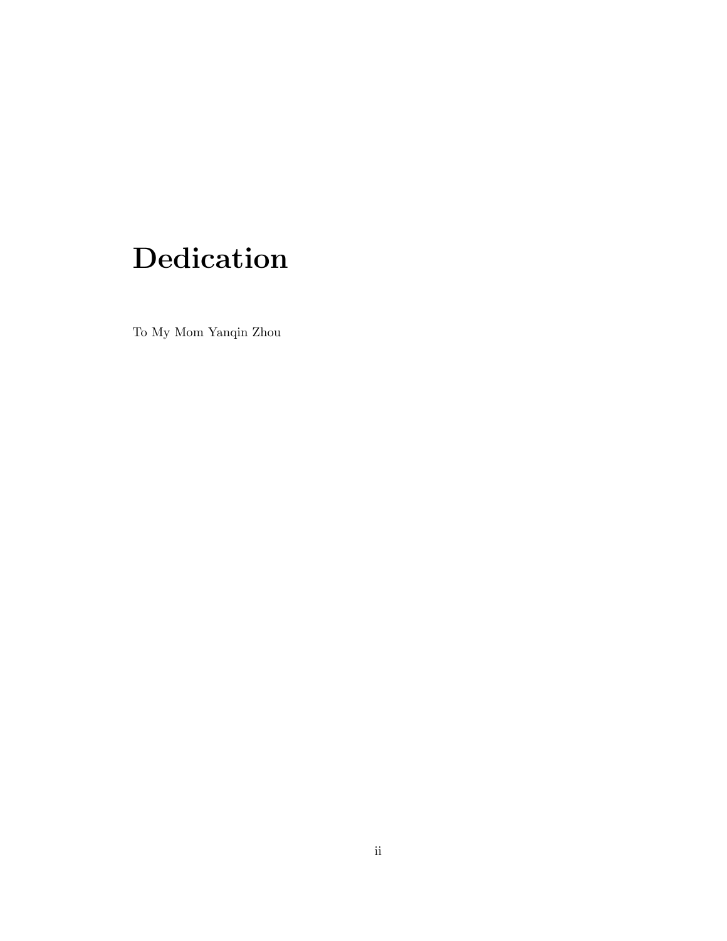# Dedication

To My Mom Yanqin Zhou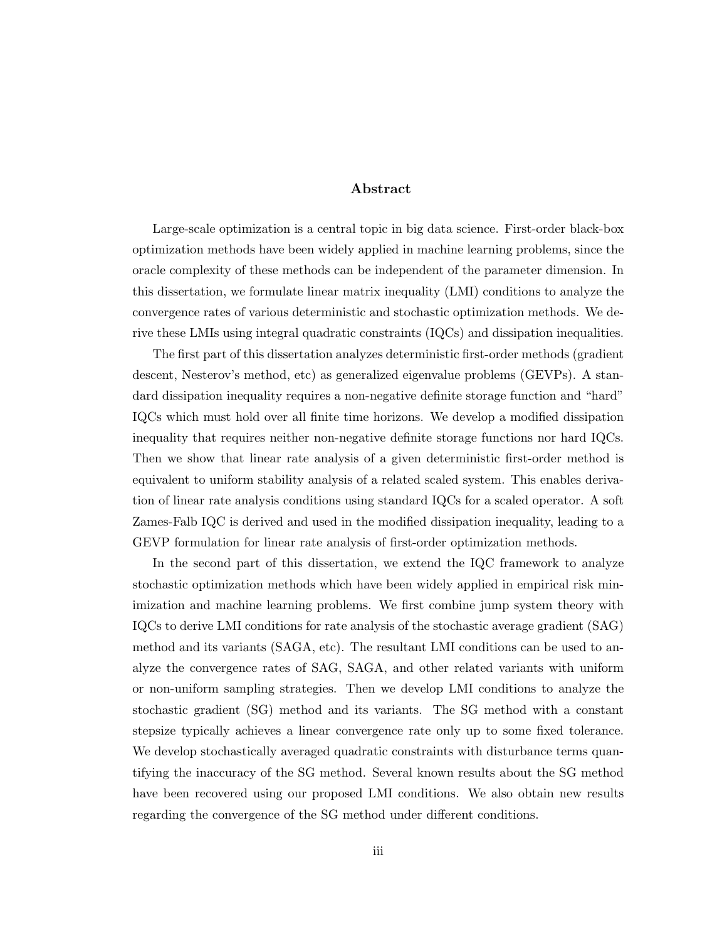#### Abstract

Large-scale optimization is a central topic in big data science. First-order black-box optimization methods have been widely applied in machine learning problems, since the oracle complexity of these methods can be independent of the parameter dimension. In this dissertation, we formulate linear matrix inequality (LMI) conditions to analyze the convergence rates of various deterministic and stochastic optimization methods. We derive these LMIs using integral quadratic constraints (IQCs) and dissipation inequalities.

The first part of this dissertation analyzes deterministic first-order methods (gradient descent, Nesterov's method, etc) as generalized eigenvalue problems (GEVPs). A standard dissipation inequality requires a non-negative definite storage function and "hard" IQCs which must hold over all finite time horizons. We develop a modified dissipation inequality that requires neither non-negative definite storage functions nor hard IQCs. Then we show that linear rate analysis of a given deterministic first-order method is equivalent to uniform stability analysis of a related scaled system. This enables derivation of linear rate analysis conditions using standard IQCs for a scaled operator. A soft Zames-Falb IQC is derived and used in the modified dissipation inequality, leading to a GEVP formulation for linear rate analysis of first-order optimization methods.

In the second part of this dissertation, we extend the IQC framework to analyze stochastic optimization methods which have been widely applied in empirical risk minimization and machine learning problems. We first combine jump system theory with IQCs to derive LMI conditions for rate analysis of the stochastic average gradient (SAG) method and its variants (SAGA, etc). The resultant LMI conditions can be used to analyze the convergence rates of SAG, SAGA, and other related variants with uniform or non-uniform sampling strategies. Then we develop LMI conditions to analyze the stochastic gradient (SG) method and its variants. The SG method with a constant stepsize typically achieves a linear convergence rate only up to some fixed tolerance. We develop stochastically averaged quadratic constraints with disturbance terms quantifying the inaccuracy of the SG method. Several known results about the SG method have been recovered using our proposed LMI conditions. We also obtain new results regarding the convergence of the SG method under different conditions.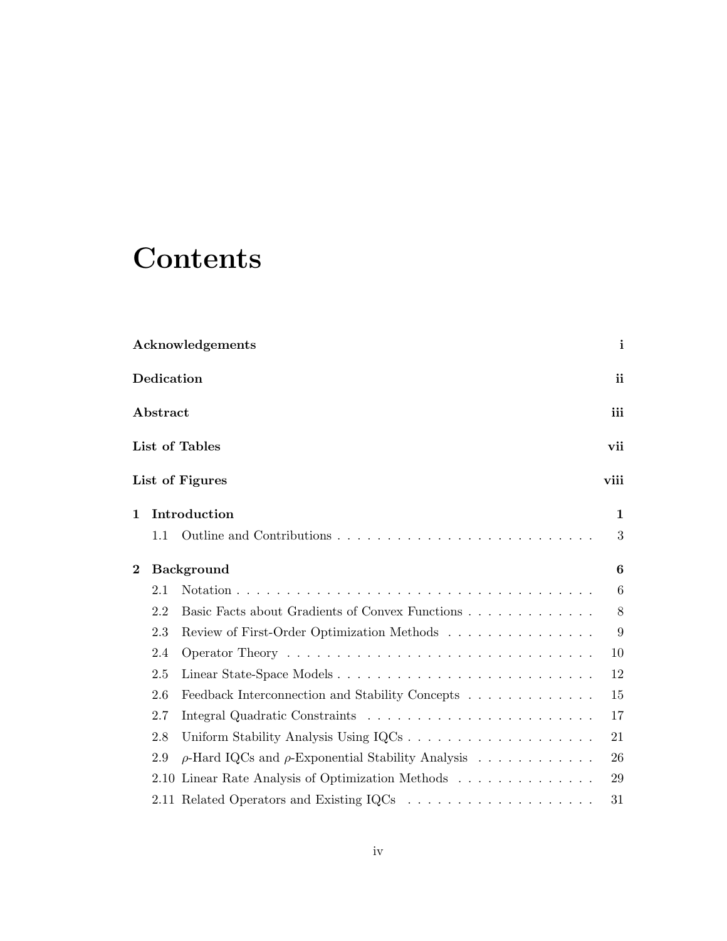# **Contents**

|          |                         | <b>Acknowledgements</b>                                      | $\mathbf{i}$     |  |  |
|----------|-------------------------|--------------------------------------------------------------|------------------|--|--|
|          | $\bf Dedication$        |                                                              | ii               |  |  |
|          | iii<br>${\bf Abstract}$ |                                                              |                  |  |  |
|          | List of Tables<br>vii   |                                                              |                  |  |  |
|          |                         | List of Figures                                              | viii             |  |  |
| 1        |                         | Introduction                                                 | 1                |  |  |
|          | 1.1                     |                                                              | 3                |  |  |
| $\bf{2}$ |                         | <b>Background</b>                                            |                  |  |  |
|          | 2.1                     |                                                              | $6\phantom{.}6$  |  |  |
|          | 2.2                     | Basic Facts about Gradients of Convex Functions              | 8                |  |  |
|          | 2.3                     | Review of First-Order Optimization Methods                   | $\boldsymbol{9}$ |  |  |
|          | 2.4                     |                                                              | 10               |  |  |
|          | 2.5                     | Linear State-Space Models                                    | 12               |  |  |
|          | 2.6                     | Feedback Interconnection and Stability Concepts              | 15               |  |  |
|          | 2.7                     |                                                              | 17               |  |  |
|          | 2.8                     |                                                              | 21               |  |  |
|          | 2.9                     | $\rho$ -Hard IQCs and $\rho$ -Exponential Stability Analysis | 26               |  |  |
|          |                         | 2.10 Linear Rate Analysis of Optimization Methods            | 29               |  |  |
|          |                         |                                                              | 31               |  |  |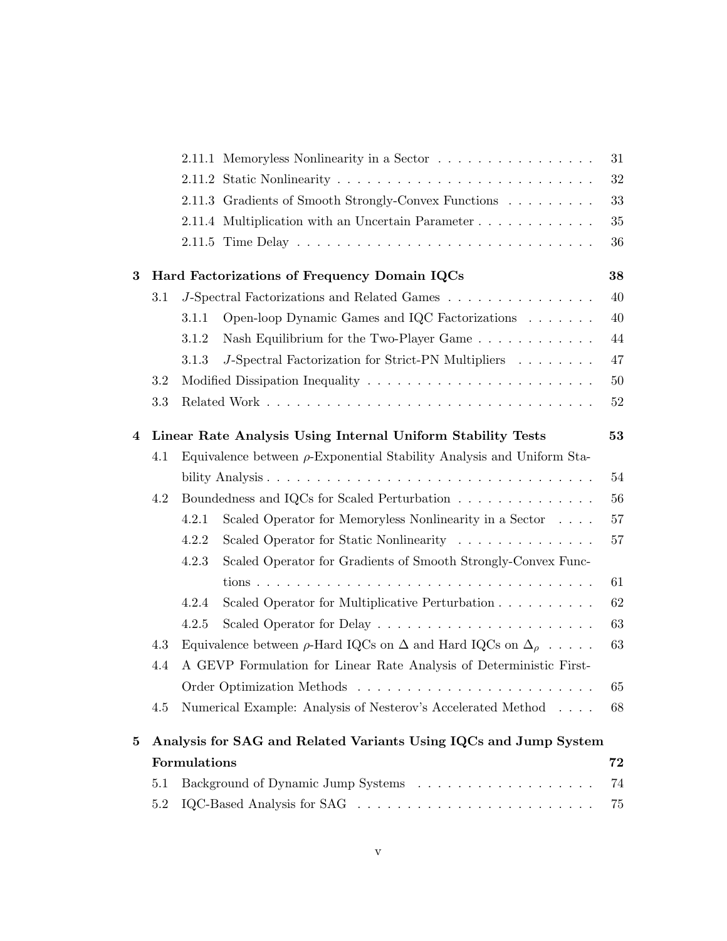|   |     | 2.11.1 Memoryless Nonlinearity in a Sector                                         | 31 |
|---|-----|------------------------------------------------------------------------------------|----|
|   |     |                                                                                    | 32 |
|   |     | 2.11.3 Gradients of Smooth Strongly-Convex Functions                               | 33 |
|   |     | 2.11.4 Multiplication with an Uncertain Parameter                                  | 35 |
|   |     |                                                                                    | 36 |
| 3 |     | Hard Factorizations of Frequency Domain IQCs                                       | 38 |
|   | 3.1 | J-Spectral Factorizations and Related Games $\ldots \ldots \ldots \ldots \ldots$   | 40 |
|   |     | Open-loop Dynamic Games and IQC Factorizations<br>3.1.1                            | 40 |
|   |     | Nash Equilibrium for the Two-Player Game<br>3.1.2                                  | 44 |
|   |     | J-Spectral Factorization for Strict-PN Multipliers<br>3.1.3                        | 47 |
|   | 3.2 |                                                                                    | 50 |
|   | 3.3 |                                                                                    | 52 |
| 4 |     | Linear Rate Analysis Using Internal Uniform Stability Tests                        | 53 |
|   | 4.1 | Equivalence between $\rho$ -Exponential Stability Analysis and Uniform Sta-        |    |
|   |     |                                                                                    | 54 |
|   | 4.2 | Boundedness and IQCs for Scaled Perturbation                                       | 56 |
|   |     | Scaled Operator for Memoryless Nonlinearity in a Sector<br>4.2.1                   | 57 |
|   |     | Scaled Operator for Static Nonlinearity<br>4.2.2                                   | 57 |
|   |     | Scaled Operator for Gradients of Smooth Strongly-Convex Func-<br>4.2.3             |    |
|   |     |                                                                                    | 61 |
|   |     | Scaled Operator for Multiplicative Perturbation<br>4.2.4                           | 62 |
|   |     | 4.2.5                                                                              | 63 |
|   | 4.3 | Equivalence between $\rho$ -Hard IQCs on $\Delta$ and Hard IQCs on $\Delta_{\rho}$ | 63 |
|   | 4.4 | A GEVP Formulation for Linear Rate Analysis of Deterministic First-                |    |
|   |     |                                                                                    | 65 |
|   | 4.5 | Numerical Example: Analysis of Nesterov's Accelerated Method                       | 68 |
| 5 |     | Analysis for SAG and Related Variants Using IQCs and Jump System                   |    |
|   |     | Formulations                                                                       | 72 |
|   | 5.1 |                                                                                    | 74 |
|   | 5.2 |                                                                                    | 75 |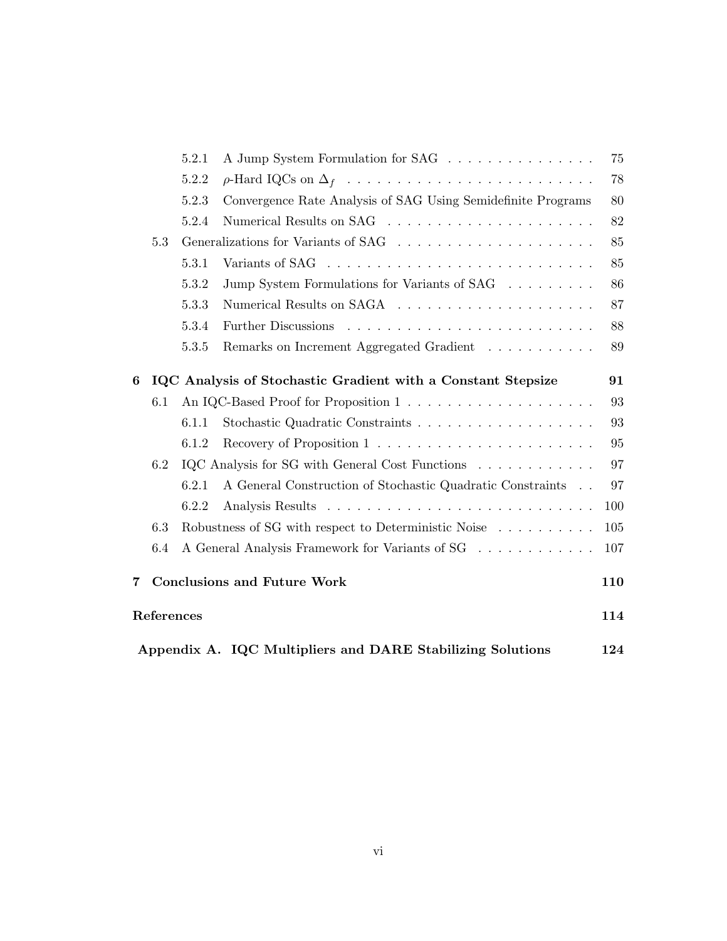|   |                                                                   | 5.2.1 | A Jump System Formulation for SAG                            | 75     |  |
|---|-------------------------------------------------------------------|-------|--------------------------------------------------------------|--------|--|
|   |                                                                   | 5.2.2 |                                                              | 78     |  |
|   |                                                                   | 5.2.3 | Convergence Rate Analysis of SAG Using Semidefinite Programs | $80\,$ |  |
|   |                                                                   | 5.2.4 |                                                              | 82     |  |
|   | 5.3                                                               |       |                                                              | 85     |  |
|   |                                                                   | 5.3.1 |                                                              | 85     |  |
|   |                                                                   | 5.3.2 | Jump System Formulations for Variants of SAG                 | 86     |  |
|   |                                                                   | 5.3.3 |                                                              | 87     |  |
|   |                                                                   | 5.3.4 | Further Discussions                                          | 88     |  |
|   |                                                                   | 5.3.5 | Remarks on Increment Aggregated Gradient                     | 89     |  |
| 6 |                                                                   |       | IQC Analysis of Stochastic Gradient with a Constant Stepsize | 91     |  |
|   | 6.1                                                               |       |                                                              | 93     |  |
|   |                                                                   | 6.1.1 |                                                              | 93     |  |
|   |                                                                   | 6.1.2 |                                                              | 95     |  |
|   | 6.2                                                               |       | IQC Analysis for SG with General Cost Functions              | 97     |  |
|   |                                                                   | 6.2.1 | A General Construction of Stochastic Quadratic Constraints   | 97     |  |
|   |                                                                   | 6.2.2 |                                                              | 100    |  |
|   | 6.3                                                               |       | Robustness of SG with respect to Deterministic Noise         | 105    |  |
|   | 6.4                                                               |       | A General Analysis Framework for Variants of SG              | 107    |  |
| 7 |                                                                   |       | <b>Conclusions and Future Work</b>                           | 110    |  |
|   | References                                                        |       |                                                              | 114    |  |
|   | Appendix A. IQC Multipliers and DARE Stabilizing Solutions<br>124 |       |                                                              |        |  |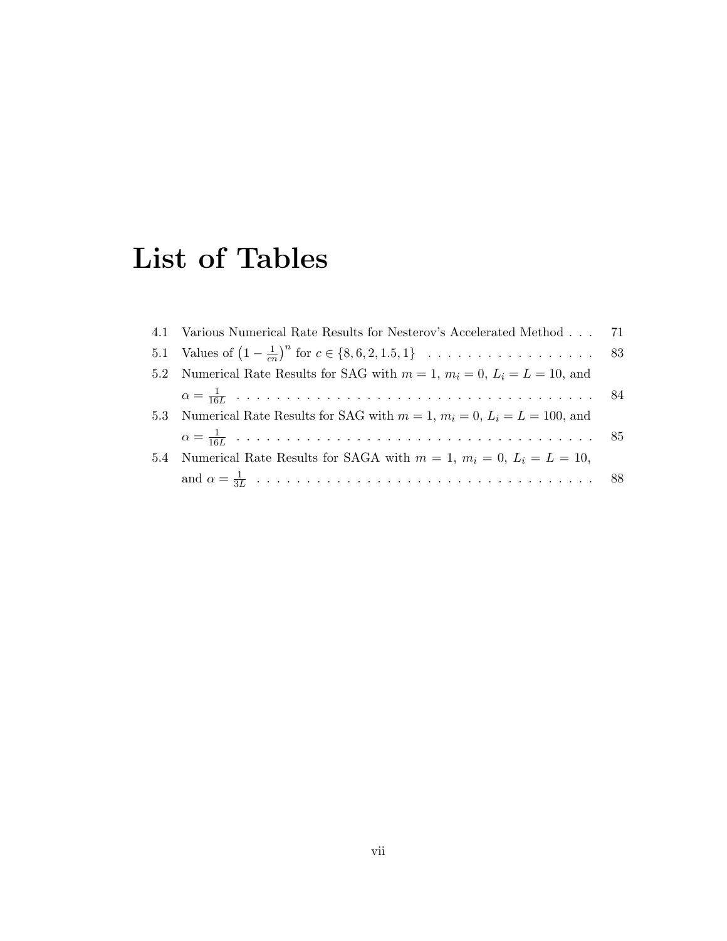# List of Tables

|     | 4.1 Various Numerical Rate Results for Nesterov's Accelerated Method 71             |  |
|-----|-------------------------------------------------------------------------------------|--|
|     |                                                                                     |  |
| 5.2 | Numerical Rate Results for SAG with $m = 1$ , $m_i = 0$ , $L_i = L = 10$ , and      |  |
|     |                                                                                     |  |
|     | 5.3 Numerical Rate Results for SAG with $m = 1$ , $m_i = 0$ , $L_i = L = 100$ , and |  |
|     |                                                                                     |  |
| 5.4 | Numerical Rate Results for SAGA with $m = 1$ , $m_i = 0$ , $L_i = L = 10$ ,         |  |
|     |                                                                                     |  |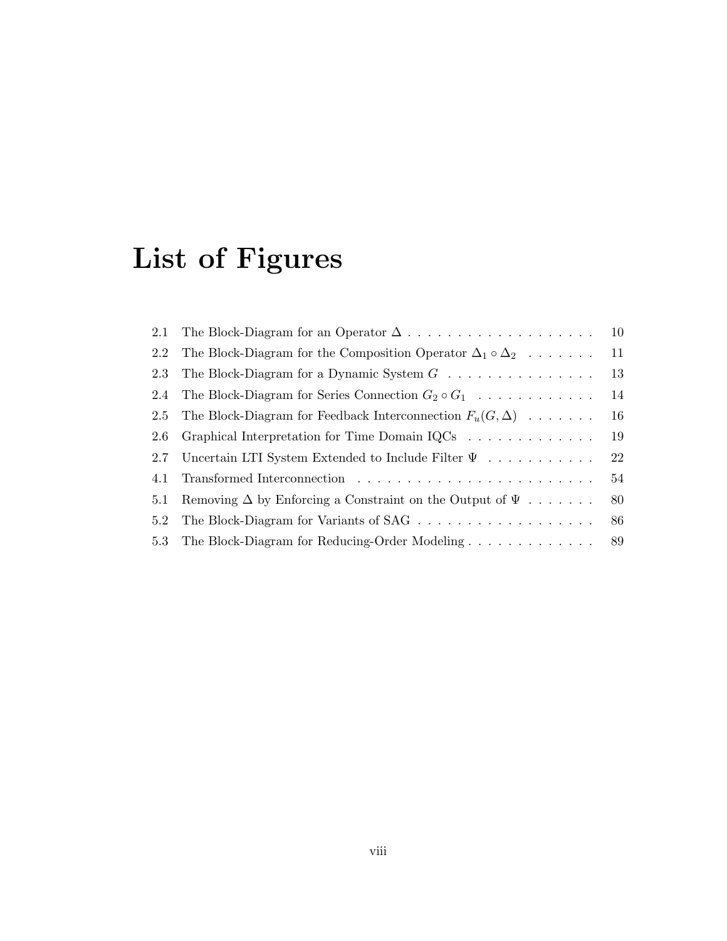# List of Figures

| 2.1 |                                                                                      | 10 |
|-----|--------------------------------------------------------------------------------------|----|
| 2.2 | The Block-Diagram for the Composition Operator $\Delta_1 \circ \Delta_2 \dots \dots$ | 11 |
| 2.3 | The Block-Diagram for a Dynamic System $G \dots \dots \dots \dots \dots$             | 13 |
| 2.4 | The Block-Diagram for Series Connection $G_2 \circ G_1$                              | 14 |
| 2.5 | The Block-Diagram for Feedback Interconnection $F_u(G, \Delta) \dots \dots$          | 16 |
| 2.6 | Graphical Interpretation for Time Domain IQCs                                        | 19 |
| 2.7 | Uncertain LTI System Extended to Include Filter $\Psi$                               | 22 |
| 4.1 |                                                                                      | 54 |
| 5.1 | Removing $\Delta$ by Enforcing a Constraint on the Output of $\Psi$                  | 80 |
| 5.2 |                                                                                      | 86 |
| 5.3 | The Block-Diagram for Reducing-Order Modeling                                        | 89 |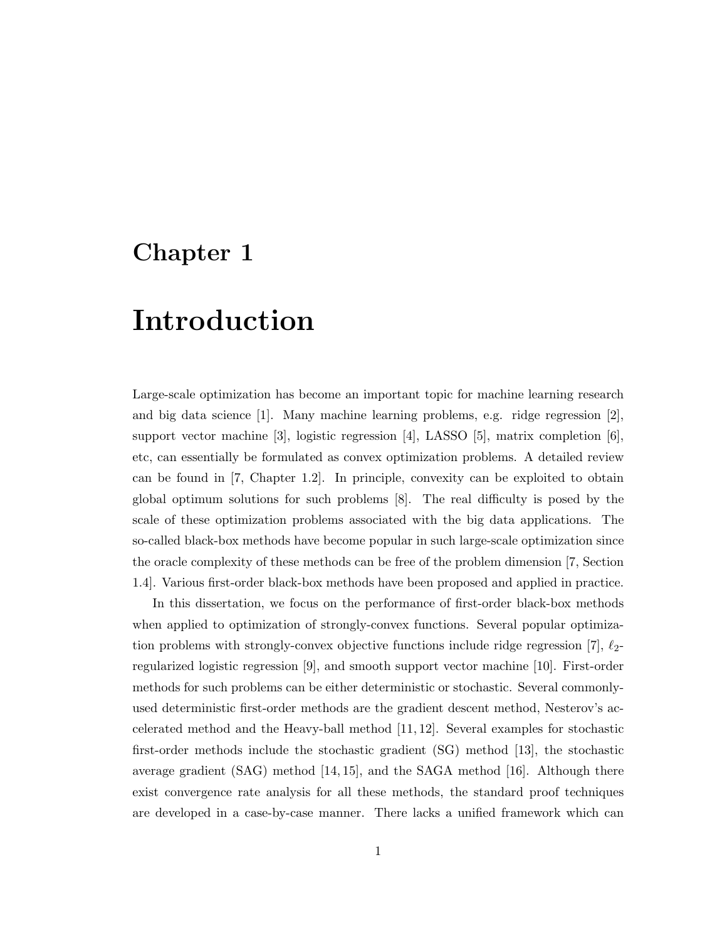### Chapter 1

## Introduction

Large-scale optimization has become an important topic for machine learning research and big data science [1]. Many machine learning problems, e.g. ridge regression [2], support vector machine [3], logistic regression [4], LASSO [5], matrix completion [6], etc, can essentially be formulated as convex optimization problems. A detailed review can be found in [7, Chapter 1.2]. In principle, convexity can be exploited to obtain global optimum solutions for such problems [8]. The real difficulty is posed by the scale of these optimization problems associated with the big data applications. The so-called black-box methods have become popular in such large-scale optimization since the oracle complexity of these methods can be free of the problem dimension [7, Section 1.4]. Various first-order black-box methods have been proposed and applied in practice.

In this dissertation, we focus on the performance of first-order black-box methods when applied to optimization of strongly-convex functions. Several popular optimization problems with strongly-convex objective functions include ridge regression [7],  $\ell_2$ regularized logistic regression [9], and smooth support vector machine [10]. First-order methods for such problems can be either deterministic or stochastic. Several commonlyused deterministic first-order methods are the gradient descent method, Nesterov's accelerated method and the Heavy-ball method [11, 12]. Several examples for stochastic first-order methods include the stochastic gradient (SG) method [13], the stochastic average gradient (SAG) method [14, 15], and the SAGA method [16]. Although there exist convergence rate analysis for all these methods, the standard proof techniques are developed in a case-by-case manner. There lacks a unified framework which can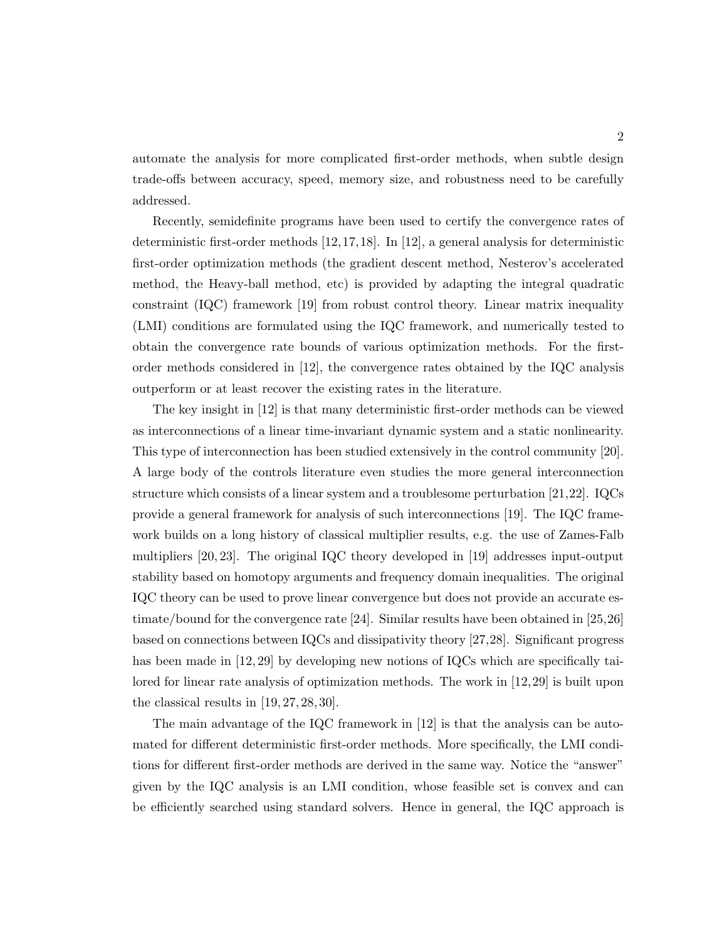automate the analysis for more complicated first-order methods, when subtle design trade-offs between accuracy, speed, memory size, and robustness need to be carefully addressed.

Recently, semidefinite programs have been used to certify the convergence rates of deterministic first-order methods [12,17,18]. In [12], a general analysis for deterministic first-order optimization methods (the gradient descent method, Nesterov's accelerated method, the Heavy-ball method, etc) is provided by adapting the integral quadratic constraint (IQC) framework [19] from robust control theory. Linear matrix inequality (LMI) conditions are formulated using the IQC framework, and numerically tested to obtain the convergence rate bounds of various optimization methods. For the firstorder methods considered in [12], the convergence rates obtained by the IQC analysis outperform or at least recover the existing rates in the literature.

The key insight in [12] is that many deterministic first-order methods can be viewed as interconnections of a linear time-invariant dynamic system and a static nonlinearity. This type of interconnection has been studied extensively in the control community [20]. A large body of the controls literature even studies the more general interconnection structure which consists of a linear system and a troublesome perturbation [21,22]. IQCs provide a general framework for analysis of such interconnections [19]. The IQC framework builds on a long history of classical multiplier results, e.g. the use of Zames-Falb multipliers [20, 23]. The original IQC theory developed in [19] addresses input-output stability based on homotopy arguments and frequency domain inequalities. The original IQC theory can be used to prove linear convergence but does not provide an accurate estimate/bound for the convergence rate [24]. Similar results have been obtained in [25,26] based on connections between IQCs and dissipativity theory [27,28]. Significant progress has been made in [12, 29] by developing new notions of IQCs which are specifically tailored for linear rate analysis of optimization methods. The work in [12,29] is built upon the classical results in [19, 27, 28, 30].

The main advantage of the IQC framework in [12] is that the analysis can be automated for different deterministic first-order methods. More specifically, the LMI conditions for different first-order methods are derived in the same way. Notice the "answer" given by the IQC analysis is an LMI condition, whose feasible set is convex and can be efficiently searched using standard solvers. Hence in general, the IQC approach is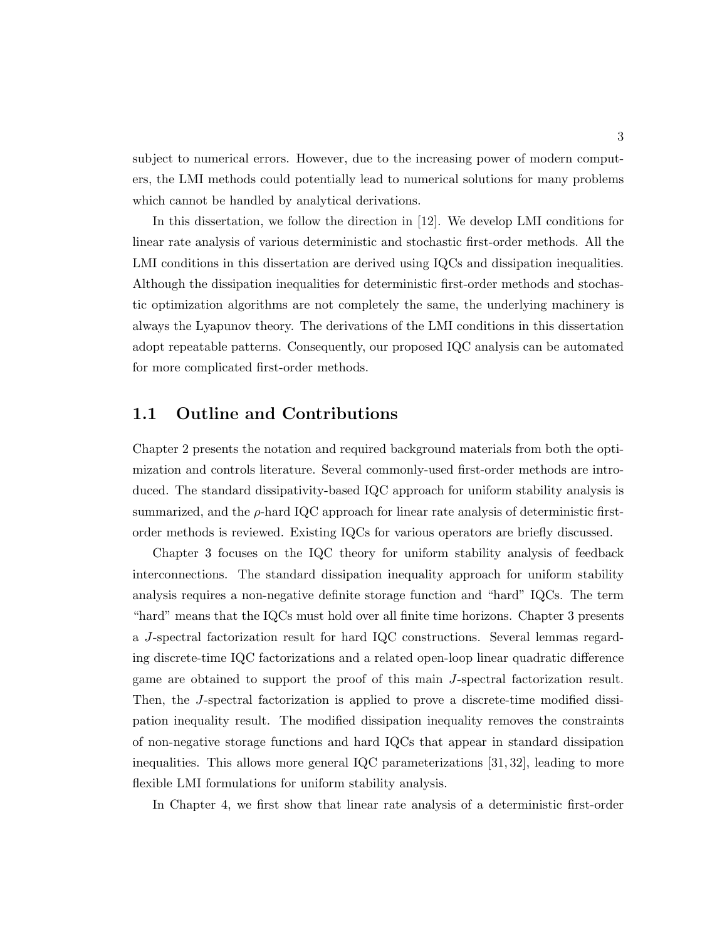subject to numerical errors. However, due to the increasing power of modern computers, the LMI methods could potentially lead to numerical solutions for many problems which cannot be handled by analytical derivations.

In this dissertation, we follow the direction in [12]. We develop LMI conditions for linear rate analysis of various deterministic and stochastic first-order methods. All the LMI conditions in this dissertation are derived using IQCs and dissipation inequalities. Although the dissipation inequalities for deterministic first-order methods and stochastic optimization algorithms are not completely the same, the underlying machinery is always the Lyapunov theory. The derivations of the LMI conditions in this dissertation adopt repeatable patterns. Consequently, our proposed IQC analysis can be automated for more complicated first-order methods.

### 1.1 Outline and Contributions

Chapter 2 presents the notation and required background materials from both the optimization and controls literature. Several commonly-used first-order methods are introduced. The standard dissipativity-based IQC approach for uniform stability analysis is summarized, and the  $\rho$ -hard IQC approach for linear rate analysis of deterministic firstorder methods is reviewed. Existing IQCs for various operators are briefly discussed.

Chapter 3 focuses on the IQC theory for uniform stability analysis of feedback interconnections. The standard dissipation inequality approach for uniform stability analysis requires a non-negative definite storage function and "hard" IQCs. The term "hard" means that the IQCs must hold over all finite time horizons. Chapter 3 presents a J-spectral factorization result for hard IQC constructions. Several lemmas regarding discrete-time IQC factorizations and a related open-loop linear quadratic difference game are obtained to support the proof of this main J-spectral factorization result. Then, the J-spectral factorization is applied to prove a discrete-time modified dissipation inequality result. The modified dissipation inequality removes the constraints of non-negative storage functions and hard IQCs that appear in standard dissipation inequalities. This allows more general IQC parameterizations [31, 32], leading to more flexible LMI formulations for uniform stability analysis.

In Chapter 4, we first show that linear rate analysis of a deterministic first-order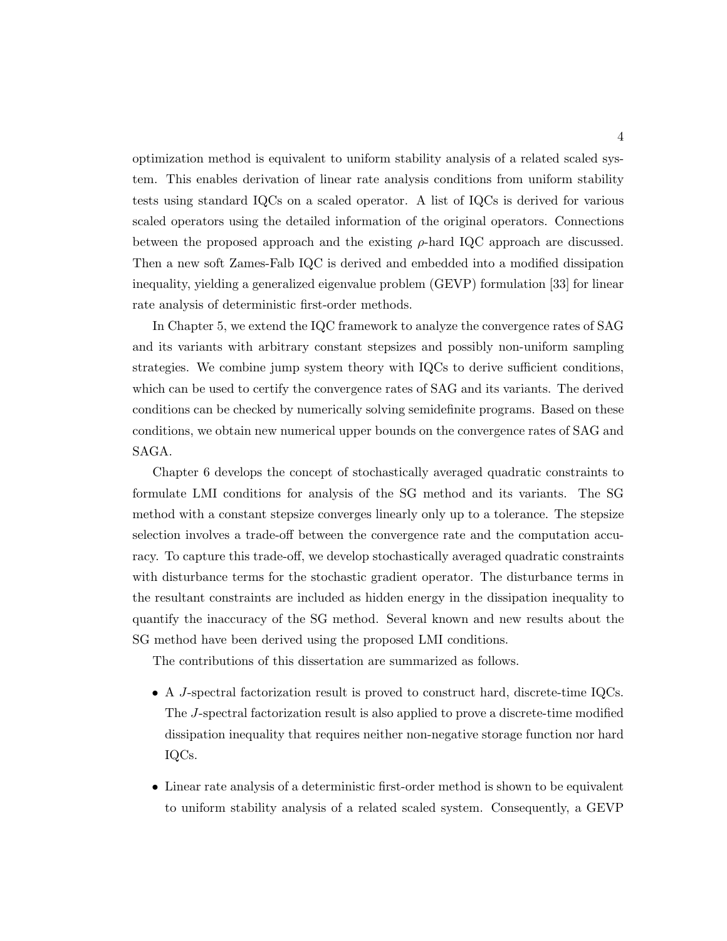optimization method is equivalent to uniform stability analysis of a related scaled system. This enables derivation of linear rate analysis conditions from uniform stability tests using standard IQCs on a scaled operator. A list of IQCs is derived for various scaled operators using the detailed information of the original operators. Connections between the proposed approach and the existing  $\rho$ -hard IQC approach are discussed. Then a new soft Zames-Falb IQC is derived and embedded into a modified dissipation inequality, yielding a generalized eigenvalue problem (GEVP) formulation [33] for linear rate analysis of deterministic first-order methods.

In Chapter 5, we extend the IQC framework to analyze the convergence rates of SAG and its variants with arbitrary constant stepsizes and possibly non-uniform sampling strategies. We combine jump system theory with IQCs to derive sufficient conditions, which can be used to certify the convergence rates of SAG and its variants. The derived conditions can be checked by numerically solving semidefinite programs. Based on these conditions, we obtain new numerical upper bounds on the convergence rates of SAG and SAGA.

Chapter 6 develops the concept of stochastically averaged quadratic constraints to formulate LMI conditions for analysis of the SG method and its variants. The SG method with a constant stepsize converges linearly only up to a tolerance. The stepsize selection involves a trade-off between the convergence rate and the computation accuracy. To capture this trade-off, we develop stochastically averaged quadratic constraints with disturbance terms for the stochastic gradient operator. The disturbance terms in the resultant constraints are included as hidden energy in the dissipation inequality to quantify the inaccuracy of the SG method. Several known and new results about the SG method have been derived using the proposed LMI conditions.

The contributions of this dissertation are summarized as follows.

- A J-spectral factorization result is proved to construct hard, discrete-time IQCs. The J-spectral factorization result is also applied to prove a discrete-time modified dissipation inequality that requires neither non-negative storage function nor hard IQCs.
- Linear rate analysis of a deterministic first-order method is shown to be equivalent to uniform stability analysis of a related scaled system. Consequently, a GEVP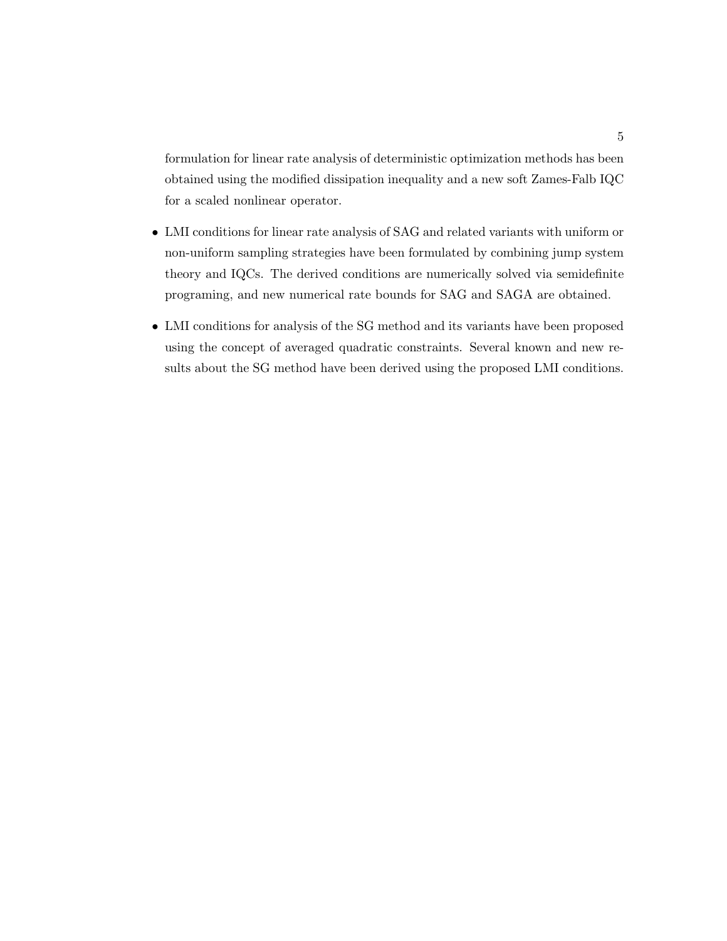formulation for linear rate analysis of deterministic optimization methods has been obtained using the modified dissipation inequality and a new soft Zames-Falb IQC for a scaled nonlinear operator.

- LMI conditions for linear rate analysis of SAG and related variants with uniform or non-uniform sampling strategies have been formulated by combining jump system theory and IQCs. The derived conditions are numerically solved via semidefinite programing, and new numerical rate bounds for SAG and SAGA are obtained.
- LMI conditions for analysis of the SG method and its variants have been proposed using the concept of averaged quadratic constraints. Several known and new results about the SG method have been derived using the proposed LMI conditions.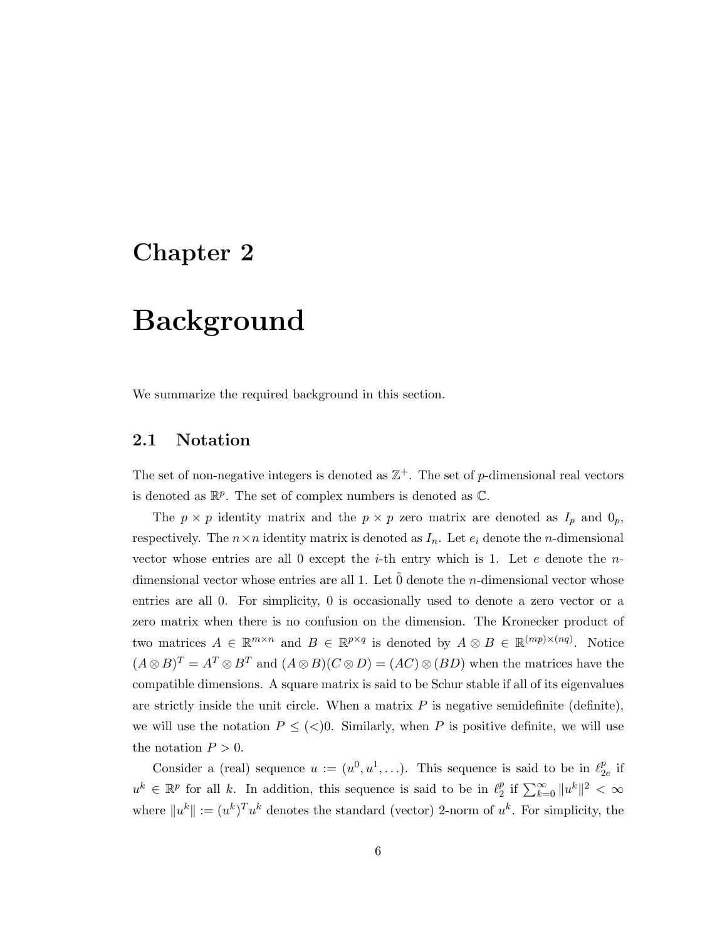### Chapter 2

## Background

We summarize the required background in this section.

### 2.1 Notation

The set of non-negative integers is denoted as  $\mathbb{Z}^+$ . The set of p-dimensional real vectors is denoted as  $\mathbb{R}^p$ . The set of complex numbers is denoted as  $\mathbb{C}$ .

The  $p \times p$  identity matrix and the  $p \times p$  zero matrix are denoted as  $I_p$  and  $0_p$ , respectively. The  $n \times n$  identity matrix is denoted as  $I_n$ . Let  $e_i$  denote the *n*-dimensional vector whose entries are all 0 except the *i*-th entry which is 1. Let e denote the  $n$ dimensional vector whose entries are all 1. Let  $\tilde{0}$  denote the *n*-dimensional vector whose entries are all 0. For simplicity, 0 is occasionally used to denote a zero vector or a zero matrix when there is no confusion on the dimension. The Kronecker product of two matrices  $A \in \mathbb{R}^{m \times n}$  and  $B \in \mathbb{R}^{p \times q}$  is denoted by  $A \otimes B \in \mathbb{R}^{(mp)\times (nq)}$ . Notice  $(A \otimes B)^{T} = A^{T} \otimes B^{T}$  and  $(A \otimes B)(C \otimes D) = (AC) \otimes (BD)$  when the matrices have the compatible dimensions. A square matrix is said to be Schur stable if all of its eigenvalues are strictly inside the unit circle. When a matrix  $P$  is negative semidefinite (definite), we will use the notation  $P \leq \langle \langle \rangle 0$ . Similarly, when P is positive definite, we will use the notation  $P > 0$ .

Consider a (real) sequence  $u := (u^0, u^1, \ldots)$ . This sequence is said to be in  $\ell_2^p$  $_{2e}^{p}$  if  $u^k \in \mathbb{R}^p$  for all k. In addition, this sequence is said to be in  $\ell_2^p$  $\frac{p}{2}$  if  $\sum_{k=0}^{\infty} \|u^k\|^2 < \infty$ where  $||u^k|| := (u^k)^T u^k$  denotes the standard (vector) 2-norm of  $u^k$ . For simplicity, the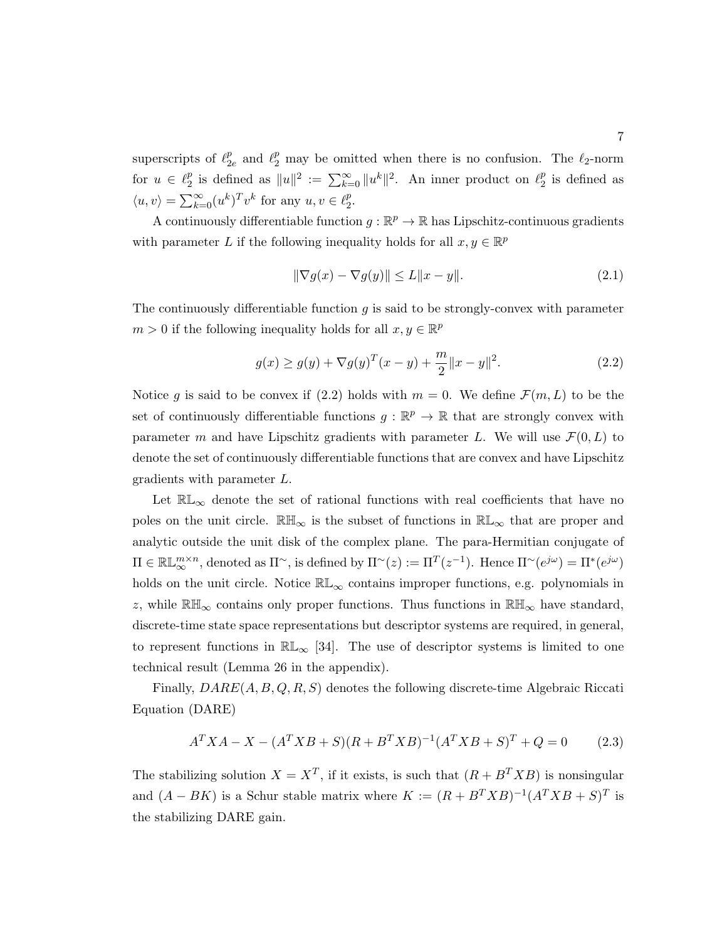superscripts of  $\ell_2^p$  $_{2e}^{p}$  and  $\ell_{2}^{p}$  may be omitted when there is no confusion. The  $\ell_{2}$ -norm for  $u \in \ell_2^p$  $\frac{p}{2}$  is defined as  $||u||^2 := \sum_{k=0}^{\infty} ||u^k||^2$ . An inner product on  $\ell_2^p$  $_2^p$  is defined as  $\langle u, v \rangle = \sum_{k=0}^{\infty} (u^k)^T v^k$  for any  $u, v \in \ell_2^p$  $\frac{p}{2}$ .

A continuously differentiable function  $g : \mathbb{R}^p \to \mathbb{R}$  has Lipschitz-continuous gradients with parameter L if the following inequality holds for all  $x, y \in \mathbb{R}^p$ 

$$
\|\nabla g(x) - \nabla g(y)\| \le L\|x - y\|.\tag{2.1}
$$

The continuously differentiable function  $q$  is said to be strongly-convex with parameter  $m > 0$  if the following inequality holds for all  $x, y \in \mathbb{R}^p$ 

$$
g(x) \ge g(y) + \nabla g(y)^{T} (x - y) + \frac{m}{2} ||x - y||^{2}.
$$
 (2.2)

Notice g is said to be convex if  $(2.2)$  holds with  $m = 0$ . We define  $\mathcal{F}(m, L)$  to be the set of continuously differentiable functions  $g : \mathbb{R}^p \to \mathbb{R}$  that are strongly convex with parameter m and have Lipschitz gradients with parameter L. We will use  $\mathcal{F}(0, L)$  to denote the set of continuously differentiable functions that are convex and have Lipschitz gradients with parameter L.

Let  $\mathbb{RL}_{\infty}$  denote the set of rational functions with real coefficients that have no poles on the unit circle.  $\mathbb{R} \mathbb{H}_{\infty}$  is the subset of functions in  $\mathbb{R} \mathbb{L}_{\infty}$  that are proper and analytic outside the unit disk of the complex plane. The para-Hermitian conjugate of  $\Pi \in \mathbb{RL}_{\infty}^{m \times n}$ , denoted as  $\Pi^{\sim}$ , is defined by  $\Pi^{\sim}(z) := \Pi^{T}(z^{-1})$ . Hence  $\Pi^{\sim}(e^{j\omega}) = \Pi^{*}(e^{j\omega})$ holds on the unit circle. Notice  $\mathbb{RL}_{\infty}$  contains improper functions, e.g. polynomials in z, while  $\mathbb{RH}_{\infty}$  contains only proper functions. Thus functions in  $\mathbb{RH}_{\infty}$  have standard, discrete-time state space representations but descriptor systems are required, in general, to represent functions in  $\mathbb{RL}_{\infty}$  [34]. The use of descriptor systems is limited to one technical result (Lemma 26 in the appendix).

Finally,  $DARE(A, B, Q, R, S)$  denotes the following discrete-time Algebraic Riccati Equation (DARE)

$$
A^T X A - X - (A^T X B + S)(R + B^T X B)^{-1} (A^T X B + S)^T + Q = 0 \tag{2.3}
$$

The stabilizing solution  $X = X^T$ , if it exists, is such that  $(R + B^T X B)$  is nonsingular and  $(A - BK)$  is a Schur stable matrix where  $K := (R + B<sup>T</sup>XB)^{-1}(A<sup>T</sup>XB + S)<sup>T</sup>$  is the stabilizing DARE gain.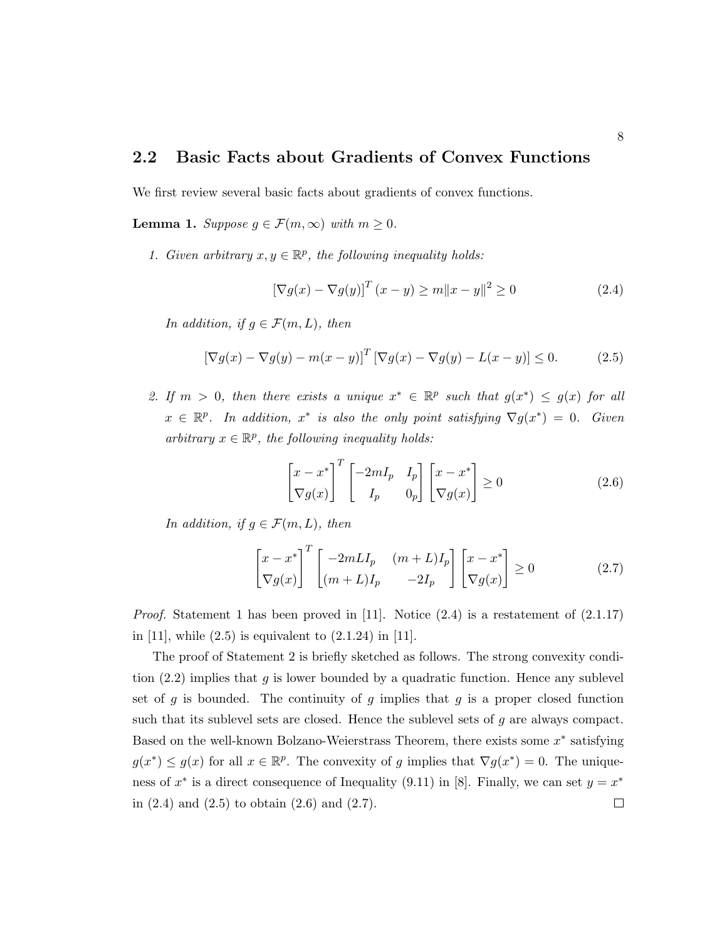#### 2.2 Basic Facts about Gradients of Convex Functions

We first review several basic facts about gradients of convex functions.

**Lemma 1.** Suppose  $g \in \mathcal{F}(m,\infty)$  with  $m \geq 0$ .

1. Given arbitrary  $x, y \in \mathbb{R}^p$ , the following inequality holds:

$$
\left[\nabla g(x) - \nabla g(y)\right]^T (x - y) \ge m \|x - y\|^2 \ge 0 \tag{2.4}
$$

In addition, if  $g \in \mathcal{F}(m,L)$ , then

$$
\left[\nabla g(x) - \nabla g(y) - m(x - y)\right]^T \left[\nabla g(x) - \nabla g(y) - L(x - y)\right] \le 0.
$$
 (2.5)

2. If  $m > 0$ , then there exists a unique  $x^* \in \mathbb{R}^p$  such that  $g(x^*) \leq g(x)$  for all  $x \in \mathbb{R}^p$ . In addition,  $x^*$  is also the only point satisfying  $\nabla g(x^*) = 0$ . Given arbitrary  $x \in \mathbb{R}^p$ , the following inequality holds:

$$
\begin{bmatrix} x - x^* \\ \nabla g(x) \end{bmatrix}^T \begin{bmatrix} -2mI_p & I_p \\ I_p & 0_p \end{bmatrix} \begin{bmatrix} x - x^* \\ \nabla g(x) \end{bmatrix} \ge 0
$$
\n(2.6)

In addition, if  $g \in \mathcal{F}(m,L)$ , then

$$
\begin{bmatrix} x - x^* \\ \nabla g(x) \end{bmatrix}^T \begin{bmatrix} -2mLI_p & (m+L)I_p \\ (m+L)I_p & -2I_p \end{bmatrix} \begin{bmatrix} x - x^* \\ \nabla g(x) \end{bmatrix} \ge 0
$$
 (2.7)

*Proof.* Statement 1 has been proved in [11]. Notice  $(2.4)$  is a restatement of  $(2.1.17)$ in [11], while  $(2.5)$  is equivalent to  $(2.1.24)$  in [11].

The proof of Statement 2 is briefly sketched as follows. The strong convexity condition  $(2.2)$  implies that g is lower bounded by a quadratic function. Hence any sublevel set of g is bounded. The continuity of g implies that g is a proper closed function such that its sublevel sets are closed. Hence the sublevel sets of  $g$  are always compact. Based on the well-known Bolzano-Weierstrass Theorem, there exists some  $x^*$  satisfying  $g(x^*) \leq g(x)$  for all  $x \in \mathbb{R}^p$ . The convexity of g implies that  $\nabla g(x^*) = 0$ . The uniqueness of  $x^*$  is a direct consequence of Inequality (9.11) in [8]. Finally, we can set  $y = x^*$ in  $(2.4)$  and  $(2.5)$  to obtain  $(2.6)$  and  $(2.7)$ .  $\Box$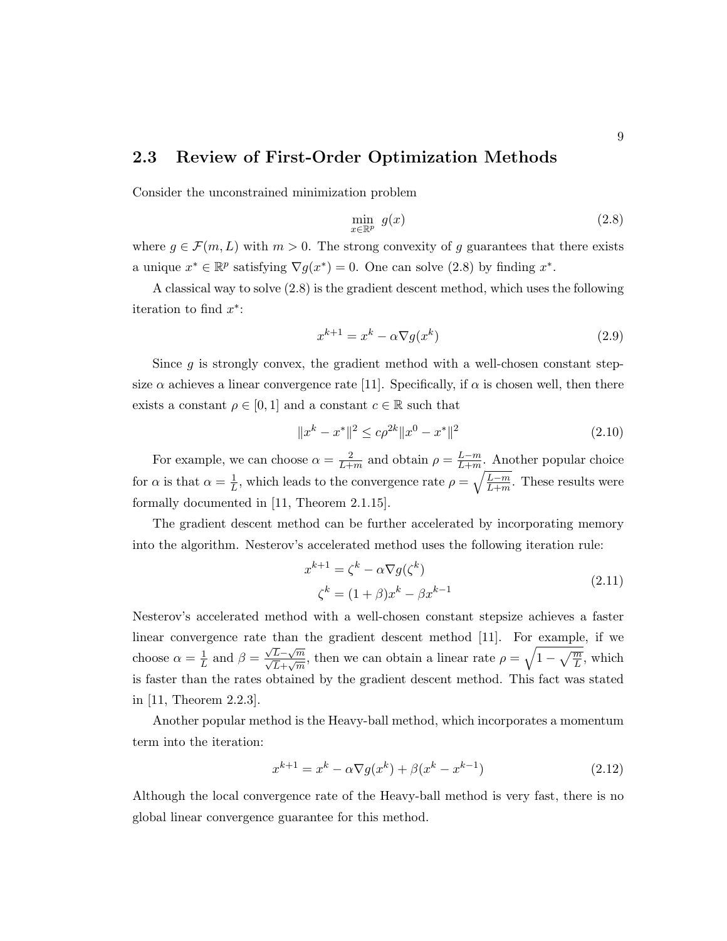### 2.3 Review of First-Order Optimization Methods

Consider the unconstrained minimization problem

$$
\min_{x \in \mathbb{R}^p} g(x) \tag{2.8}
$$

where  $g \in \mathcal{F}(m, L)$  with  $m > 0$ . The strong convexity of g guarantees that there exists a unique  $x^* \in \mathbb{R}^p$  satisfying  $\nabla g(x^*) = 0$ . One can solve (2.8) by finding  $x^*$ .

A classical way to solve (2.8) is the gradient descent method, which uses the following iteration to find  $x^*$ :

$$
x^{k+1} = x^k - \alpha \nabla g(x^k)
$$
\n(2.9)

Since  $g$  is strongly convex, the gradient method with a well-chosen constant stepsize  $\alpha$  achieves a linear convergence rate [11]. Specifically, if  $\alpha$  is chosen well, then there exists a constant  $\rho \in [0,1]$  and a constant  $c \in \mathbb{R}$  such that

$$
||x^{k} - x^{*}||^{2} \le c\rho^{2k}||x^{0} - x^{*}||^{2}
$$
\n(2.10)

For example, we can choose  $\alpha = \frac{2}{L+1}$  $\frac{2}{L+m}$  and obtain  $\rho = \frac{L-m}{L+m}$  $\frac{L-m}{L+m}$ . Another popular choice for  $\alpha$  is that  $\alpha = \frac{1}{L}$  $\frac{1}{L}$ , which leads to the convergence rate  $\rho = \sqrt{\frac{L-m}{L+m}}$ . These results were formally documented in [11, Theorem 2.1.15].

The gradient descent method can be further accelerated by incorporating memory into the algorithm. Nesterov's accelerated method uses the following iteration rule:

$$
x^{k+1} = \zeta^k - \alpha \nabla g(\zeta^k)
$$
  

$$
\zeta^k = (1+\beta)x^k - \beta x^{k-1}
$$
 (2.11)

Nesterov's accelerated method with a well-chosen constant stepsize achieves a faster linear convergence rate than the gradient descent method [11]. For example, if we choose  $\alpha = \frac{1}{l}$  $\frac{1}{L}$  and  $\beta =$  $\frac{\sqrt{L}-\sqrt{m}}{\sqrt{L}+\sqrt{m}}$ , then we can obtain a linear rate  $\rho = \sqrt{1-\sqrt{\frac{m}{L}}}$ , which is faster than the rates obtained by the gradient descent method. This fact was stated in [11, Theorem 2.2.3].

Another popular method is the Heavy-ball method, which incorporates a momentum term into the iteration:

$$
x^{k+1} = x^k - \alpha \nabla g(x^k) + \beta (x^k - x^{k-1})
$$
\n(2.12)

Although the local convergence rate of the Heavy-ball method is very fast, there is no global linear convergence guarantee for this method.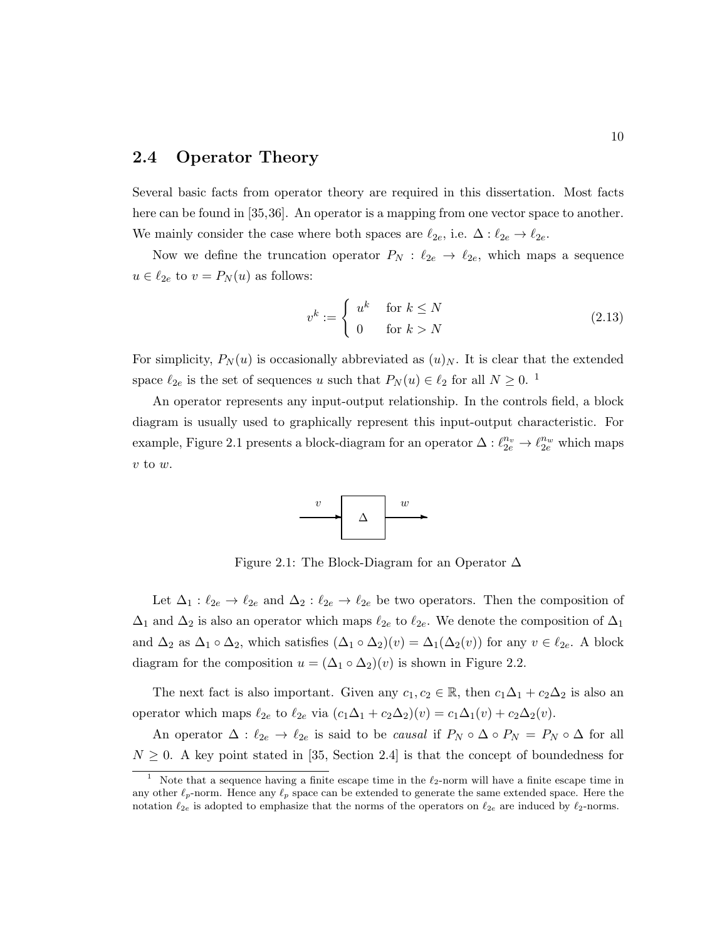#### 2.4 Operator Theory

Several basic facts from operator theory are required in this dissertation. Most facts here can be found in [35,36]. An operator is a mapping from one vector space to another. We mainly consider the case where both spaces are  $\ell_{2e}$ , i.e.  $\Delta : \ell_{2e} \to \ell_{2e}$ .

Now we define the truncation operator  $P_N$ :  $\ell_{2e} \rightarrow \ell_{2e}$ , which maps a sequence  $u \in \ell_{2e}$  to  $v = P_N(u)$  as follows:

$$
v^k := \begin{cases} u^k & \text{for } k \le N \\ 0 & \text{for } k > N \end{cases} \tag{2.13}
$$

For simplicity,  $P_N(u)$  is occasionally abbreviated as  $(u)_N$ . It is clear that the extended space  $\ell_{2e}$  is the set of sequences u such that  $P_N (u) \in \ell_2$  for all  $N \geq 0$ . <sup>1</sup>

An operator represents any input-output relationship. In the controls field, a block diagram is usually used to graphically represent this input-output characteristic. For example, Figure 2.1 presents a block-diagram for an operator  $\Delta: \ell_{2e}^{n_v} \to \ell_{2e}^{n_w}$  which maps  $v$  to  $w$ .



Figure 2.1: The Block-Diagram for an Operator ∆

Let  $\Delta_1 : \ell_{2e} \to \ell_{2e}$  and  $\Delta_2 : \ell_{2e} \to \ell_{2e}$  be two operators. Then the composition of  $\Delta_1$  and  $\Delta_2$  is also an operator which maps  $\ell_{2e}$  to  $\ell_{2e}$ . We denote the composition of  $\Delta_1$ and  $\Delta_2$  as  $\Delta_1 \circ \Delta_2$ , which satisfies  $(\Delta_1 \circ \Delta_2)(v) = \Delta_1(\Delta_2(v))$  for any  $v \in \ell_{2e}$ . A block diagram for the composition  $u = (\Delta_1 \circ \Delta_2)(v)$  is shown in Figure 2.2.

The next fact is also important. Given any  $c_1, c_2 \in \mathbb{R}$ , then  $c_1\Delta_1 + c_2\Delta_2$  is also an operator which maps  $\ell_{2e}$  to  $\ell_{2e}$  via  $(c_1\Delta_1 + c_2\Delta_2)(v) = c_1\Delta_1(v) + c_2\Delta_2(v)$ .

An operator  $\Delta: \ell_{2e} \to \ell_{2e}$  is said to be causal if  $P_N \circ \Delta \circ P_N = P_N \circ \Delta$  for all  $N \geq 0$ . A key point stated in [35, Section 2.4] is that the concept of boundedness for

Note that a sequence having a finite escape time in the  $\ell_2$ -norm will have a finite escape time in any other  $\ell_p$ -norm. Hence any  $\ell_p$  space can be extended to generate the same extended space. Here the notation  $\ell_{2e}$  is adopted to emphasize that the norms of the operators on  $\ell_{2e}$  are induced by  $\ell_{2}$ -norms.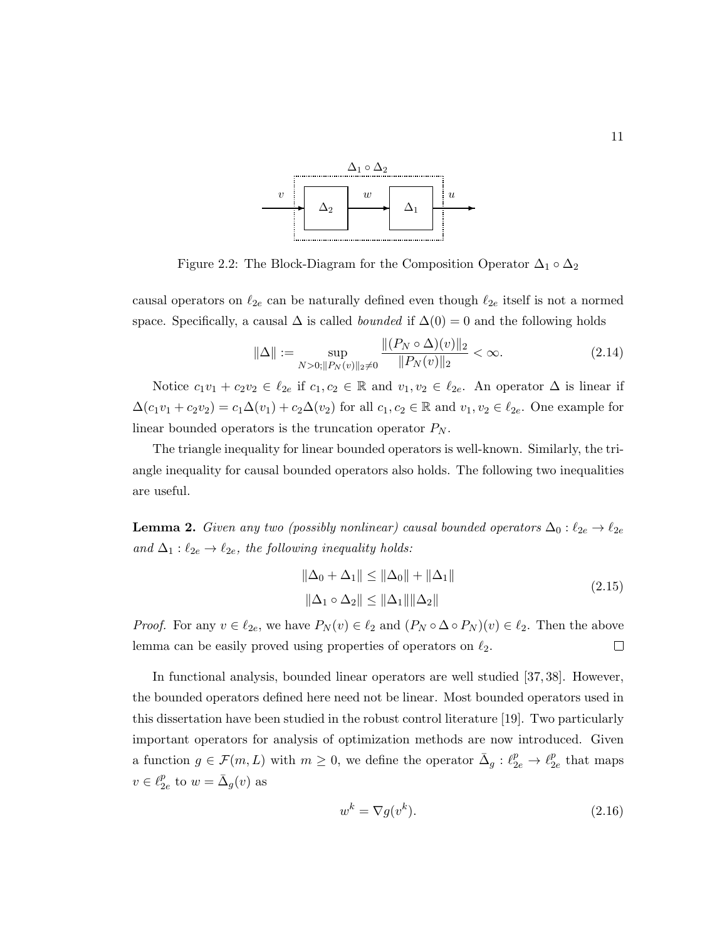

Figure 2.2: The Block-Diagram for the Composition Operator  $\Delta_1 \circ \Delta_2$ 

causal operators on  $\ell_{2e}$  can be naturally defined even though  $\ell_{2e}$  itself is not a normed space. Specifically, a causal  $\Delta$  is called *bounded* if  $\Delta(0) = 0$  and the following holds

$$
\|\Delta\| := \sup_{N > 0; \|P_N(v)\|_2 \neq 0} \frac{\|(P_N \circ \Delta)(v)\|_2}{\|P_N(v)\|_2} < \infty. \tag{2.14}
$$

Notice  $c_1v_1 + c_2v_2 \in \ell_{2e}$  if  $c_1, c_2 \in \mathbb{R}$  and  $v_1, v_2 \in \ell_{2e}$ . An operator  $\Delta$  is linear if  $\Delta(c_1v_1 + c_2v_2) = c_1\Delta(v_1) + c_2\Delta(v_2)$  for all  $c_1, c_2 \in \mathbb{R}$  and  $v_1, v_2 \in \ell_{2e}$ . One example for linear bounded operators is the truncation operator  $P_N$ .

The triangle inequality for linear bounded operators is well-known. Similarly, the triangle inequality for causal bounded operators also holds. The following two inequalities are useful.

**Lemma 2.** Given any two (possibly nonlinear) causal bounded operators  $\Delta_0: \ell_{2e} \to \ell_{2e}$ and  $\Delta_1 : \ell_{2e} \to \ell_{2e}$ , the following inequality holds:

$$
\|\Delta_0 + \Delta_1\| \le \|\Delta_0\| + \|\Delta_1\|
$$
  

$$
\|\Delta_1 \circ \Delta_2\| \le \|\Delta_1\| \|\Delta_2\|
$$
 (2.15)

*Proof.* For any  $v \in \ell_{2e}$ , we have  $P_N(v) \in \ell_2$  and  $(P_N \circ \Delta \circ P_N)(v) \in \ell_2$ . Then the above lemma can be easily proved using properties of operators on  $\ell_2$ .  $\Box$ 

In functional analysis, bounded linear operators are well studied [37, 38]. However, the bounded operators defined here need not be linear. Most bounded operators used in this dissertation have been studied in the robust control literature [19]. Two particularly important operators for analysis of optimization methods are now introduced. Given a function  $g \in \mathcal{F}(m, L)$  with  $m \geq 0$ , we define the operator  $\bar{\Delta}_g : \ell_{2e}^p \to \ell_2^p$  $\frac{p}{2e}$  that maps  $v \in \ell_2^p$  $_{2e}^{p}$  to  $w = \bar{\Delta}_g(v)$  as

$$
w^k = \nabla g(v^k). \tag{2.16}
$$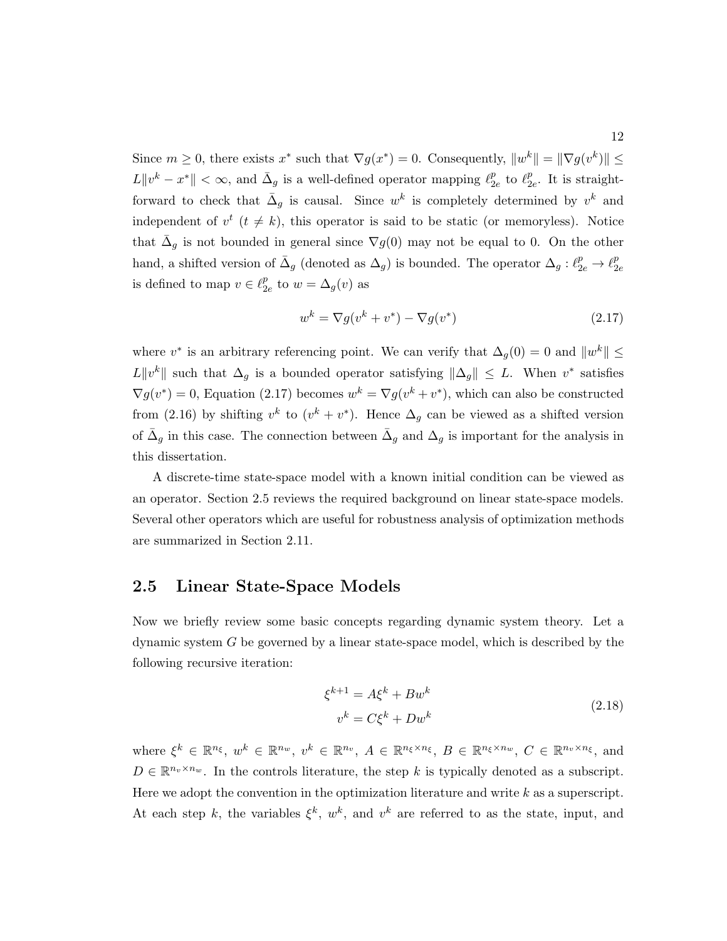Since  $m \geq 0$ , there exists  $x^*$  such that  $\nabla g(x^*) = 0$ . Consequently,  $||w^k|| = ||\nabla g(v^k)|| \leq$  $L\Vert v^k - x^* \Vert < \infty$ , and  $\bar{\Delta}_g$  is a well-defined operator mapping  $\ell_2^p$  $\frac{p}{2e}$  to  $\ell_2^p$  $_{2e}^p$ . It is straightforward to check that  $\bar{\Delta}_g$  is causal. Since  $w^k$  is completely determined by  $v^k$  and independent of  $v^t$  ( $t \neq k$ ), this operator is said to be static (or memoryless). Notice that  $\bar{\Delta}_g$  is not bounded in general since  $\nabla_g(0)$  may not be equal to 0. On the other hand, a shifted version of  $\bar{\Delta}_g$  (denoted as  $\Delta_g$ ) is bounded. The operator  $\Delta_g: \ell_{2e}^p \to \ell_2^p$  $2e$ is defined to map  $v \in \ell_2^p$  $_{2e}^{p}$  to  $w = \Delta_{g}(v)$  as

$$
w^k = \nabla g(v^k + v^*) - \nabla g(v^*)
$$
\n
$$
(2.17)
$$

where  $v^*$  is an arbitrary referencing point. We can verify that  $\Delta_g(0) = 0$  and  $||w^k|| \le$ L $||v^k||$  such that  $\Delta_g$  is a bounded operator satisfying  $||\Delta_g|| \leq L$ . When  $v^*$  satisfies  $\nabla g(v^*) = 0$ , Equation (2.17) becomes  $w^k = \nabla g(v^k + v^*)$ , which can also be constructed from (2.16) by shifting  $v^k$  to  $(v^k + v^*)$ . Hence  $\Delta_g$  can be viewed as a shifted version of  $\bar{\Delta}_g$  in this case. The connection between  $\bar{\Delta}_g$  and  $\Delta_g$  is important for the analysis in this dissertation.

A discrete-time state-space model with a known initial condition can be viewed as an operator. Section 2.5 reviews the required background on linear state-space models. Several other operators which are useful for robustness analysis of optimization methods are summarized in Section 2.11.

### 2.5 Linear State-Space Models

Now we briefly review some basic concepts regarding dynamic system theory. Let a dynamic system G be governed by a linear state-space model, which is described by the following recursive iteration:

$$
\xi^{k+1} = A\xi^k + Bw^k
$$
  
\n
$$
v^k = C\xi^k + Dw^k
$$
\n(2.18)

where  $\xi^k \in \mathbb{R}^{n_{\xi}}, w^k \in \mathbb{R}^{n_w}, v^k \in \mathbb{R}^{n_v}, A \in \mathbb{R}^{n_{\xi} \times n_{\xi}}, B \in \mathbb{R}^{n_{\xi} \times n_w}, C \in \mathbb{R}^{n_v \times n_{\xi}}, \text{ and}$  $D \in \mathbb{R}^{n_v \times n_w}$ . In the controls literature, the step k is typically denoted as a subscript. Here we adopt the convention in the optimization literature and write  $k$  as a superscript. At each step k, the variables  $\xi^k$ ,  $w^k$ , and  $v^k$  are referred to as the state, input, and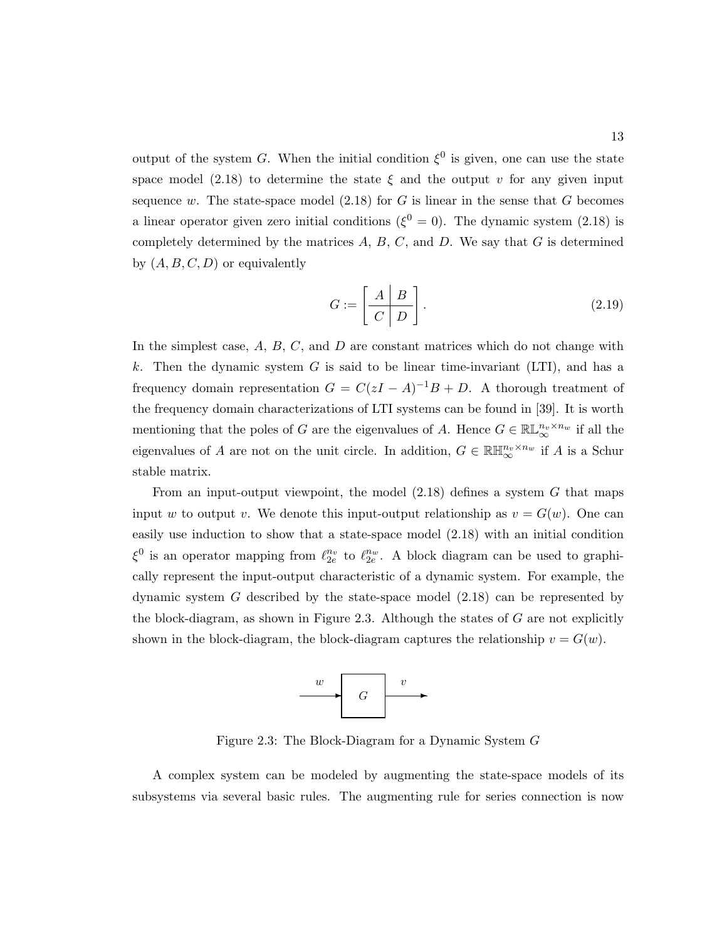output of the system G. When the initial condition  $\xi^0$  is given, one can use the state space model (2.18) to determine the state  $\xi$  and the output v for any given input sequence w. The state-space model  $(2.18)$  for G is linear in the sense that G becomes a linear operator given zero initial conditions ( $\xi^0 = 0$ ). The dynamic system (2.18) is completely determined by the matrices  $A, B, C$ , and  $D$ . We say that  $G$  is determined by  $(A, B, C, D)$  or equivalently

$$
G := \left[ \begin{array}{c|c} A & B \\ \hline C & D \end{array} \right]. \tag{2.19}
$$

In the simplest case,  $A, B, C$ , and  $D$  are constant matrices which do not change with k. Then the dynamic system  $G$  is said to be linear time-invariant (LTI), and has a frequency domain representation  $G = C(zI - A)^{-1}B + D$ . A thorough treatment of the frequency domain characterizations of LTI systems can be found in [39]. It is worth mentioning that the poles of G are the eigenvalues of A. Hence  $G \in \mathbb{RL}_{\infty}^{n_v \times n_w}$  if all the eigenvalues of A are not on the unit circle. In addition,  $G \in \mathbb{R} \mathbb{H}_{\infty}^{n_v \times n_w}$  if A is a Schur stable matrix.

From an input-output viewpoint, the model  $(2.18)$  defines a system G that maps input w to output v. We denote this input-output relationship as  $v = G(w)$ . One can easily use induction to show that a state-space model (2.18) with an initial condition  $\xi^0$  is an operator mapping from  $\ell_{2e}^{n_v}$  to  $\ell_{2e}^{n_w}$ . A block diagram can be used to graphically represent the input-output characteristic of a dynamic system. For example, the dynamic system  $G$  described by the state-space model  $(2.18)$  can be represented by the block-diagram, as shown in Figure 2.3. Although the states of  $G$  are not explicitly shown in the block-diagram, the block-diagram captures the relationship  $v = G(w)$ .



Figure 2.3: The Block-Diagram for a Dynamic System G

A complex system can be modeled by augmenting the state-space models of its subsystems via several basic rules. The augmenting rule for series connection is now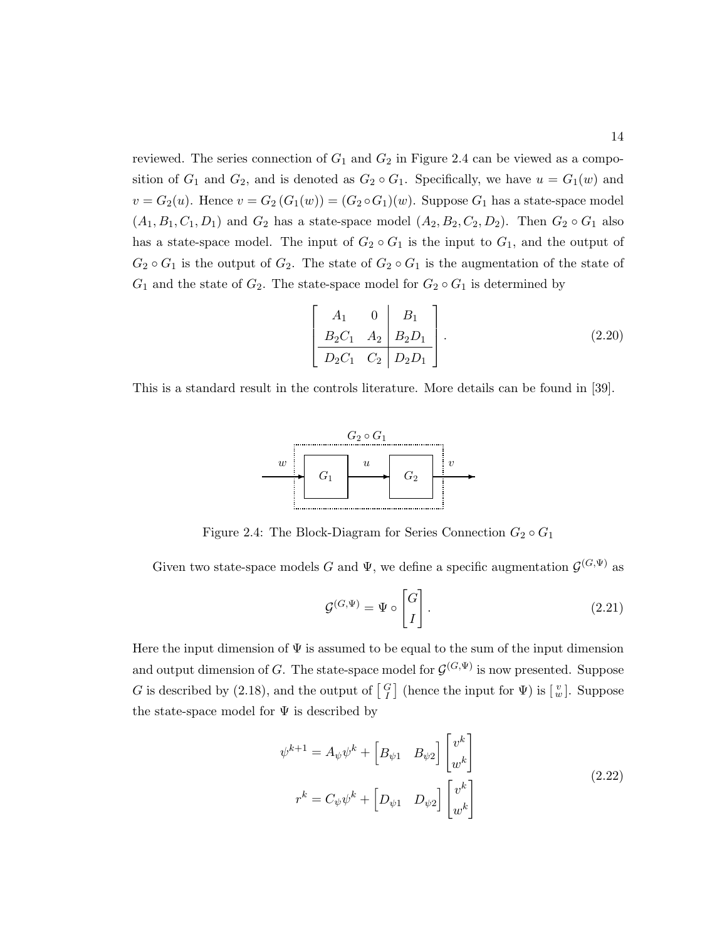reviewed. The series connection of  $G_1$  and  $G_2$  in Figure 2.4 can be viewed as a composition of  $G_1$  and  $G_2$ , and is denoted as  $G_2 \circ G_1$ . Specifically, we have  $u = G_1(w)$  and  $v = G_2(u)$ . Hence  $v = G_2(G_1(w)) = (G_2 \circ G_1)(w)$ . Suppose  $G_1$  has a state-space model  $(A_1, B_1, C_1, D_1)$  and  $G_2$  has a state-space model  $(A_2, B_2, C_2, D_2)$ . Then  $G_2 \circ G_1$  also has a state-space model. The input of  $G_2 \circ G_1$  is the input to  $G_1$ , and the output of  $G_2 \circ G_1$  is the output of  $G_2$ . The state of  $G_2 \circ G_1$  is the augmentation of the state of  $G_1$  and the state of  $G_2$ . The state-space model for  $G_2 \circ G_1$  is determined by

$$
\left[\begin{array}{cc|c} A_1 & 0 & B_1 \\ B_2C_1 & A_2 & B_2D_1 \\ \hline D_2C_1 & C_2 & D_2D_1 \end{array}\right].
$$
 (2.20)

This is a standard result in the controls literature. More details can be found in [39].



Figure 2.4: The Block-Diagram for Series Connection  $G_2 \circ G_1$ 

Given two state-space models G and  $\Psi$ , we define a specific augmentation  $\mathcal{G}^{(G,\Psi)}$  as

$$
\mathcal{G}^{(G,\Psi)} = \Psi \circ \begin{bmatrix} G \\ I \end{bmatrix} . \tag{2.21}
$$

Here the input dimension of  $\Psi$  is assumed to be equal to the sum of the input dimension and output dimension of G. The state-space model for  $\mathcal{G}^{(G,\Psi)}$  is now presented. Suppose G is described by (2.18), and the output of  $\begin{bmatrix} G \\ I \end{bmatrix}$  (hence the input for  $\Psi$ ) is  $\begin{bmatrix} v \\ w \end{bmatrix}$ . Suppose the state-space model for  $\Psi$  is described by

$$
\psi^{k+1} = A_{\psi}\psi^k + \begin{bmatrix} B_{\psi 1} & B_{\psi 2} \end{bmatrix} \begin{bmatrix} v^k \\ w^k \end{bmatrix}
$$
  

$$
r^k = C_{\psi}\psi^k + \begin{bmatrix} D_{\psi 1} & D_{\psi 2} \end{bmatrix} \begin{bmatrix} v^k \\ w^k \end{bmatrix}
$$
 (2.22)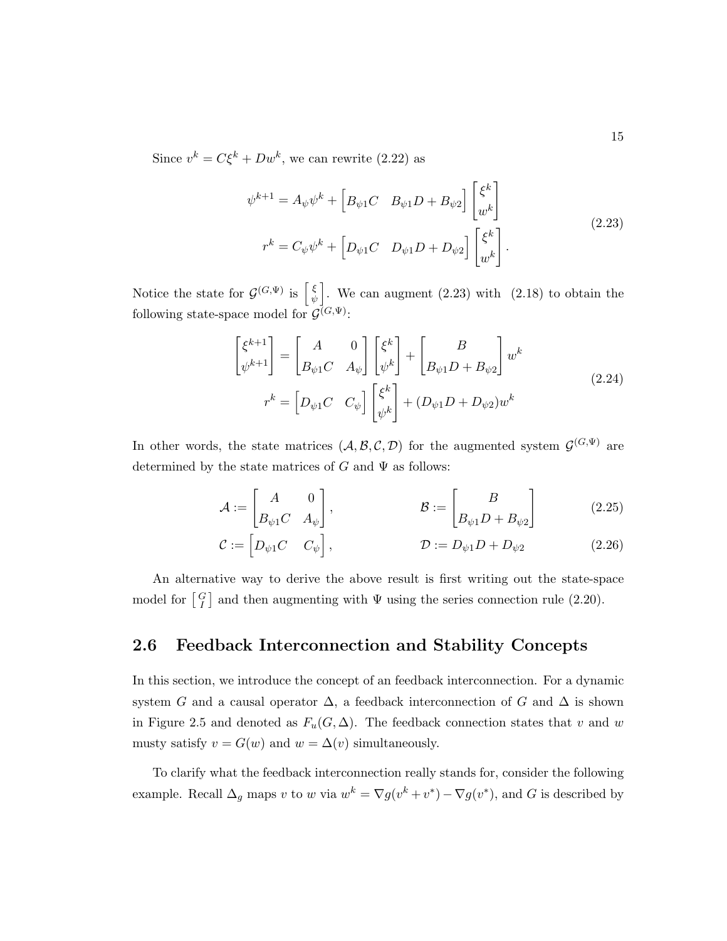Since  $v^k = C\xi^k + Dw^k$ , we can rewrite (2.22) as

$$
\psi^{k+1} = A_{\psi}\psi^k + \begin{bmatrix} B_{\psi 1}C & B_{\psi 1}D + B_{\psi 2} \end{bmatrix} \begin{bmatrix} \xi^k \\ w^k \end{bmatrix}
$$
  

$$
r^k = C_{\psi}\psi^k + \begin{bmatrix} D_{\psi 1}C & D_{\psi 1}D + D_{\psi 2} \end{bmatrix} \begin{bmatrix} \xi^k \\ w^k \end{bmatrix}.
$$
 (2.23)

Notice the state for  $\mathcal{G}^{(G,\Psi)}$  is  $\begin{bmatrix} \xi \\ \psi \end{bmatrix}$  $\left\{\begin{array}{c} \xi \\ \psi \end{array}\right\}$ . We can augment (2.23) with (2.18) to obtain the following state-space model for  $\mathcal{G}^{(G,\Psi)}$ :

$$
\begin{bmatrix} \xi^{k+1} \\ \psi^{k+1} \end{bmatrix} = \begin{bmatrix} A & 0 \\ B_{\psi 1} C & A_{\psi} \end{bmatrix} \begin{bmatrix} \xi^k \\ \psi^k \end{bmatrix} + \begin{bmatrix} B \\ B_{\psi 1} D + B_{\psi 2} \end{bmatrix} w^k
$$
  

$$
r^k = \begin{bmatrix} D_{\psi 1} C & C_{\psi} \end{bmatrix} \begin{bmatrix} \xi^k \\ \psi^k \end{bmatrix} + (D_{\psi 1} D + D_{\psi 2}) w^k
$$
 (2.24)

In other words, the state matrices  $(A, \mathcal{B}, \mathcal{C}, \mathcal{D})$  for the augmented system  $\mathcal{G}^{(G,\Psi)}$  are determined by the state matrices of G and  $\Psi$  as follows:

$$
\mathcal{A} := \begin{bmatrix} A & 0 \\ B_{\psi 1} C & A_{\psi} \end{bmatrix}, \qquad \qquad \mathcal{B} := \begin{bmatrix} B \\ B_{\psi 1} D + B_{\psi 2} \end{bmatrix} \qquad (2.25)
$$

$$
\mathcal{C} := \begin{bmatrix} D_{\psi 1} C & C_{\psi} \end{bmatrix}, \qquad \qquad \mathcal{D} := D_{\psi 1} D + D_{\psi 2} \qquad (2.26)
$$

An alternative way to derive the above result is first writing out the state-space model for  $\begin{bmatrix} G \\ I \end{bmatrix}$  and then augmenting with  $\Psi$  using the series connection rule (2.20).

### 2.6 Feedback Interconnection and Stability Concepts

In this section, we introduce the concept of an feedback interconnection. For a dynamic system G and a causal operator  $\Delta$ , a feedback interconnection of G and  $\Delta$  is shown in Figure 2.5 and denoted as  $F_u(G, \Delta)$ . The feedback connection states that v and w musty satisfy  $v = G(w)$  and  $w = \Delta(v)$  simultaneously.

To clarify what the feedback interconnection really stands for, consider the following example. Recall  $\Delta_g$  maps v to w via  $w^k = \nabla g(v^k + v^*) - \nabla g(v^*)$ , and G is described by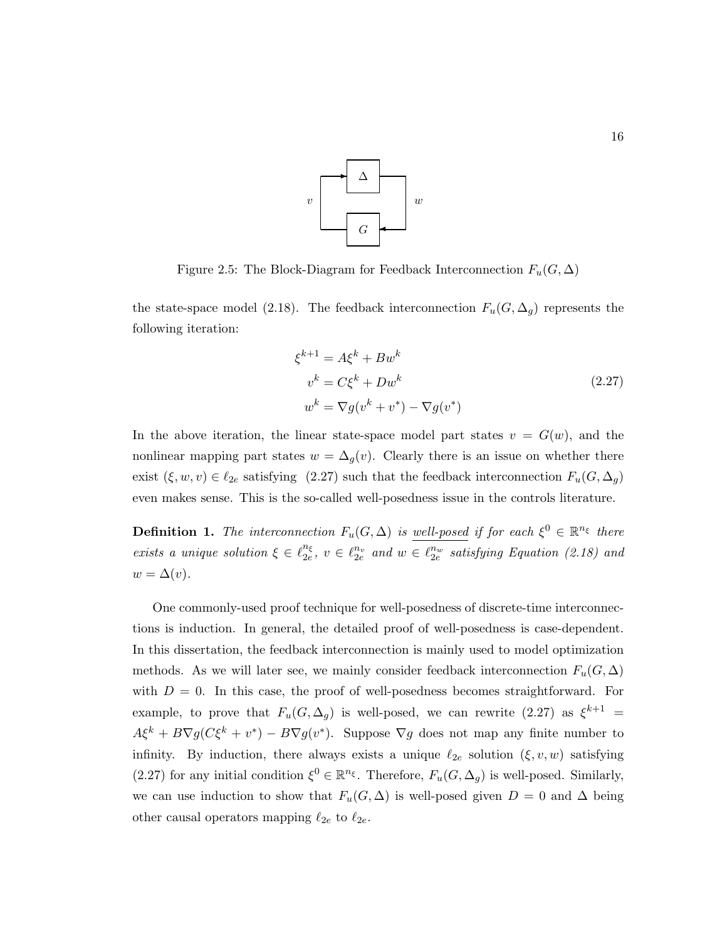

Figure 2.5: The Block-Diagram for Feedback Interconnection  $F_u(G, \Delta)$ 

the state-space model (2.18). The feedback interconnection  $F_u(G, \Delta_g)$  represents the following iteration:

$$
\xi^{k+1} = A\xi^k + Bw^k
$$
  
\n
$$
v^k = C\xi^k + Dw^k
$$
  
\n
$$
w^k = \nabla g(v^k + v^*) - \nabla g(v^*)
$$
\n(2.27)

In the above iteration, the linear state-space model part states  $v = G(w)$ , and the nonlinear mapping part states  $w = \Delta_g(v)$ . Clearly there is an issue on whether there exist  $(\xi, w, v) \in \ell_{2e}$  satisfying  $(2.27)$  such that the feedback interconnection  $F_u(G, \Delta_g)$ even makes sense. This is the so-called well-posedness issue in the controls literature.

**Definition 1.** The interconnection  $F_u(G, \Delta)$  is well-posed if for each  $\xi^0 \in \mathbb{R}^{n_{\xi}}$  there exists a unique solution  $\xi \in \ell_{2e}^{n_{\xi}}$  $\frac{n_{\xi}}{2e}$ ,  $v \in \ell_{2e}^{n_v}$  and  $w \in \ell_{2e}^{n_w}$  satisfying Equation (2.18) and  $w = \Delta(v)$ .

One commonly-used proof technique for well-posedness of discrete-time interconnections is induction. In general, the detailed proof of well-posedness is case-dependent. In this dissertation, the feedback interconnection is mainly used to model optimization methods. As we will later see, we mainly consider feedback interconnection  $F_u(G, \Delta)$ with  $D = 0$ . In this case, the proof of well-posedness becomes straightforward. For example, to prove that  $F_u(G, \Delta_g)$  is well-posed, we can rewrite (2.27) as  $\xi^{k+1}$  =  $A\xi^k + B\nabla g(C\xi^k + v^*) - B\nabla g(v^*)$ . Suppose  $\nabla g$  does not map any finite number to infinity. By induction, there always exists a unique  $\ell_{2e}$  solution  $(\xi, v, w)$  satisfying (2.27) for any initial condition  $\xi^0 \in \mathbb{R}^{n_{\xi}}$ . Therefore,  $F_u(G, \Delta_g)$  is well-posed. Similarly, we can use induction to show that  $F_u(G, \Delta)$  is well-posed given  $D = 0$  and  $\Delta$  being other causal operators mapping  $\ell_{2e}$  to  $\ell_{2e}$ .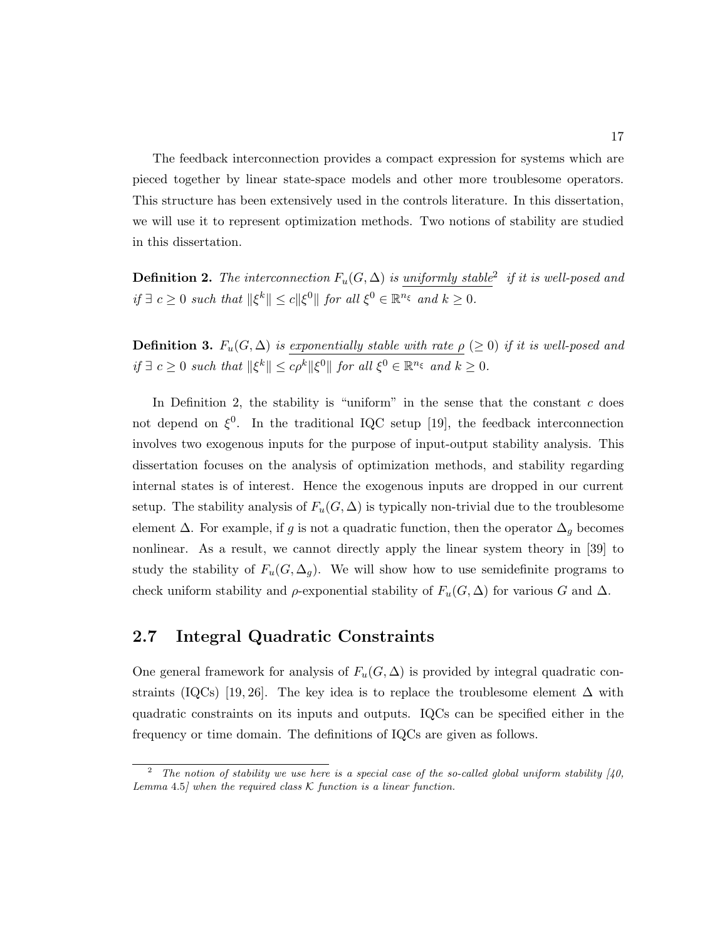The feedback interconnection provides a compact expression for systems which are pieced together by linear state-space models and other more troublesome operators. This structure has been extensively used in the controls literature. In this dissertation, we will use it to represent optimization methods. Two notions of stability are studied in this dissertation.

**Definition 2.** The interconnection  $F_u(G, \Delta)$  is uniformly stable<sup>2</sup> if it is well-posed and if  $\exists c \geq 0$  such that  $\|\xi^k\| \leq c \|\xi^0\|$  for all  $\xi^0 \in \mathbb{R}^{n_{\xi}}$  and  $k \geq 0$ .

**Definition 3.**  $F_u(G, \Delta)$  is exponentially stable with rate  $\rho$  ( $\geq 0$ ) if it is well-posed and  $if \exists c \geq 0 \text{ such that } ||\xi^k|| \leq c\rho^k ||\xi^0|| \text{ for all } \xi^0 \in \mathbb{R}^{n_{\xi}} \text{ and } k \geq 0.$ 

In Definition 2, the stability is "uniform" in the sense that the constant  $c$  does not depend on  $\xi^0$ . In the traditional IQC setup [19], the feedback interconnection involves two exogenous inputs for the purpose of input-output stability analysis. This dissertation focuses on the analysis of optimization methods, and stability regarding internal states is of interest. Hence the exogenous inputs are dropped in our current setup. The stability analysis of  $F_u(G, \Delta)$  is typically non-trivial due to the troublesome element  $\Delta$ . For example, if g is not a quadratic function, then the operator  $\Delta_g$  becomes nonlinear. As a result, we cannot directly apply the linear system theory in [39] to study the stability of  $F_u(G, \Delta_g)$ . We will show how to use semidefinite programs to check uniform stability and  $\rho$ -exponential stability of  $F_u(G,\Delta)$  for various G and  $\Delta$ .

#### 2.7 Integral Quadratic Constraints

One general framework for analysis of  $F_u(G, \Delta)$  is provided by integral quadratic constraints (IQCs) [19, 26]. The key idea is to replace the troublesome element  $\Delta$  with quadratic constraints on its inputs and outputs. IQCs can be specified either in the frequency or time domain. The definitions of IQCs are given as follows.

The notion of stability we use here is a special case of the so-called global uniform stability  $[40, 40]$ Lemma 4.5] when the required class  $K$  function is a linear function.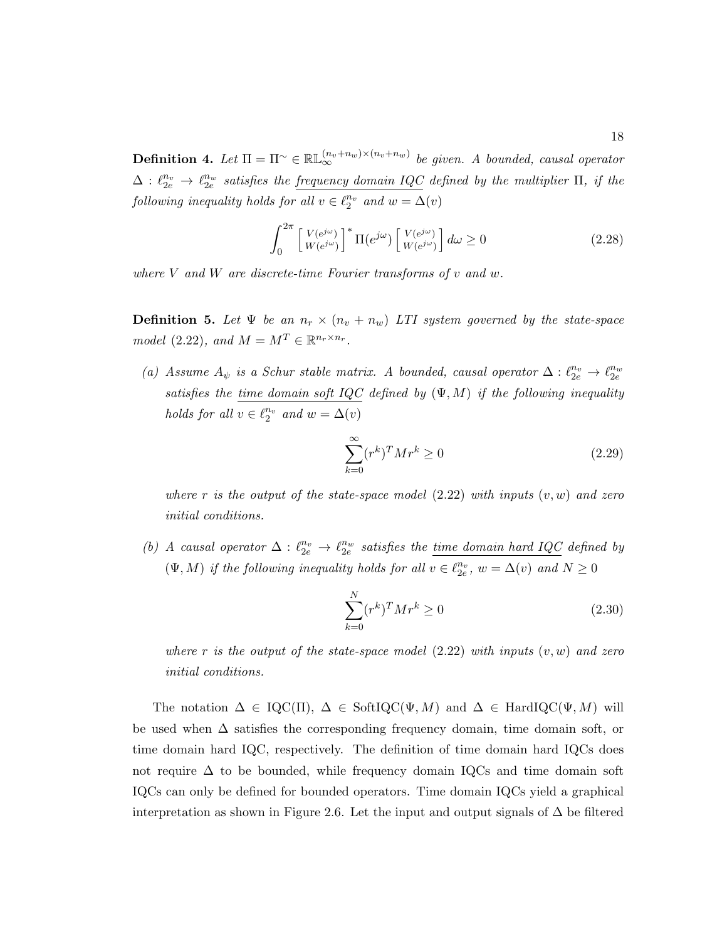**Definition 4.** Let  $\Pi = \Pi^{\sim} \in \mathbb{RL}_{\infty}^{(n_v+n_w)\times(n_v+n_w)}$  be given. A bounded, causal operator  $\Delta: \ell_{2e}^{n_v} \to \ell_{2e}^{n_w}$  satisfies the <u>frequency domain IQC</u> defined by the multiplier  $\Pi$ , if the following inequality holds for all  $v \in \ell_2^{n_v}$  and  $w = \Delta(v)$ 

$$
\int_0^{2\pi} \left[ \frac{V(e^{j\omega})}{W(e^{j\omega})} \right]^* \Pi(e^{j\omega}) \left[ \frac{V(e^{j\omega})}{W(e^{j\omega})} \right] d\omega \ge 0 \tag{2.28}
$$

where  $V$  and  $W$  are discrete-time Fourier transforms of  $v$  and  $w$ .

**Definition 5.** Let  $\Psi$  be an  $n_r \times (n_v + n_w)$  LTI system governed by the state-space model (2.22), and  $M = M^T \in \mathbb{R}^{n_r \times n_r}$ .

(a) Assume  $A_{\psi}$  is a Schur stable matrix. A bounded, causal operator  $\Delta: \ell_{2e}^{n_{v}} \to \ell_{2e}^{n_{w}}$ satisfies the time domain soft IQC defined by  $(\Psi, M)$  if the following inequality holds for all  $v \in \ell_2^{n_v}$  and  $w = \Delta(v)$ 

$$
\sum_{k=0}^{\infty} (r^k)^T M r^k \ge 0
$$
\n(2.29)

where r is the output of the state-space model  $(2.22)$  with inputs  $(v, w)$  and zero initial conditions.

(b) A causal operator  $\Delta: \ell_{2e}^{n_v} \to \ell_{2e}^{n_w}$  satisfies the <u>time domain hard IQC</u> defined by  $(\Psi, M)$  if the following inequality holds for all  $v \in \ell_{2e}^{n_v}$ ,  $w = \Delta(v)$  and  $N \geq 0$ 

$$
\sum_{k=0}^{N} (r^k)^T M r^k \ge 0
$$
\n(2.30)

where r is the output of the state-space model  $(2.22)$  with inputs  $(v, w)$  and zero initial conditions.

The notation  $\Delta \in \text{IQC}(\Pi)$ ,  $\Delta \in \text{SoftIQC}(\Psi, M)$  and  $\Delta \in \text{HardIQC}(\Psi, M)$  will be used when ∆ satisfies the corresponding frequency domain, time domain soft, or time domain hard IQC, respectively. The definition of time domain hard IQCs does not require  $\Delta$  to be bounded, while frequency domain IQCs and time domain soft IQCs can only be defined for bounded operators. Time domain IQCs yield a graphical interpretation as shown in Figure 2.6. Let the input and output signals of  $\Delta$  be filtered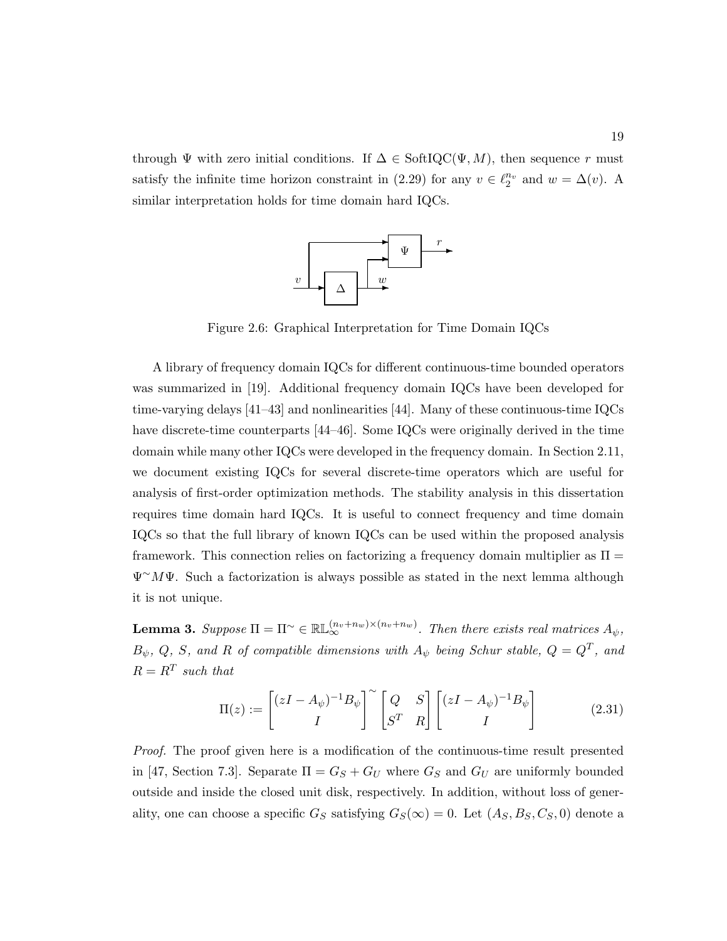through  $\Psi$  with zero initial conditions. If  $\Delta \in \text{SoftIQC}(\Psi, M)$ , then sequence r must satisfy the infinite time horizon constraint in (2.29) for any  $v \in \ell_2^{n_v}$  and  $w = \Delta(v)$ . A similar interpretation holds for time domain hard IQCs.



Figure 2.6: Graphical Interpretation for Time Domain IQCs

A library of frequency domain IQCs for different continuous-time bounded operators was summarized in [19]. Additional frequency domain IQCs have been developed for time-varying delays [41–43] and nonlinearities [44]. Many of these continuous-time IQCs have discrete-time counterparts [44–46]. Some IQCs were originally derived in the time domain while many other IQCs were developed in the frequency domain. In Section 2.11, we document existing IQCs for several discrete-time operators which are useful for analysis of first-order optimization methods. The stability analysis in this dissertation requires time domain hard IQCs. It is useful to connect frequency and time domain IQCs so that the full library of known IQCs can be used within the proposed analysis framework. This connection relies on factorizing a frequency domain multiplier as  $\Pi$  $\Psi^{\sim}M\Psi$ . Such a factorization is always possible as stated in the next lemma although it is not unique.

**Lemma 3.** Suppose  $\Pi = \Pi^{\sim} \in \mathbb{RL}_{\infty}^{(n_v+n_w)\times(n_v+n_w)}$ . Then there exists real matrices  $A_{\psi}$ ,  $B_{\psi}, Q, S,$  and R of compatible dimensions with  $A_{\psi}$  being Schur stable,  $Q = Q^{T}$ , and  $R = R^T$  such that

$$
\Pi(z) := \begin{bmatrix} (zI - A_{\psi})^{-1}B_{\psi} \\ I \end{bmatrix}^{\sim} \begin{bmatrix} Q & S \\ S^{T} & R \end{bmatrix} \begin{bmatrix} (zI - A_{\psi})^{-1}B_{\psi} \\ I \end{bmatrix}
$$
(2.31)

Proof. The proof given here is a modification of the continuous-time result presented in [47, Section 7.3]. Separate  $\Pi = G_S + G_U$  where  $G_S$  and  $G_U$  are uniformly bounded outside and inside the closed unit disk, respectively. In addition, without loss of generality, one can choose a specific  $G_S$  satisfying  $G_S(\infty) = 0$ . Let  $(A_S, B_S, C_S, 0)$  denote a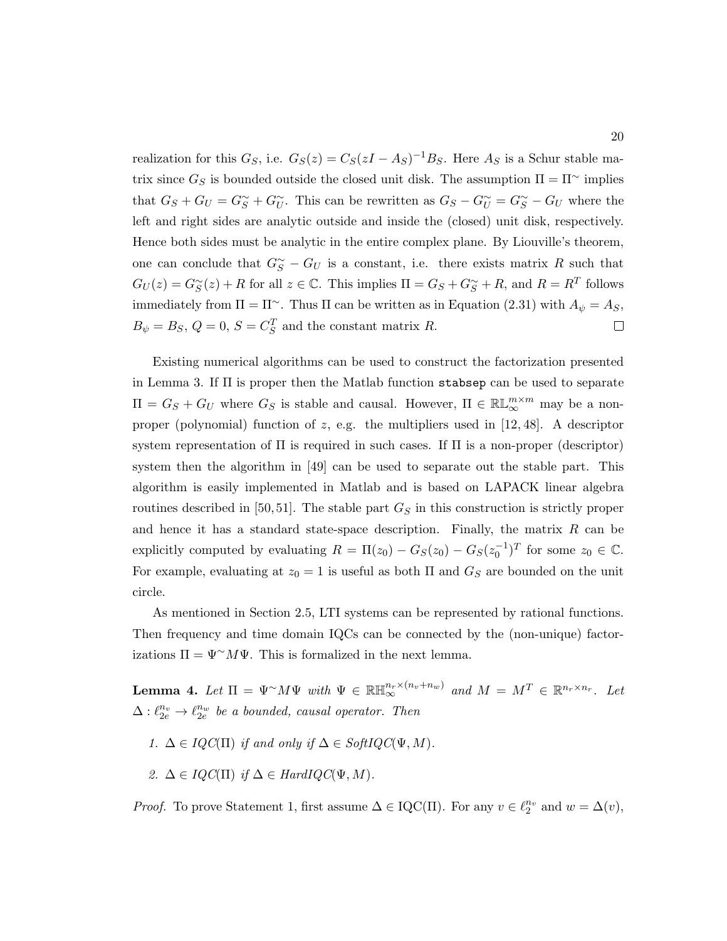realization for this  $G_S$ , i.e.  $G_S(z) = C_S(zI - As)^{-1}B_S$ . Here  $A_S$  is a Schur stable matrix since  $G_S$  is bounded outside the closed unit disk. The assumption  $\Pi = \Pi^{\sim}$  implies that  $G_S + G_U = G_S^{\sim} + G_U^{\sim}$ . This can be rewritten as  $G_S - G_U^{\sim} = G_S^{\sim} - G_U$  where the left and right sides are analytic outside and inside the (closed) unit disk, respectively. Hence both sides must be analytic in the entire complex plane. By Liouville's theorem, one can conclude that  $G^{\sim}_{S} - G_{U}$  is a constant, i.e. there exists matrix R such that  $G_U(z) = G_S^{\sim}(z) + R$  for all  $z \in \mathbb{C}$ . This implies  $\Pi = G_S + G_S^{\sim} + R$ , and  $R = R^T$  follows immediately from  $\Pi = \Pi^{\sim}$ . Thus  $\Pi$  can be written as in Equation (2.31) with  $A_{\psi} = A_S$ ,  $B_{\psi} = B_S, Q = 0, S = C_S^T$  and the constant matrix R.  $\Box$ 

Existing numerical algorithms can be used to construct the factorization presented in Lemma 3. If Π is proper then the Matlab function stabsep can be used to separate  $\Pi = G_S + G_U$  where  $G_S$  is stable and causal. However,  $\Pi \in \mathbb{RL}_{\infty}^{m \times m}$  may be a nonproper (polynomial) function of  $z$ , e.g. the multipliers used in  $[12, 48]$ . A descriptor system representation of  $\Pi$  is required in such cases. If  $\Pi$  is a non-proper (descriptor) system then the algorithm in [49] can be used to separate out the stable part. This algorithm is easily implemented in Matlab and is based on LAPACK linear algebra routines described in [50, 51]. The stable part  $G<sub>S</sub>$  in this construction is strictly proper and hence it has a standard state-space description. Finally, the matrix  $R$  can be explicitly computed by evaluating  $R = \Pi(z_0) - G_S(z_0) - G_S(z_0^{-1})^T$  for some  $z_0 \in \mathbb{C}$ . For example, evaluating at  $z_0 = 1$  is useful as both  $\Pi$  and  $G_S$  are bounded on the unit circle.

As mentioned in Section 2.5, LTI systems can be represented by rational functions. Then frequency and time domain IQCs can be connected by the (non-unique) factorizations  $\Pi = \Psi^{\sim} M \Psi$ . This is formalized in the next lemma.

**Lemma 4.** Let  $\Pi = \Psi^{\sim} M \Psi$  with  $\Psi \in \mathbb{RH}_{\infty}^{n_r \times (n_v + n_w)}$  and  $M = M^T \in \mathbb{R}^{n_r \times n_r}$ . Let  $\Delta: \ell_{2e}^{n_v} \to \ell_{2e}^{n_w}$  be a bounded, causal operator. Then

- 1.  $\Delta \in IQC(\Pi)$  if and only if  $\Delta \in SoftIQC(\Psi, M)$ .
- 2.  $\Delta \in IQC(\Pi)$  if  $\Delta \in HardIQC(\Psi, M)$ .

*Proof.* To prove Statement 1, first assume  $\Delta \in \text{IQC}(\Pi)$ . For any  $v \in \ell_2^{n_v}$  and  $w = \Delta(v)$ ,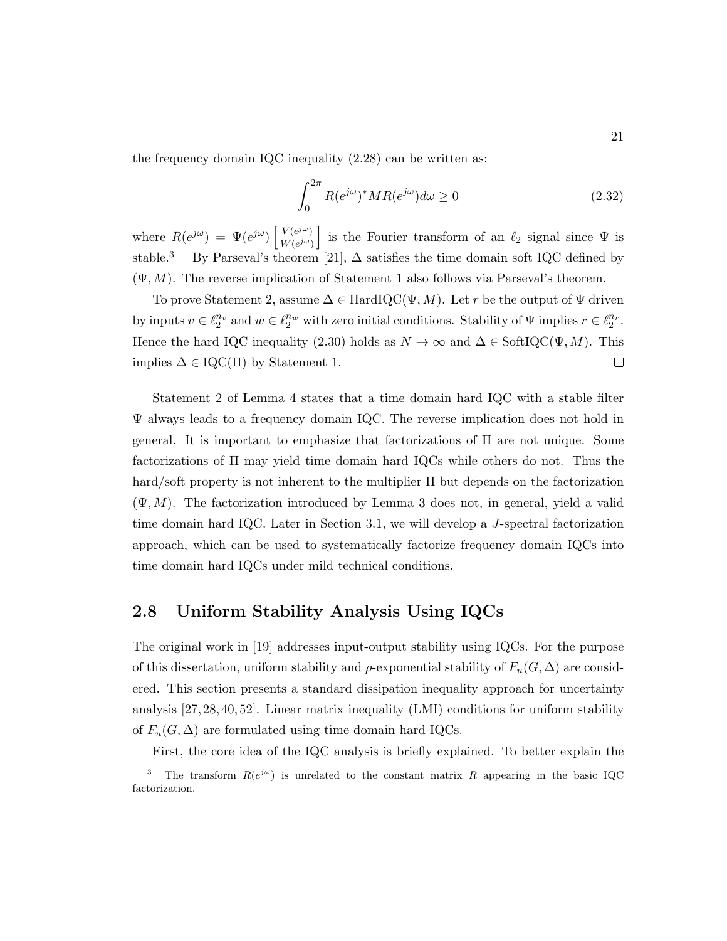the frequency domain IQC inequality (2.28) can be written as:

$$
\int_0^{2\pi} R(e^{j\omega})^* MR(e^{j\omega})d\omega \ge 0
$$
\n(2.32)

where  $R(e^{j\omega}) = \Psi(e^{j\omega}) \left[ \frac{V(e^{j\omega})}{W(e^{j\omega})} \right]$  $W(e^{j\omega})$ is the Fourier transform of an  $\ell_2$  signal since  $\Psi$  is stable.<sup>3</sup> By Parseval's theorem [21],  $\Delta$  satisfies the time domain soft IQC defined by  $(\Psi, M)$ . The reverse implication of Statement 1 also follows via Parseval's theorem.

To prove Statement 2, assume  $\Delta \in \text{HardIQC}(\Psi, M)$ . Let r be the output of  $\Psi$  driven by inputs  $v \in \ell_2^{n_v}$  and  $w \in \ell_2^{n_w}$  with zero initial conditions. Stability of  $\Psi$  implies  $r \in \ell_2^{n_v}$ . Hence the hard IQC inequality (2.30) holds as  $N \to \infty$  and  $\Delta \in \text{SoftIQC}(\Psi, M)$ . This implies  $\Delta \in \text{IQC}(\Pi)$  by Statement 1.  $\Box$ 

Statement 2 of Lemma 4 states that a time domain hard IQC with a stable filter Ψ always leads to a frequency domain IQC. The reverse implication does not hold in general. It is important to emphasize that factorizations of Π are not unique. Some factorizations of Π may yield time domain hard IQCs while others do not. Thus the hard/soft property is not inherent to the multiplier Π but depends on the factorization  $(\Psi, M)$ . The factorization introduced by Lemma 3 does not, in general, yield a valid time domain hard IQC. Later in Section 3.1, we will develop a J-spectral factorization approach, which can be used to systematically factorize frequency domain IQCs into time domain hard IQCs under mild technical conditions.

### 2.8 Uniform Stability Analysis Using IQCs

The original work in [19] addresses input-output stability using IQCs. For the purpose of this dissertation, uniform stability and  $\rho$ -exponential stability of  $F_u(G,\Delta)$  are considered. This section presents a standard dissipation inequality approach for uncertainty analysis [27, 28, 40, 52]. Linear matrix inequality (LMI) conditions for uniform stability of  $F_u(G, \Delta)$  are formulated using time domain hard IQCs.

First, the core idea of the IQC analysis is briefly explained. To better explain the

<sup>&</sup>lt;sup>3</sup> The transform  $R(e^{j\omega})$  is unrelated to the constant matrix R appearing in the basic IQC factorization.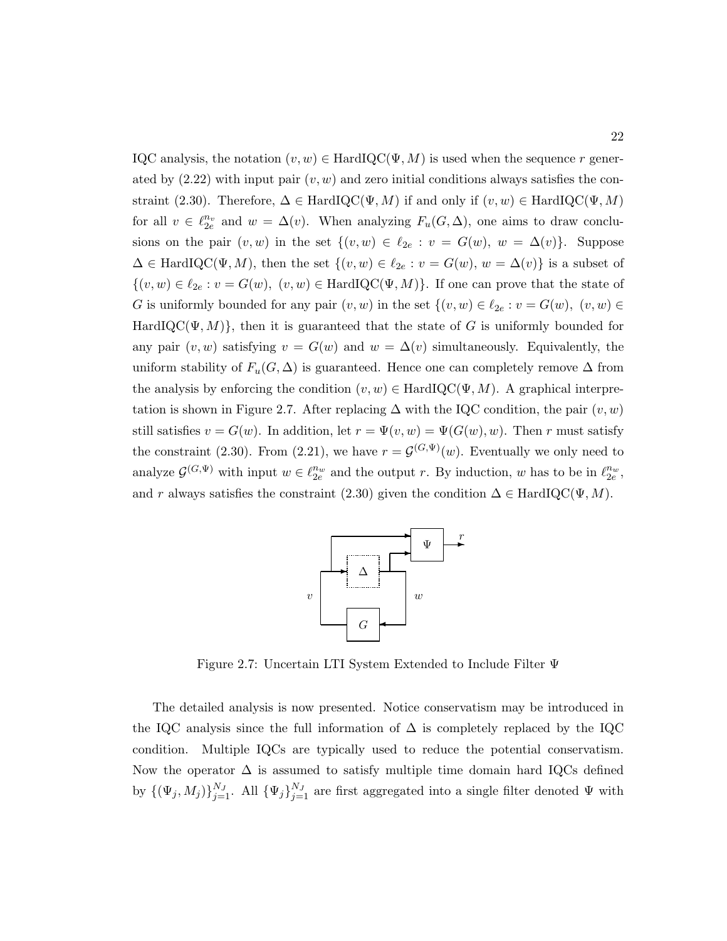IQC analysis, the notation  $(v, w) \in \text{HardIQC}(\Psi, M)$  is used when the sequence r generated by  $(2.22)$  with input pair  $(v, w)$  and zero initial conditions always satisfies the constraint (2.30). Therefore,  $\Delta \in \text{HardIQC}(\Psi, M)$  if and only if  $(v, w) \in \text{HardIQC}(\Psi, M)$ for all  $v \in \ell_{2e}^{n_v}$  and  $w = \Delta(v)$ . When analyzing  $F_u(G, \Delta)$ , one aims to draw conclusions on the pair  $(v, w)$  in the set  $\{(v, w) \in \ell_{2e} : v = G(w), w = \Delta(v)\}\)$ . Suppose  $\Delta \in \text{HardIQC}(\Psi, M)$ , then the set  $\{(v, w) \in \ell_{2e} : v = G(w), w = \Delta(v)\}\$ is a subset of  $\{(v, w) \in \ell_{2e} : v = G(w), (v, w) \in \text{HardIQC}(\Psi, M)\}.$  If one can prove that the state of G is uniformly bounded for any pair  $(v, w)$  in the set  $\{(v, w) \in \ell_{2e} : v = G(w), (v, w) \in$ HardIQC( $\Psi$ , M), then it is guaranteed that the state of G is uniformly bounded for any pair  $(v, w)$  satisfying  $v = G(w)$  and  $w = \Delta(v)$  simultaneously. Equivalently, the uniform stability of  $F_u(G, \Delta)$  is guaranteed. Hence one can completely remove  $\Delta$  from the analysis by enforcing the condition  $(v, w) \in \text{HardIQC}(\Psi, M)$ . A graphical interpretation is shown in Figure 2.7. After replacing  $\Delta$  with the IQC condition, the pair  $(v, w)$ still satisfies  $v = G(w)$ . In addition, let  $r = \Psi(v, w) = \Psi(G(w), w)$ . Then r must satisfy the constraint (2.30). From (2.21), we have  $r = \mathcal{G}^{(G,\Psi)}(w)$ . Eventually we only need to analyze  $\mathcal{G}^{(G,\Psi)}$  with input  $w \in \ell_{2e}^{n_w}$  and the output r. By induction, w has to be in  $\ell_{2e}^{n_w}$ , and r always satisfies the constraint (2.30) given the condition  $\Delta \in \text{HardIQC}(\Psi, M)$ .



Figure 2.7: Uncertain LTI System Extended to Include Filter Ψ

The detailed analysis is now presented. Notice conservatism may be introduced in the IQC analysis since the full information of  $\Delta$  is completely replaced by the IQC condition. Multiple IQCs are typically used to reduce the potential conservatism. Now the operator  $\Delta$  is assumed to satisfy multiple time domain hard IQCs defined by  $\{(\Psi_j, M_j)\}_{j=1}^{N_J}$ . All  $\{\Psi_j\}_{j=1}^{N_J}$  are first aggregated into a single filter denoted  $\Psi$  with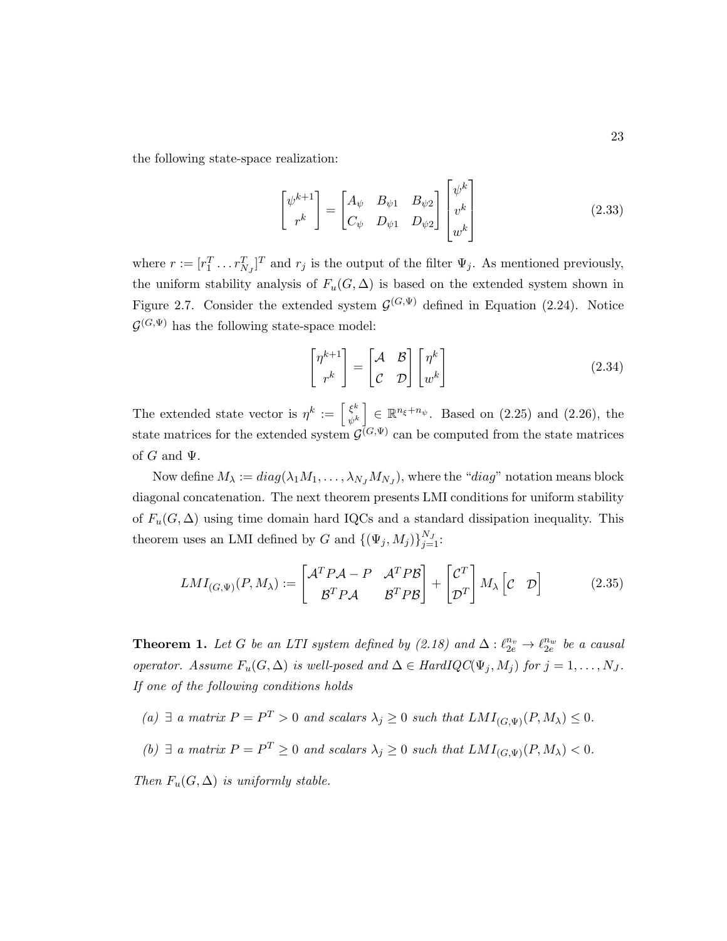the following state-space realization:

$$
\begin{bmatrix} \psi^{k+1} \\ r^k \end{bmatrix} = \begin{bmatrix} A_{\psi} & B_{\psi 1} & B_{\psi 2} \\ C_{\psi} & D_{\psi 1} & D_{\psi 2} \end{bmatrix} \begin{bmatrix} \psi^k \\ v^k \\ w^k \end{bmatrix}
$$
 (2.33)

where  $r := [r_1^T \dots r_{N_J}^T]^T$  and  $r_j$  is the output of the filter  $\Psi_j$ . As mentioned previously, the uniform stability analysis of  $F_u(G, \Delta)$  is based on the extended system shown in Figure 2.7. Consider the extended system  $\mathcal{G}^{(G,\Psi)}$  defined in Equation (2.24). Notice  $\mathcal{G}^{(G,\Psi)}$  has the following state-space model:

$$
\begin{bmatrix} \eta^{k+1} \\ r^k \end{bmatrix} = \begin{bmatrix} \mathcal{A} & \mathcal{B} \\ \mathcal{C} & \mathcal{D} \end{bmatrix} \begin{bmatrix} \eta^k \\ w^k \end{bmatrix}
$$
 (2.34)

The extended state vector is  $\eta^k := \left[\frac{\xi^k}{\xi^k}\right]$  $\begin{bmatrix} \xi^k \\ \psi^k \end{bmatrix} \in \mathbb{R}^{n_{\xi}+n_{\psi}}$ . Based on (2.25) and (2.26), the state matrices for the extended system  $\mathcal{G}^{(G,\Psi)}$  can be computed from the state matrices of  $G$  and  $\Psi$ .

Now define  $M_{\lambda} := diag(\lambda_1 M_1, \dots, \lambda_{N_J} M_{N_J})$ , where the "diag" notation means block diagonal concatenation. The next theorem presents LMI conditions for uniform stability of  $F_u(G, \Delta)$  using time domain hard IQCs and a standard dissipation inequality. This theorem uses an LMI defined by G and  $\{(\Psi_j, M_j)\}_{j=1}^{N_J}$ :

$$
LMI_{(G,\Psi)}(P,M_{\lambda}) := \begin{bmatrix} \mathcal{A}^T P \mathcal{A} - P & \mathcal{A}^T P \mathcal{B} \\ \mathcal{B}^T P \mathcal{A} & \mathcal{B}^T P \mathcal{B} \end{bmatrix} + \begin{bmatrix} \mathcal{C}^T \\ \mathcal{D}^T \end{bmatrix} M_{\lambda} \begin{bmatrix} \mathcal{C} & \mathcal{D} \end{bmatrix}
$$
(2.35)

**Theorem 1.** Let G be an LTI system defined by  $(2.18)$  and  $\Delta: \ell_{2e}^{n_v} \to \ell_{2e}^{n_w}$  be a causal operator. Assume  $F_u(G, \Delta)$  is well-posed and  $\Delta \in HardIQC(\Psi_j, M_j)$  for  $j = 1, ..., N_J$ . If one of the following conditions holds

- (a)  $\exists$  a matrix  $P = P^T > 0$  and scalars  $\lambda_j \geq 0$  such that  $LMI_{(G,\Psi)}(P, M_\lambda) \leq 0$ .
- (b)  $\exists$  a matrix  $P = P^T \geq 0$  and scalars  $\lambda_j \geq 0$  such that  $LMI_{(G,\Psi)}(P,M_\lambda) < 0$ .

Then  $F_u(G, \Delta)$  is uniformly stable.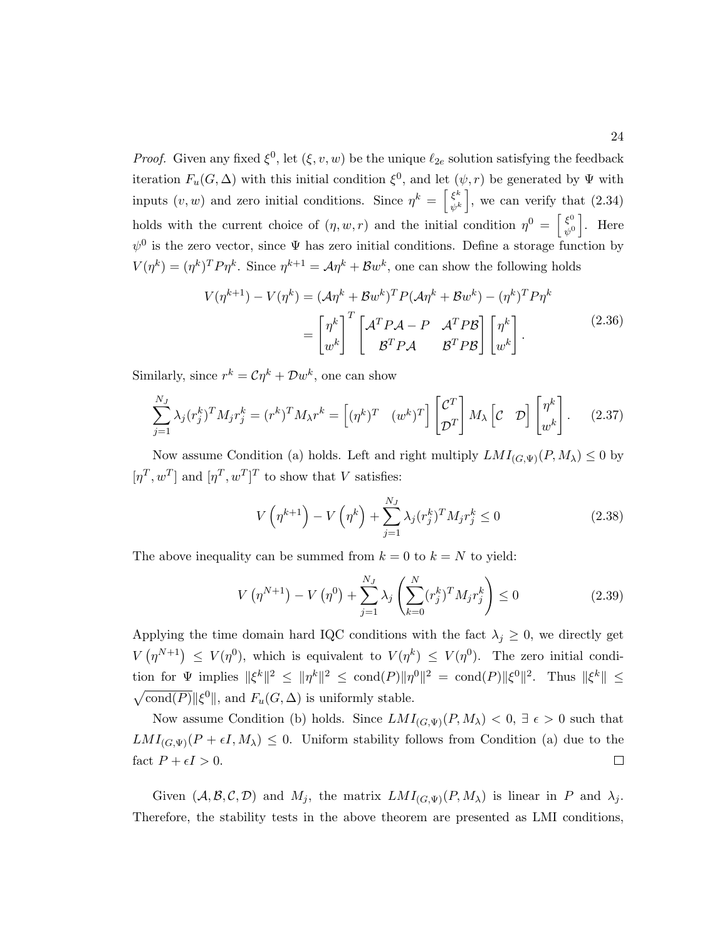*Proof.* Given any fixed  $\xi^0$ , let  $(\xi, v, w)$  be the unique  $\ell_{2e}$  solution satisfying the feedback iteration  $F_u(G, \Delta)$  with this initial condition  $\xi^0$ , and let  $(\psi, r)$  be generated by  $\Psi$  with inputs  $(v, w)$  and zero initial conditions. Since  $\eta^k = \begin{bmatrix} \xi^k \\ \xi^k \end{bmatrix}$  $\left\{\xi^k}{\psi^k}\right\}$ , we can verify that  $(2.34)$ holds with the current choice of  $(\eta, w, r)$  and the initial condition  $\eta^0 = \begin{bmatrix} \xi^0 \\ \xi^0 \end{bmatrix}$  $\left\{\begin{matrix} \xi^0 \\ \psi^0 \end{matrix}\right\}$ . Here  $\psi^0$  is the zero vector, since  $\Psi$  has zero initial conditions. Define a storage function by  $V(\eta^k) = (\eta^k)^\text{T} P \eta^k$ . Since  $\eta^{k+1} = A \eta^k + B w^k$ , one can show the following holds

$$
V(\eta^{k+1}) - V(\eta^k) = (\mathcal{A}\eta^k + \mathcal{B}w^k)^T P (\mathcal{A}\eta^k + \mathcal{B}w^k) - (\eta^k)^T P \eta^k
$$

$$
= \begin{bmatrix} \eta^k \\ w^k \end{bmatrix}^T \begin{bmatrix} \mathcal{A}^T P \mathcal{A} - P & \mathcal{A}^T P \mathcal{B} \\ \mathcal{B}^T P \mathcal{A} & \mathcal{B}^T P \mathcal{B} \end{bmatrix} \begin{bmatrix} \eta^k \\ w^k \end{bmatrix} . \tag{2.36}
$$

Similarly, since  $r^k = \mathcal{C}\eta^k + \mathcal{D}w^k$ , one can show

$$
\sum_{j=1}^{N_J} \lambda_j (r_j^k)^T M_j r_j^k = (r^k)^T M_\lambda r^k = \left[ (\eta^k)^T \quad (w^k)^T \right] \begin{bmatrix} \mathcal{C}^T \\ \mathcal{D}^T \end{bmatrix} M_\lambda \left[ \mathcal{C} \quad \mathcal{D} \right] \begin{bmatrix} \eta^k \\ w^k \end{bmatrix} . \tag{2.37}
$$

Now assume Condition (a) holds. Left and right multiply  $LMI_{(G,\Psi)}(P, M_\lambda) \leq 0$  by  $[\eta^T, w^T]$  and  $[\eta^T, w^T]^T$  to show that V satisfies:

$$
V\left(\eta^{k+1}\right) - V\left(\eta^{k}\right) + \sum_{j=1}^{N_J} \lambda_j (r_j^k)^T M_j r_j^k \le 0
$$
\n(2.38)

The above inequality can be summed from  $k = 0$  to  $k = N$  to yield:

$$
V(\eta^{N+1}) - V(\eta^0) + \sum_{j=1}^{N_J} \lambda_j \left( \sum_{k=0}^N (r_j^k)^T M_j r_j^k \right) \le 0
$$
 (2.39)

Applying the time domain hard IQC conditions with the fact  $\lambda_j \geq 0$ , we directly get  $V(\eta^{N+1}) \leq V(\eta^0)$ , which is equivalent to  $V(\eta^k) \leq V(\eta^0)$ . The zero initial condition for  $\Psi$  implies  $\|\xi^k\|^2 \leq \|\eta^k\|^2 \leq \text{cond}(P)\|\eta^0\|^2 = \text{cond}(P)\|\xi^0\|^2$ . Thus  $\|\xi^k\| \leq$  $\sqrt{\text{cond}(P)}$   $\|\xi^0\|$ , and  $F_u(G,\Delta)$  is uniformly stable.

Now assume Condition (b) holds. Since  $LMI_{(G,\Psi)}(P,M_{\lambda}) < 0, \exists \epsilon > 0$  such that  $LMI_{(G,\Psi)}(P+\epsilon I, M_{\lambda}) \leq 0$ . Uniform stability follows from Condition (a) due to the fact  $P + \epsilon I > 0$ .  $\Box$ 

Given  $(A, \mathcal{B}, \mathcal{C}, \mathcal{D})$  and  $M_j$ , the matrix  $LMI_{(G, \Psi)}(P, M_\lambda)$  is linear in P and  $\lambda_j$ . Therefore, the stability tests in the above theorem are presented as LMI conditions,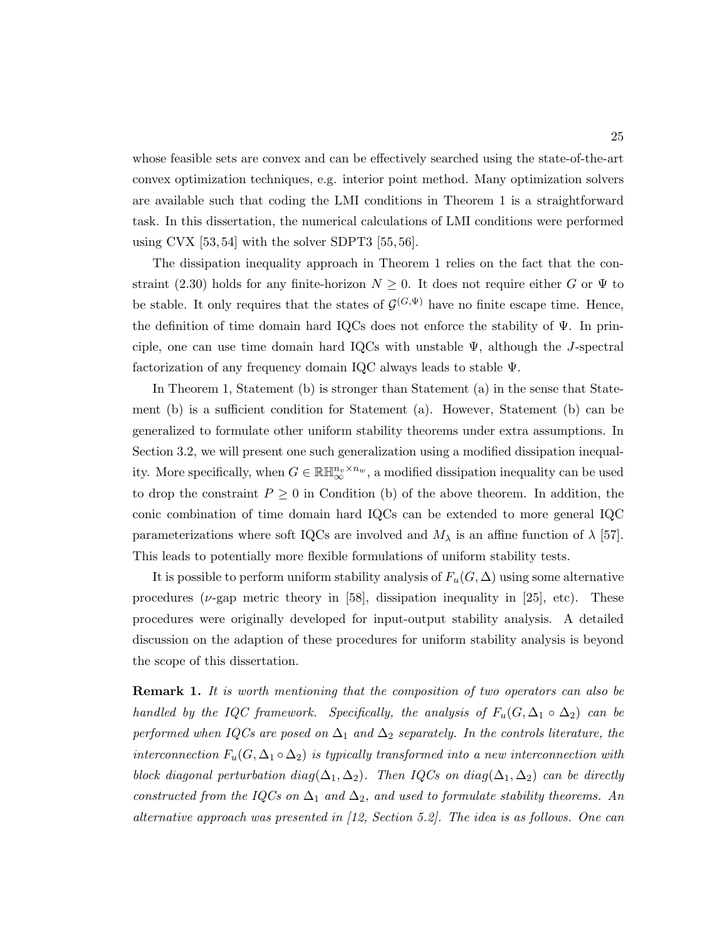whose feasible sets are convex and can be effectively searched using the state-of-the-art convex optimization techniques, e.g. interior point method. Many optimization solvers are available such that coding the LMI conditions in Theorem 1 is a straightforward task. In this dissertation, the numerical calculations of LMI conditions were performed using CVX  $[53, 54]$  with the solver SDPT3  $[55, 56]$ .

The dissipation inequality approach in Theorem 1 relies on the fact that the constraint (2.30) holds for any finite-horizon  $N \geq 0$ . It does not require either G or  $\Psi$  to be stable. It only requires that the states of  $\mathcal{G}^{(G,\Psi)}$  have no finite escape time. Hence, the definition of time domain hard IQCs does not enforce the stability of Ψ. In principle, one can use time domain hard IQCs with unstable  $\Psi$ , although the J-spectral factorization of any frequency domain IQC always leads to stable Ψ.

In Theorem 1, Statement (b) is stronger than Statement (a) in the sense that Statement (b) is a sufficient condition for Statement (a). However, Statement (b) can be generalized to formulate other uniform stability theorems under extra assumptions. In Section 3.2, we will present one such generalization using a modified dissipation inequality. More specifically, when  $G \in \mathbb{R}[\mathbb{H}_{\infty}^{n_v \times n_w}$ , a modified dissipation inequality can be used to drop the constraint  $P \geq 0$  in Condition (b) of the above theorem. In addition, the conic combination of time domain hard IQCs can be extended to more general IQC parameterizations where soft IQCs are involved and  $M_{\lambda}$  is an affine function of  $\lambda$  [57]. This leads to potentially more flexible formulations of uniform stability tests.

It is possible to perform uniform stability analysis of  $F_u(G, \Delta)$  using some alternative procedures ( $\nu$ -gap metric theory in [58], dissipation inequality in [25], etc). These procedures were originally developed for input-output stability analysis. A detailed discussion on the adaption of these procedures for uniform stability analysis is beyond the scope of this dissertation.

**Remark 1.** It is worth mentioning that the composition of two operators can also be handled by the IQC framework. Specifically, the analysis of  $F_u(G, \Delta_1 \circ \Delta_2)$  can be performed when IQCs are posed on  $\Delta_1$  and  $\Delta_2$  separately. In the controls literature, the interconnection  $F_u(G, \Delta_1 \circ \Delta_2)$  is typically transformed into a new interconnection with block diagonal perturbation diag( $\Delta_1, \Delta_2$ ). Then IQCs on diag( $\Delta_1, \Delta_2$ ) can be directly constructed from the IQCs on  $\Delta_1$  and  $\Delta_2$ , and used to formulate stability theorems. An alternative approach was presented in  $(12, Section 5.2)$ . The idea is as follows. One can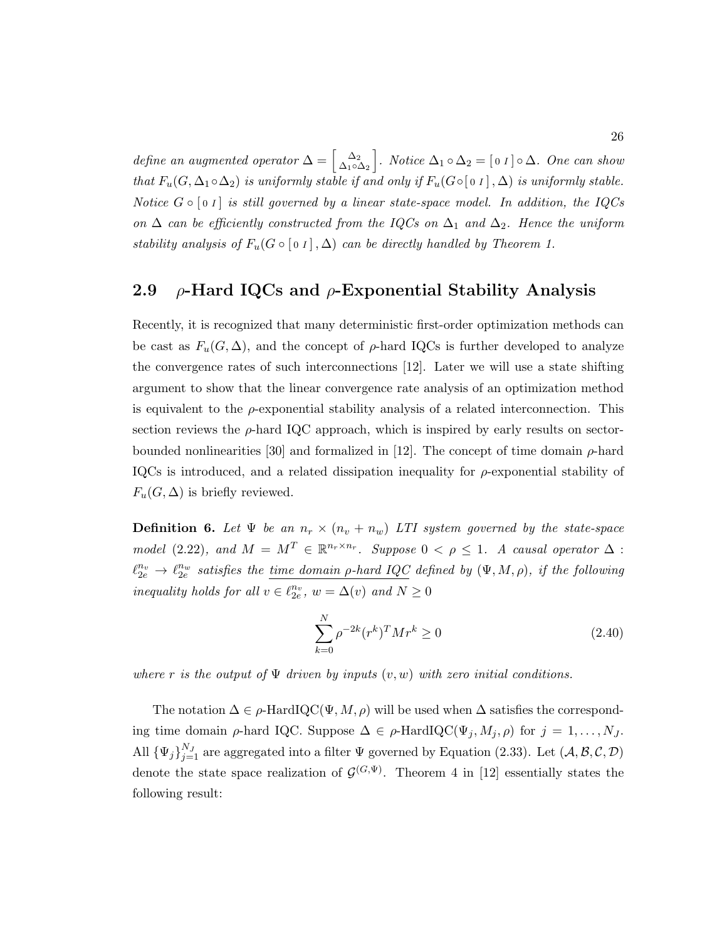define an augmented operator  $\Delta = \begin{bmatrix} \Delta_2 \\ \Delta_2 \end{bmatrix}$  $\left[\Delta_2 \atop \Delta_1 \circ \Delta_2\right]$ . Notice  $\Delta_1 \circ \Delta_2 = [\begin{bmatrix} 0 & I \end{bmatrix} \circ \Delta$ . One can show that  $F_u(G, \Delta_1 \circ \Delta_2)$  is uniformly stable if and only if  $F_u(G \circ [0 \tbinom{1}{2}, \Delta)$  is uniformly stable. Notice  $G \circ [0 I]$  is still governed by a linear state-space model. In addition, the IQCs on  $\Delta$  can be efficiently constructed from the IQCs on  $\Delta_1$  and  $\Delta_2$ . Hence the uniform stability analysis of  $F_u(G \circ [0] \Lambda)$  can be directly handled by Theorem 1.

### 2.9  $\rho$ -Hard IQCs and  $\rho$ -Exponential Stability Analysis

Recently, it is recognized that many deterministic first-order optimization methods can be cast as  $F_u(G,\Delta)$ , and the concept of  $\rho$ -hard IQCs is further developed to analyze the convergence rates of such interconnections [12]. Later we will use a state shifting argument to show that the linear convergence rate analysis of an optimization method is equivalent to the  $\rho$ -exponential stability analysis of a related interconnection. This section reviews the  $\rho$ -hard IQC approach, which is inspired by early results on sectorbounded nonlinearities [30] and formalized in [12]. The concept of time domain  $\rho$ -hard IQCs is introduced, and a related dissipation inequality for  $\rho$ -exponential stability of  $F_u(G, \Delta)$  is briefly reviewed.

**Definition 6.** Let  $\Psi$  be an  $n_r \times (n_v + n_w)$  LTI system governed by the state-space model (2.22), and  $M = M^T \in \mathbb{R}^{n_r \times n_r}$ . Suppose  $0 < \rho \leq 1$ . A causal operator  $\Delta$ :  $\ell_{2e}^{n_v} \to \ell_{2e}^{n_w}$  satisfies the <u>time domain  $\rho$ -hard IQC</u> defined by  $(\Psi, M, \rho)$ , if the following inequality holds for all  $v \in \ell_{2e}^{n_v}$ ,  $w = \Delta(v)$  and  $N \ge 0$ 

$$
\sum_{k=0}^{N} \rho^{-2k} (r^k)^T M r^k \ge 0
$$
\n(2.40)

where r is the output of  $\Psi$  driven by inputs  $(v, w)$  with zero initial conditions.

The notation  $\Delta \in \rho$ -HardIQC( $\Psi, M, \rho$ ) will be used when  $\Delta$  satisfies the corresponding time domain  $\rho$ -hard IQC. Suppose  $\Delta \in \rho$ -HardIQC( $\Psi_j, M_j, \rho$ ) for  $j = 1, \ldots, N_J$ . All  ${\{\Psi_j\}}_{j=1}^{N_J}$  are aggregated into a filter  $\Psi$  governed by Equation (2.33). Let  $(\mathcal{A}, \mathcal{B}, \mathcal{C}, \mathcal{D})$ denote the state space realization of  $\mathcal{G}^{(G,\Psi)}$ . Theorem 4 in [12] essentially states the following result: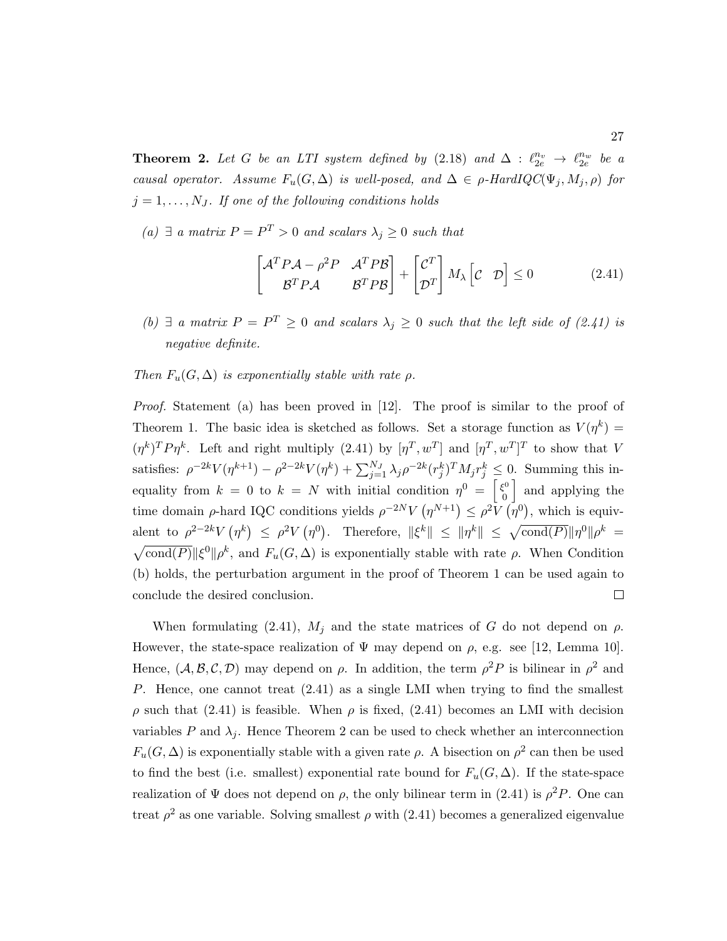**Theorem 2.** Let G be an LTI system defined by  $(2.18)$  and  $\Delta : \ell_{2e}^{n_v} \to \ell_{2e}^{n_w}$  be a causal operator. Assume  $F_u(G, \Delta)$  is well-posed, and  $\Delta \in \rho$ -HardIQC( $\Psi_j, M_j, \rho$ ) for  $j = 1, \ldots, N_J$ . If one of the following conditions holds

(a) ∃ a matrix  $P = P<sup>T</sup> > 0$  and scalars  $\lambda_j \geq 0$  such that

$$
\begin{bmatrix} \mathcal{A}^T P \mathcal{A} - \rho^2 P & \mathcal{A}^T P \mathcal{B} \\ \mathcal{B}^T P \mathcal{A} & \mathcal{B}^T P \mathcal{B} \end{bmatrix} + \begin{bmatrix} \mathcal{C}^T \\ \mathcal{D}^T \end{bmatrix} M_\lambda \begin{bmatrix} \mathcal{C} & \mathcal{D} \end{bmatrix} \le 0 \tag{2.41}
$$

(b)  $\exists$  a matrix  $P = P^T \geq 0$  and scalars  $\lambda_j \geq 0$  such that the left side of (2.41) is negative definite.

#### Then  $F_u(G, \Delta)$  is exponentially stable with rate  $\rho$ .

Proof. Statement (a) has been proved in [12]. The proof is similar to the proof of Theorem 1. The basic idea is sketched as follows. Set a storage function as  $V(\eta^k)$  =  $(\eta^k)^T P \eta^k$ . Left and right multiply (2.41) by  $[\eta^T, w^T]$  and  $[\eta^T, w^T]^T$  to show that V satisfies:  $\rho^{-2k} V(\eta^{k+1}) - \rho^{2-2k} V(\eta^k) + \sum_{j=1}^{N_J} \lambda_j \rho^{-2k} (r_j^k)^T M_j r_j^k \leq 0$ . Summing this inequality from  $k = 0$  to  $k = N$  with initial condition  $\eta^0 = \begin{bmatrix} \xi^0 \\ 0 \end{bmatrix}$ and applying the 0 time domain  $\rho$ -hard IQC conditions yields  $\rho^{-2N}V(\eta^{N+1}) \leq \rho^2V(\eta^0)$ , which is equivalent to  $\rho^{2-2k}V(\eta^k) \leq \rho^2V(\eta^0)$ . Therefore,  $\|\xi^k\| \leq \|\eta^k\| \leq \sqrt{\text{cond}(P)}\|\eta^0\|\rho^k =$  $\sqrt{\text{cond}(P)}$   $\|\xi^0\| \rho^k$ , and  $F_u(G, \Delta)$  is exponentially stable with rate  $\rho$ . When Condition (b) holds, the perturbation argument in the proof of Theorem 1 can be used again to conclude the desired conclusion.  $\Box$ 

When formulating (2.41),  $M_j$  and the state matrices of G do not depend on  $\rho$ . However, the state-space realization of  $\Psi$  may depend on  $\rho$ , e.g. see [12, Lemma 10]. Hence,  $(A, B, C, D)$  may depend on  $\rho$ . In addition, the term  $\rho^2 P$  is bilinear in  $\rho^2$  and P. Hence, one cannot treat  $(2.41)$  as a single LMI when trying to find the smallest ρ such that (2.41) is feasible. When ρ is fixed, (2.41) becomes an LMI with decision variables P and  $\lambda_i$ . Hence Theorem 2 can be used to check whether an interconnection  $F_u(G, \Delta)$  is exponentially stable with a given rate  $\rho$ . A bisection on  $\rho^2$  can then be used to find the best (i.e. smallest) exponential rate bound for  $F_u(G, \Delta)$ . If the state-space realization of  $\Psi$  does not depend on  $\rho$ , the only bilinear term in (2.41) is  $\rho^2 P$ . One can treat  $\rho^2$  as one variable. Solving smallest  $\rho$  with (2.41) becomes a generalized eigenvalue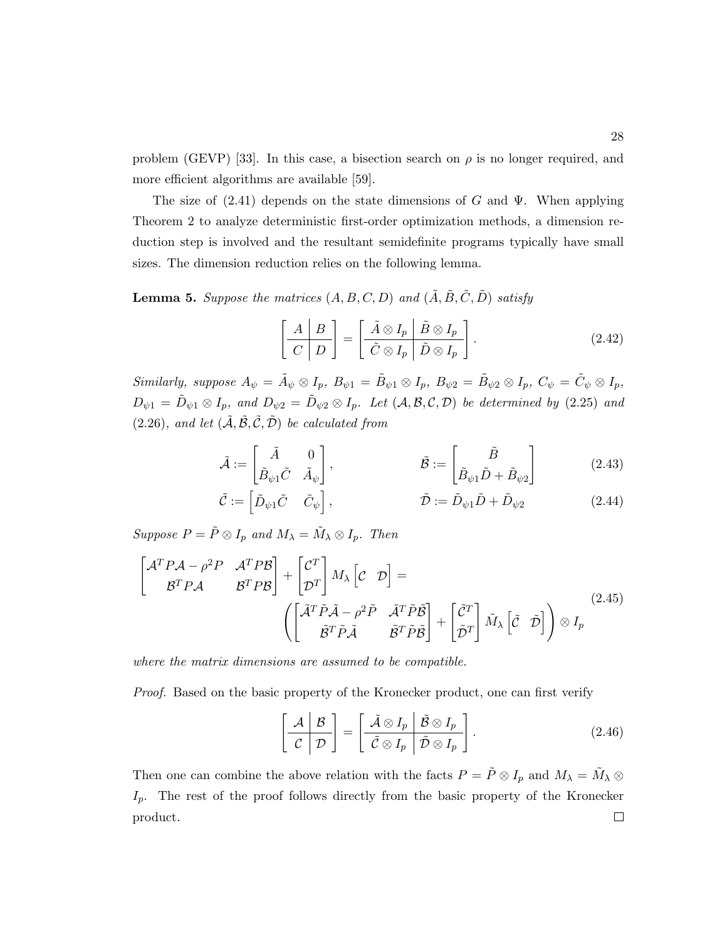problem (GEVP) [33]. In this case, a bisection search on  $\rho$  is no longer required, and more efficient algorithms are available [59].

The size of  $(2.41)$  depends on the state dimensions of G and  $\Psi$ . When applying Theorem 2 to analyze deterministic first-order optimization methods, a dimension reduction step is involved and the resultant semidefinite programs typically have small sizes. The dimension reduction relies on the following lemma.

**Lemma 5.** Suppose the matrices  $(A, B, C, D)$  and  $(\tilde{A}, \tilde{B}, \tilde{C}, \tilde{D})$  satisfy

$$
\left[\begin{array}{c|c}\nA & B \\
\hline\nC & D\n\end{array}\right] = \left[\begin{array}{c|c}\n\tilde{A} \otimes I_p & \tilde{B} \otimes I_p \\
\hline\n\tilde{C} \otimes I_p & \tilde{D} \otimes I_p\n\end{array}\right].
$$
\n(2.42)

Similarly, suppose  $A_{\psi} = \tilde{A}_{\psi} \otimes I_p$ ,  $B_{\psi 1} = \tilde{B}_{\psi 1} \otimes I_p$ ,  $B_{\psi 2} = \tilde{B}_{\psi 2} \otimes I_p$ ,  $C_{\psi} = \tilde{C}_{\psi} \otimes I_p$ ,  $D_{\psi 1} = \tilde{D}_{\psi 1} \otimes I_p$ , and  $D_{\psi 2} = \tilde{D}_{\psi 2} \otimes I_p$ . Let  $(A, \mathcal{B}, \mathcal{C}, \mathcal{D})$  be determined by (2.25) and (2.26), and let  $(\tilde{A}, \tilde{B}, \tilde{C}, \tilde{D})$  be calculated from

$$
\tilde{\mathcal{A}} := \begin{bmatrix} \tilde{A} & 0 \\ \tilde{B}_{\psi 1} \tilde{C} & \tilde{A}_{\psi} \end{bmatrix}, \qquad \qquad \tilde{\mathcal{B}} := \begin{bmatrix} \tilde{B} \\ \tilde{B}_{\psi 1} \tilde{D} + \tilde{B}_{\psi 2} \end{bmatrix} \qquad (2.43)
$$

$$
\tilde{\mathcal{C}} := \begin{bmatrix} \tilde{D}_{\psi 1} \tilde{C} & \tilde{C}_{\psi} \end{bmatrix}, \qquad \qquad \tilde{\mathcal{D}} := \tilde{D}_{\psi 1} \tilde{D} + \tilde{D}_{\psi 2} \qquad (2.44)
$$

Suppose  $P = \tilde{P} \otimes I_p$  and  $M_{\lambda} = \tilde{M}_{\lambda} \otimes I_p$ . Then

$$
\begin{bmatrix} \mathcal{A}^T P \mathcal{A} - \rho^2 P & \mathcal{A}^T P \mathcal{B} \\ \mathcal{B}^T P \mathcal{A} & \mathcal{B}^T P \mathcal{B} \end{bmatrix} + \begin{bmatrix} \mathcal{C}^T \\ \mathcal{D}^T \end{bmatrix} M_{\lambda} \begin{bmatrix} \mathcal{C} & \mathcal{D} \end{bmatrix} = \left( \begin{bmatrix} \tilde{\mathcal{A}}^T \tilde{P} \tilde{\mathcal{A}} - \rho^2 \tilde{P} & \tilde{\mathcal{A}}^T \tilde{P} \tilde{\mathcal{B}} \\ \tilde{\mathcal{B}}^T \tilde{P} \tilde{\mathcal{A}} & \tilde{\mathcal{B}}^T \tilde{P} \tilde{\mathcal{B}} \end{bmatrix} + \begin{bmatrix} \tilde{\mathcal{C}}^T \\ \tilde{\mathcal{D}}^T \end{bmatrix} \tilde{M}_{\lambda} \begin{bmatrix} \tilde{\mathcal{C}} & \tilde{\mathcal{D}} \end{bmatrix} \right) \otimes I_p \tag{2.45}
$$

where the matrix dimensions are assumed to be compatible.

Proof. Based on the basic property of the Kronecker product, one can first verify

$$
\left[\begin{array}{c|c}\n\mathcal{A} & \mathcal{B} \\
\hline\n\mathcal{C} & \mathcal{D}\n\end{array}\right] = \left[\begin{array}{c|c}\n\tilde{\mathcal{A}} \otimes I_p & \tilde{\mathcal{B}} \otimes I_p \\
\hline\n\tilde{\mathcal{C}} \otimes I_p & \tilde{\mathcal{D}} \otimes I_p\n\end{array}\right].
$$
\n(2.46)

Then one can combine the above relation with the facts  $P = \tilde{P} \otimes I_p$  and  $M_\lambda = \tilde{M}_\lambda \otimes I_p$  $I_p$ . The rest of the proof follows directly from the basic property of the Kronecker  $\Box$ product.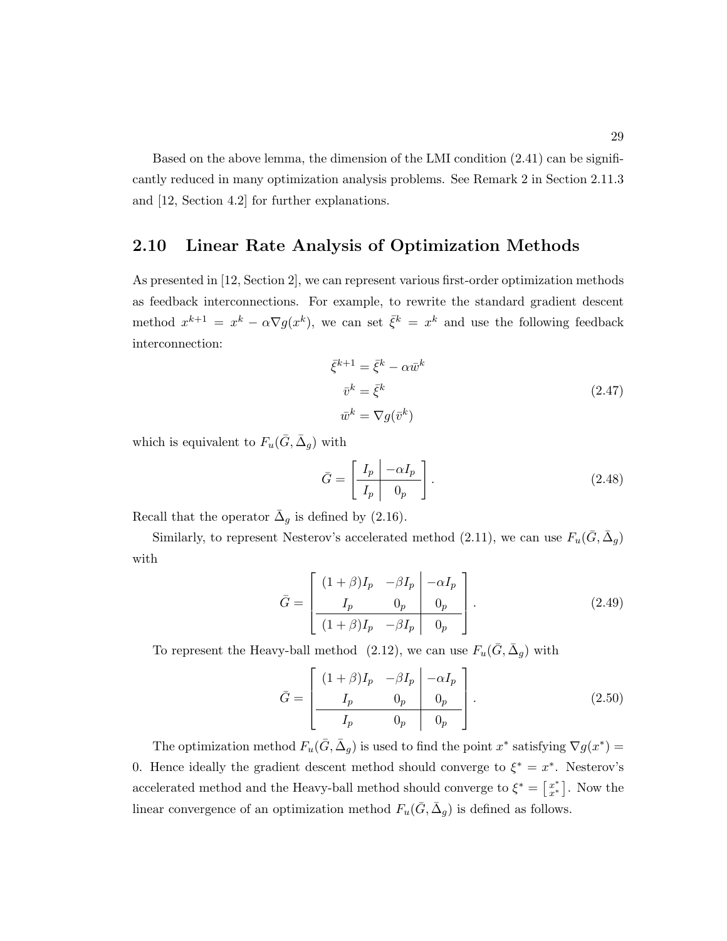Based on the above lemma, the dimension of the LMI condition (2.41) can be significantly reduced in many optimization analysis problems. See Remark 2 in Section 2.11.3 and [12, Section 4.2] for further explanations.

## 2.10 Linear Rate Analysis of Optimization Methods

As presented in [12, Section 2], we can represent various first-order optimization methods as feedback interconnections. For example, to rewrite the standard gradient descent method  $x^{k+1} = x^k - \alpha \nabla g(x^k)$ , we can set  $\bar{\xi}^k = x^k$  and use the following feedback interconnection:

$$
\bar{\xi}^{k+1} = \bar{\xi}^k - \alpha \bar{w}^k
$$
  
\n
$$
\bar{v}^k = \bar{\xi}^k
$$
  
\n
$$
\bar{w}^k = \nabla g(\bar{v}^k)
$$
\n(2.47)

which is equivalent to  $F_u(\bar{G}, \bar{\Delta}_g)$  with

$$
\bar{G} = \left[ \begin{array}{c|c} I_p & -\alpha I_p \\ \hline I_p & 0_p \end{array} \right].
$$
\n(2.48)

Recall that the operator  $\bar{\Delta}_g$  is defined by (2.16).

Similarly, to represent Nesterov's accelerated method (2.11), we can use  $F_u(\bar{G}, \bar{\Delta}_g)$ with

$$
\bar{G} = \begin{bmatrix} (1+\beta)I_p & -\beta I_p & -\alpha I_p \\ I_p & 0_p & 0_p \\ \hline (1+\beta)I_p & -\beta I_p & 0_p \end{bmatrix} .
$$
 (2.49)

To represent the Heavy-ball method (2.12), we can use  $F_u(\bar{G}, \bar{\Delta}_g)$  with

$$
\bar{G} = \begin{bmatrix} (1+\beta)I_p & -\beta I_p & -\alpha I_p \\ I_p & 0_p & 0_p \\ I_p & 0_p & 0_p \end{bmatrix} .
$$
 (2.50)

The optimization method  $F_u(\bar{G}, \bar{\Delta}_g)$  is used to find the point  $x^*$  satisfying  $\nabla g(x^*) =$ 0. Hence ideally the gradient descent method should converge to  $\xi^* = x^*$ . Nesterov's accelerated method and the Heavy-ball method should converge to  $\xi^* = \begin{bmatrix} x^* & 0 \\ 0 & x^* \end{bmatrix}$  $x^*$ ]. Now the linear convergence of an optimization method  $F_u(\bar{G}, \bar{\Delta}_g)$  is defined as follows.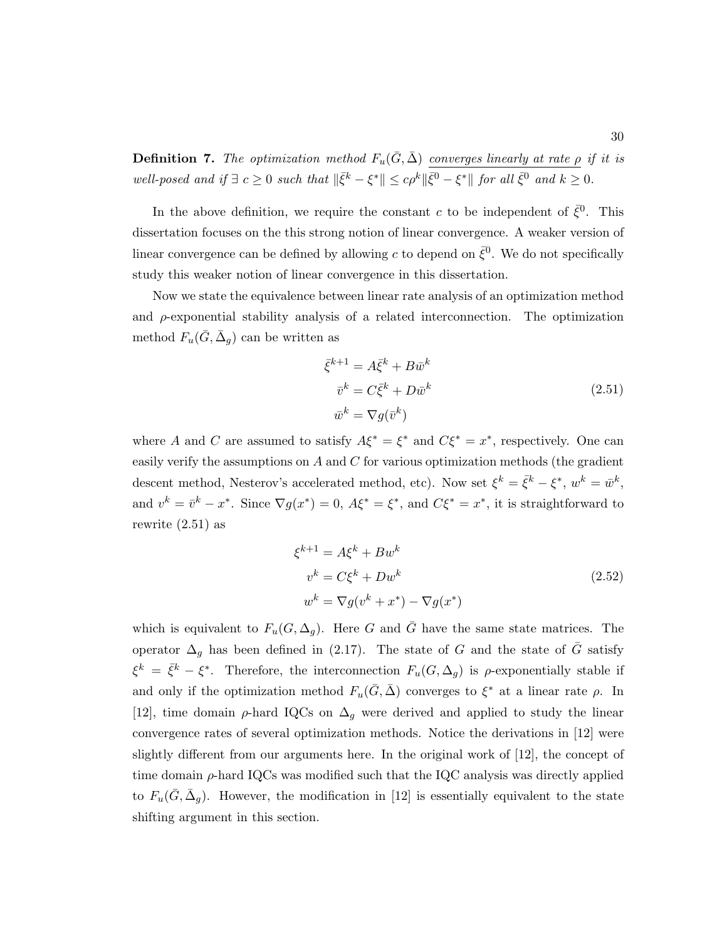**Definition 7.** The optimization method  $F_u(\bar{G}, \bar{\Delta})$  converges linearly at rate  $\rho$  if it is well-posed and if  $\exists c \geq 0$  such that  $\|\bar{\xi}^k - \xi^*\| \leq c\rho^k \|\bar{\xi}^0 - \xi^*\|$  for all  $\bar{\xi}^0$  and  $k \geq 0$ .

In the above definition, we require the constant c to be independent of  $\bar{\xi}^0$ . This dissertation focuses on the this strong notion of linear convergence. A weaker version of linear convergence can be defined by allowing c to depend on  $\bar{\xi}^0$ . We do not specifically study this weaker notion of linear convergence in this dissertation.

Now we state the equivalence between linear rate analysis of an optimization method and  $\rho$ -exponential stability analysis of a related interconnection. The optimization method  $F_u(\bar{G}, \bar{\Delta}_g)$  can be written as

$$
\bar{\xi}^{k+1} = A \bar{\xi}^k + B \bar{w}^k
$$
  
\n
$$
\bar{v}^k = C \bar{\xi}^k + D \bar{w}^k
$$
  
\n
$$
\bar{w}^k = \nabla g(\bar{v}^k)
$$
\n(2.51)

where A and C are assumed to satisfy  $A\xi^* = \xi^*$  and  $C\xi^* = x^*$ , respectively. One can easily verify the assumptions on  $A$  and  $C$  for various optimization methods (the gradient descent method, Nesterov's accelerated method, etc). Now set  $\xi^k = \bar{\xi}^k - \xi^*, w^k = \bar{w}^k$ , and  $v^k = \bar{v}^k - x^*$ . Since  $\nabla g(x^*) = 0$ ,  $A \xi^* = \xi^*$ , and  $C \xi^* = x^*$ , it is straightforward to rewrite (2.51) as

$$
\xi^{k+1} = A\xi^k + Bw^k
$$
  
\n
$$
v^k = C\xi^k + Dw^k
$$
  
\n
$$
w^k = \nabla g(v^k + x^*) - \nabla g(x^*)
$$
\n(2.52)

which is equivalent to  $F_u(G, \Delta_q)$ . Here G and G have the same state matrices. The operator  $\Delta_g$  has been defined in (2.17). The state of G and the state of  $\bar{G}$  satisfy  $\xi^k = \bar{\xi}^k - \xi^*$ . Therefore, the interconnection  $F_u(G, \Delta_g)$  is  $\rho$ -exponentially stable if and only if the optimization method  $F_u(\bar{G}, \bar{\Delta})$  converges to  $\xi^*$  at a linear rate  $\rho$ . In [12], time domain  $\rho$ -hard IQCs on  $\Delta_q$  were derived and applied to study the linear convergence rates of several optimization methods. Notice the derivations in [12] were slightly different from our arguments here. In the original work of [12], the concept of time domain  $\rho$ -hard IQCs was modified such that the IQC analysis was directly applied to  $F_u(\bar{G}, \bar{\Delta}_g)$ . However, the modification in [12] is essentially equivalent to the state shifting argument in this section.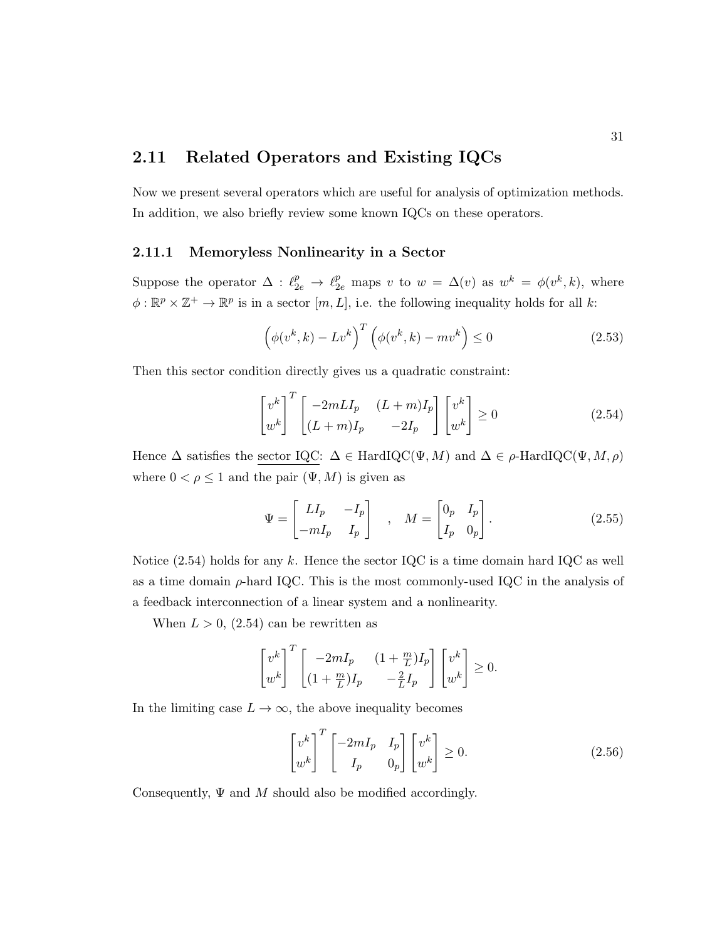# 2.11 Related Operators and Existing IQCs

Now we present several operators which are useful for analysis of optimization methods. In addition, we also briefly review some known IQCs on these operators.

#### 2.11.1 Memoryless Nonlinearity in a Sector

Suppose the operator  $\Delta : \ell_{2e}^p \to \ell_{2e}^p$  maps v to  $w = \Delta(v)$  as  $w^k = \phi(v^k, k)$ , where  $\phi: \mathbb{R}^p \times \mathbb{Z}^+ \to \mathbb{R}^p$  is in a sector  $[m, L]$ , i.e. the following inequality holds for all k:

$$
\left(\phi(v^k, k) - Lv^k\right)^T \left(\phi(v^k, k) - mv^k\right) \le 0\tag{2.53}
$$

Then this sector condition directly gives us a quadratic constraint:

$$
\begin{bmatrix} v^k \ u^k \end{bmatrix}^T \begin{bmatrix} -2mLI_p & (L+m)I_p \ (L+m)I_p & -2I_p \end{bmatrix} \begin{bmatrix} v^k \ w^k \end{bmatrix} \ge 0
$$
\n(2.54)

Hence  $\Delta$  satisfies the sector IQC:  $\Delta \in \text{HardIQC}(\Psi, M)$  and  $\Delta \in \rho\text{-HardIQC}(\Psi, M, \rho)$ where  $0 < \rho \leq 1$  and the pair  $(\Psi, M)$  is given as

$$
\Psi = \begin{bmatrix} L I_p & -I_p \\ -mI_p & I_p \end{bmatrix} , \quad M = \begin{bmatrix} 0_p & I_p \\ I_p & 0_p \end{bmatrix} .
$$
 (2.55)

Notice  $(2.54)$  holds for any k. Hence the sector IQC is a time domain hard IQC as well as a time domain  $\rho$ -hard IQC. This is the most commonly-used IQC in the analysis of a feedback interconnection of a linear system and a nonlinearity.

When  $L > 0$ ,  $(2.54)$  can be rewritten as

$$
\begin{bmatrix} v^k \ u^k \end{bmatrix}^T \begin{bmatrix} -2mI_p & (1+\frac{m}{L})I_p \ (1+\frac{m}{L})I_p & -\frac{2}{L}I_p \end{bmatrix} \begin{bmatrix} v^k \ w^k \end{bmatrix} \ge 0.
$$

In the limiting case  $L \to \infty$ , the above inequality becomes

$$
\begin{bmatrix} v^k \\ w^k \end{bmatrix}^T \begin{bmatrix} -2mI_p & I_p \\ I_p & 0_p \end{bmatrix} \begin{bmatrix} v^k \\ w^k \end{bmatrix} \ge 0.
$$
 (2.56)

Consequently,  $\Psi$  and  $M$  should also be modified accordingly.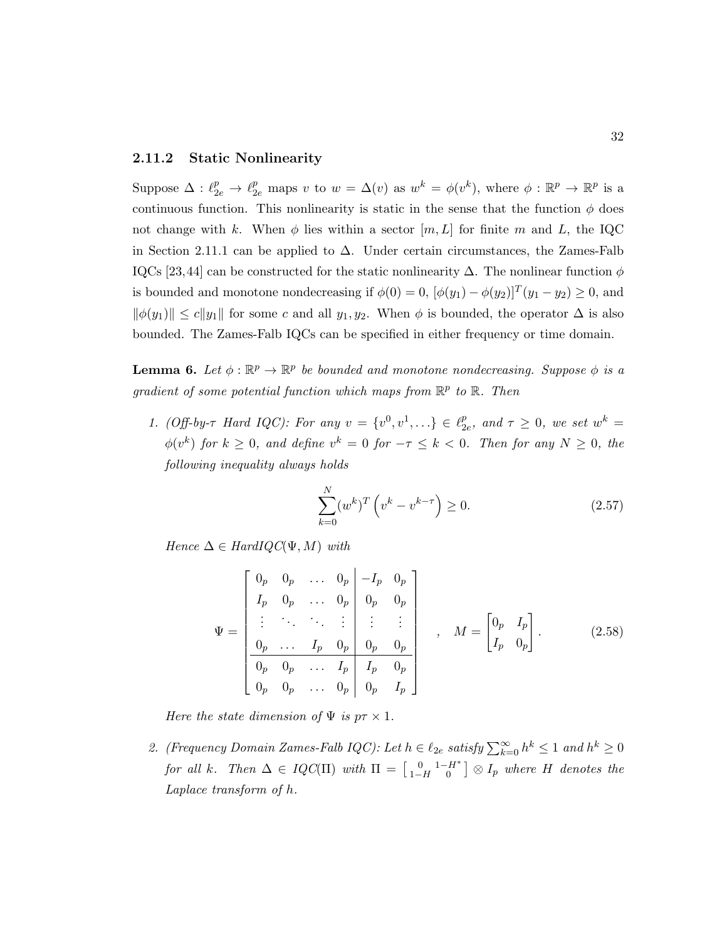#### 2.11.2 Static Nonlinearity

Suppose  $\Delta: \ell_{2e}^p \to \ell_{2e}^p$  maps v to  $w = \Delta(v)$  as  $w^k = \phi(v^k)$ , where  $\phi: \mathbb{R}^p \to \mathbb{R}^p$  is a continuous function. This nonlinearity is static in the sense that the function  $\phi$  does not change with k. When  $\phi$  lies within a sector  $[m, L]$  for finite m and L, the IQC in Section 2.11.1 can be applied to  $\Delta$ . Under certain circumstances, the Zames-Falb IQCs [23,44] can be constructed for the static nonlinearity  $\Delta$ . The nonlinear function  $\phi$ is bounded and monotone nondecreasing if  $\phi(0) = 0$ ,  $[\phi(y_1) - \phi(y_2)]^T (y_1 - y_2) \ge 0$ , and  $\|\phi(y_1)\| \le c\|y_1\|$  for some c and all  $y_1, y_2$ . When  $\phi$  is bounded, the operator  $\Delta$  is also bounded. The Zames-Falb IQCs can be specified in either frequency or time domain.

**Lemma 6.** Let  $\phi : \mathbb{R}^p \to \mathbb{R}^p$  be bounded and monotone nondecreasing. Suppose  $\phi$  is a gradient of some potential function which maps from  $\mathbb{R}^p$  to  $\mathbb{R}$ . Then

1. (Off-by- $\tau$  Hard IQC): For any  $v = \{v^0, v^1, ...\} \in \ell_2^p$  $_{2e}^{p}$ , and  $\tau \geq 0$ , we set  $w^{k} =$  $\phi(v^k)$  for  $k \geq 0$ , and define  $v^k = 0$  for  $-\tau \leq k < 0$ . Then for any  $N \geq 0$ , the following inequality always holds

$$
\sum_{k=0}^{N} (w^k)^T \left( v^k - v^{k-\tau} \right) \ge 0. \tag{2.57}
$$

Hence  $\Delta \in HardIQC(\Psi, M)$  with

$$
\Psi = \begin{bmatrix}\n0_p & 0_p & \dots & 0_p & -I_p & 0_p \\
I_p & 0_p & \dots & 0_p & 0_p & 0_p \\
\vdots & \ddots & \ddots & \vdots & \vdots & \vdots \\
0_p & \dots & I_p & 0_p & 0_p & 0_p \\
\hline\n0_p & 0_p & \dots & I_p & I_p & 0_p \\
0_p & 0_p & \dots & 0_p & 0_p & I_p\n\end{bmatrix}, \quad M = \begin{bmatrix}\n0_p & I_p \\
I_p & 0_p\n\end{bmatrix}.
$$
\n(2.58)

Here the state dimension of  $\Psi$  is  $p\tau \times 1$ .

2. (Frequency Domain Zames-Falb IQC): Let  $h \in \ell_{2e}$  satisfy  $\sum_{k=0}^{\infty} h^k \leq 1$  and  $h^k \geq 0$ for all k. Then  $\Delta \in IQC(\Pi)$  with  $\Pi = \begin{bmatrix} 0 & 1-H^* \ 1-H & 0 \end{bmatrix} \otimes I_p$  where H denotes the Laplace transform of h.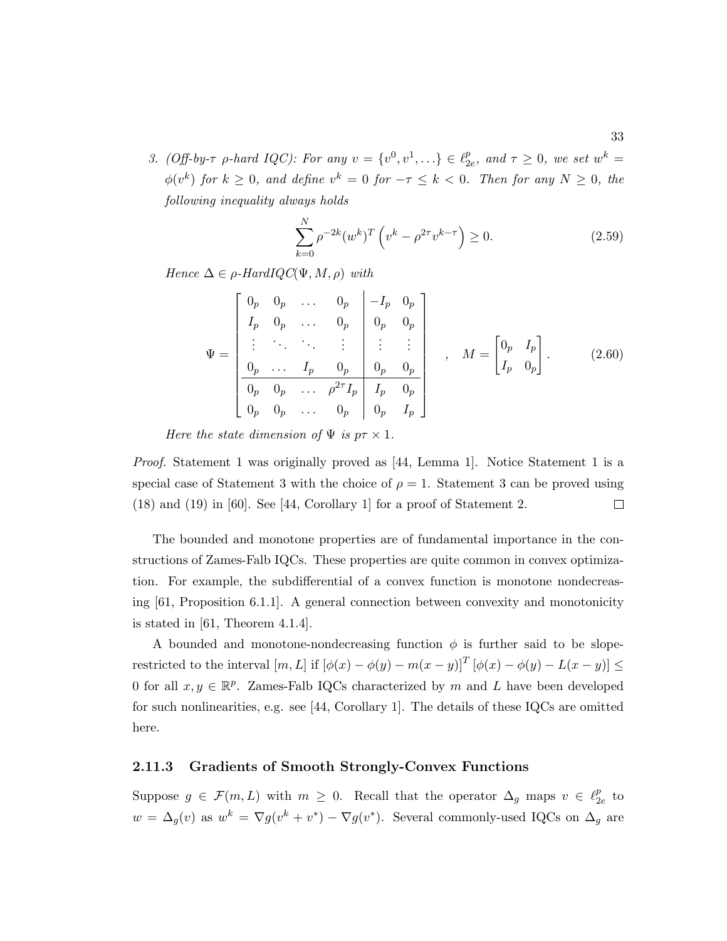3. (Off-by- $\tau$  p-hard IQC): For any  $v = \{v^0, v^1, ...\} \in \ell_2^p$  $_{2e}^{p}$ , and  $\tau \geq 0$ , we set  $w^{k} =$  $\phi(v^k)$  for  $k \geq 0$ , and define  $v^k = 0$  for  $-\tau \leq k < 0$ . Then for any  $N \geq 0$ , the following inequality always holds

$$
\sum_{k=0}^{N} \rho^{-2k} (w^k)^T \left( v^k - \rho^{2\tau} v^{k-\tau} \right) \ge 0.
$$
 (2.59)

Hence  $\Delta \in \rho$ -HardIQC( $\Psi, M, \rho$ ) with

$$
\Psi = \begin{bmatrix}\n0_p & 0_p & \dots & 0_p & -I_p & 0_p \\
I_p & 0_p & \dots & 0_p & 0_p & 0_p \\
\vdots & \ddots & \ddots & \vdots & \vdots & \vdots \\
0_p & \dots & I_p & 0_p & 0_p & 0_p \\
\hline\n0_p & 0_p & \dots & \rho^{2\tau} I_p & I_p & 0_p \\
0_p & 0_p & \dots & 0_p & 0_p & I_p\n\end{bmatrix}, \quad M = \begin{bmatrix} 0_p & I_p \\ I_p & 0_p \end{bmatrix}.
$$
\n(2.60)

Here the state dimension of  $\Psi$  is  $p\tau \times 1$ .

Proof. Statement 1 was originally proved as [44, Lemma 1]. Notice Statement 1 is a special case of Statement 3 with the choice of  $\rho = 1$ . Statement 3 can be proved using  $\Box$ (18) and (19) in [60]. See [44, Corollary 1] for a proof of Statement 2.

The bounded and monotone properties are of fundamental importance in the constructions of Zames-Falb IQCs. These properties are quite common in convex optimization. For example, the subdifferential of a convex function is monotone nondecreasing [61, Proposition 6.1.1]. A general connection between convexity and monotonicity is stated in  $[61,$  Theorem 4.1.4.

A bounded and monotone-nondecreasing function  $\phi$  is further said to be sloperestricted to the interval  $[m, L]$  if  $[\phi(x) - \phi(y) - m(x - y)]^T [\phi(x) - \phi(y) - L(x - y)] \le$ 0 for all  $x, y \in \mathbb{R}^p$ . Zames-Falb IQCs characterized by m and L have been developed for such nonlinearities, e.g. see [44, Corollary 1]. The details of these IQCs are omitted here.

#### 2.11.3 Gradients of Smooth Strongly-Convex Functions

Suppose  $g \in \mathcal{F}(m, L)$  with  $m \geq 0$ . Recall that the operator  $\Delta_g$  maps  $v \in \ell_2^p$  $_{2e}^p$  to  $w = \Delta_g(v)$  as  $w^k = \nabla g(v^k + v^*) - \nabla g(v^*)$ . Several commonly-used IQCs on  $\Delta_g$  are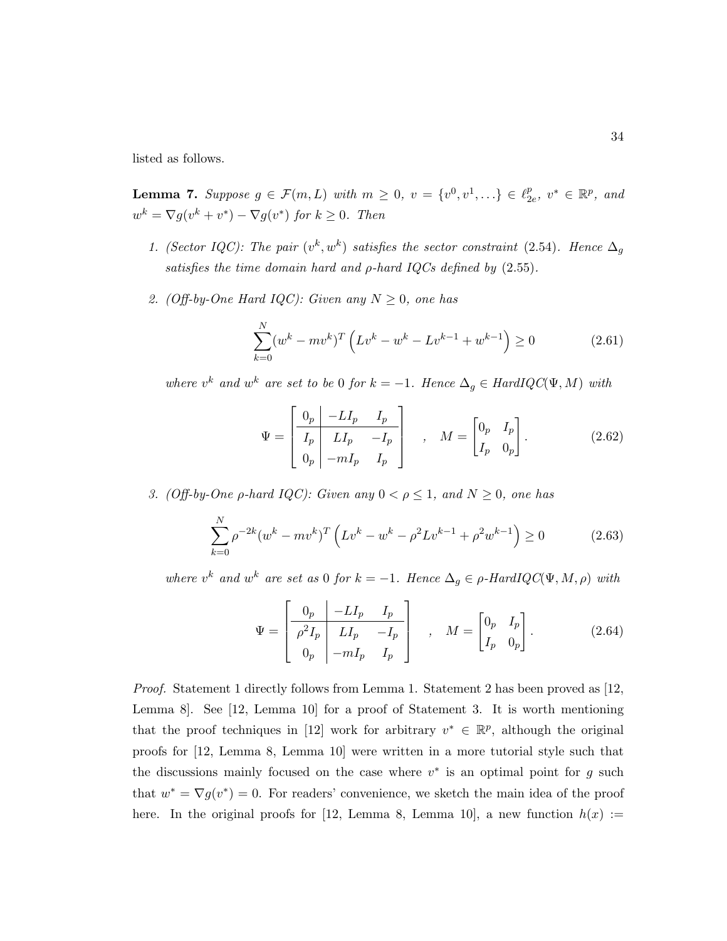listed as follows.

**Lemma 7.** Suppose  $g \in \mathcal{F}(m, L)$  with  $m \geq 0$ ,  $v = \{v^0, v^1, \ldots\} \in \ell_2^p$  $_{2e}^p, v^* \in \mathbb{R}^p$ , and  $w^k = \nabla g(v^k + v^*) - \nabla g(v^*)$  for  $k \geq 0$ . Then

- 1. (Sector IQC): The pair  $(v^k, w^k)$  satisfies the sector constraint (2.54). Hence  $\Delta_g$ satisfies the time domain hard and  $\rho$ -hard IQCs defined by  $(2.55)$ .
- 2. (Off-by-One Hard IQC): Given any  $N \geq 0$ , one has

$$
\sum_{k=0}^{N} (w^k - mv^k)^T \left( Lv^k - w^k - Lv^{k-1} + w^{k-1} \right) \ge 0 \tag{2.61}
$$

where  $v^k$  and  $w^k$  are set to be 0 for  $k = -1$ . Hence  $\Delta_g \in HardIQC(\Psi, M)$  with

$$
\Psi = \begin{bmatrix} 0_p & -LI_p & I_p \\ I_p & LI_p & -I_p \\ 0_p & -mI_p & I_p \end{bmatrix} , \quad M = \begin{bmatrix} 0_p & I_p \\ I_p & 0_p \end{bmatrix} .
$$
 (2.62)

3. (Off-by-One  $\rho$ -hard IQC): Given any  $0 < \rho \leq 1$ , and  $N \geq 0$ , one has

$$
\sum_{k=0}^{N} \rho^{-2k} (w^k - mv^k)^T \left( Lv^k - w^k - \rho^2 L v^{k-1} + \rho^2 w^{k-1} \right) \ge 0 \tag{2.63}
$$

where  $v^k$  and  $w^k$  are set as 0 for  $k = -1$ . Hence  $\Delta_g \in \rho$ -HardIQC( $\Psi, M, \rho$ ) with

$$
\Psi = \begin{bmatrix} 0_p & -LI_p & I_p \\ \rho^2 I_p & LI_p & -I_p \\ 0_p & -mI_p & I_p \end{bmatrix} , \quad M = \begin{bmatrix} 0_p & I_p \\ I_p & 0_p \end{bmatrix} .
$$
 (2.64)

Proof. Statement 1 directly follows from Lemma 1. Statement 2 has been proved as [12, Lemma 8]. See [12, Lemma 10] for a proof of Statement 3. It is worth mentioning that the proof techniques in [12] work for arbitrary  $v^* \in \mathbb{R}^p$ , although the original proofs for [12, Lemma 8, Lemma 10] were written in a more tutorial style such that the discussions mainly focused on the case where  $v^*$  is an optimal point for g such that  $w^* = \nabla g(v^*) = 0$ . For readers' convenience, we sketch the main idea of the proof here. In the original proofs for [12, Lemma 8, Lemma 10], a new function  $h(x) :=$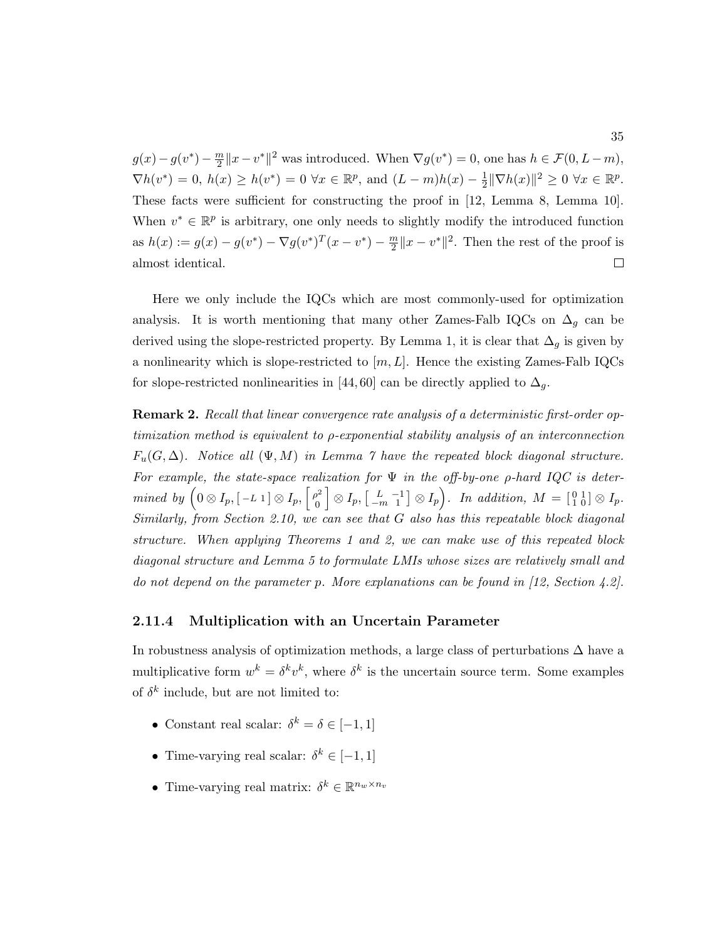$g(x) - g(v^*) - \frac{m}{2}$  $\frac{m}{2}||x - v^*||^2$  was introduced. When  $\nabla g(v^*) = 0$ , one has  $h \in \mathcal{F}(0, L-m)$ ,  $\nabla h(v^*) = 0, h(x) \ge h(v^*) = 0 \,\forall x \in \mathbb{R}^p$ , and  $(L-m)h(x) - \frac{1}{2}$  $\frac{1}{2} \|\nabla h(x)\|^2 \geq 0 \,\,\forall x \in \mathbb{R}^p.$ These facts were sufficient for constructing the proof in [12, Lemma 8, Lemma 10]. When  $v^* \in \mathbb{R}^p$  is arbitrary, one only needs to slightly modify the introduced function as  $h(x) := g(x) - g(v^*) - \nabla g(v^*)^T (x - v^*) - \frac{m}{2}$  $\frac{m}{2}||x - v^*||^2$ . Then the rest of the proof is almost identical.  $\Box$ 

Here we only include the IQCs which are most commonly-used for optimization analysis. It is worth mentioning that many other Zames-Falb IQCs on  $\Delta_q$  can be derived using the slope-restricted property. By Lemma 1, it is clear that  $\Delta_g$  is given by a nonlinearity which is slope-restricted to  $[m, L]$ . Hence the existing Zames-Falb IQCs for slope-restricted nonlinearities in [44,60] can be directly applied to  $\Delta_q$ .

Remark 2. Recall that linear convergence rate analysis of a deterministic first-order optimization method is equivalent to ρ-exponential stability analysis of an interconnection  $F_u(G, \Delta)$ . Notice all  $(\Psi, M)$  in Lemma 7 have the repeated block diagonal structure. For example, the state-space realization for  $\Psi$  in the off-by-one  $\rho$ -hard IQC is determined by  $(0 \otimes I_p, [-L] \otimes I_p, \left[ \begin{array}{c} \rho^2 \\ 0 \end{array} \right]$ 0  $\Big] \otimes I_p, \big[ \begin{smallmatrix} L & -1 \ -m & 1 \end{smallmatrix} \big] \otimes I_p \Big).$  In addition,  $M = \big[ \begin{smallmatrix} 0 & 1 \ 1 & 0 \end{smallmatrix} \big] \otimes I_p.$ Similarly, from Section 2.10, we can see that G also has this repeatable block diagonal structure. When applying Theorems 1 and 2, we can make use of this repeated block diagonal structure and Lemma 5 to formulate LMIs whose sizes are relatively small and do not depend on the parameter p. More explanations can be found in [12, Section 4.2].

#### 2.11.4 Multiplication with an Uncertain Parameter

In robustness analysis of optimization methods, a large class of perturbations  $\Delta$  have a multiplicative form  $w^k = \delta^k v^k$ , where  $\delta^k$  is the uncertain source term. Some examples of  $\delta^k$  include, but are not limited to:

- Constant real scalar:  $\delta^k = \delta \in [-1, 1]$
- Time-varying real scalar:  $\delta^k \in [-1, 1]$
- Time-varying real matrix:  $\delta^k \in \mathbb{R}^{n_w \times n_v}$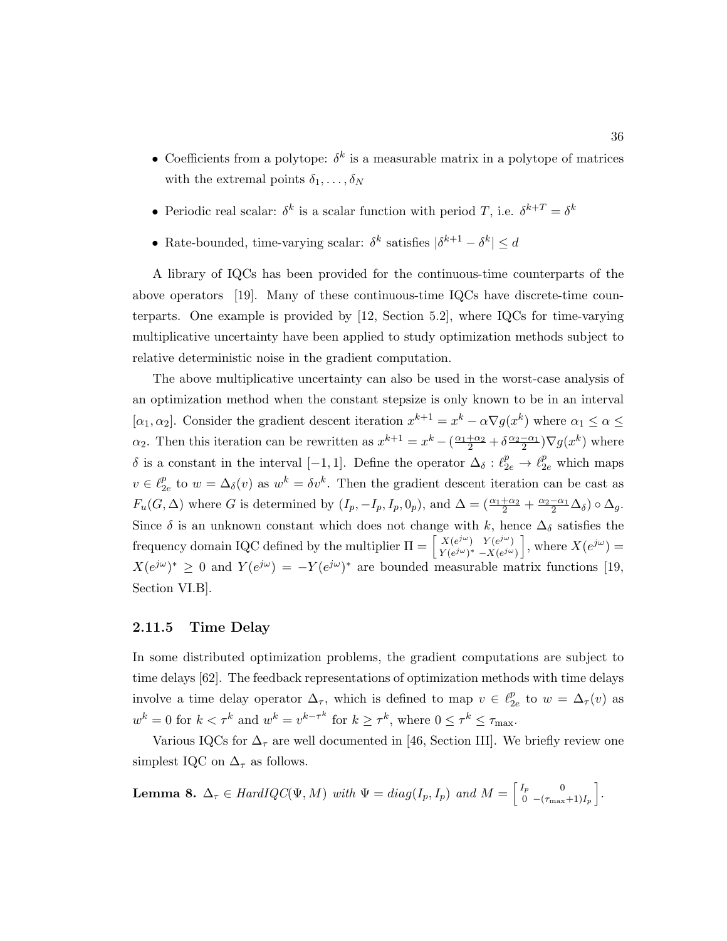- Coefficients from a polytope:  $\delta^k$  is a measurable matrix in a polytope of matrices with the extremal points  $\delta_1, \ldots, \delta_N$
- Periodic real scalar:  $\delta^k$  is a scalar function with period T, i.e.  $\delta^{k+T} = \delta^k$
- Rate-bounded, time-varying scalar:  $\delta^k$  satisfies  $|\delta^{k+1} \delta^k| \leq d$

A library of IQCs has been provided for the continuous-time counterparts of the above operators [19]. Many of these continuous-time IQCs have discrete-time counterparts. One example is provided by [12, Section 5.2], where IQCs for time-varying multiplicative uncertainty have been applied to study optimization methods subject to relative deterministic noise in the gradient computation.

The above multiplicative uncertainty can also be used in the worst-case analysis of an optimization method when the constant stepsize is only known to be in an interval [ $\alpha_1, \alpha_2$ ]. Consider the gradient descent iteration  $x^{k+1} = x^k - \alpha \nabla g(x^k)$  where  $\alpha_1 \leq \alpha \leq$  $\alpha_2$ . Then this iteration can be rewritten as  $x^{k+1} = x^k - (\frac{\alpha_1 + \alpha_2}{2} + \delta \frac{\alpha_2 - \alpha_1}{2}) \nabla g(x^k)$  where δ is a constant in the interval [-1,1]. Define the operator  $\Delta_{\delta}: \ell_{2e}^p \to \ell_{2e}^p$  which maps  $v \in \ell_2^p$  $_{2e}^{p}$  to  $w = \Delta_{\delta}(v)$  as  $w^{k} = \delta v^{k}$ . Then the gradient descent iteration can be cast as  $F_u(G, \Delta)$  where G is determined by  $(I_p, -I_p, I_p, 0_p)$ , and  $\Delta = \left(\frac{\alpha_1 + \alpha_2}{2} + \frac{\alpha_2 - \alpha_1}{2} \Delta_{\delta}\right) \circ \Delta_g$ . Since  $\delta$  is an unknown constant which does not change with k, hence  $\Delta_{\delta}$  satisfies the frequency domain IQC defined by the multiplier  $\Pi = \begin{bmatrix} X(e^{j\omega}) & Y(e^{j\omega}) \\ V(e^{j\omega})^* & Y(e^{j\omega}) \end{bmatrix}$  $Y(e^{j\omega})^* - X(e^{j\omega})$ , where  $X(e^{j\omega}) =$  $X(e^{j\omega})^* \geq 0$  and  $Y(e^{j\omega}) = -Y(e^{j\omega})^*$  are bounded measurable matrix functions [19, Section VI.B].

#### 2.11.5 Time Delay

In some distributed optimization problems, the gradient computations are subject to time delays [62]. The feedback representations of optimization methods with time delays involve a time delay operator  $\Delta_{\tau}$ , which is defined to map  $v \in \ell_2^p$  $_{2e}^{p}$  to  $w = \Delta_{\tau}(v)$  as  $w^k = 0$  for  $k < \tau^k$  and  $w^k = v^{k-\tau^k}$  for  $k \geq \tau^k$ , where  $0 \leq \tau^k \leq \tau_{\max}$ .

Various IQCs for  $\Delta_{\tau}$  are well documented in [46, Section III]. We briefly review one simplest IQC on  $\Delta_{\tau}$  as follows.

**Lemma 8.**  $\Delta_{\tau} \in HardIQC(\Psi, M)$  with  $\Psi = diag(I_p, I_p)$  and  $M = \begin{bmatrix} I_p & 0 \\ 0 & -(I_{\text{max}}) \end{bmatrix}$  $\begin{bmatrix} I_p & 0 \ 0 & -(\tau_{\max}+1)I_p \end{bmatrix}.$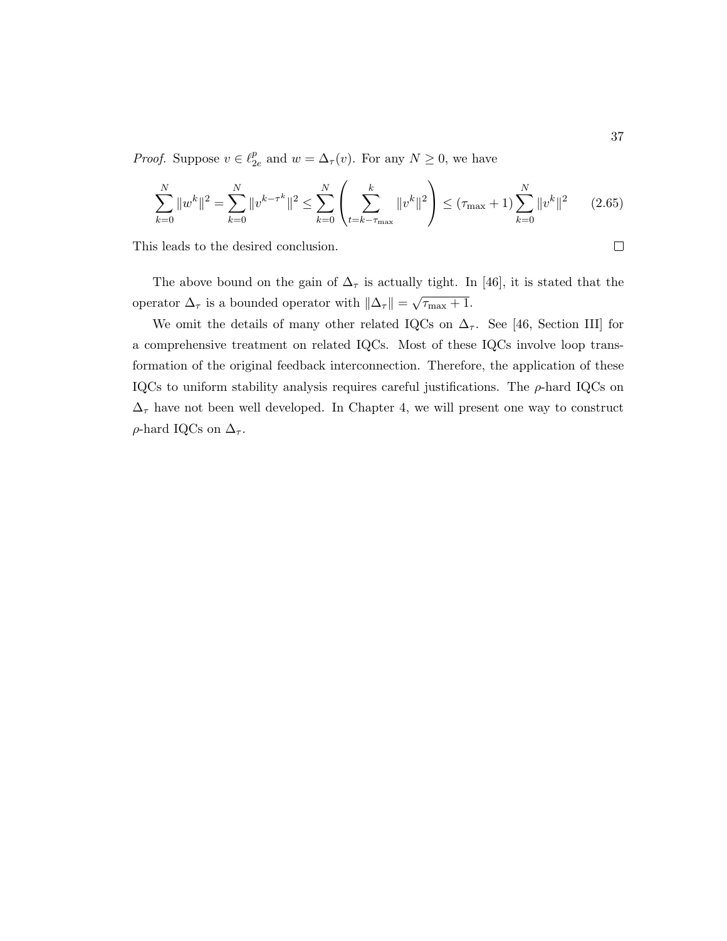*Proof.* Suppose  $v \in \ell_2^p$  $_{2e}^{p}$  and  $w = \Delta_{\tau}(v)$ . For any  $N \geq 0$ , we have

$$
\sum_{k=0}^{N} \|w^{k}\|^{2} = \sum_{k=0}^{N} \|v^{k-\tau^{k}}\|^{2} \le \sum_{k=0}^{N} \left(\sum_{t=k-\tau_{\text{max}}}^{k} \|v^{k}\|^{2}\right) \le (\tau_{\text{max}} + 1) \sum_{k=0}^{N} \|v^{k}\|^{2} \qquad (2.65)
$$

This leads to the desired conclusion.

The above bound on the gain of  $\Delta_{\tau}$  is actually tight. In [46], it is stated that the operator  $\Delta_{\tau}$  is a bounded operator with  $\|\Delta_{\tau}\|$  = √  $\overline{\tau_{\max}+1}.$ 

We omit the details of many other related IQCs on  $\Delta_{\tau}$ . See [46, Section III] for a comprehensive treatment on related IQCs. Most of these IQCs involve loop transformation of the original feedback interconnection. Therefore, the application of these IQCs to uniform stability analysis requires careful justifications. The  $\rho$ -hard IQCs on  $\Delta_{\tau}$  have not been well developed. In Chapter 4, we will present one way to construct ρ-hard IQCs on  $\Delta_τ$ .

 $\Box$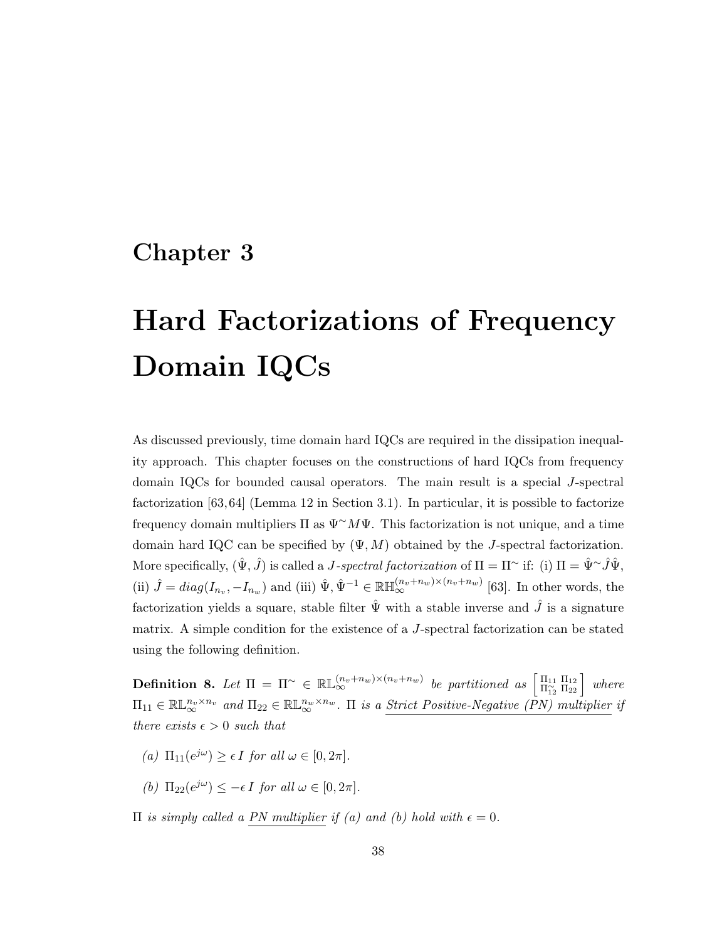# Chapter 3

# Hard Factorizations of Frequency Domain IQCs

As discussed previously, time domain hard IQCs are required in the dissipation inequality approach. This chapter focuses on the constructions of hard IQCs from frequency domain IQCs for bounded causal operators. The main result is a special J-spectral factorization [63, 64] (Lemma 12 in Section 3.1). In particular, it is possible to factorize frequency domain multipliers  $\Pi$  as  $\Psi^{\sim} M \Psi$ . This factorization is not unique, and a time domain hard IQC can be specified by  $(\Psi, M)$  obtained by the *J*-spectral factorization. More specifically,  $(\hat{\Psi}, \hat{J})$  is called a *J-spectral factorization* of  $\Pi = \Pi^{\sim}$  if: (i)  $\Pi = \hat{\Psi}^{\sim} \hat{J} \hat{\Psi}$ , (ii)  $\hat{J} = diag(I_{n_v}, -I_{n_w})$  and (iii)  $\hat{\Psi}, \hat{\Psi}^{-1} \in \mathbb{R} \mathbb{H}_{\infty}^{(n_v+n_w)\times (n_v+n_w)}$  [63]. In other words, the factorization yields a square, stable filter  $\hat{\Psi}$  with a stable inverse and  $\hat{J}$  is a signature matrix. A simple condition for the existence of a J-spectral factorization can be stated using the following definition.

**Definition 8.** Let  $\Pi = \Pi^{\sim} \in \mathbb{RL}_{\infty}^{(n_v + n_w) \times (n_v + n_w)}$  be partitioned as  $\begin{bmatrix} \Pi_{11} & \Pi_{12} \ \Pi_{12}^{\sim} & \Pi_{22} \end{bmatrix}$  where  $\Pi_{11} \in \mathbb{RL}_{\infty}^{n_v \times n_v}$  and  $\Pi_{22} \in \mathbb{RL}_{\infty}^{n_w \times n_w}$ .  $\Pi$  is a Strict Positive-Negative (PN) multiplier if there exists  $\epsilon > 0$  such that

- (a)  $\Pi_{11}(e^{j\omega}) \ge \epsilon I$  for all  $\omega \in [0, 2\pi]$ .
- (b)  $\Pi_{22}(e^{j\omega}) \leq -\epsilon I$  for all  $\omega \in [0, 2\pi]$ .

 $\Pi$  is simply called a PN multiplier if (a) and (b) hold with  $\epsilon = 0$ .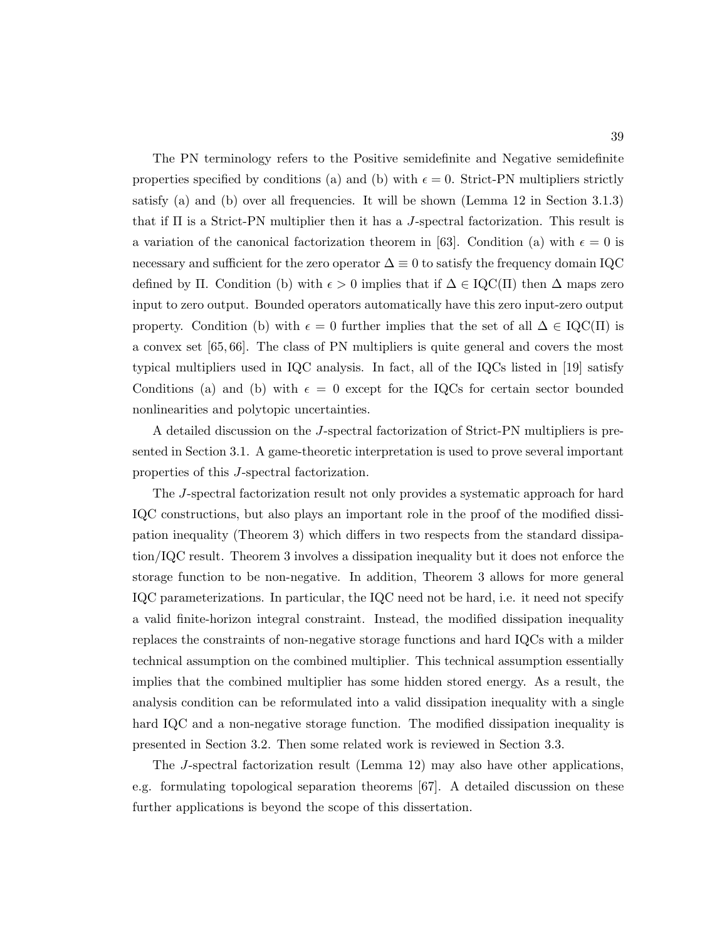The PN terminology refers to the Positive semidefinite and Negative semidefinite properties specified by conditions (a) and (b) with  $\epsilon = 0$ . Strict-PN multipliers strictly satisfy (a) and (b) over all frequencies. It will be shown (Lemma 12 in Section 3.1.3) that if  $\Pi$  is a Strict-PN multiplier then it has a J-spectral factorization. This result is a variation of the canonical factorization theorem in [63]. Condition (a) with  $\epsilon = 0$  is necessary and sufficient for the zero operator  $\Delta \equiv 0$  to satisfy the frequency domain IQC defined by Π. Condition (b) with  $\epsilon > 0$  implies that if  $\Delta \in \text{IQC}(\Pi)$  then  $\Delta$  maps zero input to zero output. Bounded operators automatically have this zero input-zero output property. Condition (b) with  $\epsilon = 0$  further implies that the set of all  $\Delta \in \text{IQC}(\Pi)$  is a convex set [65, 66]. The class of PN multipliers is quite general and covers the most typical multipliers used in IQC analysis. In fact, all of the IQCs listed in [19] satisfy Conditions (a) and (b) with  $\epsilon = 0$  except for the IQCs for certain sector bounded nonlinearities and polytopic uncertainties.

A detailed discussion on the J-spectral factorization of Strict-PN multipliers is presented in Section 3.1. A game-theoretic interpretation is used to prove several important properties of this J-spectral factorization.

The J-spectral factorization result not only provides a systematic approach for hard IQC constructions, but also plays an important role in the proof of the modified dissipation inequality (Theorem 3) which differs in two respects from the standard dissipation/IQC result. Theorem 3 involves a dissipation inequality but it does not enforce the storage function to be non-negative. In addition, Theorem 3 allows for more general IQC parameterizations. In particular, the IQC need not be hard, i.e. it need not specify a valid finite-horizon integral constraint. Instead, the modified dissipation inequality replaces the constraints of non-negative storage functions and hard IQCs with a milder technical assumption on the combined multiplier. This technical assumption essentially implies that the combined multiplier has some hidden stored energy. As a result, the analysis condition can be reformulated into a valid dissipation inequality with a single hard IQC and a non-negative storage function. The modified dissipation inequality is presented in Section 3.2. Then some related work is reviewed in Section 3.3.

The J-spectral factorization result (Lemma 12) may also have other applications, e.g. formulating topological separation theorems [67]. A detailed discussion on these further applications is beyond the scope of this dissertation.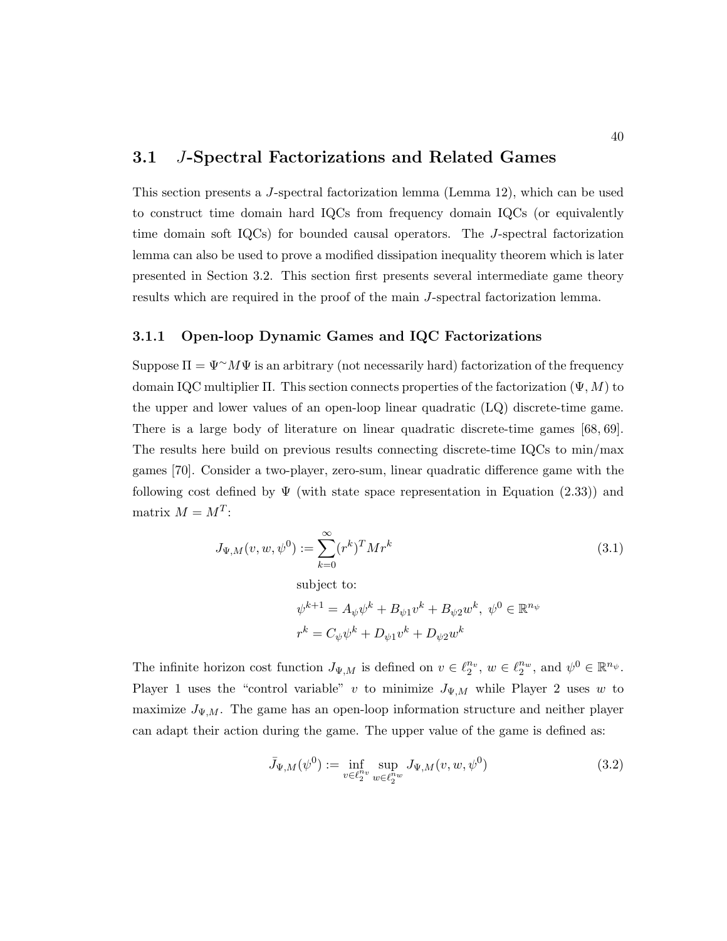### 3.1 J-Spectral Factorizations and Related Games

This section presents a J-spectral factorization lemma (Lemma 12), which can be used to construct time domain hard IQCs from frequency domain IQCs (or equivalently time domain soft IQCs) for bounded causal operators. The J-spectral factorization lemma can also be used to prove a modified dissipation inequality theorem which is later presented in Section 3.2. This section first presents several intermediate game theory results which are required in the proof of the main J-spectral factorization lemma.

#### 3.1.1 Open-loop Dynamic Games and IQC Factorizations

Suppose  $\Pi = \Psi^{\sim} M \Psi$  is an arbitrary (not necessarily hard) factorization of the frequency domain IQC multiplier Π. This section connects properties of the factorization  $(\Psi, M)$  to the upper and lower values of an open-loop linear quadratic (LQ) discrete-time game. There is a large body of literature on linear quadratic discrete-time games [68, 69]. The results here build on previous results connecting discrete-time IQCs to min/max games [70]. Consider a two-player, zero-sum, linear quadratic difference game with the following cost defined by  $\Psi$  (with state space representation in Equation (2.33)) and matrix  $M = M^T$ :

$$
J_{\Psi,M}(v, w, \psi^0) := \sum_{k=0}^{\infty} (r^k)^T M r^k
$$
  
subject to:  

$$
\psi^{k+1} = A_{\psi} \psi^k + B_{\psi 1} v^k + B_{\psi 2} w^k, \ \psi^0 \in \mathbb{R}^{n_{\psi}}
$$

$$
r^k = C_{\psi} \psi^k + D_{\psi 1} v^k + D_{\psi 2} w^k
$$

The infinite horizon cost function  $J_{\Psi,M}$  is defined on  $v \in \ell_2^{n_v}$ ,  $w \in \ell_2^{n_w}$ , and  $\psi^0 \in \mathbb{R}^{n_{\psi}}$ . Player 1 uses the "control variable" v to minimize  $J_{\Psi,M}$  while Player 2 uses w to maximize  $J_{\Psi,M}$ . The game has an open-loop information structure and neither player can adapt their action during the game. The upper value of the game is defined as:

$$
\bar{J}_{\Psi,M}(\psi^0) := \inf_{v \in \ell_2^{n_v}} \sup_{w \in \ell_2^{n_w}} J_{\Psi,M}(v,w,\psi^0)
$$
(3.2)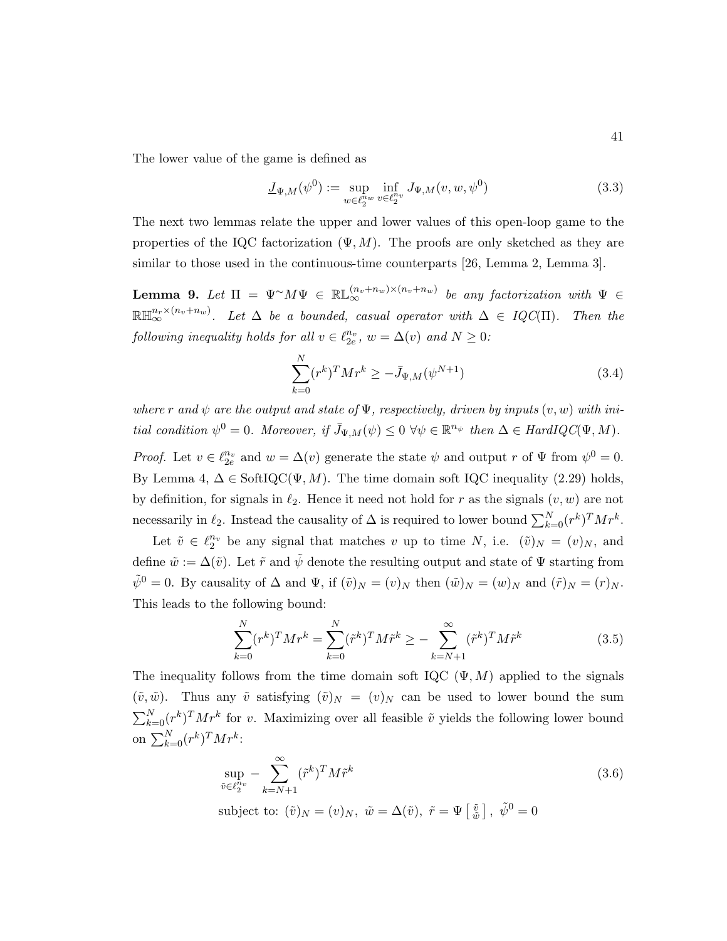The lower value of the game is defined as

$$
\underline{J}_{\Psi,M}(\psi^0) := \sup_{w \in \ell_2^{n_w}} \inf_{v \in \ell_2^{n_v}} J_{\Psi,M}(v,w,\psi^0) \tag{3.3}
$$

The next two lemmas relate the upper and lower values of this open-loop game to the properties of the IQC factorization  $(\Psi, M)$ . The proofs are only sketched as they are similar to those used in the continuous-time counterparts [26, Lemma 2, Lemma 3].

**Lemma 9.** Let  $\Pi = \Psi^{\sim} M \Psi \in \mathbb{RL}_{\infty}^{(n_v+n_w)\times(n_v+n_w)}$  be any factorization with  $\Psi \in$  $\mathbb{R} \mathbb{H}^{n_r \times (n_v+n_w)}_\infty$ . Let  $\Delta$  be a bounded, casual operator with  $\Delta \in IQC(\Pi)$ . Then the following inequality holds for all  $v \in \ell_{2e}^{n_v}$ ,  $w = \Delta(v)$  and  $N \geq 0$ :

$$
\sum_{k=0}^{N} (r^k)^T M r^k \ge -\bar{J}_{\Psi,M}(\psi^{N+1})
$$
\n(3.4)

where r and  $\psi$  are the output and state of  $\Psi$ , respectively, driven by inputs  $(v, w)$  with initial condition  $\psi^0 = 0$ . Moreover, if  $\bar{J}_{\Psi,M}(\psi) \leq 0 \ \forall \psi \in \mathbb{R}^{n_{\psi}}$  then  $\Delta \in HardIQC(\Psi, M)$ .

*Proof.* Let  $v \in \ell_{2e}^{n_v}$  and  $w = \Delta(v)$  generate the state  $\psi$  and output r of  $\Psi$  from  $\psi^0 = 0$ . By Lemma 4,  $\Delta \in \text{SoftIQC}(\Psi, M)$ . The time domain soft IQC inequality (2.29) holds, by definition, for signals in  $\ell_2$ . Hence it need not hold for r as the signals  $(v, w)$  are not necessarily in  $\ell_2$ . Instead the causality of  $\Delta$  is required to lower bound  $\sum_{k=0}^{N} (r^k)^T M r^k$ .

Let  $\tilde{v} \in \ell_2^{n_v}$  be any signal that matches v up to time N, i.e.  $(\tilde{v})_N = (v)_N$ , and define  $\tilde{w} := \Delta(\tilde{v})$ . Let  $\tilde{r}$  and  $\tilde{\psi}$  denote the resulting output and state of  $\Psi$  starting from  $\tilde{\psi}^0 = 0$ . By causality of  $\Delta$  and  $\Psi$ , if  $(\tilde{v})_N = (v)_N$  then  $(\tilde{w})_N = (w)_N$  and  $(\tilde{r})_N = (r)_N$ . This leads to the following bound:

$$
\sum_{k=0}^{N} (r^{k})^{T} M r^{k} = \sum_{k=0}^{N} (\tilde{r}^{k})^{T} M \tilde{r}^{k} \ge -\sum_{k=N+1}^{\infty} (\tilde{r}^{k})^{T} M \tilde{r}^{k}
$$
(3.5)

The inequality follows from the time domain soft IQC  $(\Psi, M)$  applied to the signals  $(\tilde{v}, \tilde{w})$ . Thus any  $\tilde{v}$  satisfying  $(\tilde{v})_N = (v)_N$  can be used to lower bound the sum  $\sum_{k=0}^{N} (r^k)^T M r^k$  for v. Maximizing over all feasible  $\tilde{v}$  yields the following lower bound on  $\sum_{k=0}^{N} (r^k)^T M r^k$ :

$$
\sup_{\tilde{v}\in\ell_2^{n_v}} -\sum_{k=N+1}^{\infty} (\tilde{r}^k)^T M \tilde{r}^k
$$
\n(3.6)

subject to:  $(\tilde{v})_N = (v)_N$ ,  $\tilde{w} = \Delta(\tilde{v})$ ,  $\tilde{r} = \Psi\left[\frac{\tilde{v}}{\tilde{w}}\right]$ ,  $\tilde{\psi}^0 = 0$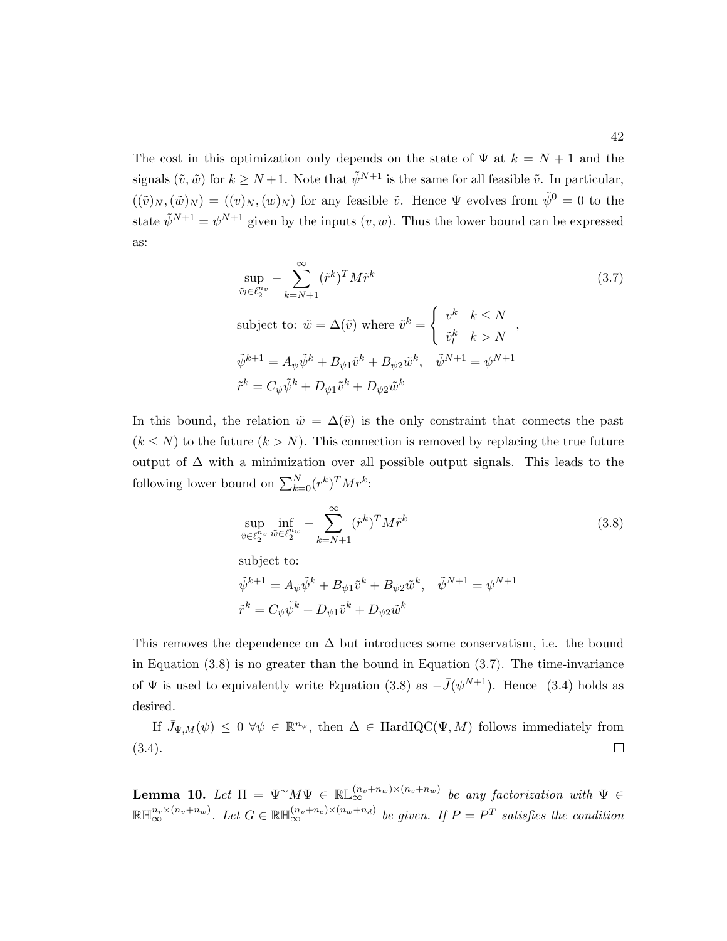The cost in this optimization only depends on the state of  $\Psi$  at  $k = N + 1$  and the signals  $(\tilde{v}, \tilde{w})$  for  $k \geq N+1$ . Note that  $\tilde{\psi}^{N+1}$  is the same for all feasible  $\tilde{v}$ . In particular,  $((\tilde{v})_N,(\tilde{w})_N) = ((v)_N,(w)_N)$  for any feasible  $\tilde{v}$ . Hence  $\Psi$  evolves from  $\tilde{\psi}^0 = 0$  to the state  $\tilde{\psi}^{N+1} = \psi^{N+1}$  given by the inputs  $(v, w)$ . Thus the lower bound can be expressed as:

$$
\sup_{\tilde{v}_l \in \ell_2^{n_v}} - \sum_{k=N+1}^{\infty} (\tilde{r}^k)^T M \tilde{r}^k
$$
\nsubject to:

\n
$$
\tilde{w} = \Delta(\tilde{v}) \text{ where } \tilde{v}^k = \begin{cases}\nv^k & k \le N \\
\tilde{v}_l^k & k > N\n\end{cases},
$$
\n
$$
\tilde{\psi}^{k+1} = A_{\psi} \tilde{\psi}^k + B_{\psi 1} \tilde{v}^k + B_{\psi 2} \tilde{w}^k, \quad \tilde{\psi}^{N+1} = \psi^{N+1}
$$
\n
$$
\tilde{r}^k = C_{\psi} \tilde{\psi}^k + D_{\psi 1} \tilde{v}^k + D_{\psi 2} \tilde{w}^k
$$
\n(3.7)

In this bound, the relation  $\tilde{w} = \Delta(\tilde{v})$  is the only constraint that connects the past  $(k \leq N)$  to the future  $(k > N)$ . This connection is removed by replacing the true future output of  $\Delta$  with a minimization over all possible output signals. This leads to the following lower bound on  $\sum_{k=0}^{N} (r^k)^T M r^k$ :

$$
\sup_{\tilde{v}\in\ell_2^{n_v}} \inf_{\tilde{w}\in\ell_2^{n_w}} - \sum_{k=N+1}^{\infty} (\tilde{r}^k)^T M \tilde{r}^k
$$
\n(3.8)

subject to:

$$
\begin{array}{ll}\tilde{\psi}^{k+1}=A_{\psi}\tilde{\psi}^k+B_{\psi 1}\tilde{v}^k+B_{\psi 2}\tilde{w}^k, & \tilde{\psi}^{N+1}=\psi^{N+1}\\[3mm] \tilde{r}^k=C_{\psi}\tilde{\psi}^k+D_{\psi 1}\tilde{v}^k+D_{\psi 2}\tilde{w}^k\end{array}
$$

This removes the dependence on  $\Delta$  but introduces some conservatism, i.e. the bound in Equation  $(3.8)$  is no greater than the bound in Equation  $(3.7)$ . The time-invariance of  $\Psi$  is used to equivalently write Equation (3.8) as  $-\bar{J}(\psi^{N+1})$ . Hence (3.4) holds as desired.

If  $\bar{J}_{\Psi,M}(\psi) \leq 0 \ \forall \psi \in \mathbb{R}^{n_{\psi}},$  then  $\Delta \in \text{HardIQC}(\Psi, M)$  follows immediately from (3.4).  $\Box$ 

**Lemma 10.** Let  $\Pi = \Psi^{\sim} M \Psi \in \mathbb{RL}_{\infty}^{(n_v+n_w)\times(n_v+n_w)}$  be any factorization with  $\Psi \in$  $\mathbb{R} \mathbb{H}^{n_r \times (n_v+n_w)}_{\infty}$ . Let  $G \in \mathbb{R} \mathbb{H}^{(n_v+n_e) \times (n_w+n_d)}_{\infty}$  be given. If  $P = P^T$  satisfies the condition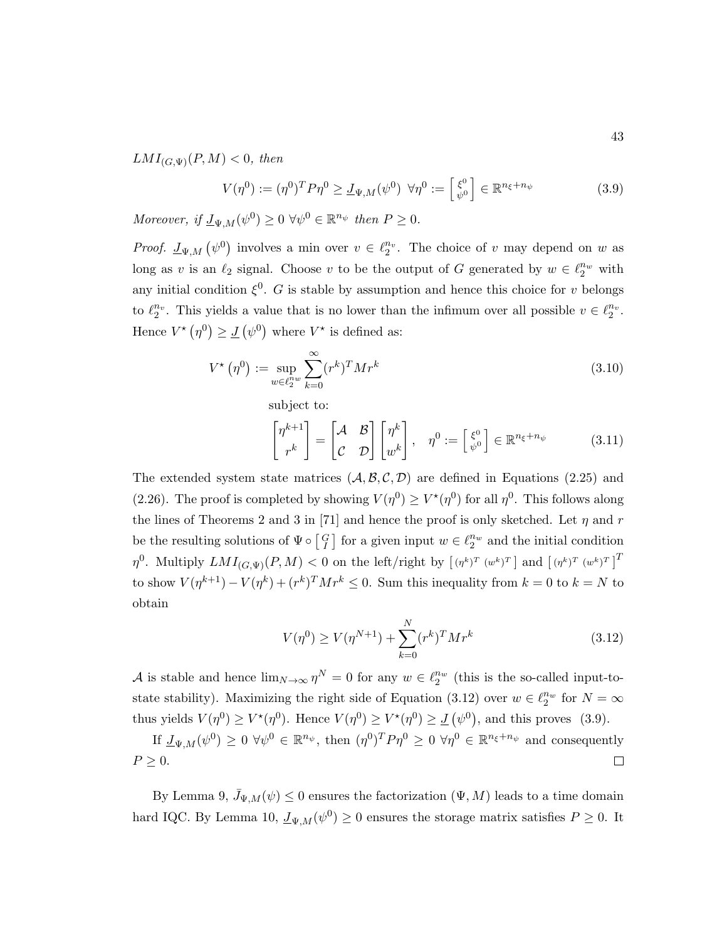$LMI_{(G,\Psi)}(P,M) < 0$ , then

$$
V(\eta^0) := (\eta^0)^T P \eta^0 \ge \underline{J}_{\Psi, M}(\psi^0) \ \forall \eta^0 := \begin{bmatrix} \xi^0 \\ \psi^0 \end{bmatrix} \in \mathbb{R}^{n_{\xi} + n_{\psi}}
$$
(3.9)

Moreover, if  $\underline{J}_{\Psi,M}(\psi^0) \geq 0 \ \forall \psi^0 \in \mathbb{R}^{n_{\psi}}$  then  $P \geq 0$ .

*Proof.*  $\mathcal{L}_{\Psi,M}(\psi^0)$  involves a min over  $v \in \ell_2^{n_v}$ . The choice of v may depend on w as long as v is an  $\ell_2$  signal. Choose v to be the output of G generated by  $w \in \ell_2^{n_w}$  with any initial condition  $\xi^0$ . G is stable by assumption and hence this choice for v belongs to  $\ell_2^{n_v}$ . This yields a value that is no lower than the infimum over all possible  $v \in \ell_2^{n_v}$ . Hence  $V^*(\eta^0) \geq \underline{J}(\psi^0)$  where  $V^*$  is defined as:

$$
V^{\star}(\eta^{0}) := \sup_{w \in \ell_{2}^{n_{w}}} \sum_{k=0}^{\infty} (r^{k})^{T} M r^{k}
$$
\n(3.10)

subject to:

$$
\begin{bmatrix} \eta^{k+1} \\ r^k \end{bmatrix} = \begin{bmatrix} \mathcal{A} & \mathcal{B} \\ \mathcal{C} & \mathcal{D} \end{bmatrix} \begin{bmatrix} \eta^k \\ w^k \end{bmatrix}, \quad \eta^0 := \begin{bmatrix} \xi^0 \\ \psi^0 \end{bmatrix} \in \mathbb{R}^{n_{\xi} + n_{\psi}} \tag{3.11}
$$

The extended system state matrices  $(A, \mathcal{B}, \mathcal{C}, \mathcal{D})$  are defined in Equations (2.25) and (2.26). The proof is completed by showing  $V(\eta^0) \geq V^*(\eta^0)$  for all  $\eta^0$ . This follows along the lines of Theorems 2 and 3 in [71] and hence the proof is only sketched. Let  $\eta$  and r be the resulting solutions of  $\Psi \circ \begin{bmatrix} G \\ I \end{bmatrix}$  for a given input  $w \in \ell_2^{n_w}$  and the initial condition  $\eta^0$ . Multiply  $LMI_{(G,\Psi)}(P,M) < 0$  on the left/right by  $\left[ (\eta^k)^T (\psi^k)^T \right]$  and  $\left[ (\eta^k)^T (\psi^k)^T \right]^T$ to show  $V(\eta^{k+1}) - V(\eta^k) + (r^k)^\text{T} M r^k \leq 0$ . Sum this inequality from  $k = 0$  to  $k = N$  to obtain

$$
V(\eta^0) \ge V(\eta^{N+1}) + \sum_{k=0}^{N} (r^k)^T M r^k
$$
\n(3.12)

A is stable and hence  $\lim_{N\to\infty} \eta^N = 0$  for any  $w \in \ell_2^{n_w}$  (this is the so-called input-tostate stability). Maximizing the right side of Equation (3.12) over  $w \in \ell_2^{n_w}$  for  $N = \infty$ thus yields  $V(\eta^0) \ge V^*(\eta^0)$ . Hence  $V(\eta^0) \ge V^*(\eta^0) \ge \underline{J}(\psi^0)$ , and this proves (3.9).

If  $\underline{J}_{\Psi,M}(\psi^0) \geq 0 \ \forall \psi^0 \in \mathbb{R}^{n_{\psi}},$  then  $(\eta^0)^T P \eta^0 \geq 0 \ \forall \eta^0 \in \mathbb{R}^{n_{\xi}+n_{\psi}}$  and consequently  $P \geq 0$ .  $\Box$ 

By Lemma 9,  $\bar{J}_{\Psi,M}(\psi) \leq 0$  ensures the factorization  $(\Psi, M)$  leads to a time domain hard IQC. By Lemma 10,  $\underline{J}_{\Psi,M}(\psi^0) \geq 0$  ensures the storage matrix satisfies  $P \geq 0$ . It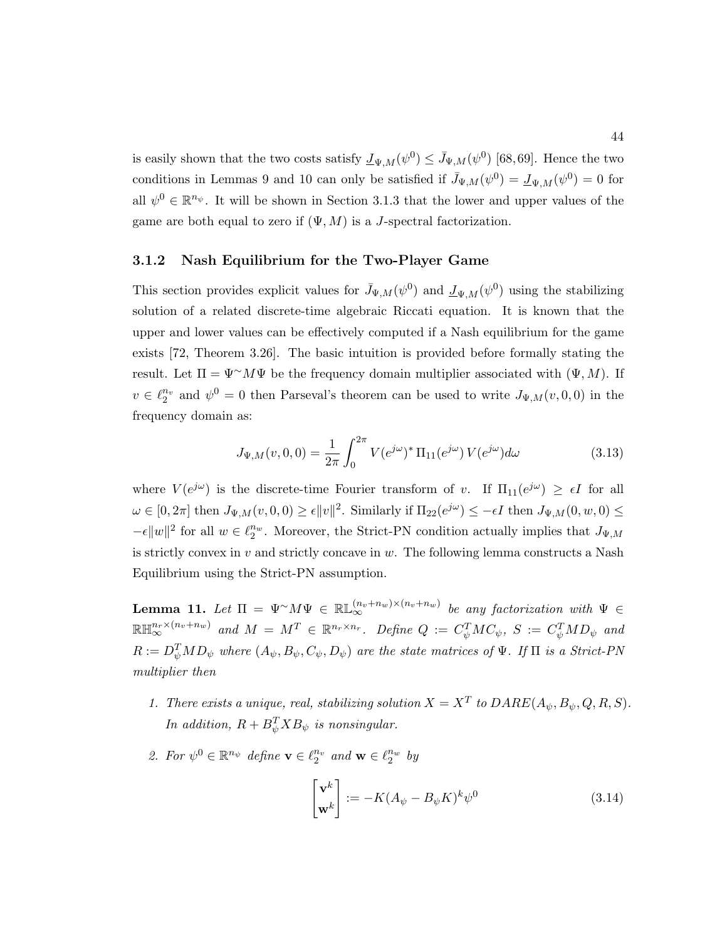is easily shown that the two costs satisfy  $\underline{J}_{\Psi,M}(\psi^0) \leq \overline{J}_{\Psi,M}(\psi^0)$  [68,69]. Hence the two conditions in Lemmas 9 and 10 can only be satisfied if  $\bar{J}_{\Psi,M}(\psi^0) = \underline{J}_{\Psi,M}(\psi^0) = 0$  for all  $\psi^0 \in \mathbb{R}^{n_{\psi}}$ . It will be shown in Section 3.1.3 that the lower and upper values of the game are both equal to zero if  $(\Psi, M)$  is a *J*-spectral factorization.

#### 3.1.2 Nash Equilibrium for the Two-Player Game

This section provides explicit values for  $\bar{J}_{\Psi,M}(\psi^0)$  and  $\underline{J}_{\Psi,M}(\psi^0)$  using the stabilizing solution of a related discrete-time algebraic Riccati equation. It is known that the upper and lower values can be effectively computed if a Nash equilibrium for the game exists [72, Theorem 3.26]. The basic intuition is provided before formally stating the result. Let  $\Pi = \Psi^{\sim} M \Psi$  be the frequency domain multiplier associated with  $(\Psi, M)$ . If  $v \in \ell_2^{n_v}$  and  $\psi^0 = 0$  then Parseval's theorem can be used to write  $J_{\Psi,M}(v,0,0)$  in the frequency domain as:

$$
J_{\Psi,M}(v,0,0) = \frac{1}{2\pi} \int_0^{2\pi} V(e^{j\omega})^* \Pi_{11}(e^{j\omega}) V(e^{j\omega}) d\omega \tag{3.13}
$$

where  $V(e^{j\omega})$  is the discrete-time Fourier transform of v. If  $\Pi_{11}(e^{j\omega}) \geq \epsilon I$  for all  $\omega \in [0, 2\pi]$  then  $J_{\Psi,M}(v, 0, 0) \ge \epsilon \|v\|^2$ . Similarly if  $\Pi_{22}(e^{j\omega}) \le -\epsilon I$  then  $J_{\Psi,M}(0, w, 0) \le$  $-\epsilon ||w||^2$  for all  $w \in \ell_2^{n_w}$ . Moreover, the Strict-PN condition actually implies that  $J_{\Psi,M}$ is strictly convex in  $v$  and strictly concave in  $w$ . The following lemma constructs a Nash Equilibrium using the Strict-PN assumption.

**Lemma 11.** Let  $\Pi = \Psi^{\sim} M \Psi \in \mathbb{RL}_{\infty}^{(n_v+n_w)\times(n_v+n_w)}$  be any factorization with  $\Psi \in$  $\mathbb{R} \mathbb{H}^{n_r \times (n_v+n_w)}_{\infty}$  and  $M = M^T \in \mathbb{R}^{n_r \times n_r}$ . Define  $Q := C_\psi^T M C_\psi$ ,  $S := C_\psi^T M D_\psi$  and  $R:=D_\psi^TMD_\psi$  where  $(A_\psi,B_\psi,C_\psi,D_\psi)$  are the state matrices of  $\Psi$ . If  $\Pi$  is a Strict-PN multiplier then

- 1. There exists a unique, real, stabilizing solution  $X = X^T$  to  $DARE(A_{\psi}, B_{\psi}, Q, R, S)$ . In addition,  $R + B_{\psi}^{T} X B_{\psi}$  is nonsingular.
- 2. For  $\psi^0 \in \mathbb{R}^{n_{\psi}}$  define  $\mathbf{v} \in \ell_2^{n_v}$  and  $\mathbf{w} \in \ell_2^{n_w}$  by

$$
\begin{bmatrix} \mathbf{v}^k \\ \mathbf{w}^k \end{bmatrix} := -K(A_{\psi} - B_{\psi}K)^k \psi^0
$$
 (3.14)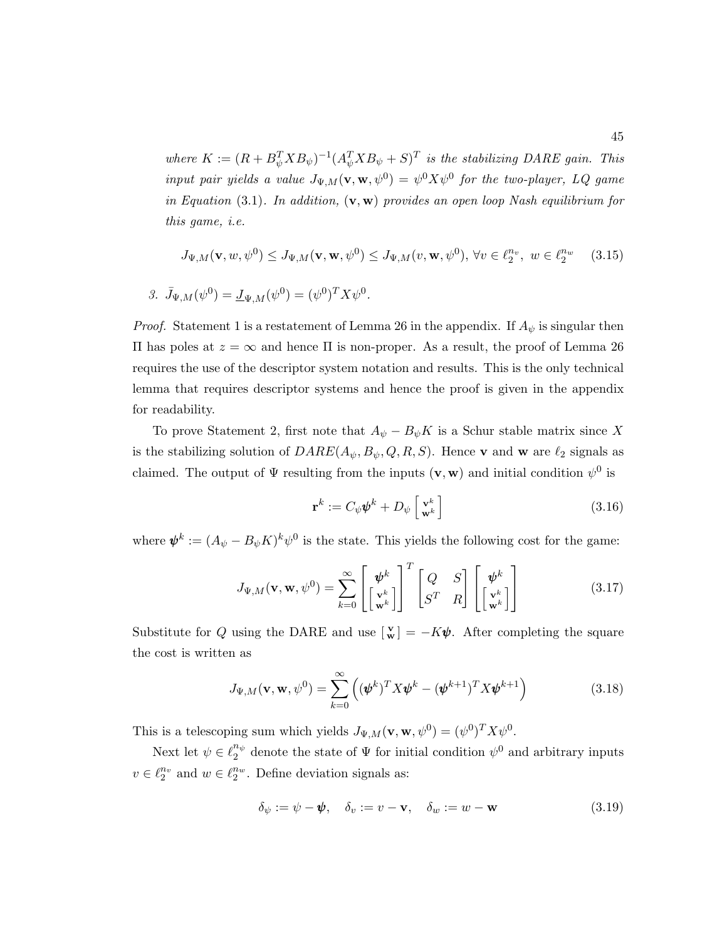where  $K := (R + B_{\psi}^T X B_{\psi})^{-1} (A_{\psi}^T X B_{\psi} + S)^T$  is the stabilizing DARE gain. This input pair yields a value  $J_{\Psi,M}(\mathbf{v},\mathbf{w},\psi^0) = \psi^0 X \psi^0$  for the two-player, LQ game in Equation (3.1). In addition,  $(v, w)$  provides an open loop Nash equilibrium for this game, i.e.

$$
J_{\Psi,M}(\mathbf{v},w,\psi^0) \le J_{\Psi,M}(\mathbf{v},\mathbf{w},\psi^0) \le J_{\Psi,M}(v,\mathbf{w},\psi^0), \forall v \in \ell_2^{n_v}, \ w \in \ell_2^{n_w} \tag{3.15}
$$

$$
\mathcal{S}.\ \bar{J}_{\Psi,M}(\psi^0) = \underline{J}_{\Psi,M}(\psi^0) = (\psi^0)^TX\psi^0.
$$

*Proof.* Statement 1 is a restatement of Lemma 26 in the appendix. If  $A_{\psi}$  is singular then Π has poles at z = ∞ and hence Π is non-proper. As a result, the proof of Lemma 26 requires the use of the descriptor system notation and results. This is the only technical lemma that requires descriptor systems and hence the proof is given in the appendix for readability.

To prove Statement 2, first note that  $A_{\psi} - B_{\psi}K$  is a Schur stable matrix since X is the stabilizing solution of  $DARE(A_{\psi}, B_{\psi}, Q, R, S)$ . Hence **v** and **w** are  $\ell_2$  signals as claimed. The output of  $\Psi$  resulting from the inputs  $(\mathbf{v}, \mathbf{w})$  and initial condition  $\psi^0$  is

$$
\mathbf{r}^k := C_{\psi} \boldsymbol{\psi}^k + D_{\psi} \begin{bmatrix} \mathbf{v}^k \\ \mathbf{w}^k \end{bmatrix}
$$
 (3.16)

where  $\psi^k := (A_{\psi} - B_{\psi} K)^k \psi^0$  is the state. This yields the following cost for the game:

$$
J_{\Psi,M}(\mathbf{v},\mathbf{w},\psi^0) = \sum_{k=0}^{\infty} \begin{bmatrix} \boldsymbol{\psi}^k \\ \begin{bmatrix} \mathbf{v}^k \\ \mathbf{w}^k \end{bmatrix} \end{bmatrix}^T \begin{bmatrix} Q & S \\ S^T & R \end{bmatrix} \begin{bmatrix} \boldsymbol{\psi}^k \\ \begin{bmatrix} \mathbf{v}^k \\ \mathbf{w}^k \end{bmatrix} \end{bmatrix}
$$
(3.17)

Substitute for Q using the DARE and use  $\begin{bmatrix} \mathbf{v} \\ \mathbf{w} \end{bmatrix} = -K\psi$ . After completing the square the cost is written as

$$
J_{\Psi,M}(\mathbf{v},\mathbf{w},\psi^0) = \sum_{k=0}^{\infty} \left( (\boldsymbol{\psi}^k)^T X \boldsymbol{\psi}^k - (\boldsymbol{\psi}^{k+1})^T X \boldsymbol{\psi}^{k+1} \right)
$$
(3.18)

This is a telescoping sum which yields  $J_{\Psi,M}(\mathbf{v}, \mathbf{w}, \psi^0) = (\psi^0)^T X \psi^0$ .

Next let  $\psi \in \ell_2^{n_{\psi}}$  $\frac{n_{\psi}}{2}$  denote the state of  $\Psi$  for initial condition  $\psi^0$  and arbitrary inputs  $v \in \ell_2^{n_v}$  and  $w \in \ell_2^{n_w}$ . Define deviation signals as:

$$
\delta_{\psi} := \psi - \psi, \quad \delta_{v} := v - \mathbf{v}, \quad \delta_{w} := w - \mathbf{w} \tag{3.19}
$$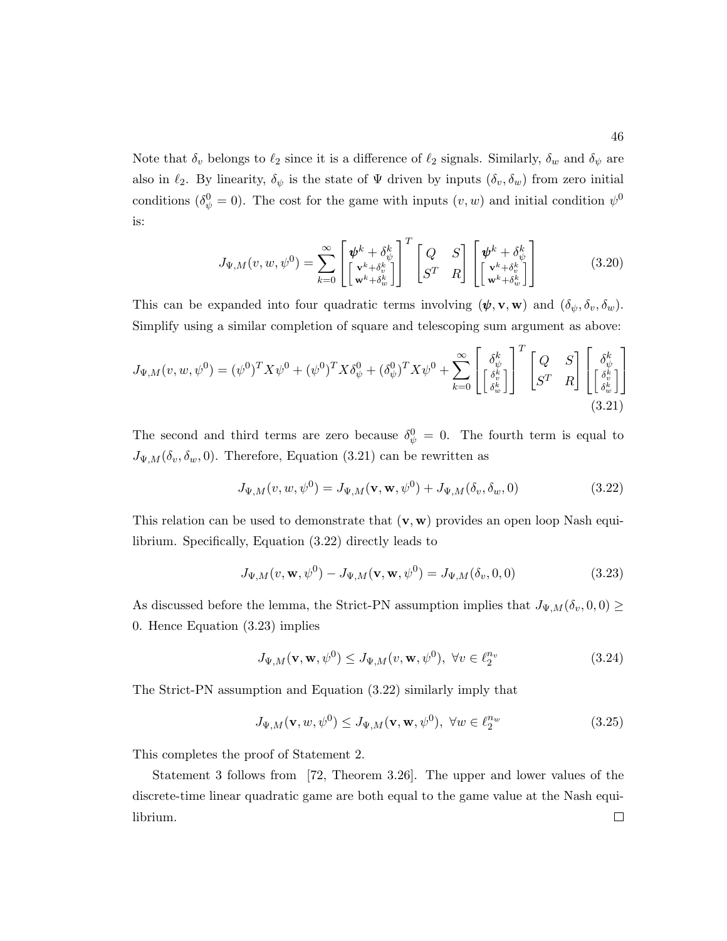Note that  $\delta_v$  belongs to  $\ell_2$  since it is a difference of  $\ell_2$  signals. Similarly,  $\delta_w$  and  $\delta_\psi$  are also in  $\ell_2$ . By linearity,  $\delta_{\psi}$  is the state of  $\Psi$  driven by inputs  $(\delta_v, \delta_w)$  from zero initial conditions ( $\delta_{\psi}^{0} = 0$ ). The cost for the game with inputs  $(v, w)$  and initial condition  $\psi^{0}$ is:

$$
J_{\Psi,M}(v,w,\psi^0) = \sum_{k=0}^{\infty} \begin{bmatrix} \psi^k + \delta^k_{\psi} \\ \begin{bmatrix} \mathbf{v}^k + \delta^k_{\psi} \\ \mathbf{w}^k + \delta^k_{\psi} \end{bmatrix} \end{bmatrix}^T \begin{bmatrix} Q & S \\ S^T & R \end{bmatrix} \begin{bmatrix} \psi^k + \delta^k_{\psi} \\ \begin{bmatrix} \mathbf{v}^k + \delta^k_{\psi} \\ \mathbf{w}^k + \delta^k_{\psi} \end{bmatrix} \end{bmatrix}
$$
(3.20)

This can be expanded into four quadratic terms involving  $(\psi, \mathbf{v}, \mathbf{w})$  and  $(\delta_{\psi}, \delta_{v}, \delta_{w})$ . Simplify using a similar completion of square and telescoping sum argument as above:

$$
J_{\Psi,M}(v,w,\psi^0) = (\psi^0)^T X \psi^0 + (\psi^0)^T X \delta_{\psi}^0 + (\delta_{\psi}^0)^T X \psi^0 + \sum_{k=0}^{\infty} \begin{bmatrix} \delta_{\psi}^k \\ \begin{bmatrix} \delta_{\psi}^k \\ \delta_{w}^k \end{bmatrix} \end{bmatrix}^T \begin{bmatrix} Q & S \\ S^T & R \end{bmatrix} \begin{bmatrix} \delta_{\psi}^k \\ \begin{bmatrix} \delta_{\psi}^k \\ \delta_{w}^k \end{bmatrix} \end{bmatrix}
$$
(3.21)

The second and third terms are zero because  $\delta_{\psi}^{0} = 0$ . The fourth term is equal to  $J_{\Psi,M}(\delta_v, \delta_w, 0)$ . Therefore, Equation (3.21) can be rewritten as

$$
J_{\Psi,M}(v,w,\psi^0) = J_{\Psi,M}(\mathbf{v},\mathbf{w},\psi^0) + J_{\Psi,M}(\delta_v,\delta_w,0)
$$
\n(3.22)

This relation can be used to demonstrate that  $(v, w)$  provides an open loop Nash equilibrium. Specifically, Equation (3.22) directly leads to

$$
J_{\Psi,M}(v,\mathbf{w},\psi^0) - J_{\Psi,M}(\mathbf{v},\mathbf{w},\psi^0) = J_{\Psi,M}(\delta_v,0,0)
$$
\n(3.23)

As discussed before the lemma, the Strict-PN assumption implies that  $J_{\Psi,M}(\delta_v, 0,0) \geq$ 0. Hence Equation (3.23) implies

$$
J_{\Psi,M}(\mathbf{v},\mathbf{w},\psi^0) \le J_{\Psi,M}(v,\mathbf{w},\psi^0), \ \forall v \in \ell_2^{n_v}
$$
\n(3.24)

The Strict-PN assumption and Equation (3.22) similarly imply that

$$
J_{\Psi,M}(\mathbf{v},w,\psi^0) \le J_{\Psi,M}(\mathbf{v},\mathbf{w},\psi^0), \ \forall w \in \ell_2^{nw}
$$
 (3.25)

This completes the proof of Statement 2.

Statement 3 follows from [72, Theorem 3.26]. The upper and lower values of the discrete-time linear quadratic game are both equal to the game value at the Nash equi- $\Box$ librium.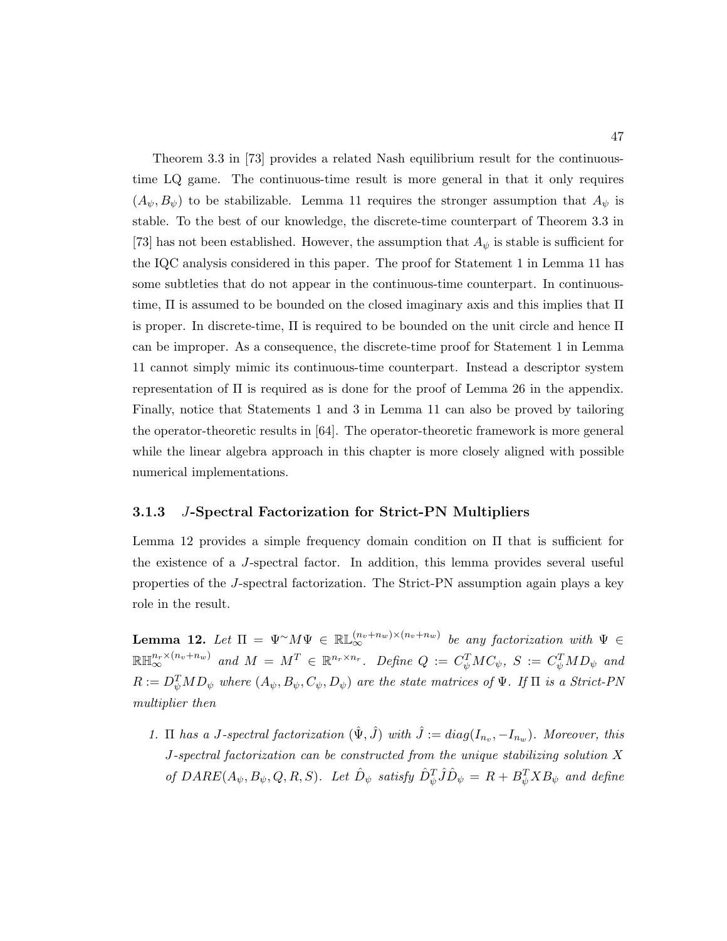Theorem 3.3 in [73] provides a related Nash equilibrium result for the continuoustime LQ game. The continuous-time result is more general in that it only requires  $(A_{\psi}, B_{\psi})$  to be stabilizable. Lemma 11 requires the stronger assumption that  $A_{\psi}$  is stable. To the best of our knowledge, the discrete-time counterpart of Theorem 3.3 in [73] has not been established. However, the assumption that  $A_{\psi}$  is stable is sufficient for the IQC analysis considered in this paper. The proof for Statement 1 in Lemma 11 has some subtleties that do not appear in the continuous-time counterpart. In continuoustime,  $\Pi$  is assumed to be bounded on the closed imaginary axis and this implies that  $\Pi$ is proper. In discrete-time, Π is required to be bounded on the unit circle and hence Π can be improper. As a consequence, the discrete-time proof for Statement 1 in Lemma 11 cannot simply mimic its continuous-time counterpart. Instead a descriptor system representation of  $\Pi$  is required as is done for the proof of Lemma 26 in the appendix. Finally, notice that Statements 1 and 3 in Lemma 11 can also be proved by tailoring the operator-theoretic results in [64]. The operator-theoretic framework is more general while the linear algebra approach in this chapter is more closely aligned with possible numerical implementations.

#### 3.1.3 J-Spectral Factorization for Strict-PN Multipliers

Lemma 12 provides a simple frequency domain condition on  $\Pi$  that is sufficient for the existence of a J-spectral factor. In addition, this lemma provides several useful properties of the J-spectral factorization. The Strict-PN assumption again plays a key role in the result.

**Lemma 12.** Let  $\Pi = \Psi^{\sim} M \Psi \in \mathbb{RL}_{\infty}^{(n_v+n_w)\times(n_v+n_w)}$  be any factorization with  $\Psi \in$  $\mathbb{R} \mathbb{H}^{n_r \times (n_v+n_w)}_{\infty}$  and  $M = M^T \in \mathbb{R}^{n_r \times n_r}$ . Define  $Q := C_\psi^T M C_\psi$ ,  $S := C_\psi^T M D_\psi$  and  $R:=D_\psi^TMD_\psi$  where  $(A_\psi,B_\psi,C_\psi,D_\psi)$  are the state matrices of  $\Psi$ . If  $\Pi$  is a Strict-PN multiplier then

1.  $\Pi$  has a J-spectral factorization  $(\hat{\Psi}, \hat{J})$  with  $\hat{J} := diag(I_{n_v}, -I_{n_w})$ . Moreover, this J-spectral factorization can be constructed from the unique stabilizing solution X of  $\textit{DARE}(A_{\psi}, B_{\psi}, Q, R, S)$ . Let  $\hat{D}_{\psi}$  satisfy  $\hat{D}_{\psi}^{T} \hat{J} \hat{D}_{\psi} = R + B_{\psi}^{T} X B_{\psi}$  and define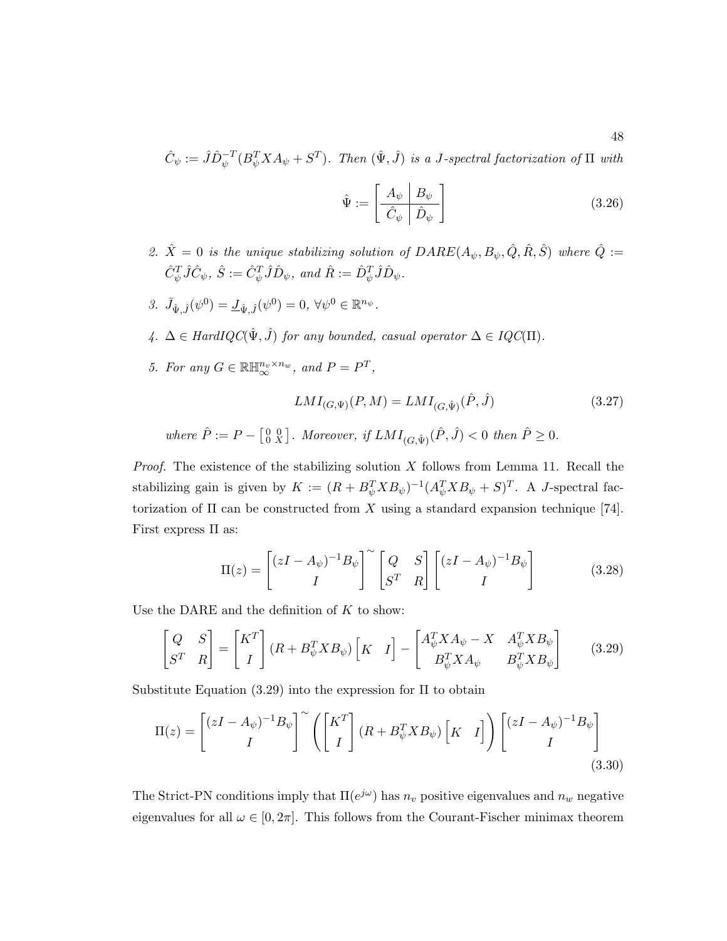$$
\hat{C}_{\psi} := \hat{J}\hat{D}_{\psi}^{-T}(B_{\psi}^T X A_{\psi} + S^T).
$$
 Then  $(\hat{\Psi}, \hat{J})$  is a J-spectral factorization of  $\Pi$  with

$$
\hat{\Psi} := \begin{bmatrix} A_{\psi} & B_{\psi} \\ \hat{C}_{\psi} & \hat{D}_{\psi} \end{bmatrix}
$$
\n(3.26)

- 2.  $\hat{X} = 0$  is the unique stabilizing solution of  $DARE(A_{\psi}, B_{\psi}, \hat{Q}, \hat{R}, \hat{S})$  where  $\hat{Q}$  :=  $\hat{C}_{\psi}^T\hat{J}\hat{C}_{\psi},\ \hat{S}:=\hat{C}_{\psi}^T\hat{J}\hat{D}_{\psi},\ and\ \hat{R}:=\hat{D}_{\psi}^T\hat{J}\hat{D}_{\psi}.$
- 3.  $\bar{J}_{\hat{\Psi},\hat{J}}(\psi^0) = \underline{J}_{\hat{\Psi},\hat{J}}(\psi^0) = 0, \,\forall \psi^0 \in \mathbb{R}^{n_{\psi}}.$
- 4.  $\Delta \in HardIQC(\hat{\Psi}, \hat{J})$  for any bounded, casual operator  $\Delta \in IQC(\Pi)$ .
- 5. For any  $G \in \mathbb{R} \mathbb{H}_{\infty}^{n_v \times n_w}$ , and  $P = P^T$ ,

$$
LMI_{(G,\Psi)}(P,M) = LMI_{(G,\hat{\Psi})}(\hat{P},\hat{J})
$$
(3.27)  
where  $\hat{P} := P - \begin{bmatrix} 0 & 0 \\ 0 & X \end{bmatrix}$ . Moreover, if  $LMI_{(G,\hat{\Psi})}(\hat{P},\hat{J}) < 0$  then  $\hat{P} \ge 0$ .

*Proof.* The existence of the stabilizing solution  $X$  follows from Lemma 11. Recall the stabilizing gain is given by  $K := (R + B_{\psi}^{T} X B_{\psi})^{-1} (A_{\psi}^{T} X B_{\psi} + S)^{T}$ . A J-spectral factorization of  $\Pi$  can be constructed from X using a standard expansion technique [74]. First express Π as:

$$
\Pi(z) = \begin{bmatrix} (zI - A_{\psi})^{-1}B_{\psi} \\ I \end{bmatrix}^{\sim} \begin{bmatrix} Q & S \\ S^{T} & R \end{bmatrix} \begin{bmatrix} (zI - A_{\psi})^{-1}B_{\psi} \\ I \end{bmatrix}
$$
(3.28)

Use the DARE and the definition of  $K$  to show:

$$
\begin{bmatrix} Q & S \\ S^T & R \end{bmatrix} = \begin{bmatrix} K^T \\ I \end{bmatrix} (R + B_{\psi}^T X B_{\psi}) \begin{bmatrix} K & I \end{bmatrix} - \begin{bmatrix} A_{\psi}^T X A_{\psi} - X & A_{\psi}^T X B_{\psi} \\ B_{\psi}^T X A_{\psi} & B_{\psi}^T X B_{\psi} \end{bmatrix}
$$
(3.29)

Substitute Equation  $(3.29)$  into the expression for  $\Pi$  to obtain

$$
\Pi(z) = \begin{bmatrix} (zI - A_{\psi})^{-1}B_{\psi} \\ I \end{bmatrix}^{\sim} \left( \begin{bmatrix} K^{T} \\ I \end{bmatrix} (R + B_{\psi}^{T}XB_{\psi}) \begin{bmatrix} K & I \end{bmatrix} \right) \begin{bmatrix} (zI - A_{\psi})^{-1}B_{\psi} \\ I \end{bmatrix}
$$
\n(3.30)

The Strict-PN conditions imply that  $\Pi(e^{j\omega})$  has  $n_v$  positive eigenvalues and  $n_w$  negative eigenvalues for all  $\omega \in [0, 2\pi]$ . This follows from the Courant-Fischer minimax theorem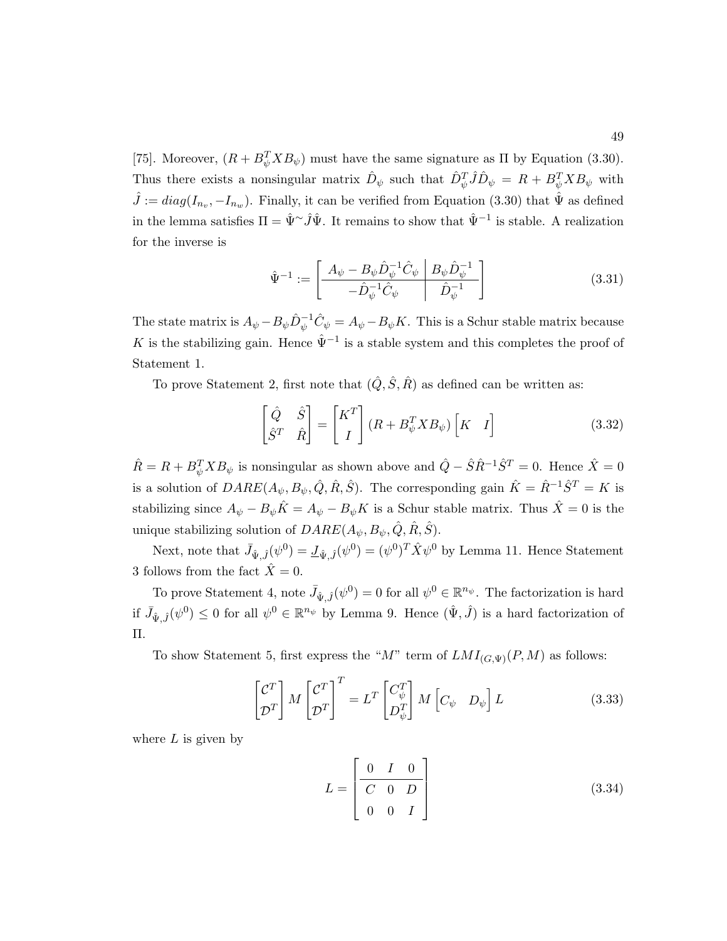[75]. Moreover,  $(R + B_{\psi}^T X B_{\psi})$  must have the same signature as  $\Pi$  by Equation (3.30). Thus there exists a nonsingular matrix  $\hat{D}_{\psi}$  such that  $\hat{D}_{\psi}^T \hat{J} \hat{D}_{\psi} = R + B_{\psi}^T X B_{\psi}$  with  $\hat{J} := diag(I_{n_v}, -I_{n_w})$ . Finally, it can be verified from Equation (3.30) that  $\hat{\Psi}$  as defined in the lemma satisfies  $\Pi = \hat{\Psi}^{\sim} \hat{J} \hat{\Psi}$ . It remains to show that  $\hat{\Psi}^{-1}$  is stable. A realization for the inverse is

$$
\hat{\Psi}^{-1} := \left[ \begin{array}{c|c} A_{\psi} - B_{\psi} \hat{D}_{\psi}^{-1} \hat{C}_{\psi} & B_{\psi} \hat{D}_{\psi}^{-1} \\ \hline - \hat{D}_{\psi}^{-1} \hat{C}_{\psi} & \hat{D}_{\psi}^{-1} \end{array} \right] \tag{3.31}
$$

The state matrix is  $A_{\psi} - B_{\psi} \hat{D}_{\psi}^{-1} \hat{C}_{\psi} = A_{\psi} - B_{\psi} K$ . This is a Schur stable matrix because K is the stabilizing gain. Hence  $\hat{\Psi}^{-1}$  is a stable system and this completes the proof of Statement 1.

To prove Statement 2, first note that  $(\hat{Q}, \hat{S}, \hat{R})$  as defined can be written as:

$$
\begin{bmatrix} \hat{Q} & \hat{S} \\ \hat{S}^T & \hat{R} \end{bmatrix} = \begin{bmatrix} K^T \\ I \end{bmatrix} (R + B_{\psi}^T X B_{\psi}) \begin{bmatrix} K & I \end{bmatrix}
$$
 (3.32)

 $\hat{R} = R + B_{\psi}^{T} X B_{\psi}$  is nonsingular as shown above and  $\hat{Q} - \hat{S} \hat{R}^{-1} \hat{S}^{T} = 0$ . Hence  $\hat{X} = 0$ is a solution of  $DARE(A_{\psi}, B_{\psi}, \hat{Q}, \hat{R}, \hat{S})$ . The corresponding gain  $\hat{K} = \hat{R}^{-1}\hat{S}^{T} = K$  is stabilizing since  $A_{\psi} - B_{\psi}\hat{K} = A_{\psi} - B_{\psi}K$  is a Schur stable matrix. Thus  $\hat{X} = 0$  is the unique stabilizing solution of  $DARE(A_{\psi}, B_{\psi}, \hat{Q}, \hat{R}, \hat{S})$ .

Next, note that  $\bar{J}_{\hat{\Psi},\hat{J}}(\psi^0) = \underline{J}_{\hat{\Psi},\hat{J}}(\psi^0) = (\psi^0)^T \hat{X} \psi^0$  by Lemma 11. Hence Statement 3 follows from the fact  $\hat{X}=0$ .

To prove Statement 4, note  $\bar{J}_{\hat{\Psi},\hat{J}}(\psi^0) = 0$  for all  $\psi^0 \in \mathbb{R}^{n_{\psi}}$ . The factorization is hard if  $\bar{J}_{\hat{\Psi},\hat{J}}(\psi^0) \leq 0$  for all  $\psi^0 \in \mathbb{R}^{n_{\psi}}$  by Lemma 9. Hence  $(\hat{\Psi},\hat{J})$  is a hard factorization of Π.

To show Statement 5, first express the " $M$ " term of  $LMI_{(G,\Psi)}(P,M)$  as follows:

$$
\begin{bmatrix} \mathcal{C}^T \\ \mathcal{D}^T \end{bmatrix} M \begin{bmatrix} \mathcal{C}^T \\ \mathcal{D}^T \end{bmatrix}^T = L^T \begin{bmatrix} C^T_{\psi} \\ D^T_{\psi} \end{bmatrix} M \begin{bmatrix} C_{\psi} & D_{\psi} \end{bmatrix} L
$$
 (3.33)

where  $L$  is given by

$$
L = \begin{bmatrix} 0 & I & 0 \\ C & 0 & D \\ 0 & 0 & I \end{bmatrix}
$$
 (3.34)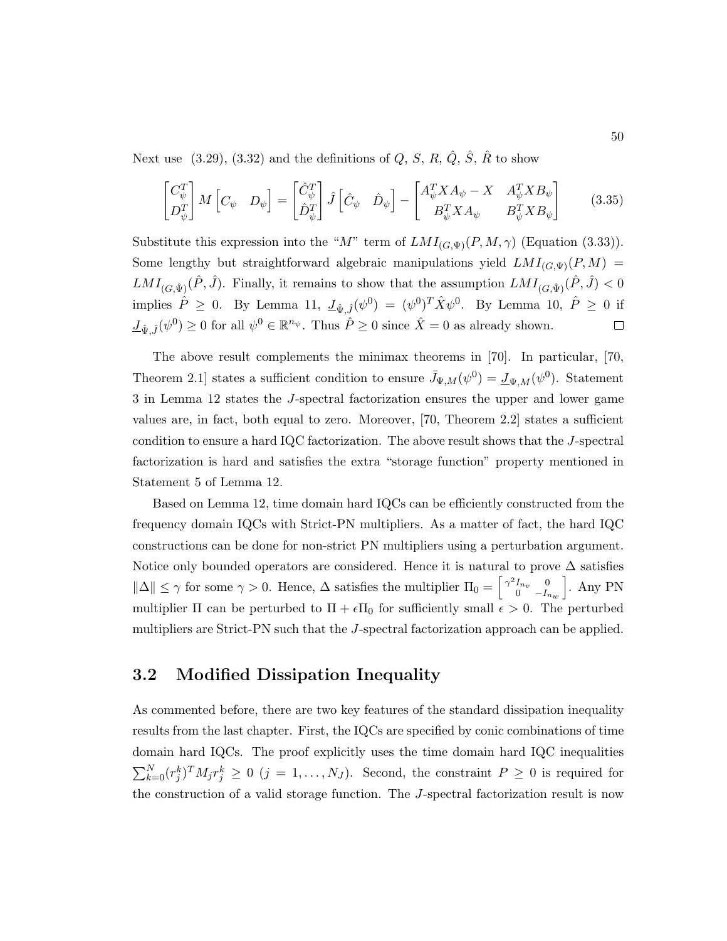Next use  $(3.29), (3.32)$  and the definitions of  $Q, S, R, \hat{Q}, \hat{S}, \hat{R}$  to show

$$
\begin{bmatrix} C_{\psi}^T \\ D_{\psi}^T \end{bmatrix} M \begin{bmatrix} C_{\psi} & D_{\psi} \end{bmatrix} = \begin{bmatrix} \hat{C}_{\psi}^T \\ \hat{D}_{\psi}^T \end{bmatrix} \hat{J} \begin{bmatrix} \hat{C}_{\psi} & \hat{D}_{\psi} \end{bmatrix} - \begin{bmatrix} A_{\psi}^T X A_{\psi} - X & A_{\psi}^T X B_{\psi} \\ B_{\psi}^T X A_{\psi} & B_{\psi}^T X B_{\psi} \end{bmatrix}
$$
(3.35)

Substitute this expression into the "M" term of  $LMI_{(G,\Psi)}(P,M,\gamma)$  (Equation (3.33)). Some lengthy but straightforward algebraic manipulations yield  $LMI_{(G,\Psi)}(P, M)$  =  $LMI_{(G,\hat{\Psi})}(\hat{P},\hat{J})$ . Finally, it remains to show that the assumption  $LMI_{(G,\hat{\Psi})}(\hat{P},\hat{J}) < 0$ implies  $\hat{P} \geq 0$ . By Lemma 11,  $\underline{J}_{\hat{\Psi},\hat{J}}(\psi^0) = (\psi^0)^T \hat{X} \psi^0$ . By Lemma 10,  $\hat{P} \geq 0$  if  $\underline{J}_{\hat{\Psi},\hat{J}}(\psi^0) \ge 0$  for all  $\psi^0 \in \mathbb{R}^{n_{\psi}}$ . Thus  $\hat{P} \ge 0$  since  $\hat{X} = 0$  as already shown.  $\Box$ 

The above result complements the minimax theorems in [70]. In particular, [70, Theorem 2.1] states a sufficient condition to ensure  $\bar{J}_{\Psi,M}(\psi^0) = \underline{J}_{\Psi,M}(\psi^0)$ . Statement 3 in Lemma 12 states the J-spectral factorization ensures the upper and lower game values are, in fact, both equal to zero. Moreover, [70, Theorem 2.2] states a sufficient condition to ensure a hard IQC factorization. The above result shows that the J-spectral factorization is hard and satisfies the extra "storage function" property mentioned in Statement 5 of Lemma 12.

Based on Lemma 12, time domain hard IQCs can be efficiently constructed from the frequency domain IQCs with Strict-PN multipliers. As a matter of fact, the hard IQC constructions can be done for non-strict PN multipliers using a perturbation argument. Notice only bounded operators are considered. Hence it is natural to prove  $\Delta$  satisfies  $\|\Delta\| \leq \gamma$  for some  $\gamma > 0$ . Hence,  $\Delta$  satisfies the multiplier  $\Pi_0 = \begin{bmatrix} \gamma^2 I_{n_v} & 0 \\ 0 & -I_s \end{bmatrix}$ 0  $-I_{n_w}$ i . Any PN multiplier  $\Pi$  can be perturbed to  $\Pi + \epsilon \Pi_0$  for sufficiently small  $\epsilon > 0$ . The perturbed multipliers are Strict-PN such that the J-spectral factorization approach can be applied.

## 3.2 Modified Dissipation Inequality

As commented before, there are two key features of the standard dissipation inequality results from the last chapter. First, the IQCs are specified by conic combinations of time domain hard IQCs. The proof explicitly uses the time domain hard IQC inequalities  $\sum_{k=0}^{N} (r_j^k)^T M_j r_j^k \ge 0$   $(j = 1, ..., N_J)$ . Second, the constraint  $P \ge 0$  is required for the construction of a valid storage function. The J-spectral factorization result is now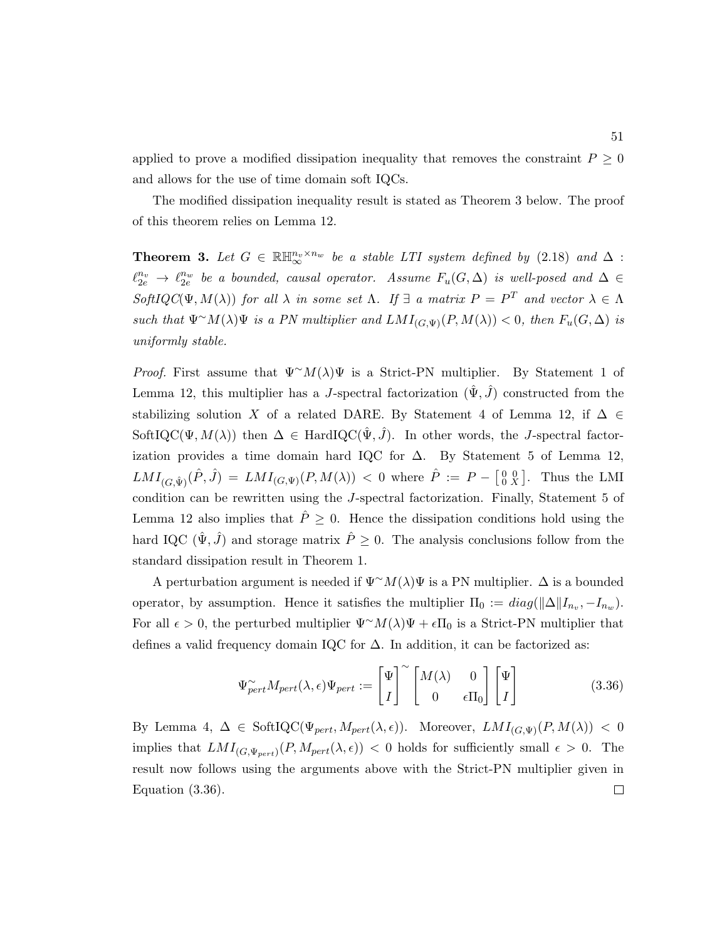applied to prove a modified dissipation inequality that removes the constraint  $P \geq 0$ and allows for the use of time domain soft IQCs.

The modified dissipation inequality result is stated as Theorem 3 below. The proof of this theorem relies on Lemma 12.

**Theorem 3.** Let  $G \in \mathbb{R} \mathbb{H}_{\infty}^{n_v \times n_w}$  be a stable LTI system defined by (2.18) and  $\Delta$ :  $\ell_{2e}^{n_v}$   $\rightarrow$   $\ell_{2e}^{n_w}$  be a bounded, causal operator. Assume  $F_u(G,\Delta)$  is well-posed and  $\Delta \in$ SoftIQC( $\Psi, M(\lambda)$ ) for all  $\lambda$  in some set  $\Lambda$ . If  $\exists$  a matrix  $P = P^T$  and vector  $\lambda \in \Lambda$ such that  $\Psi^{\sim}M(\lambda)\Psi$  is a PN multiplier and  $LMI_{(G,\Psi)}(P,M(\lambda)) < 0$ , then  $F_u(G,\Delta)$  is uniformly stable.

*Proof.* First assume that  $\Psi^{\sim}M(\lambda)\Psi$  is a Strict-PN multiplier. By Statement 1 of Lemma 12, this multiplier has a J-spectral factorization  $(\hat{\Psi}, \hat{J})$  constructed from the stabilizing solution X of a related DARE. By Statement 4 of Lemma 12, if  $\Delta \in$ SoftIQC( $\Psi, M(\lambda)$ ) then  $\Delta \in \text{HardIQC}(\hat{\Psi}, \hat{J})$ . In other words, the J-spectral factorization provides a time domain hard IQC for  $\Delta$ . By Statement 5 of Lemma 12,  $LMI_{(G,\hat{\Psi})}(\hat{P},\hat{J}) = LMI_{(G,\Psi)}(P,M(\lambda)) < 0$  where  $\hat{P} := P - \begin{bmatrix} 0 & 0 \\ 0 & X \end{bmatrix}$ . Thus the LMI condition can be rewritten using the J-spectral factorization. Finally, Statement 5 of Lemma 12 also implies that  $\hat{P} \geq 0$ . Hence the dissipation conditions hold using the hard IQC  $(\hat{\Psi}, \hat{J})$  and storage matrix  $\hat{P} \geq 0$ . The analysis conclusions follow from the standard dissipation result in Theorem 1.

A perturbation argument is needed if  $\Psi^{\sim}M(\lambda)\Psi$  is a PN multiplier.  $\Delta$  is a bounded operator, by assumption. Hence it satisfies the multiplier  $\Pi_0 := diag(||\Delta||I_{n_v}, -I_{n_w}).$ For all  $\epsilon > 0$ , the perturbed multiplier  $\Psi^{\sim}M(\lambda)\Psi + \epsilon \Pi_0$  is a Strict-PN multiplier that defines a valid frequency domain IQC for  $\Delta$ . In addition, it can be factorized as:

$$
\Psi_{pert}^{\sim} M_{pert}(\lambda, \epsilon) \Psi_{pert} := \begin{bmatrix} \Psi \\ I \end{bmatrix}^{\sim} \begin{bmatrix} M(\lambda) & 0 \\ 0 & \epsilon \Pi_0 \end{bmatrix} \begin{bmatrix} \Psi \\ I \end{bmatrix}
$$
(3.36)

By Lemma 4,  $\Delta \in \text{SoftIQC}(\Psi_{pert}, M_{pert}(\lambda, \epsilon)).$  Moreover,  $LMI_{(G, \Psi)}(P, M(\lambda)) < 0$ implies that  $LMI_{(G,\Psi_{pert})}(P, M_{pert}(\lambda, \epsilon)) < 0$  holds for sufficiently small  $\epsilon > 0$ . The result now follows using the arguments above with the Strict-PN multiplier given in Equation (3.36). $\Box$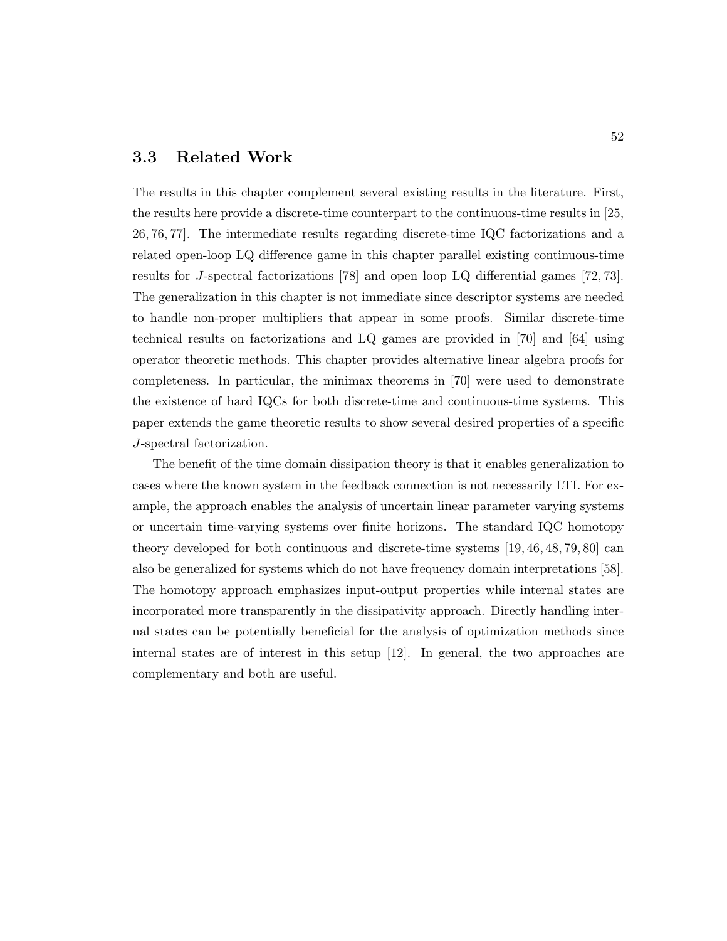### 3.3 Related Work

The results in this chapter complement several existing results in the literature. First, the results here provide a discrete-time counterpart to the continuous-time results in [25, 26, 76, 77]. The intermediate results regarding discrete-time IQC factorizations and a related open-loop LQ difference game in this chapter parallel existing continuous-time results for J-spectral factorizations [78] and open loop LQ differential games [72, 73]. The generalization in this chapter is not immediate since descriptor systems are needed to handle non-proper multipliers that appear in some proofs. Similar discrete-time technical results on factorizations and LQ games are provided in [70] and [64] using operator theoretic methods. This chapter provides alternative linear algebra proofs for completeness. In particular, the minimax theorems in [70] were used to demonstrate the existence of hard IQCs for both discrete-time and continuous-time systems. This paper extends the game theoretic results to show several desired properties of a specific J-spectral factorization.

The benefit of the time domain dissipation theory is that it enables generalization to cases where the known system in the feedback connection is not necessarily LTI. For example, the approach enables the analysis of uncertain linear parameter varying systems or uncertain time-varying systems over finite horizons. The standard IQC homotopy theory developed for both continuous and discrete-time systems [19, 46, 48, 79, 80] can also be generalized for systems which do not have frequency domain interpretations [58]. The homotopy approach emphasizes input-output properties while internal states are incorporated more transparently in the dissipativity approach. Directly handling internal states can be potentially beneficial for the analysis of optimization methods since internal states are of interest in this setup [12]. In general, the two approaches are complementary and both are useful.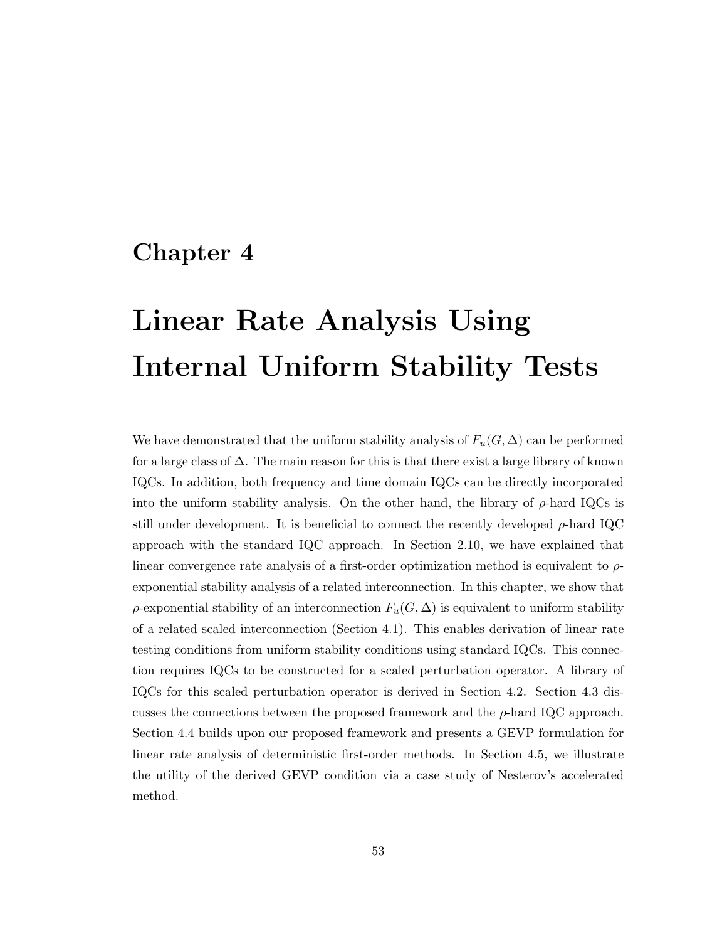# Chapter 4

# Linear Rate Analysis Using Internal Uniform Stability Tests

We have demonstrated that the uniform stability analysis of  $F_u(G,\Delta)$  can be performed for a large class of  $\Delta$ . The main reason for this is that there exist a large library of known IQCs. In addition, both frequency and time domain IQCs can be directly incorporated into the uniform stability analysis. On the other hand, the library of  $\rho$ -hard IQCs is still under development. It is beneficial to connect the recently developed  $\rho$ -hard IQC approach with the standard IQC approach. In Section 2.10, we have explained that linear convergence rate analysis of a first-order optimization method is equivalent to  $\rho$ exponential stability analysis of a related interconnection. In this chapter, we show that  $\rho$ -exponential stability of an interconnection  $F_u(G, \Delta)$  is equivalent to uniform stability of a related scaled interconnection (Section 4.1). This enables derivation of linear rate testing conditions from uniform stability conditions using standard IQCs. This connection requires IQCs to be constructed for a scaled perturbation operator. A library of IQCs for this scaled perturbation operator is derived in Section 4.2. Section 4.3 discusses the connections between the proposed framework and the  $\rho$ -hard IQC approach. Section 4.4 builds upon our proposed framework and presents a GEVP formulation for linear rate analysis of deterministic first-order methods. In Section 4.5, we illustrate the utility of the derived GEVP condition via a case study of Nesterov's accelerated method.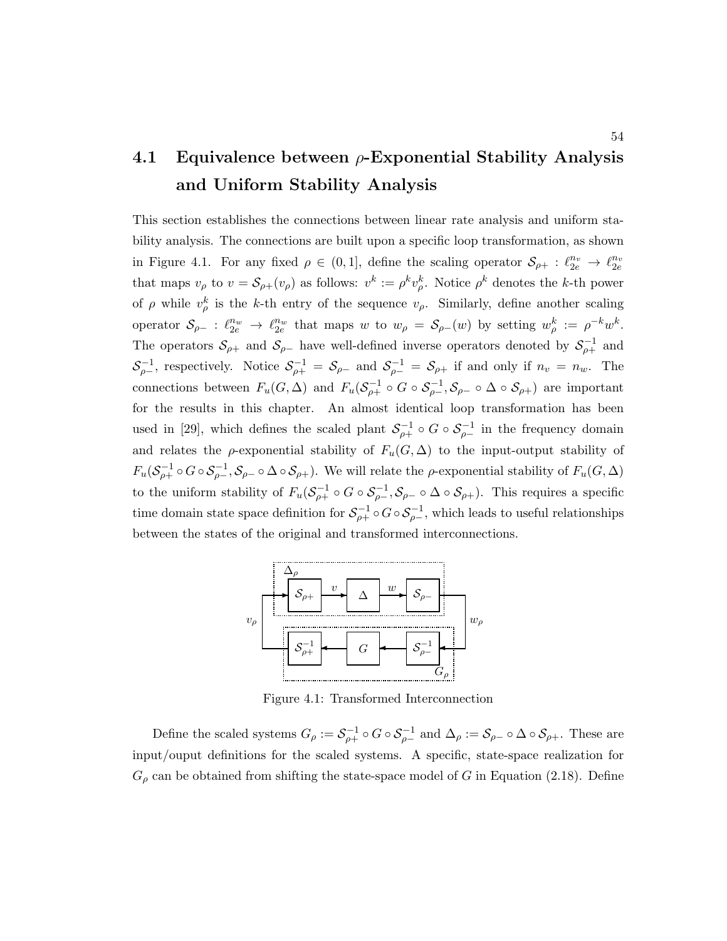# 4.1 Equivalence between  $\rho$ -Exponential Stability Analysis and Uniform Stability Analysis

This section establishes the connections between linear rate analysis and uniform stability analysis. The connections are built upon a specific loop transformation, as shown in Figure 4.1. For any fixed  $\rho \in (0,1]$ , define the scaling operator  $\mathcal{S}_{\rho+} : \ell_{2e}^{n_v} \to \ell_{2e}^{n_v}$ that maps  $v_{\rho}$  to  $v = \mathcal{S}_{\rho+}(v_{\rho})$  as follows:  $v^k := \rho^k v_{\rho}^k$ . Notice  $\rho^k$  denotes the k-th power of  $\rho$  while  $v_{\rho}^k$  is the k-th entry of the sequence  $v_{\rho}$ . Similarly, define another scaling operator  $S_{\rho-}$ :  $\ell_{2e}^{n_w} \to \ell_{2e}^{n_w}$  that maps w to  $w_{\rho} = S_{\rho-}(w)$  by setting  $w_{\rho}^k := \rho^{-k} w^k$ . The operators  $S_{\rho+}$  and  $S_{\rho-}$  have well-defined inverse operators denoted by  $S_{\rho+}^{-1}$  and  $S^{-1}_{\rho-}$ , respectively. Notice  $S^{-1}_{\rho+} = S_{\rho-}$  and  $S^{-1}_{\rho-} = S_{\rho+}$  if and only if  $n_v = n_w$ . The connections between  $F_u(G, \Delta)$  and  $F_u(\mathcal{S}_{\rho+}^{-1} \circ G \circ \mathcal{S}_{\rho-}^{-1}, \mathcal{S}_{\rho-} \circ \Delta \circ \mathcal{S}_{\rho+})$  are important for the results in this chapter. An almost identical loop transformation has been used in [29], which defines the scaled plant  $S_{\rho+}^{-1} \circ G \circ S_{\rho-}^{-1}$  in the frequency domain and relates the  $\rho$ -exponential stability of  $F_u(G, \Delta)$  to the input-output stability of  $F_u(S_{\rho+}^{-1} \circ G \circ S_{\rho-}^{-1}, S_{\rho-} \circ \Delta \circ S_{\rho+})$ . We will relate the  $\rho$ -exponential stability of  $F_u(G, \Delta)$ to the uniform stability of  $F_u(\mathcal{S}_{\rho+}^{-1} \circ G \circ \mathcal{S}_{\rho-}^{-1}, \mathcal{S}_{\rho-} \circ \Delta \circ \mathcal{S}_{\rho+})$ . This requires a specific time domain state space definition for  $S_{\rho+}^{-1} \circ G \circ S_{\rho-}^{-1}$ , which leads to useful relationships between the states of the original and transformed interconnections.



Figure 4.1: Transformed Interconnection

Define the scaled systems  $G_{\rho} := \mathcal{S}_{\rho+}^{-1} \circ G \circ \mathcal{S}_{\rho-}^{-1}$  and  $\Delta_{\rho} := \mathcal{S}_{\rho-} \circ \Delta \circ \mathcal{S}_{\rho+}$ . These are input/ouput definitions for the scaled systems. A specific, state-space realization for  $G_{\rho}$  can be obtained from shifting the state-space model of G in Equation (2.18). Define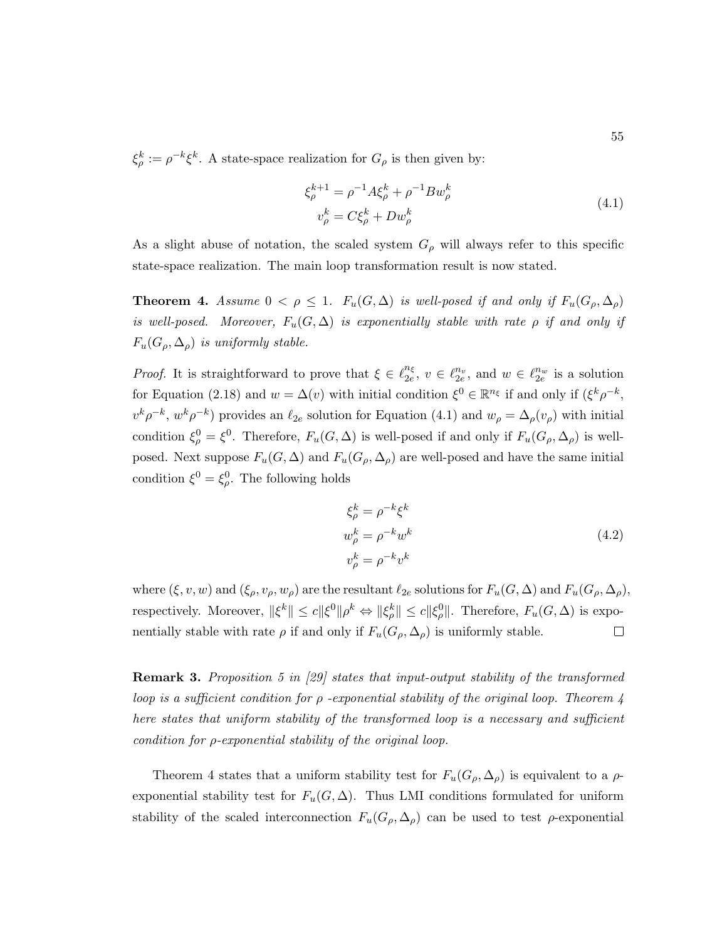$\xi_{\rho}^k := \rho^{-k} \xi^k$ . A state-space realization for  $G_{\rho}$  is then given by:

$$
\xi_{\rho}^{k+1} = \rho^{-1} A \xi_{\rho}^{k} + \rho^{-1} B w_{\rho}^{k}
$$
\n
$$
v_{\rho}^{k} = C \xi_{\rho}^{k} + D w_{\rho}^{k}
$$
\n(4.1)

As a slight abuse of notation, the scaled system  $G_{\rho}$  will always refer to this specific state-space realization. The main loop transformation result is now stated.

**Theorem 4.** Assume  $0 < \rho \leq 1$ .  $F_u(G, \Delta)$  is well-posed if and only if  $F_u(G_\rho, \Delta_\rho)$ is well-posed. Moreover,  $F_u(G, \Delta)$  is exponentially stable with rate  $\rho$  if and only if  $F_u(G_\rho, \Delta_\rho)$  is uniformly stable.

*Proof.* It is straightforward to prove that  $\xi \in \ell_{2e}^{n_{\xi}}$  $\frac{n_{\xi}}{2e}, v \in \ell_{2e}^{n_v}$ , and  $w \in \ell_{2e}^{n_w}$  is a solution for Equation (2.18) and  $w = \Delta(v)$  with initial condition  $\xi^0 \in \mathbb{R}^{n_{\xi}}$  if and only if  $(\xi^k \rho^{-k}, \xi^k \rho^k)$  $v^k \rho^{-k}$ ,  $w^k \rho^{-k}$ ) provides an  $\ell_{2e}$  solution for Equation (4.1) and  $w_\rho = \Delta_\rho(v_\rho)$  with initial condition  $\xi_{\rho}^0 = \xi^0$ . Therefore,  $F_u(G, \Delta)$  is well-posed if and only if  $F_u(G_{\rho}, \Delta_{\rho})$  is wellposed. Next suppose  $F_u(G, \Delta)$  and  $F_u(G_\rho, \Delta_\rho)$  are well-posed and have the same initial condition  $\xi^0 = \xi^0_\rho$ . The following holds

$$
\xi_{\rho}^{k} = \rho^{-k} \xi^{k}
$$
  
\n
$$
w_{\rho}^{k} = \rho^{-k} w^{k}
$$
  
\n
$$
v_{\rho}^{k} = \rho^{-k} v^{k}
$$
\n(4.2)

where  $(\xi, v, w)$  and  $(\xi_{\rho}, v_{\rho}, w_{\rho})$  are the resultant  $\ell_{2e}$  solutions for  $F_u(G, \Delta)$  and  $F_u(G_{\rho}, \Delta_{\rho}),$ respectively. Moreover,  $\|\xi^k\| \le c \|\xi^0\| \rho^k \Leftrightarrow \|\xi^k_\rho\| \le c \|\xi^0_\rho\|$ . Therefore,  $F_u(G,\Delta)$  is exponentially stable with rate  $\rho$  if and only if  $F_u(G_\rho, \Delta_\rho)$  is uniformly stable.  $\Box$ 

**Remark 3.** Proposition 5 in [29] states that input-output stability of the transformed loop is a sufficient condition for  $\rho$  -exponential stability of the original loop. Theorem 4 here states that uniform stability of the transformed loop is a necessary and sufficient condition for ρ-exponential stability of the original loop.

Theorem 4 states that a uniform stability test for  $F_u(G_\rho, \Delta_\rho)$  is equivalent to a  $\rho$ exponential stability test for  $F_u(G, \Delta)$ . Thus LMI conditions formulated for uniform stability of the scaled interconnection  $F_u(G_\rho, \Delta_\rho)$  can be used to test  $\rho$ -exponential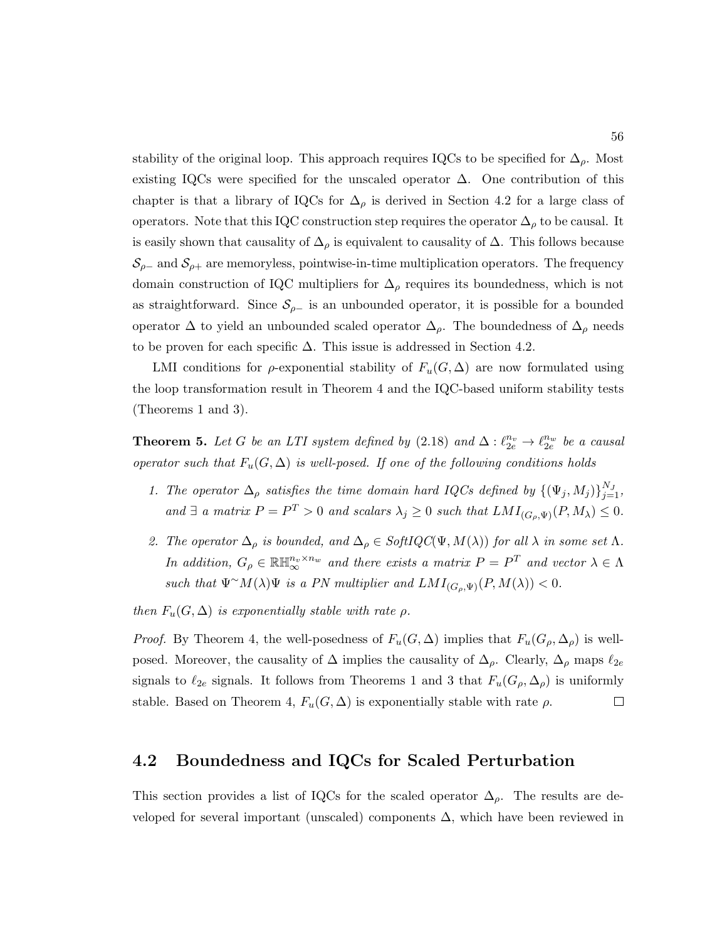stability of the original loop. This approach requires IQCs to be specified for  $\Delta_{\rho}$ . Most existing IQCs were specified for the unscaled operator  $\Delta$ . One contribution of this chapter is that a library of IQCs for  $\Delta_{\rho}$  is derived in Section 4.2 for a large class of operators. Note that this IQC construction step requires the operator  $\Delta_{\rho}$  to be causal. It is easily shown that causality of  $\Delta_{\rho}$  is equivalent to causality of  $\Delta$ . This follows because  $\mathcal{S}_{\rho-}$  and  $\mathcal{S}_{\rho+}$  are memoryless, pointwise-in-time multiplication operators. The frequency domain construction of IQC multipliers for  $\Delta_{\rho}$  requires its boundedness, which is not as straightforward. Since  $S_{\rho-}$  is an unbounded operator, it is possible for a bounded operator  $\Delta$  to yield an unbounded scaled operator  $\Delta_{\rho}$ . The boundedness of  $\Delta_{\rho}$  needs to be proven for each specific  $\Delta$ . This issue is addressed in Section 4.2.

LMI conditions for  $\rho$ -exponential stability of  $F_u(G,\Delta)$  are now formulated using the loop transformation result in Theorem 4 and the IQC-based uniform stability tests (Theorems 1 and 3).

**Theorem 5.** Let G be an LTI system defined by  $(2.18)$  and  $\Delta: \ell_{2e}^{n_v} \to \ell_{2e}^{n_w}$  be a causal operator such that  $F_u(G, \Delta)$  is well-posed. If one of the following conditions holds

- 1. The operator  $\Delta_{\rho}$  satisfies the time domain hard IQCs defined by  $\{(\Psi_j, M_j)\}_{j=1}^{N_J}$ , and  $\exists$  a matrix  $P = P^T > 0$  and scalars  $\lambda_j \geq 0$  such that  $LMI_{(G_{\rho},\Psi)}(P,M_{\lambda}) \leq 0$ .
- 2. The operator  $\Delta_{\rho}$  is bounded, and  $\Delta_{\rho} \in SoftIQC(\Psi, M(\lambda))$  for all  $\lambda$  in some set  $\Lambda$ . In addition,  $G_{\rho} \in \mathbb{R} \mathbb{H}_{\infty}^{n_v \times n_w}$  and there exists a matrix  $P = P^T$  and vector  $\lambda \in \Lambda$ such that  $\Psi^{\sim}M(\lambda)\Psi$  is a PN multiplier and  $LMI_{(G_{\rho},\Psi)}(P,M(\lambda)) < 0$ .

then  $F_u(G, \Delta)$  is exponentially stable with rate  $\rho$ .

*Proof.* By Theorem 4, the well-posedness of  $F_u(G,\Delta)$  implies that  $F_u(G_\rho,\Delta_\rho)$  is wellposed. Moreover, the causality of  $\Delta$  implies the causality of  $\Delta_{\rho}$ . Clearly,  $\Delta_{\rho}$  maps  $\ell_{2e}$ signals to  $\ell_{2e}$  signals. It follows from Theorems 1 and 3 that  $F_u(G_\rho, \Delta_\rho)$  is uniformly stable. Based on Theorem 4,  $F_u(G, \Delta)$  is exponentially stable with rate  $\rho$ .  $\Box$ 

## 4.2 Boundedness and IQCs for Scaled Perturbation

This section provides a list of IQCs for the scaled operator  $\Delta_{\rho}$ . The results are developed for several important (unscaled) components  $\Delta$ , which have been reviewed in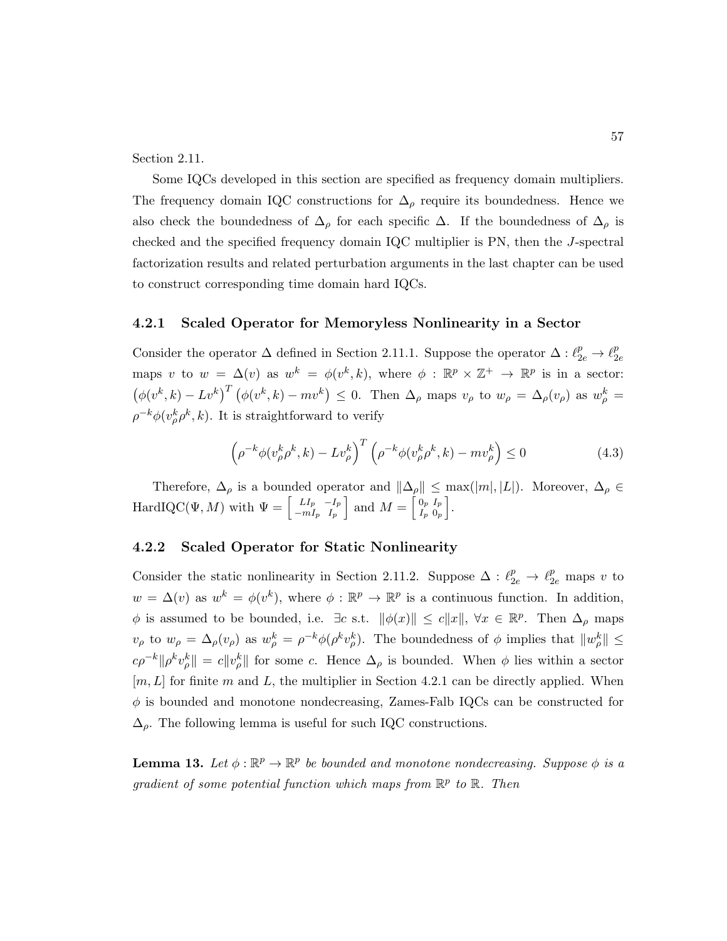Section 2.11.

Some IQCs developed in this section are specified as frequency domain multipliers. The frequency domain IQC constructions for  $\Delta_{\rho}$  require its boundedness. Hence we also check the boundedness of  $\Delta_{\rho}$  for each specific  $\Delta$ . If the boundedness of  $\Delta_{\rho}$  is checked and the specified frequency domain IQC multiplier is PN, then the J-spectral factorization results and related perturbation arguments in the last chapter can be used to construct corresponding time domain hard IQCs.

#### 4.2.1 Scaled Operator for Memoryless Nonlinearity in a Sector

Consider the operator  $\Delta$  defined in Section 2.11.1. Suppose the operator  $\Delta: \ell_{2e}^p \to \ell_2^p$  $_{2e}$ maps v to  $w = \Delta(v)$  as  $w^k = \phi(v^k, k)$ , where  $\phi : \mathbb{R}^p \times \mathbb{Z}^+ \to \mathbb{R}^p$  is in a sector:  $(\phi(v^k, k) - Lv^k)^T (\phi(v^k, k) - mv^k) \leq 0$ . Then  $\Delta_\rho$  maps  $v_\rho$  to  $w_\rho = \Delta_\rho(v_\rho)$  as  $w_\rho^k =$  $\rho^{-k}\phi(v_{\rho}^k \rho^k, k)$ . It is straightforward to verify

$$
\left(\rho^{-k}\phi(v_{\rho}^k\rho^k,k) - Lv_{\rho}^k\right)^T \left(\rho^{-k}\phi(v_{\rho}^k\rho^k,k) - mv_{\rho}^k\right) \le 0\tag{4.3}
$$

Therefore,  $\Delta_{\rho}$  is a bounded operator and  $\|\Delta_{\rho}\| \leq \max(|m|, |L|)$ . Moreover,  $\Delta_{\rho} \in$  $\text{HardIQC}(\Psi, M)$  with  $\Psi = \begin{bmatrix} L I_p & -I_p \\ -mI_p & I_p \end{bmatrix}$  $\begin{bmatrix} L I_p & -I_p \\ -mI_p & I_p \end{bmatrix}$  and  $M = \begin{bmatrix} 0_p & I_p \\ I_p & 0_p \end{bmatrix}$  $\left.\begin{array}{cc} 0_p & I_p \ I_p & 0_p \end{array}\right].$ 

#### 4.2.2 Scaled Operator for Static Nonlinearity

Consider the static nonlinearity in Section 2.11.2. Suppose  $\Delta: \ell_{2e}^p \to \ell_{2e}^p$  maps v to  $w = \Delta(v)$  as  $w^k = \phi(v^k)$ , where  $\phi : \mathbb{R}^p \to \mathbb{R}^p$  is a continuous function. In addition,  $\phi$  is assumed to be bounded, i.e.  $\exists c \text{ s.t. } ||\phi(x)|| \le c||x||$ ,  $\forall x \in \mathbb{R}^p$ . Then  $\Delta_\rho$  maps  $v_{\rho}$  to  $w_{\rho} = \Delta_{\rho}(v_{\rho})$  as  $w_{\rho}^{k} = \rho^{-k} \phi(\rho^{k} v_{\rho}^{k})$ . The boundedness of  $\phi$  implies that  $||w_{\rho}^{k}|| \leq$  $c\rho^{-k} \|\rho^k v_\rho^k\| = c \|v_\rho^k\|$  for some c. Hence  $\Delta_\rho$  is bounded. When  $\phi$  lies within a sector  $[m, L]$  for finite m and L, the multiplier in Section 4.2.1 can be directly applied. When  $\phi$  is bounded and monotone nondecreasing, Zames-Falb IQCs can be constructed for  $\Delta_{\rho}$ . The following lemma is useful for such IQC constructions.

**Lemma 13.** Let  $\phi : \mathbb{R}^p \to \mathbb{R}^p$  be bounded and monotone nondecreasing. Suppose  $\phi$  is a gradient of some potential function which maps from  $\mathbb{R}^p$  to  $\mathbb{R}$ . Then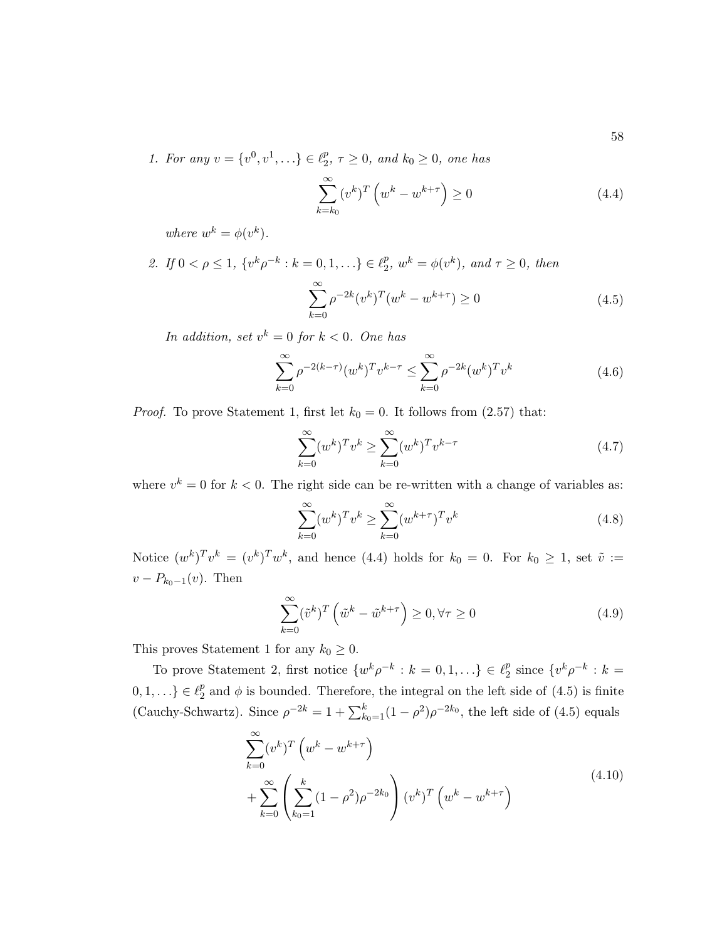1. For any  $v = \{v^0, v^1, ...\} \in \ell_2^p$  $_2^p$ ,  $\tau \geq 0$ , and  $k_0 \geq 0$ , one has

$$
\sum_{k=k_0}^{\infty} (v^k)^T \left( w^k - w^{k+\tau} \right) \ge 0 \tag{4.4}
$$

where  $w^k = \phi(v^k)$ .

2. If  $0 < \rho \leq 1$ ,  $\{v^k \rho^{-k} : k = 0, 1, \ldots\} \in \ell_2^p$  $2^p, w^k = \phi(v^k), \text{ and } \tau \geq 0, \text{ then}$  $\sum^{\infty}$  $_{k=0}$  $\rho^{-2k} (v^k)^T (w^k - w^{k+\tau}) \ge 0$ (4.5)

In addition, set  $v^k = 0$  for  $k < 0$ . One has

$$
\sum_{k=0}^{\infty} \rho^{-2(k-\tau)} (w^k)^T v^{k-\tau} \le \sum_{k=0}^{\infty} \rho^{-2k} (w^k)^T v^k
$$
\n(4.6)

*Proof.* To prove Statement 1, first let  $k_0 = 0$ . It follows from (2.57) that:

$$
\sum_{k=0}^{\infty} (w^k)^T v^k \ge \sum_{k=0}^{\infty} (w^k)^T v^{k-\tau}
$$
\n(4.7)

where  $v^k = 0$  for  $k < 0$ . The right side can be re-written with a change of variables as:

$$
\sum_{k=0}^{\infty} (w^k)^T v^k \ge \sum_{k=0}^{\infty} (w^{k+\tau})^T v^k
$$
\n(4.8)

Notice  $(w^k)^\mathrm{T} v^k = (v^k)^\mathrm{T} w^k$ , and hence (4.4) holds for  $k_0 = 0$ . For  $k_0 \geq 1$ , set  $\tilde{v} :=$  $v - P_{k_0-1}(v)$ . Then

$$
\sum_{k=0}^{\infty} (\tilde{v}^k)^T \left( \tilde{w}^k - \tilde{w}^{k+\tau} \right) \ge 0, \forall \tau \ge 0 \tag{4.9}
$$

This proves Statement 1 for any  $k_0 \geq 0$ .

To prove Statement 2, first notice  $\{w^k\rho^{-k}: k=0,1,\ldots\} \in \ell_2^p$  $\frac{p}{2}$  since  $\{v^k\rho^{-k}: k=$  $0, 1, \ldots \} \in \ell_2^p$  $\frac{p}{2}$  and  $\phi$  is bounded. Therefore, the integral on the left side of (4.5) is finite (Cauchy-Schwartz). Since  $\rho^{-2k} = 1 + \sum_{k_0=1}^{k} (1 - \rho^2) \rho^{-2k_0}$ , the left side of (4.5) equals

$$
\sum_{k=0}^{\infty} (v^k)^T \left( w^k - w^{k+\tau} \right) + \sum_{k=0}^{\infty} \left( \sum_{k_0=1}^k (1 - \rho^2) \rho^{-2k_0} \right) (v^k)^T \left( w^k - w^{k+\tau} \right)
$$
\n(4.10)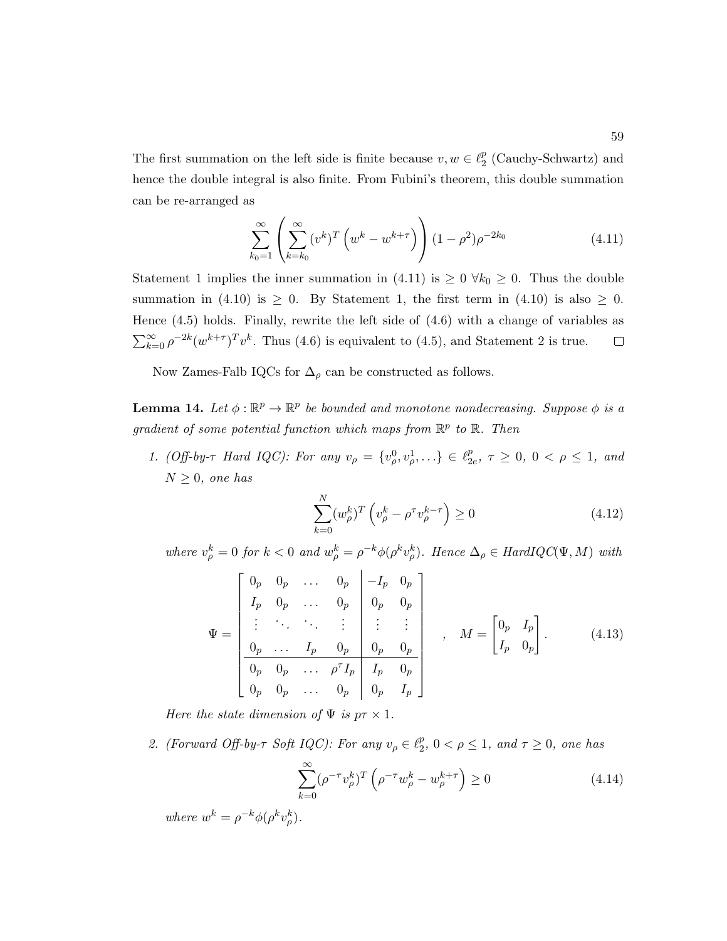The first summation on the left side is finite because  $v, w \in \ell_2^p$  $_2^p$  (Cauchy-Schwartz) and hence the double integral is also finite. From Fubini's theorem, this double summation can be re-arranged as

$$
\sum_{k_0=1}^{\infty} \left( \sum_{k=k_0}^{\infty} (v^k)^T \left( w^k - w^{k+\tau} \right) \right) (1 - \rho^2) \rho^{-2k_0}
$$
\n(4.11)

Statement 1 implies the inner summation in (4.11) is  $\geq 0$   $\forall k_0 \geq 0$ . Thus the double summation in (4.10) is  $\geq$  0. By Statement 1, the first term in (4.10) is also  $\geq$  0. Hence (4.5) holds. Finally, rewrite the left side of (4.6) with a change of variables as  $\sum_{k=0}^{\infty} \rho^{-2k} (w^{k+\tau})^T v^k$ . Thus (4.6) is equivalent to (4.5), and Statement 2 is true.  $\Box$ 

Now Zames-Falb IQCs for  $\Delta_{\rho}$  can be constructed as follows.

**Lemma 14.** Let  $\phi : \mathbb{R}^p \to \mathbb{R}^p$  be bounded and monotone nondecreasing. Suppose  $\phi$  is a gradient of some potential function which maps from  $\mathbb{R}^p$  to  $\mathbb{R}$ . Then

1. (Off-by- $\tau$  Hard IQC): For any  $v_{\rho} = \{v_{\rho}^0, v_{\rho}^1, \ldots\} \in \ell_2^p$  $_{2e}^{p}, \tau \ge 0, 0 < \rho \le 1,$  and  $N > 0$ , one has

$$
\sum_{k=0}^{N} (w_{\rho}^k)^T \left( v_{\rho}^k - \rho^\tau v_{\rho}^{k-\tau} \right) \ge 0 \tag{4.12}
$$

where  $v_{\rho}^k = 0$  for  $k < 0$  and  $w_{\rho}^k = \rho^{-k} \phi(\rho^k v_{\rho}^k)$ . Hence  $\Delta_{\rho} \in HardIQC(\Psi, M)$  with

$$
\Psi = \begin{bmatrix}\n0_p & 0_p & \dots & 0_p & -I_p & 0_p \\
I_p & 0_p & \dots & 0_p & 0_p & 0_p \\
\vdots & \ddots & \ddots & \vdots & \vdots & \vdots \\
0_p & \dots & I_p & 0_p & 0_p & 0_p \\
\hline\n0_p & 0_p & \dots & \rho^T I_p & I_p & 0_p \\
0_p & 0_p & \dots & 0_p & 0_p & I_p\n\end{bmatrix}, \quad M = \begin{bmatrix} 0_p & I_p \\ I_p & 0_p \end{bmatrix}.
$$
\n(4.13)

Here the state dimension of  $\Psi$  is  $p\tau \times 1$ .

2. (Forward Off-by- $\tau$  Soft IQC): For any  $v_{\rho} \in \ell_2^p$  $_2^p, 0 < \rho \leq 1,$  and  $\tau \geq 0$ , one has

$$
\sum_{k=0}^{\infty} (\rho^{-\tau} v_{\rho}^k)^T \left( \rho^{-\tau} w_{\rho}^k - w_{\rho}^{k+\tau} \right) \ge 0 \tag{4.14}
$$

where  $w^k = \rho^{-k} \phi(\rho^k v^k_\rho)$ .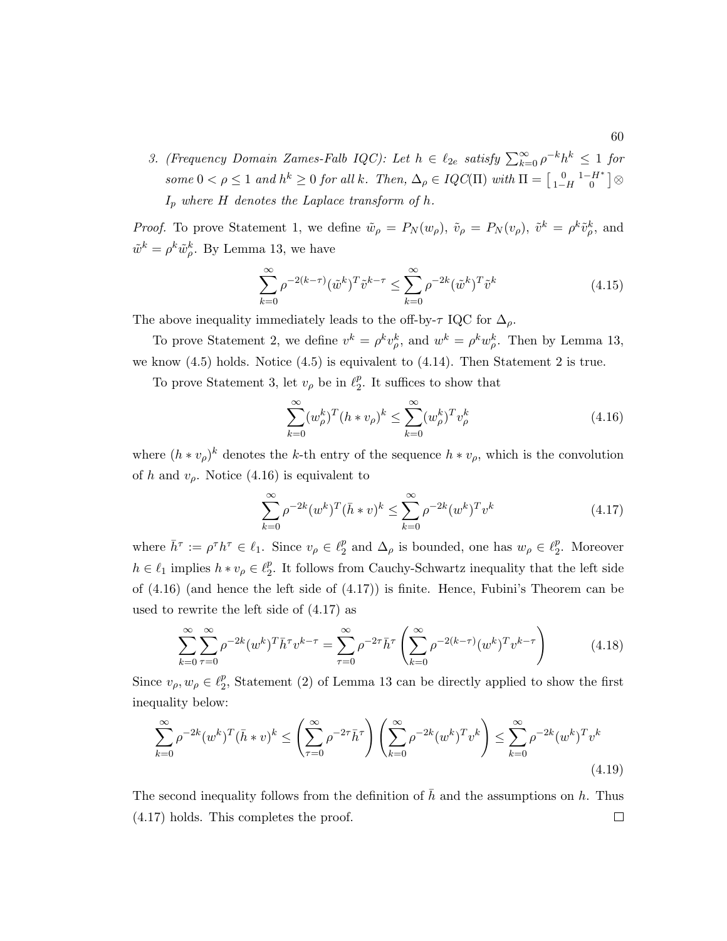3. (Frequency Domain Zames-Falb IQC): Let  $h \in \ell_{2e}$  satisfy  $\sum_{k=0}^{\infty} \rho^{-k} h^k \leq 1$  for some  $0 < \rho \leq 1$  and  $h^k \geq 0$  for all k. Then,  $\Delta_{\rho} \in IQC(\Pi)$  with  $\Pi = \begin{bmatrix} 0 & 1-H^* \\ 1-H & 0 \end{bmatrix} \otimes$  $I_p$  where H denotes the Laplace transform of h.

*Proof.* To prove Statement 1, we define  $\tilde{w}_{\rho} = P_N(w_{\rho}), \tilde{v}_{\rho} = P_N(v_{\rho}), \tilde{v}^k = \rho^k \tilde{v}_{\rho}^k$ , and  $\tilde{w}^k = \rho^k \tilde{w}_{\rho}^k$ . By Lemma 13, we have

$$
\sum_{k=0}^{\infty} \rho^{-2(k-\tau)} (\tilde{w}^k)^T \tilde{v}^{k-\tau} \le \sum_{k=0}^{\infty} \rho^{-2k} (\tilde{w}^k)^T \tilde{v}^k
$$
\n(4.15)

The above inequality immediately leads to the off-by- $\tau$  IQC for  $\Delta_{\rho}$ .

To prove Statement 2, we define  $v^k = \rho^k v^k_{\rho}$ , and  $w^k = \rho^k w^k_{\rho}$ . Then by Lemma 13, we know (4.5) holds. Notice (4.5) is equivalent to (4.14). Then Statement 2 is true.

To prove Statement 3, let  $v_\rho$  be in  $\ell_2^p$  $_2^p$ . It suffices to show that

$$
\sum_{k=0}^{\infty} (w_{\rho}^k)^T (h * v_{\rho})^k \le \sum_{k=0}^{\infty} (w_{\rho}^k)^T v_{\rho}^k
$$
\n(4.16)

where  $(h * v_{\rho})^k$  denotes the k-th entry of the sequence  $h * v_{\rho}$ , which is the convolution of h and  $v_{\rho}$ . Notice (4.16) is equivalent to

$$
\sum_{k=0}^{\infty} \rho^{-2k} (w^k)^T (\bar{h} * v)^k \le \sum_{k=0}^{\infty} \rho^{-2k} (w^k)^T v^k
$$
\n(4.17)

where  $\bar{h}^{\tau} := \rho^{\tau} h^{\tau} \in \ell_1$ . Since  $v_{\rho} \in \ell_2^p$  $\frac{p}{2}$  and  $\Delta_{\rho}$  is bounded, one has  $w_{\rho} \in \ell_2^p$  $_2^p$ . Moreover  $h \in \ell_1$  implies  $h * v_\rho \in \ell_2^p$  $_2^p$ . It follows from Cauchy-Schwartz inequality that the left side of (4.16) (and hence the left side of (4.17)) is finite. Hence, Fubini's Theorem can be used to rewrite the left side of (4.17) as

$$
\sum_{k=0}^{\infty} \sum_{\tau=0}^{\infty} \rho^{-2k} (w^k)^T \bar{h}^{\tau} v^{k-\tau} = \sum_{\tau=0}^{\infty} \rho^{-2\tau} \bar{h}^{\tau} \left( \sum_{k=0}^{\infty} \rho^{-2(k-\tau)} (w^k)^T v^{k-\tau} \right)
$$
(4.18)

Since  $v_{\rho}, w_{\rho} \in \ell_2^p$  $_2^p$ , Statement (2) of Lemma 13 can be directly applied to show the first inequality below:

$$
\sum_{k=0}^{\infty} \rho^{-2k} (w^k)^T (\bar{h} * v)^k \le \left( \sum_{\tau=0}^{\infty} \rho^{-2\tau} \bar{h}^{\tau} \right) \left( \sum_{k=0}^{\infty} \rho^{-2k} (w^k)^T v^k \right) \le \sum_{k=0}^{\infty} \rho^{-2k} (w^k)^T v^k
$$
\n(4.19)

The second inequality follows from the definition of  $\bar{h}$  and the assumptions on h. Thus (4.17) holds. This completes the proof. $\Box$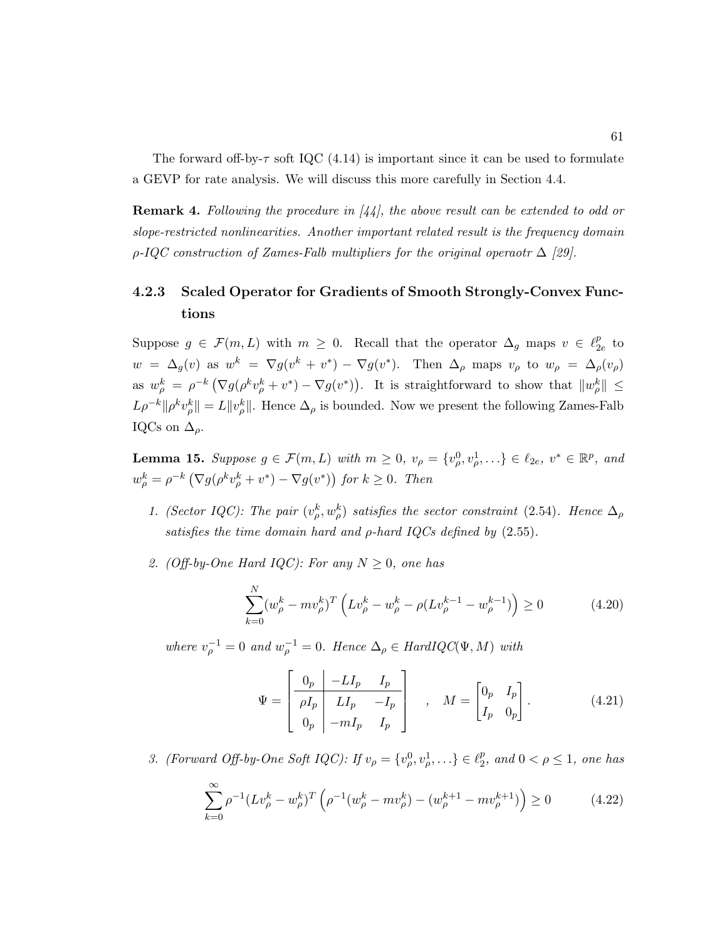The forward off-by- $\tau$  soft IQC (4.14) is important since it can be used to formulate a GEVP for rate analysis. We will discuss this more carefully in Section 4.4.

**Remark 4.** Following the procedure in  $\begin{bmatrix} 44 \end{bmatrix}$ , the above result can be extended to odd or slope-restricted nonlinearities. Another important related result is the frequency domain  $\rho$ -IQC construction of Zames-Falb multipliers for the original operaotr  $\Delta$  [29].

# 4.2.3 Scaled Operator for Gradients of Smooth Strongly-Convex Functions

Suppose  $g \in \mathcal{F}(m, L)$  with  $m \geq 0$ . Recall that the operator  $\Delta_g$  maps  $v \in \ell_2^p$  $_{2e}^p$  to  $w = \Delta_g(v)$  as  $w^k = \nabla g(v^k + v^*) - \nabla g(v^*)$ . Then  $\Delta_\rho$  maps  $v_\rho$  to  $w_\rho = \Delta_\rho(v_\rho)$ as  $w_{\rho}^k = \rho^{-k} \left( \nabla g(\rho^k v_{\rho}^k + v^*) - \nabla g(v^*) \right)$ . It is straightforward to show that  $||w_{\rho}^k|| \leq$  $L\rho^{-k} \|\rho^k v_\rho^k\| = L\|v_\rho^k\|$ . Hence  $\Delta_\rho$  is bounded. Now we present the following Zames-Falb IQCs on  $\Delta_{\rho}$ .

**Lemma 15.** Suppose  $g \in \mathcal{F}(m, L)$  with  $m \geq 0$ ,  $v_{\rho} = \{v_{\rho}^0, v_{\rho}^1, \ldots\} \in \ell_{2e}, v^* \in \mathbb{R}^p$ , and  $w_{\rho}^{k} = \rho^{-k} \left( \nabla g(\rho^{k} v_{\rho}^{k} + v^{*}) - \nabla g(v^{*}) \right)$  for  $k \geq 0$ . Then

- 1. (Sector IQC): The pair  $(v_{\rho}^k, w_{\rho}^k)$  satisfies the sector constraint (2.54). Hence  $\Delta_{\rho}$ satisfies the time domain hard and  $\rho$ -hard IQCs defined by  $(2.55)$ .
- 2. (Off-by-One Hard IQC): For any  $N \geq 0$ , one has

$$
\sum_{k=0}^{N} (w_{\rho}^{k} - mv_{\rho}^{k})^{T} \left( Lv_{\rho}^{k} - w_{\rho}^{k} - \rho (Lv_{\rho}^{k-1} - w_{\rho}^{k-1}) \right) \ge 0 \tag{4.20}
$$

where  $v_{\rho}^{-1} = 0$  and  $w_{\rho}^{-1} = 0$ . Hence  $\Delta_{\rho} \in HardIQC(\Psi, M)$  with

$$
\Psi = \begin{bmatrix} 0_p & -LI_p & I_p \\ \hline \rho I_p & LI_p & -I_p \\ 0_p & -mI_p & I_p \end{bmatrix} , \quad M = \begin{bmatrix} 0_p & I_p \\ I_p & 0_p \end{bmatrix} .
$$
 (4.21)

3. (Forward Off-by-One Soft IQC): If  $v_{\rho} = \{v_{\rho}^0, v_{\rho}^1, \ldots\} \in \ell_2^p$  $_2^p$ , and  $0 < \rho \le 1$ , one has

$$
\sum_{k=0}^{\infty} \rho^{-1} (Lv_{\rho}^k - w_{\rho}^k)^T \left( \rho^{-1} (w_{\rho}^k - mv_{\rho}^k) - (w_{\rho}^{k+1} - mv_{\rho}^{k+1}) \right) \ge 0 \tag{4.22}
$$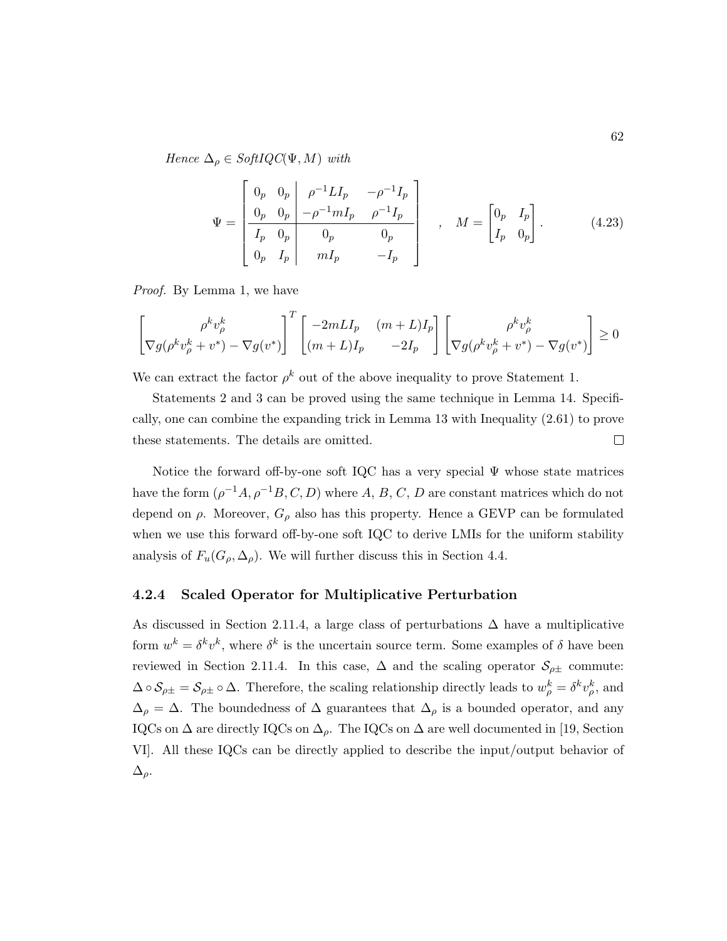Hence  $\Delta_{\rho} \in SoftQC(\Psi, M)$  with

$$
\Psi = \begin{bmatrix} 0_p & 0_p & \rho^{-1} L I_p & -\rho^{-1} I_p \\ 0_p & 0_p & -\rho^{-1} m I_p & \rho^{-1} I_p \\ I_p & 0_p & 0_p & 0_p \\ 0_p & I_p & m I_p & -I_p \end{bmatrix} , \quad M = \begin{bmatrix} 0_p & I_p \\ I_p & 0_p \end{bmatrix} .
$$
 (4.23)

Proof. By Lemma 1, we have

$$
\begin{bmatrix}\rho^k v_\rho^k \\ \nabla g(\rho^k v_\rho^k + v^*) - \nabla g(v^*)\end{bmatrix}^T \begin{bmatrix} -2mLI_p & (m+L)I_p \\ (m+L)I_p & -2I_p \end{bmatrix} \begin{bmatrix} \rho^k v_\rho^k \\ \nabla g(\rho^k v_\rho^k + v^*) - \nabla g(v^*)\end{bmatrix} \ge 0
$$

We can extract the factor  $\rho^k$  out of the above inequality to prove Statement 1.

Statements 2 and 3 can be proved using the same technique in Lemma 14. Specifically, one can combine the expanding trick in Lemma 13 with Inequality (2.61) to prove these statements. The details are omitted.  $\Box$ 

Notice the forward off-by-one soft IQC has a very special Ψ whose state matrices have the form  $(\rho^{-1}A, \rho^{-1}B, C, D)$  where A, B, C, D are constant matrices which do not depend on  $\rho$ . Moreover,  $G_{\rho}$  also has this property. Hence a GEVP can be formulated when we use this forward off-by-one soft IQC to derive LMIs for the uniform stability analysis of  $F_u(G_\rho, \Delta_\rho)$ . We will further discuss this in Section 4.4.

#### 4.2.4 Scaled Operator for Multiplicative Perturbation

As discussed in Section 2.11.4, a large class of perturbations  $\Delta$  have a multiplicative form  $w^k = \delta^k v^k$ , where  $\delta^k$  is the uncertain source term. Some examples of  $\delta$  have been reviewed in Section 2.11.4. In this case,  $\Delta$  and the scaling operator  $\mathcal{S}_{\rho\pm}$  commute:  $\Delta \circ \mathcal{S}_{\rho \pm} = \mathcal{S}_{\rho \pm} \circ \Delta$ . Therefore, the scaling relationship directly leads to  $w_{\rho}^{k} = \delta^{k} v_{\rho}^{k}$ , and  $\Delta_{\rho} = \Delta$ . The boundedness of  $\Delta$  guarantees that  $\Delta_{\rho}$  is a bounded operator, and any IQCs on  $\Delta$  are directly IQCs on  $\Delta_{\rho}$ . The IQCs on  $\Delta$  are well documented in [19, Section VI]. All these IQCs can be directly applied to describe the input/output behavior of  $\Delta_{\rho}$ .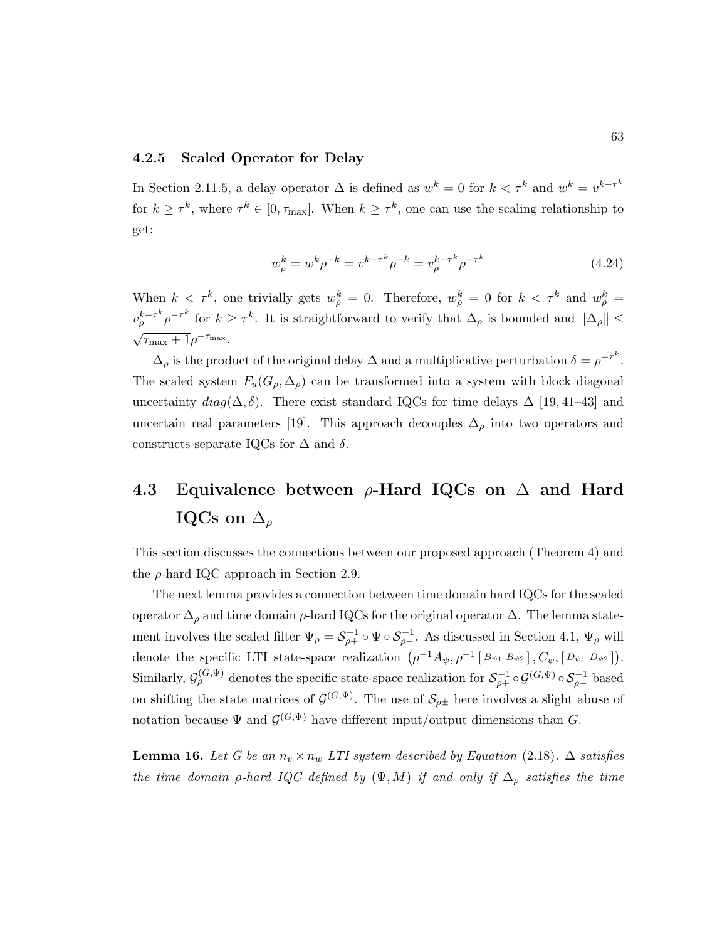#### 4.2.5 Scaled Operator for Delay

In Section 2.11.5, a delay operator  $\Delta$  is defined as  $w^k = 0$  for  $k < \tau^k$  and  $w^k = v^{k-\tau^k}$ for  $k \geq \tau^k$ , where  $\tau^k \in [0, \tau_{\max}]$ . When  $k \geq \tau^k$ , one can use the scaling relationship to get:

$$
w_{\rho}^{k} = w^{k} \rho^{-k} = v^{k-\tau^{k}} \rho^{-k} = v_{\rho}^{k-\tau^{k}} \rho^{-\tau^{k}}
$$
\n(4.24)

When  $k < \tau^k$ , one trivially gets  $w_{\rho}^k = 0$ . Therefore,  $w_{\rho}^k = 0$  for  $k < \tau^k$  and  $w_{\rho}^k = 0$  $v_{\rho}^{k-\tau^k} \rho^{-\tau^k}$  for  $k \geq \tau^k$ . It is straightforward to verify that  $\Delta_{\rho}$  is bounded and  $\|\Delta_{\rho}\| \leq$ √  $\overline{\tau_{\max}+1}\rho^{-\tau_{\max}}.$ 

 $\Delta_{\rho}$  is the product of the original delay  $\Delta$  and a multiplicative perturbation  $\delta = \rho^{-\tau^{k}}$ . The scaled system  $F_u(G_\rho, \Delta_\rho)$  can be transformed into a system with block diagonal uncertainty  $diag(\Delta, \delta)$ . There exist standard IQCs for time delays  $\Delta$  [19,41–43] and uncertain real parameters [19]. This approach decouples  $\Delta_{\rho}$  into two operators and constructs separate IQCs for  $\Delta$  and  $\delta$ .

## 4.3 Equivalence between  $\rho$ -Hard IQCs on  $\Delta$  and Hard IQCs on  $\Delta_{\rho}$

This section discusses the connections between our proposed approach (Theorem 4) and the  $\rho$ -hard IQC approach in Section 2.9.

The next lemma provides a connection between time domain hard IQCs for the scaled operator  $\Delta_{\rho}$  and time domain  $\rho$ -hard IQCs for the original operator  $\Delta$ . The lemma statement involves the scaled filter  $\Psi_{\rho} = S_{\rho+}^{-1} \circ \Psi \circ S_{\rho-}^{-1}$ . As discussed in Section 4.1,  $\Psi_{\rho}$  will denote the specific LTI state-space realization  $(\rho^{-1}A_{\psi}, \rho^{-1} [B_{\psi 1} B_{\psi 2}], C_{\psi}, [D_{\psi 1} D_{\psi 2}]).$ Similarly,  $\mathcal{G}^{(G,\Psi)}_\rho$  denotes the specific state-space realization for  $\mathcal{S}^{-1}_{\rho+} \circ \mathcal{G}^{(G,\Psi)} \circ \mathcal{S}^{-1}_{\rho-}$  based on shifting the state matrices of  $\mathcal{G}^{(G,\Psi)}$ . The use of  $\mathcal{S}_{\rho\pm}$  here involves a slight abuse of notation because  $\Psi$  and  $\mathcal{G}^{(G,\Psi)}$  have different input/output dimensions than G.

**Lemma 16.** Let G be an  $n_v \times n_w$  LTI system described by Equation (2.18).  $\Delta$  satisfies the time domain  $\rho$ -hard IQC defined by  $(\Psi, M)$  if and only if  $\Delta_{\rho}$  satisfies the time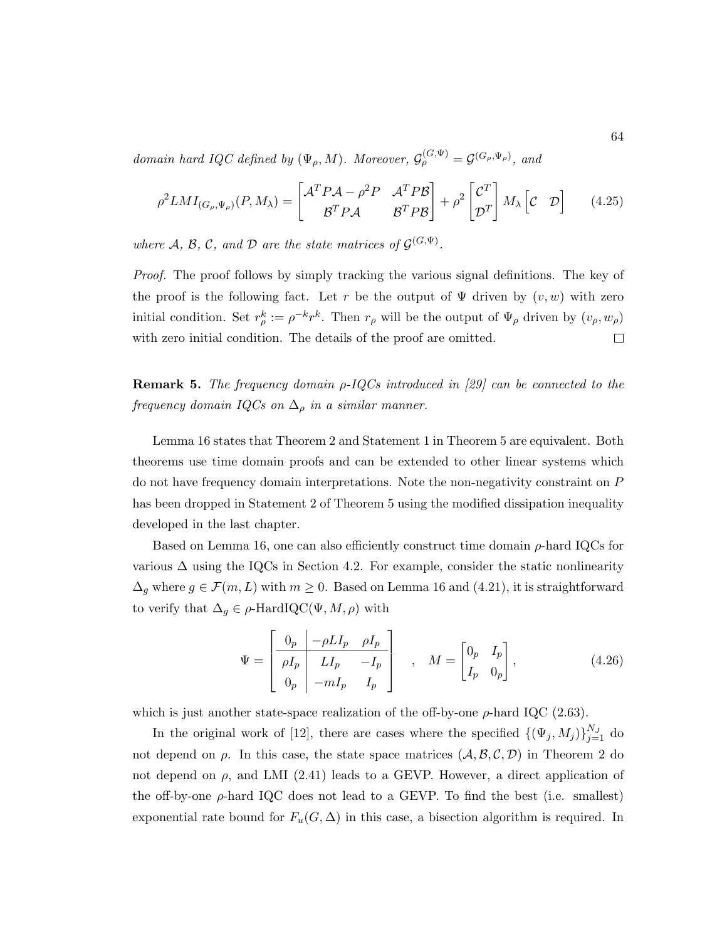domain hard IQC defined by  $(\Psi_{\rho}, M)$ . Moreover,  $\mathcal{G}_{\rho}^{(G,\Psi)} = \mathcal{G}^{(G_{\rho},\Psi_{\rho})}$ , and

$$
\rho^2 LMI_{(G_{\rho},\Psi_{\rho})}(P,M_{\lambda}) = \begin{bmatrix} \mathcal{A}^T P \mathcal{A} - \rho^2 P & \mathcal{A}^T P \mathcal{B} \\ \mathcal{B}^T P \mathcal{A} & \mathcal{B}^T P \mathcal{B} \end{bmatrix} + \rho^2 \begin{bmatrix} \mathcal{C}^T \\ \mathcal{D}^T \end{bmatrix} M_{\lambda} \begin{bmatrix} \mathcal{C} & \mathcal{D} \end{bmatrix}
$$
(4.25)

where A, B, C, and D are the state matrices of  $\mathcal{G}^{(G,\Psi)}$ .

Proof. The proof follows by simply tracking the various signal definitions. The key of the proof is the following fact. Let r be the output of  $\Psi$  driven by  $(v, w)$  with zero initial condition. Set  $r_{\rho}^k := \rho^{-k} r^k$ . Then  $r_{\rho}$  will be the output of  $\Psi_{\rho}$  driven by  $(v_{\rho}, w_{\rho})$ with zero initial condition. The details of the proof are omitted.  $\Box$ 

**Remark 5.** The frequency domain  $\rho$ -IQCs introduced in [29] can be connected to the frequency domain IQCs on  $\Delta_{\rho}$  in a similar manner.

Lemma 16 states that Theorem 2 and Statement 1 in Theorem 5 are equivalent. Both theorems use time domain proofs and can be extended to other linear systems which do not have frequency domain interpretations. Note the non-negativity constraint on P has been dropped in Statement 2 of Theorem 5 using the modified dissipation inequality developed in the last chapter.

Based on Lemma 16, one can also efficiently construct time domain  $\rho$ -hard IQCs for various  $\Delta$  using the IQCs in Section 4.2. For example, consider the static nonlinearity  $\Delta_g$  where  $g \in \mathcal{F}(m, L)$  with  $m \geq 0$ . Based on Lemma 16 and (4.21), it is straightforward to verify that  $\Delta_g \in \rho$ -HardIQC( $\Psi, M, \rho$ ) with

$$
\Psi = \begin{bmatrix} 0_p & -\rho L I_p & \rho I_p \\ \rho I_p & L I_p & -I_p \\ 0_p & -m I_p & I_p \end{bmatrix} , \quad M = \begin{bmatrix} 0_p & I_p \\ I_p & 0_p \end{bmatrix},
$$
(4.26)

which is just another state-space realization of the off-by-one  $\rho$ -hard IQC (2.63).

In the original work of [12], there are cases where the specified  $\{(\Psi_j, M_j)\}_{j=1}^{N_J}$  do not depend on  $\rho$ . In this case, the state space matrices  $(\mathcal{A}, \mathcal{B}, \mathcal{C}, \mathcal{D})$  in Theorem 2 do not depend on  $\rho$ , and LMI (2.41) leads to a GEVP. However, a direct application of the off-by-one  $\rho$ -hard IQC does not lead to a GEVP. To find the best (i.e. smallest) exponential rate bound for  $F_u(G, \Delta)$  in this case, a bisection algorithm is required. In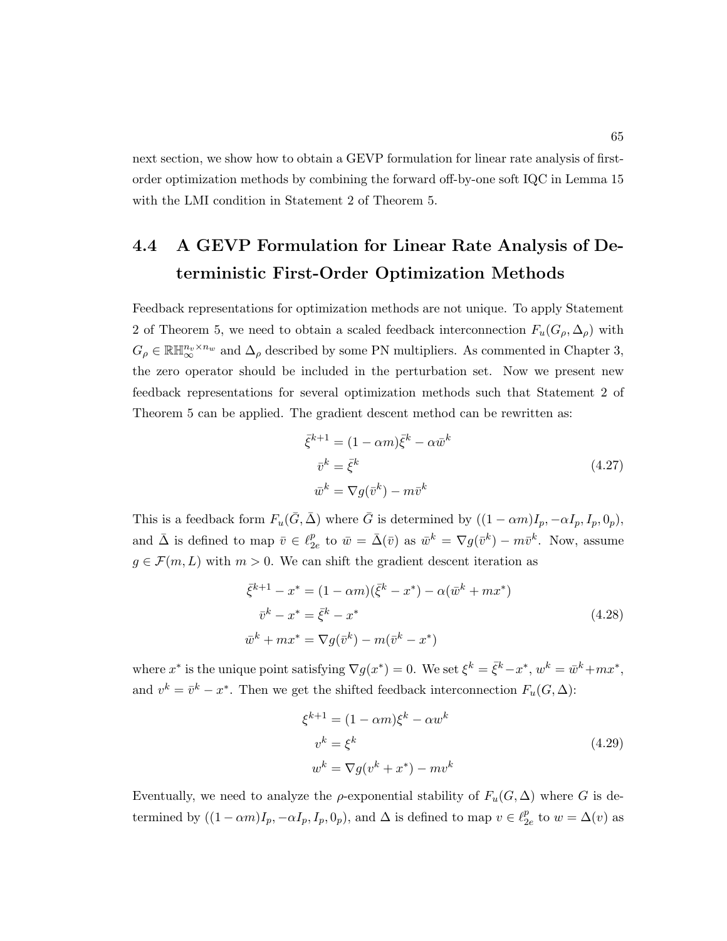next section, we show how to obtain a GEVP formulation for linear rate analysis of firstorder optimization methods by combining the forward off-by-one soft IQC in Lemma 15 with the LMI condition in Statement 2 of Theorem 5.

## 4.4 A GEVP Formulation for Linear Rate Analysis of Deterministic First-Order Optimization Methods

Feedback representations for optimization methods are not unique. To apply Statement 2 of Theorem 5, we need to obtain a scaled feedback interconnection  $F_u(G_\rho, \Delta_\rho)$  with  $G_\rho\in\mathbb{RH}_{\infty}^{n_v\times n_w}$  and  $\Delta_\rho$  described by some PN multipliers. As commented in Chapter 3, the zero operator should be included in the perturbation set. Now we present new feedback representations for several optimization methods such that Statement 2 of Theorem 5 can be applied. The gradient descent method can be rewritten as:

$$
\bar{\xi}^{k+1} = (1 - \alpha m)\bar{\xi}^k - \alpha \bar{w}^k
$$
  
\n
$$
\bar{v}^k = \bar{\xi}^k
$$
  
\n
$$
\bar{w}^k = \nabla g(\bar{v}^k) - m\bar{v}^k
$$
\n(4.27)

This is a feedback form  $F_u(\bar{G}, \bar{\Delta})$  where  $\bar{G}$  is determined by  $((1 - \alpha m)I_p, -\alpha I_p, I_p, 0_p)$ , and  $\bar{\Delta}$  is defined to map  $\bar{v} \in \ell_2^p$  $_{2e}^{p}$  to  $\bar{w} = \bar{\Delta}(\bar{v})$  as  $\bar{w}^{k} = \nabla g(\bar{v}^{k}) - m\bar{v}^{k}$ . Now, assume  $g \in \mathcal{F}(m,L)$  with  $m > 0$ . We can shift the gradient descent iteration as

$$
\bar{\xi}^{k+1} - x^* = (1 - \alpha m)(\bar{\xi}^k - x^*) - \alpha(\bar{w}^k + mx^*)
$$
  
\n
$$
\bar{v}^k - x^* = \bar{\xi}^k - x^*
$$
  
\n
$$
\bar{w}^k + mx^* = \nabla g(\bar{v}^k) - m(\bar{v}^k - x^*)
$$
\n(4.28)

where  $x^*$  is the unique point satisfying  $\nabla g(x^*) = 0$ . We set  $\xi^k = \overline{\xi}^k - x^*$ ,  $w^k = \overline{w}^k + mx^*$ , and  $v^k = \overline{v}^k - x^*$ . Then we get the shifted feedback interconnection  $F_u(G, \Delta)$ :

$$
\xi^{k+1} = (1 - \alpha m)\xi^k - \alpha w^k
$$
  
\n
$$
v^k = \xi^k
$$
  
\n
$$
w^k = \nabla g(v^k + x^*) - mv^k
$$
\n(4.29)

Eventually, we need to analyze the  $\rho$ -exponential stability of  $F_u(G,\Delta)$  where G is determined by  $((1 - \alpha m)I_p, -\alpha I_p, I_p, 0_p)$ , and  $\Delta$  is defined to map  $v \in \ell_2^p$  $_{2e}^{p}$  to  $w = \Delta(v)$  as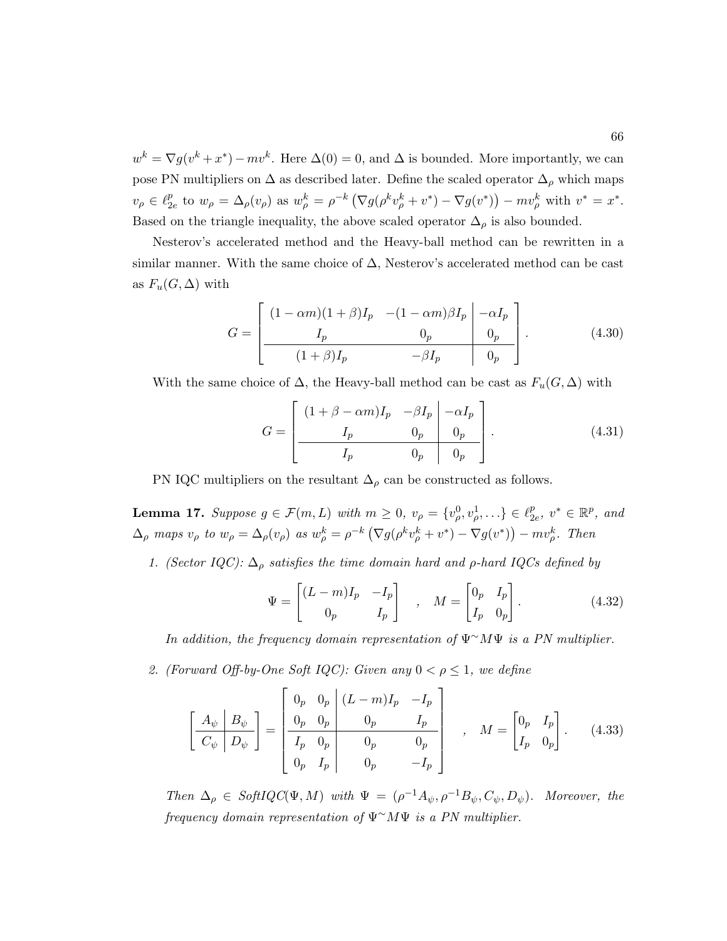$w^k = \nabla g(v^k + x^*) - mv^k$ . Here  $\Delta(0) = 0$ , and  $\Delta$  is bounded. More importantly, we can pose PN multipliers on  $\Delta$  as described later. Define the scaled operator  $\Delta_{\rho}$  which maps  $v_\rho \in \ell_2^p$  $E_{2e}^{p}$  to  $w_{\rho} = \Delta_{\rho}(v_{\rho})$  as  $w_{\rho}^{k} = \rho^{-k} \left( \nabla g(\rho^{k} v_{\rho}^{k} + v^{*}) - \nabla g(v^{*}) \right) - m v_{\rho}^{k}$  with  $v^{*} = x^{*}$ . Based on the triangle inequality, the above scaled operator  $\Delta_{\rho}$  is also bounded.

Nesterov's accelerated method and the Heavy-ball method can be rewritten in a similar manner. With the same choice of  $\Delta$ , Nesterov's accelerated method can be cast as  $F_u(G,\Delta)$  with

$$
G = \begin{bmatrix} (1 - \alpha m)(1 + \beta)I_p & -(1 - \alpha m)\beta I_p & -\alpha I_p \\ I_p & 0_p & 0_p \\ \hline (1 + \beta)I_p & -\beta I_p & 0_p \end{bmatrix}.
$$
 (4.30)

With the same choice of  $\Delta$ , the Heavy-ball method can be cast as  $F_u(G, \Delta)$  with

$$
G = \begin{bmatrix} (1 + \beta - \alpha m)I_p & -\beta I_p & -\alpha I_p \\ I_p & 0_p & 0_p \\ I_p & 0_p & 0_p \end{bmatrix} .
$$
 (4.31)

PN IQC multipliers on the resultant  $\Delta_{\rho}$  can be constructed as follows.

**Lemma 17.** Suppose  $g \in \mathcal{F}(m, L)$  with  $m \geq 0$ ,  $v_{\rho} = \{v_{\rho}^0, v_{\rho}^1, \ldots\} \in \ell_2^p$  $_{2e}^p, v^* \in \mathbb{R}^p$ , and  $\Delta_{\rho}$  maps  $v_{\rho}$  to  $w_{\rho} = \Delta_{\rho}(v_{\rho})$  as  $w_{\rho}^{k} = \rho^{-k} \left( \nabla g(\rho^{k} v_{\rho}^{k} + v^{*}) - \nabla g(v^{*}) \right) - mv_{\rho}^{k}$ . Then

1. (Sector IQC):  $\Delta_{\rho}$  satisfies the time domain hard and  $\rho$ -hard IQCs defined by

$$
\Psi = \begin{bmatrix} (L-m)I_p & -I_p \\ 0_p & I_p \end{bmatrix} , \quad M = \begin{bmatrix} 0_p & I_p \\ I_p & 0_p \end{bmatrix} .
$$
 (4.32)

In addition, the frequency domain representation of  $\Psi^{\sim} M \Psi$  is a PN multiplier.

2. (Forward Off-by-One Soft IQC): Given any  $0 < \rho \leq 1$ , we define

$$
\left[\begin{array}{c|c} A_{\psi} & B_{\psi} \\ \hline C_{\psi} & D_{\psi} \end{array}\right] = \left[\begin{array}{cc|c} 0_p & 0_p & (L-m)I_p & -I_p \\ 0_p & 0_p & 0_p & I_p \\ \hline I_p & 0_p & 0_p & 0_p \\ 0_p & I_p & 0_p & -I_p \end{array}\right] , \quad M = \left[\begin{array}{cc} 0_p & I_p \\ I_p & 0_p \end{array}\right]. \tag{4.33}
$$

Then  $\Delta_{\rho} \in SoftIQC(\Psi, M)$  with  $\Psi = (\rho^{-1}A_{\psi}, \rho^{-1}B_{\psi}, C_{\psi}, D_{\psi}).$  Moreover, the frequency domain representation of Ψ∼MΨ is a PN multiplier.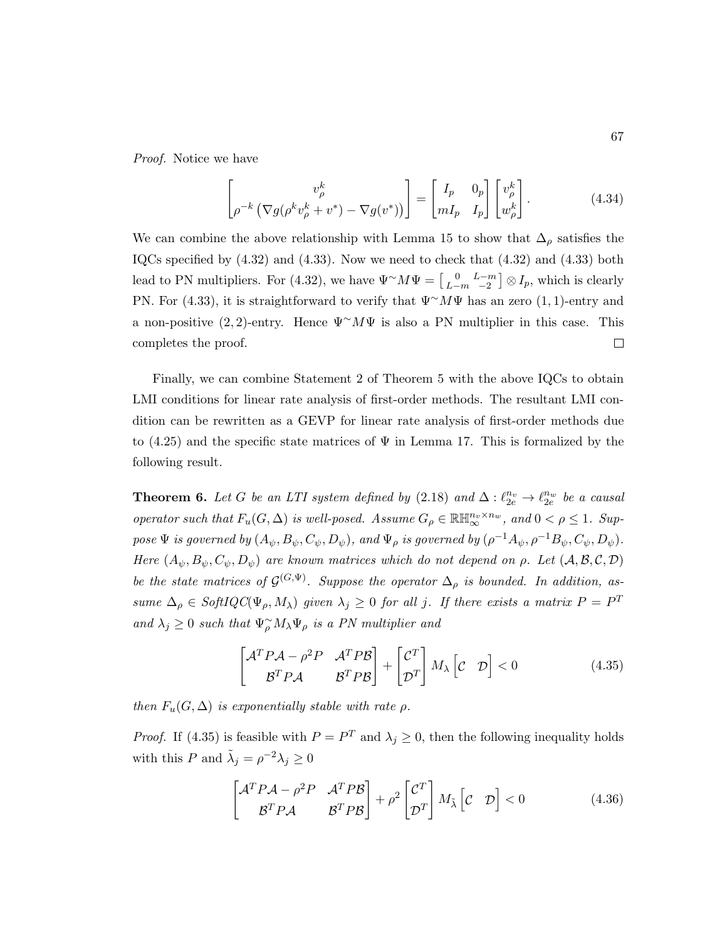Proof. Notice we have

$$
\begin{bmatrix} v_{\rho}^{k} \\ \rho^{-k} \left( \nabla g(\rho^{k} v_{\rho}^{k} + v^{*}) - \nabla g(v^{*}) \right) \end{bmatrix} = \begin{bmatrix} I_{p} & 0_{p} \\ mI_{p} & I_{p} \end{bmatrix} \begin{bmatrix} v_{\rho}^{k} \\ w_{\rho}^{k} \end{bmatrix} . \tag{4.34}
$$

We can combine the above relationship with Lemma 15 to show that  $\Delta_{\rho}$  satisfies the IQCs specified by (4.32) and (4.33). Now we need to check that (4.32) and (4.33) both lead to PN multipliers. For (4.32), we have  $\Psi^{\sim} M \Psi = \begin{bmatrix} 0 & L-m \\ L-m & -2 \end{bmatrix} \otimes I_p$ , which is clearly PN. For (4.33), it is straightforward to verify that  $\Psi^{\sim} M \Psi$  has an zero (1, 1)-entry and a non-positive (2,2)-entry. Hence  $\Psi^{\sim} M \Psi$  is also a PN multiplier in this case. This completes the proof.  $\Box$ 

Finally, we can combine Statement 2 of Theorem 5 with the above IQCs to obtain LMI conditions for linear rate analysis of first-order methods. The resultant LMI condition can be rewritten as a GEVP for linear rate analysis of first-order methods due to  $(4.25)$  and the specific state matrices of  $\Psi$  in Lemma 17. This is formalized by the following result.

**Theorem 6.** Let G be an LTI system defined by  $(2.18)$  and  $\Delta: \ell_{2e}^{n_v} \to \ell_{2e}^{n_w}$  be a causal operator such that  $F_u(G, \Delta)$  is well-posed. Assume  $G_\rho \in \mathbb{R} \mathbb{H}_{\infty}^{n_v \times n_w}$ , and  $0 < \rho \leq 1$ . Suppose  $\Psi$  is governed by  $(A_{\psi}, B_{\psi}, C_{\psi}, D_{\psi})$ , and  $\Psi_{\rho}$  is governed by  $(\rho^{-1}A_{\psi}, \rho^{-1}B_{\psi}, C_{\psi}, D_{\psi})$ . Here  $(A_{\psi}, B_{\psi}, C_{\psi}, D_{\psi})$  are known matrices which do not depend on  $\rho$ . Let  $(A, \mathcal{B}, \mathcal{C}, \mathcal{D})$ be the state matrices of  $\mathcal{G}^{(G,\Psi)}$ . Suppose the operator  $\Delta_{\rho}$  is bounded. In addition, assume  $\Delta_{\rho} \in SoftIQC(\Psi_{\rho}, M_{\lambda})$  given  $\lambda_j \geq 0$  for all j. If there exists a matrix  $P = P^T$ and  $\lambda_j \geq 0$  such that  $\Psi_{\rho}^{\sim} M_{\lambda} \Psi_{\rho}$  is a PN multiplier and

$$
\begin{bmatrix} \mathcal{A}^T P \mathcal{A} - \rho^2 P & \mathcal{A}^T P \mathcal{B} \\ \mathcal{B}^T P \mathcal{A} & \mathcal{B}^T P \mathcal{B} \end{bmatrix} + \begin{bmatrix} \mathcal{C}^T \\ \mathcal{D}^T \end{bmatrix} M_\lambda \begin{bmatrix} \mathcal{C} & \mathcal{D} \end{bmatrix} < 0 \tag{4.35}
$$

then  $F_u(G, \Delta)$  is exponentially stable with rate  $\rho$ .

*Proof.* If (4.35) is feasible with  $P = P<sup>T</sup>$  and  $\lambda_j \geq 0$ , then the following inequality holds with this P and  $\tilde{\lambda}_j = \rho^{-2} \lambda_j \geq 0$ 

$$
\begin{bmatrix} \mathcal{A}^T P \mathcal{A} - \rho^2 P & \mathcal{A}^T P \mathcal{B} \\ \mathcal{B}^T P \mathcal{A} & \mathcal{B}^T P \mathcal{B} \end{bmatrix} + \rho^2 \begin{bmatrix} \mathcal{C}^T \\ \mathcal{D}^T \end{bmatrix} M_{\tilde{\lambda}} \begin{bmatrix} \mathcal{C} & \mathcal{D} \end{bmatrix} < 0 \tag{4.36}
$$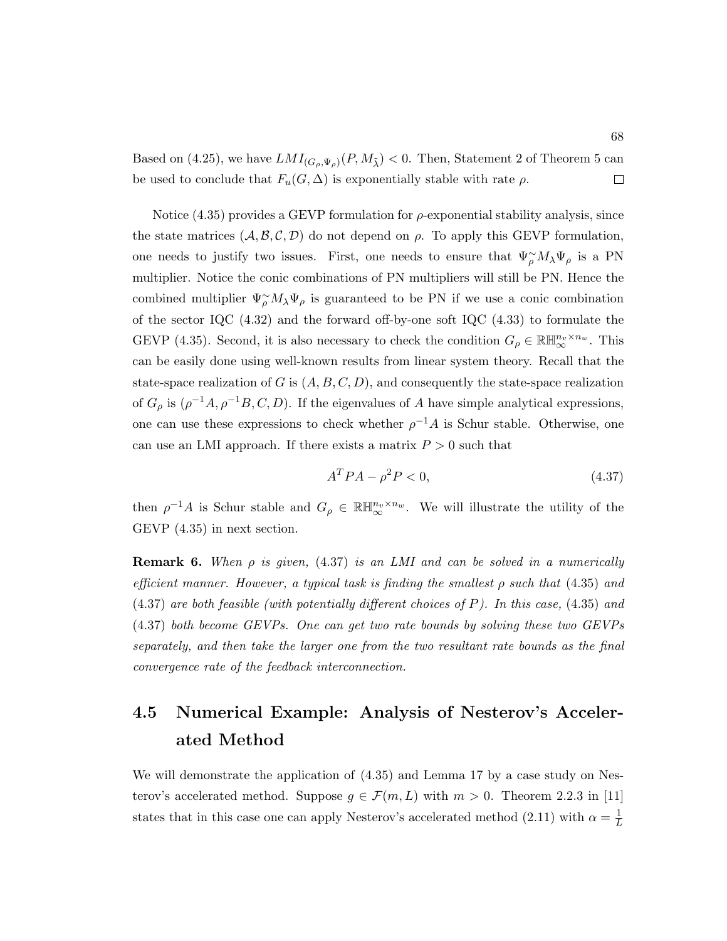Based on (4.25), we have  $LMI_{(G_{\rho},\Psi_{\rho})}(P,M_{\tilde{\lambda}}) < 0$ . Then, Statement 2 of Theorem 5 can be used to conclude that  $F_u(G, \Delta)$  is exponentially stable with rate  $\rho$ .  $\Box$ 

Notice  $(4.35)$  provides a GEVP formulation for  $ρ$ -exponential stability analysis, since the state matrices  $(A, \mathcal{B}, \mathcal{C}, \mathcal{D})$  do not depend on  $\rho$ . To apply this GEVP formulation, one needs to justify two issues. First, one needs to ensure that  $\Psi_{\rho}^{\sim} M_{\lambda} \Psi_{\rho}$  is a PN multiplier. Notice the conic combinations of PN multipliers will still be PN. Hence the combined multiplier  $\Psi_{\rho}^{\sim} M_{\lambda} \Psi_{\rho}$  is guaranteed to be PN if we use a conic combination of the sector IQC (4.32) and the forward off-by-one soft IQC (4.33) to formulate the GEVP (4.35). Second, it is also necessary to check the condition  $G_{\rho} \in \mathbb{R} \mathbb{H}_{\infty}^{n_v \times n_w}$ . This can be easily done using well-known results from linear system theory. Recall that the state-space realization of G is  $(A, B, C, D)$ , and consequently the state-space realization of  $G_{\rho}$  is  $(\rho^{-1}A, \rho^{-1}B, C, D)$ . If the eigenvalues of A have simple analytical expressions, one can use these expressions to check whether  $\rho^{-1}A$  is Schur stable. Otherwise, one can use an LMI approach. If there exists a matrix  $P > 0$  such that

$$
A^T P A - \rho^2 P < 0,\tag{4.37}
$$

then  $\rho^{-1}A$  is Schur stable and  $G_{\rho} \in \mathbb{R} \mathbb{H}_{\infty}^{n_v \times n_w}$ . We will illustrate the utility of the GEVP (4.35) in next section.

**Remark 6.** When  $\rho$  is given, (4.37) is an LMI and can be solved in a numerically efficient manner. However, a typical task is finding the smallest  $\rho$  such that (4.35) and (4.37) are both feasible (with potentially different choices of P). In this case, (4.35) and (4.37) both become GEVPs. One can get two rate bounds by solving these two GEVPs separately, and then take the larger one from the two resultant rate bounds as the final convergence rate of the feedback interconnection.

## 4.5 Numerical Example: Analysis of Nesterov's Accelerated Method

We will demonstrate the application of (4.35) and Lemma 17 by a case study on Nesterov's accelerated method. Suppose  $g \in \mathcal{F}(m, L)$  with  $m > 0$ . Theorem 2.2.3 in [11] states that in this case one can apply Nesterov's accelerated method (2.11) with  $\alpha = \frac{1}{l}$ L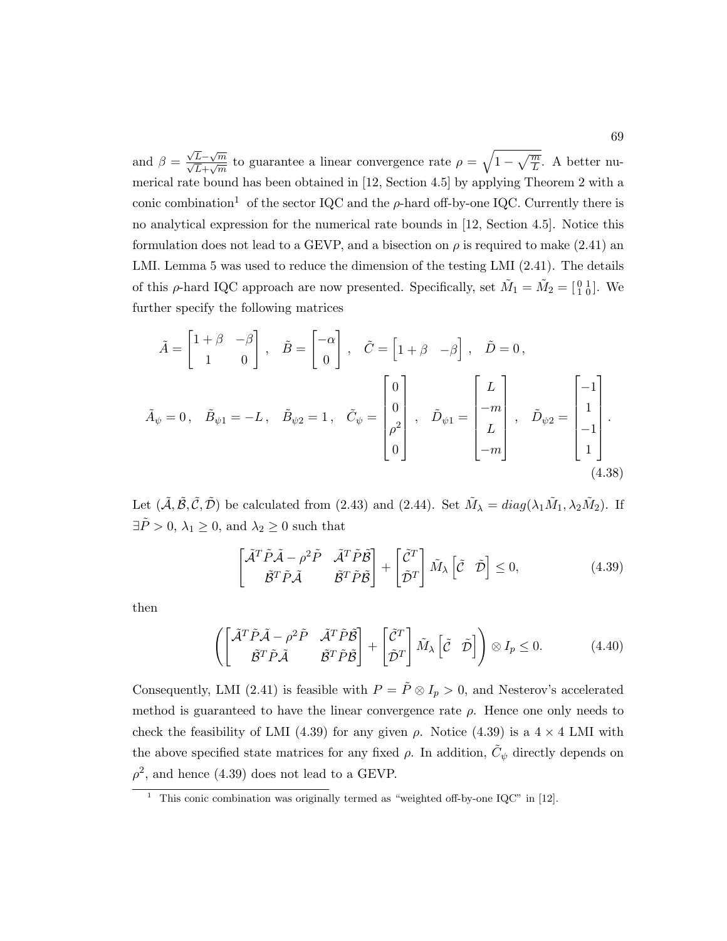and  $\beta =$  $\frac{\sqrt{L}-\sqrt{m}}{\sqrt{L}+\sqrt{m}}$  to guarantee a linear convergence rate  $\rho = \sqrt{1-\sqrt{\frac{m}{L}}}$ . A better numerical rate bound has been obtained in [12, Section 4.5] by applying Theorem 2 with a conic combination<sup>1</sup> of the sector IQC and the  $\rho$ -hard off-by-one IQC. Currently there is no analytical expression for the numerical rate bounds in [12, Section 4.5]. Notice this formulation does not lead to a GEVP, and a bisection on  $\rho$  is required to make (2.41) an LMI. Lemma 5 was used to reduce the dimension of the testing LMI (2.41). The details of this  $\rho$ -hard IQC approach are now presented. Specifically, set  $\tilde{M}_1 = \tilde{M}_2 = \begin{bmatrix} 0 & 1 \\ 1 & 0 \end{bmatrix}$ . We further specify the following matrices

$$
\tilde{A} = \begin{bmatrix} 1+\beta & -\beta \\ 1 & 0 \end{bmatrix}, \quad \tilde{B} = \begin{bmatrix} -\alpha \\ 0 \end{bmatrix}, \quad \tilde{C} = \begin{bmatrix} 1+\beta & -\beta \end{bmatrix}, \quad \tilde{D} = 0,
$$
  

$$
\tilde{A}_{\psi} = 0, \quad \tilde{B}_{\psi 1} = -L, \quad \tilde{B}_{\psi 2} = 1, \quad \tilde{C}_{\psi} = \begin{bmatrix} 0 \\ 0 \\ \rho^2 \\ 0 \end{bmatrix}, \quad \tilde{D}_{\psi 1} = \begin{bmatrix} L \\ -m \\ L \\ -m \end{bmatrix}, \quad \tilde{D}_{\psi 2} = \begin{bmatrix} -1 \\ 1 \\ -1 \\ 1 \end{bmatrix}.
$$
  
(4.38)

Let  $(\tilde{A}, \tilde{B}, \tilde{C}, \tilde{D})$  be calculated from (2.43) and (2.44). Set  $\tilde{M}_{\lambda} = diag(\lambda_1 \tilde{M}_1, \lambda_2 \tilde{M}_2)$ . If  $\exists \tilde{P} > 0, \, \lambda_1 \geq 0$ , and  $\lambda_2 \geq 0$  such that

$$
\begin{bmatrix} \tilde{\mathcal{A}}^T \tilde{P} \tilde{\mathcal{A}} - \rho^2 \tilde{P} & \tilde{\mathcal{A}}^T \tilde{P} \tilde{\mathcal{B}} \\ \tilde{\mathcal{B}}^T \tilde{P} \tilde{\mathcal{A}} & \tilde{\mathcal{B}}^T \tilde{P} \tilde{\mathcal{B}} \end{bmatrix} + \begin{bmatrix} \tilde{\mathcal{C}}^T \\ \tilde{\mathcal{D}}^T \end{bmatrix} \tilde{M}_{\lambda} \begin{bmatrix} \tilde{\mathcal{C}} & \tilde{\mathcal{D}} \end{bmatrix} \leq 0, \tag{4.39}
$$

then

$$
\left( \begin{bmatrix} \tilde{\mathcal{A}}^T \tilde{P} \tilde{\mathcal{A}} - \rho^2 \tilde{P} & \tilde{\mathcal{A}}^T \tilde{P} \tilde{\mathcal{B}} \\ \tilde{\mathcal{B}}^T \tilde{P} \tilde{\mathcal{A}} & \tilde{\mathcal{B}}^T \tilde{P} \tilde{\mathcal{B}} \end{bmatrix} + \begin{bmatrix} \tilde{\mathcal{C}}^T \\ \tilde{\mathcal{D}}^T \end{bmatrix} \tilde{M}_{\lambda} \begin{bmatrix} \tilde{\mathcal{C}} & \tilde{\mathcal{D}} \end{bmatrix} \right) \otimes I_p \leq 0. \tag{4.40}
$$

Consequently, LMI (2.41) is feasible with  $P = \tilde{P} \otimes I_p > 0$ , and Nesterov's accelerated method is guaranteed to have the linear convergence rate  $\rho$ . Hence one only needs to check the feasibility of LMI (4.39) for any given  $\rho$ . Notice (4.39) is a 4  $\times$  4 LMI with the above specified state matrices for any fixed  $\rho$ . In addition,  $\tilde{C}_{\psi}$  directly depends on  $\rho^2$ , and hence (4.39) does not lead to a GEVP.

<sup>&</sup>lt;sup>1</sup> This conic combination was originally termed as "weighted off-by-one IQC" in [12].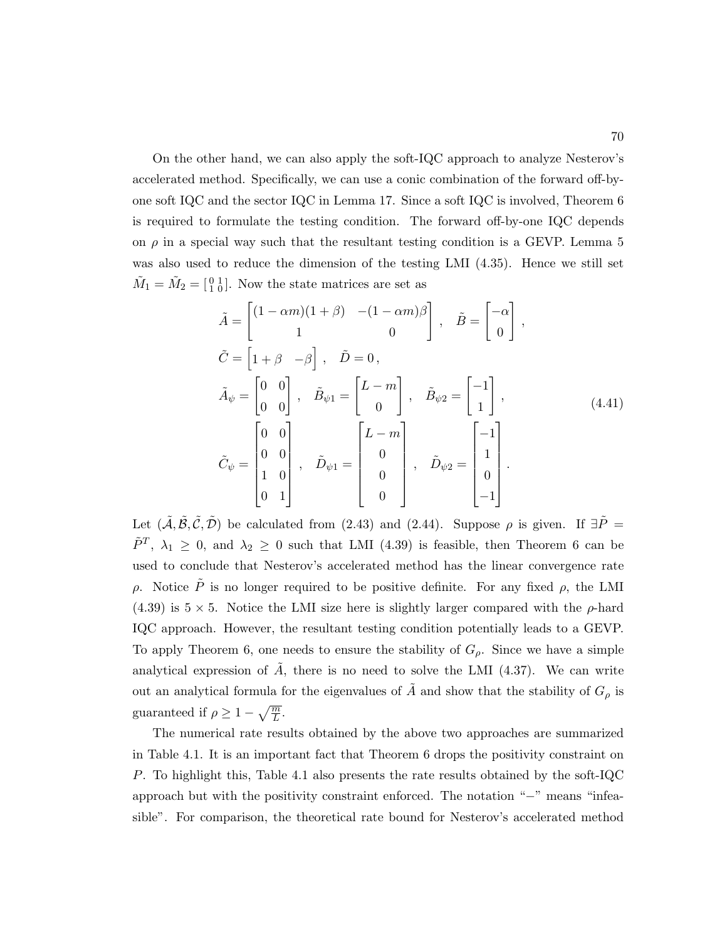On the other hand, we can also apply the soft-IQC approach to analyze Nesterov's accelerated method. Specifically, we can use a conic combination of the forward off-byone soft IQC and the sector IQC in Lemma 17. Since a soft IQC is involved, Theorem 6 is required to formulate the testing condition. The forward off-by-one IQC depends on  $\rho$  in a special way such that the resultant testing condition is a GEVP. Lemma 5 was also used to reduce the dimension of the testing LMI  $(4.35)$ . Hence we still set  $\tilde{M}_1 = \tilde{M}_2 = \begin{bmatrix} 0 & 1 \\ 1 & 0 \end{bmatrix}$ . Now the state matrices are set as

$$
\tilde{A} = \begin{bmatrix} (1 - \alpha m)(1 + \beta) & -(1 - \alpha m)\beta \\ 1 & 0 \end{bmatrix}, \quad \tilde{B} = \begin{bmatrix} -\alpha \\ 0 \end{bmatrix},
$$
\n
$$
\tilde{C} = \begin{bmatrix} 1 + \beta & -\beta \end{bmatrix}, \quad \tilde{D} = 0,
$$
\n
$$
\tilde{A}_{\psi} = \begin{bmatrix} 0 & 0 \\ 0 & 0 \end{bmatrix}, \quad \tilde{B}_{\psi 1} = \begin{bmatrix} L - m \\ 0 \end{bmatrix}, \quad \tilde{B}_{\psi 2} = \begin{bmatrix} -1 \\ 1 \end{bmatrix},
$$
\n
$$
\tilde{C}_{\psi} = \begin{bmatrix} 0 & 0 \\ 0 & 0 \\ 1 & 0 \\ 0 & 1 \end{bmatrix}, \quad \tilde{D}_{\psi 1} = \begin{bmatrix} L - m \\ 0 \\ 0 \\ 0 \end{bmatrix}, \quad \tilde{D}_{\psi 2} = \begin{bmatrix} -1 \\ 1 \\ 0 \\ -1 \end{bmatrix}.
$$
\n(4.41)

Let  $(\tilde{\mathcal{A}}, \tilde{\mathcal{B}}, \tilde{\mathcal{C}}, \tilde{\mathcal{D}})$  be calculated from (2.43) and (2.44). Suppose  $\rho$  is given. If  $\exists \tilde{P} =$  $\tilde{P}^T$ ,  $\lambda_1 \geq 0$ , and  $\lambda_2 \geq 0$  such that LMI (4.39) is feasible, then Theorem 6 can be used to conclude that Nesterov's accelerated method has the linear convergence rate ρ. Notice  $\tilde{P}$  is no longer required to be positive definite. For any fixed ρ, the LMI  $(4.39)$  is  $5 \times 5$ . Notice the LMI size here is slightly larger compared with the  $\rho$ -hard IQC approach. However, the resultant testing condition potentially leads to a GEVP. To apply Theorem 6, one needs to ensure the stability of  $G_{\rho}$ . Since we have a simple analytical expression of  $\tilde{A}$ , there is no need to solve the LMI (4.37). We can write out an analytical formula for the eigenvalues of  $\tilde{A}$  and show that the stability of  $G_{\rho}$  is guaranteed if  $\rho \geq 1 - \sqrt{\frac{m}{L}}$ .

The numerical rate results obtained by the above two approaches are summarized in Table 4.1. It is an important fact that Theorem 6 drops the positivity constraint on P. To highlight this, Table 4.1 also presents the rate results obtained by the soft-IQC approach but with the positivity constraint enforced. The notation "−" means "infeasible". For comparison, the theoretical rate bound for Nesterov's accelerated method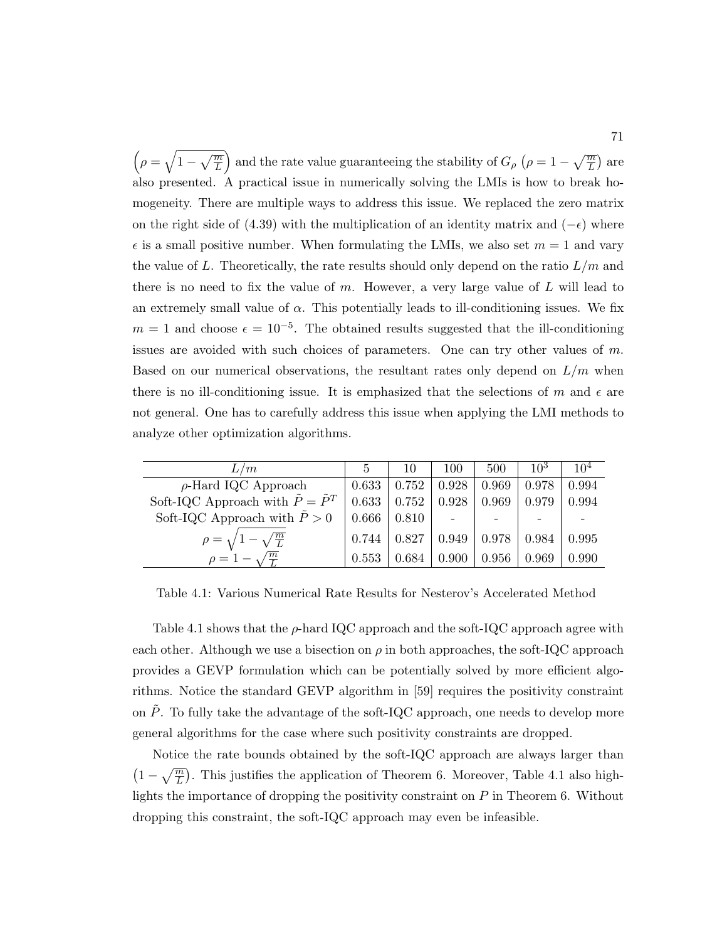$\left(\rho=\sqrt{1-\sqrt{\frac{m}{L}}}\right)$  and the rate value guaranteeing the stability of  $G_{\rho}$   $\left(\rho=1-\sqrt{\frac{m}{L}}\right)$  are also presented. A practical issue in numerically solving the LMIs is how to break homogeneity. There are multiple ways to address this issue. We replaced the zero matrix on the right side of (4.39) with the multiplication of an identity matrix and  $(-\epsilon)$  where  $\epsilon$  is a small positive number. When formulating the LMIs, we also set  $m = 1$  and vary the value of L. Theoretically, the rate results should only depend on the ratio  $L/m$  and there is no need to fix the value of  $m$ . However, a very large value of  $L$  will lead to an extremely small value of  $\alpha$ . This potentially leads to ill-conditioning issues. We fix  $m = 1$  and choose  $\epsilon = 10^{-5}$ . The obtained results suggested that the ill-conditioning issues are avoided with such choices of parameters. One can try other values of  $m$ . Based on our numerical observations, the resultant rates only depend on  $L/m$  when there is no ill-conditioning issue. It is emphasized that the selections of m and  $\epsilon$  are not general. One has to carefully address this issue when applying the LMI methods to analyze other optimization algorithms.

| L/m                                              | $\mathcal{L}$ | 10    | 100   | 500   | $10^3$ | 10 <sup>4</sup> |
|--------------------------------------------------|---------------|-------|-------|-------|--------|-----------------|
| $\rho$ -Hard IQC Approach                        | 0.633         | 0.752 | 0.928 | 0.969 | 0.978  | 0.994           |
| Soft-IQC Approach with $\tilde{P} = \tilde{P}^T$ | 0.633         | 0.752 | 0.928 | 0.969 | 0.979  | 0.994           |
| Soft-IQC Approach with $\tilde{P} > 0$           | 0.666         | 0.810 |       |       |        |                 |
| $\rho = \sqrt{1 - \sqrt{\frac{m}{L}}}$           | 0.744         | 0.827 | 0.949 | 0.978 | 0.984  | 0.995           |
| $\rho = 1 - \sqrt{\frac{m}{L}}$                  | 0.553         | 0.684 | 0.900 | 0.956 | 0.969  | 0.990           |

Table 4.1: Various Numerical Rate Results for Nesterov's Accelerated Method

Table 4.1 shows that the  $\rho$ -hard IQC approach and the soft-IQC approach agree with each other. Although we use a bisection on  $\rho$  in both approaches, the soft-IQC approach provides a GEVP formulation which can be potentially solved by more efficient algorithms. Notice the standard GEVP algorithm in [59] requires the positivity constraint on  $\tilde{P}$ . To fully take the advantage of the soft-IQC approach, one needs to develop more general algorithms for the case where such positivity constraints are dropped.

Notice the rate bounds obtained by the soft-IQC approach are always larger than  $(1 - \sqrt{\frac{m}{L}})$ . This justifies the application of Theorem 6. Moreover, Table 4.1 also highlights the importance of dropping the positivity constraint on  $P$  in Theorem 6. Without dropping this constraint, the soft-IQC approach may even be infeasible.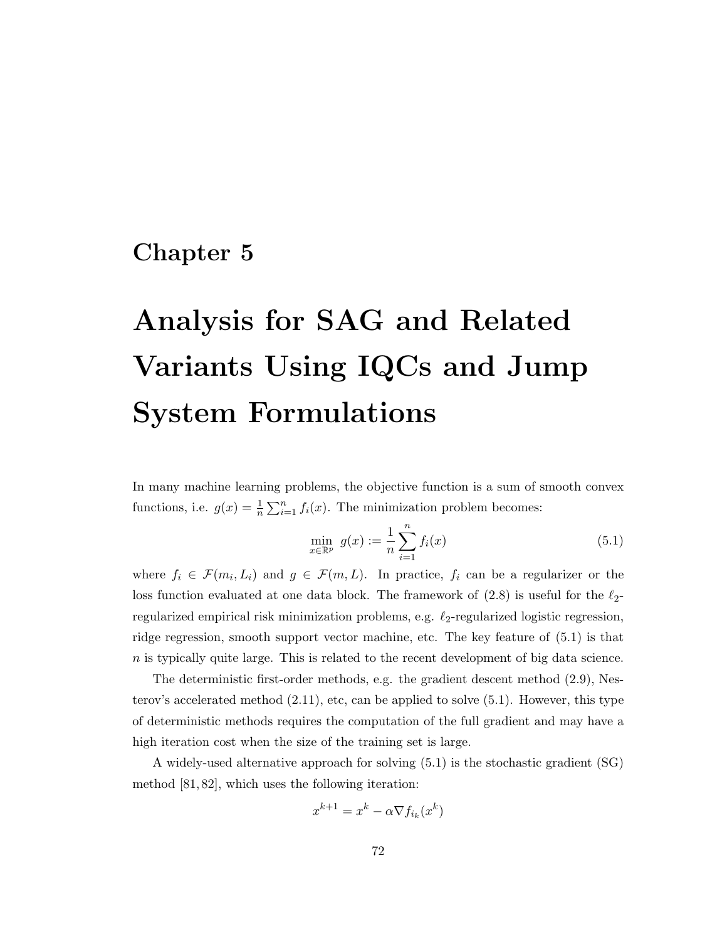# Chapter 5

# Analysis for SAG and Related Variants Using IQCs and Jump System Formulations

In many machine learning problems, the objective function is a sum of smooth convex functions, i.e.  $g(x) = \frac{1}{n} \sum_{i=1}^{n} f_i(x)$ . The minimization problem becomes:

$$
\min_{x \in \mathbb{R}^p} \ g(x) := \frac{1}{n} \sum_{i=1}^n f_i(x) \tag{5.1}
$$

where  $f_i \in \mathcal{F}(m_i, L_i)$  and  $g \in \mathcal{F}(m, L)$ . In practice,  $f_i$  can be a regularizer or the loss function evaluated at one data block. The framework of  $(2.8)$  is useful for the  $\ell_2$ regularized empirical risk minimization problems, e.g.  $\ell_2$ -regularized logistic regression, ridge regression, smooth support vector machine, etc. The key feature of (5.1) is that  $n$  is typically quite large. This is related to the recent development of big data science.

The deterministic first-order methods, e.g. the gradient descent method (2.9), Nesterov's accelerated method  $(2.11)$ , etc, can be applied to solve  $(5.1)$ . However, this type of deterministic methods requires the computation of the full gradient and may have a high iteration cost when the size of the training set is large.

A widely-used alternative approach for solving (5.1) is the stochastic gradient (SG) method [81, 82], which uses the following iteration:

$$
x^{k+1} = x^k - \alpha \nabla f_{i_k}(x^k)
$$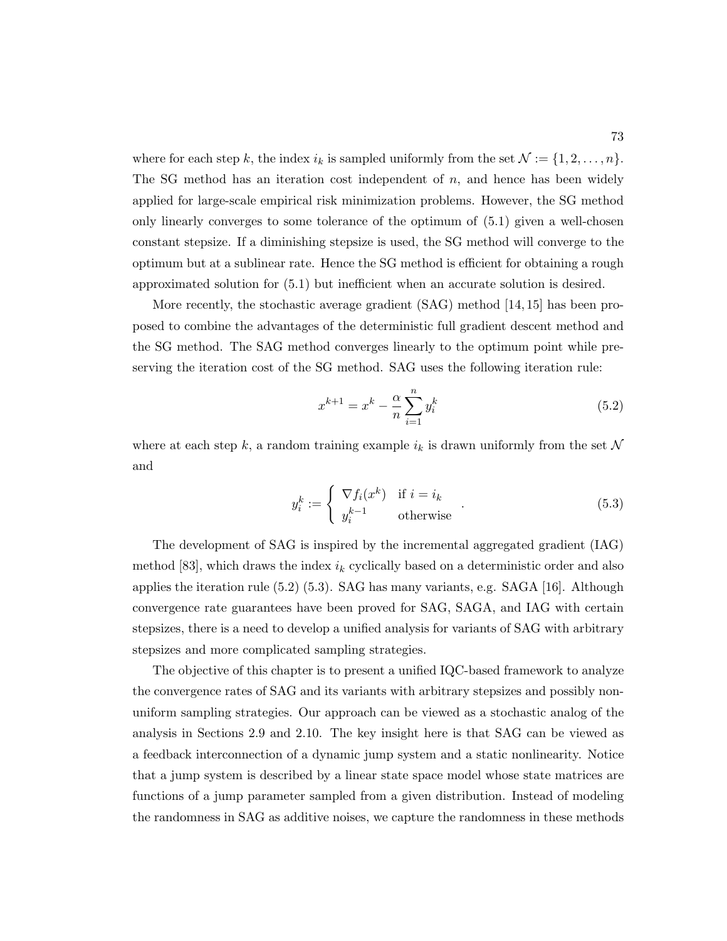where for each step k, the index  $i_k$  is sampled uniformly from the set  $\mathcal{N} := \{1, 2, \ldots, n\}.$ The SG method has an iteration cost independent of  $n$ , and hence has been widely applied for large-scale empirical risk minimization problems. However, the SG method only linearly converges to some tolerance of the optimum of (5.1) given a well-chosen constant stepsize. If a diminishing stepsize is used, the SG method will converge to the optimum but at a sublinear rate. Hence the SG method is efficient for obtaining a rough approximated solution for (5.1) but inefficient when an accurate solution is desired.

More recently, the stochastic average gradient (SAG) method [14, 15] has been proposed to combine the advantages of the deterministic full gradient descent method and the SG method. The SAG method converges linearly to the optimum point while preserving the iteration cost of the SG method. SAG uses the following iteration rule:

$$
x^{k+1} = x^k - \frac{\alpha}{n} \sum_{i=1}^n y_i^k
$$
 (5.2)

where at each step k, a random training example  $i_k$  is drawn uniformly from the set N and

$$
y_i^k := \begin{cases} \nabla f_i(x^k) & \text{if } i = i_k \\ y_i^{k-1} & \text{otherwise} \end{cases} \tag{5.3}
$$

The development of SAG is inspired by the incremental aggregated gradient (IAG) method [83], which draws the index  $i_k$  cyclically based on a deterministic order and also applies the iteration rule (5.2) (5.3). SAG has many variants, e.g. SAGA [16]. Although convergence rate guarantees have been proved for SAG, SAGA, and IAG with certain stepsizes, there is a need to develop a unified analysis for variants of SAG with arbitrary stepsizes and more complicated sampling strategies.

The objective of this chapter is to present a unified IQC-based framework to analyze the convergence rates of SAG and its variants with arbitrary stepsizes and possibly nonuniform sampling strategies. Our approach can be viewed as a stochastic analog of the analysis in Sections 2.9 and 2.10. The key insight here is that SAG can be viewed as a feedback interconnection of a dynamic jump system and a static nonlinearity. Notice that a jump system is described by a linear state space model whose state matrices are functions of a jump parameter sampled from a given distribution. Instead of modeling the randomness in SAG as additive noises, we capture the randomness in these methods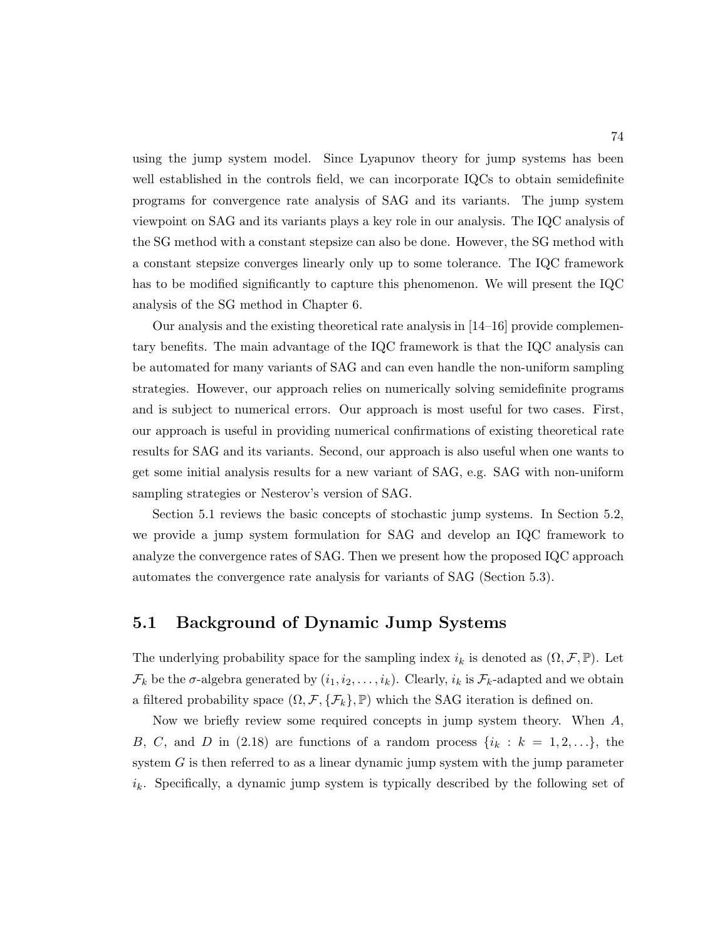using the jump system model. Since Lyapunov theory for jump systems has been well established in the controls field, we can incorporate IQCs to obtain semidefinite programs for convergence rate analysis of SAG and its variants. The jump system viewpoint on SAG and its variants plays a key role in our analysis. The IQC analysis of the SG method with a constant stepsize can also be done. However, the SG method with a constant stepsize converges linearly only up to some tolerance. The IQC framework has to be modified significantly to capture this phenomenon. We will present the IQC analysis of the SG method in Chapter 6.

Our analysis and the existing theoretical rate analysis in [14–16] provide complementary benefits. The main advantage of the IQC framework is that the IQC analysis can be automated for many variants of SAG and can even handle the non-uniform sampling strategies. However, our approach relies on numerically solving semidefinite programs and is subject to numerical errors. Our approach is most useful for two cases. First, our approach is useful in providing numerical confirmations of existing theoretical rate results for SAG and its variants. Second, our approach is also useful when one wants to get some initial analysis results for a new variant of SAG, e.g. SAG with non-uniform sampling strategies or Nesterov's version of SAG.

Section 5.1 reviews the basic concepts of stochastic jump systems. In Section 5.2, we provide a jump system formulation for SAG and develop an IQC framework to analyze the convergence rates of SAG. Then we present how the proposed IQC approach automates the convergence rate analysis for variants of SAG (Section 5.3).

#### 5.1 Background of Dynamic Jump Systems

The underlying probability space for the sampling index  $i_k$  is denoted as  $(\Omega, \mathcal{F}, \mathbb{P})$ . Let  $\mathcal{F}_k$  be the  $\sigma$ -algebra generated by  $(i_1, i_2, \ldots, i_k)$ . Clearly,  $i_k$  is  $\mathcal{F}_k$ -adapted and we obtain a filtered probability space  $(\Omega, \mathcal{F}, \{\mathcal{F}_k\}, \mathbb{P})$  which the SAG iteration is defined on.

Now we briefly review some required concepts in jump system theory. When  $A$ , B, C, and D in (2.18) are functions of a random process  $\{i_k : k = 1, 2, \ldots\}$ , the system  $G$  is then referred to as a linear dynamic jump system with the jump parameter  $i_k$ . Specifically, a dynamic jump system is typically described by the following set of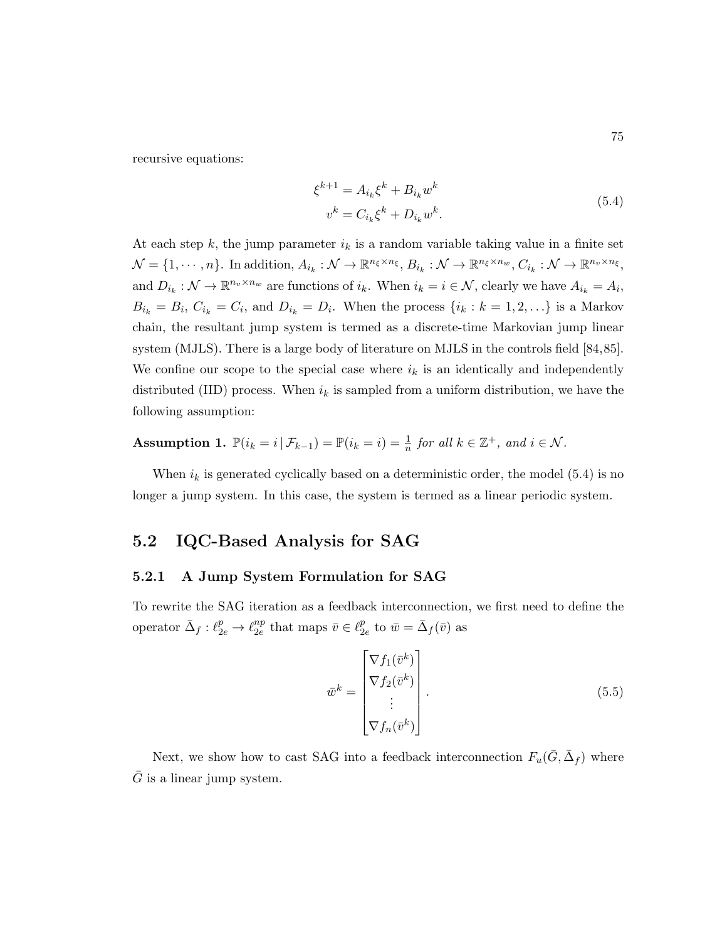recursive equations:

$$
\xi^{k+1} = A_{i_k} \xi^k + B_{i_k} w^k
$$
  
\n
$$
v^k = C_{i_k} \xi^k + D_{i_k} w^k.
$$
\n(5.4)

At each step k, the jump parameter  $i_k$  is a random variable taking value in a finite set  $\mathcal{N} = \{1, \cdots, n\}$ . In addition,  $A_{i_k} : \mathcal{N} \to \mathbb{R}^{n_{\xi} \times n_{\xi}}, B_{i_k} : \mathcal{N} \to \mathbb{R}^{n_{\xi} \times n_w}, C_{i_k} : \mathcal{N} \to \mathbb{R}^{n_v \times n_{\xi}},$ and  $D_{i_k} : \mathcal{N} \to \mathbb{R}^{n_v \times n_w}$  are functions of  $i_k$ . When  $i_k = i \in \mathcal{N}$ , clearly we have  $A_{i_k} = A_i$ ,  $B_{i_k} = B_i$ ,  $C_{i_k} = C_i$ , and  $D_{i_k} = D_i$ . When the process  $\{i_k : k = 1, 2, \ldots\}$  is a Markov chain, the resultant jump system is termed as a discrete-time Markovian jump linear system (MJLS). There is a large body of literature on MJLS in the controls field [84,85]. We confine our scope to the special case where  $i_k$  is an identically and independently distributed (IID) process. When  $i_k$  is sampled from a uniform distribution, we have the following assumption:

### **Assumption 1.**  $\mathbb{P}(i_k = i | \mathcal{F}_{k-1}) = \mathbb{P}(i_k = i) = \frac{1}{n}$  for all  $k \in \mathbb{Z}^+$ , and  $i \in \mathcal{N}$ .

When  $i_k$  is generated cyclically based on a deterministic order, the model (5.4) is no longer a jump system. In this case, the system is termed as a linear periodic system.

#### 5.2 IQC-Based Analysis for SAG

#### 5.2.1 A Jump System Formulation for SAG

To rewrite the SAG iteration as a feedback interconnection, we first need to define the operator  $\bar{\Delta}_f : \ell_{2e}^p \to \ell_{2e}^{np}$  $_{2e}^{np}$  that maps  $\bar{v} \in \ell_2^p$  $_{2e}^{p}$  to  $\bar{w} = \bar{\Delta}_f(\bar{v})$  as

$$
\bar{w}^{k} = \begin{bmatrix} \nabla f_{1}(\bar{v}^{k}) \\ \nabla f_{2}(\bar{v}^{k}) \\ \vdots \\ \nabla f_{n}(\bar{v}^{k}) \end{bmatrix} . \tag{5.5}
$$

Next, we show how to cast SAG into a feedback interconnection  $F_u(\bar{G}, \bar{\Delta}_f)$  where  $\overline{G}$  is a linear jump system.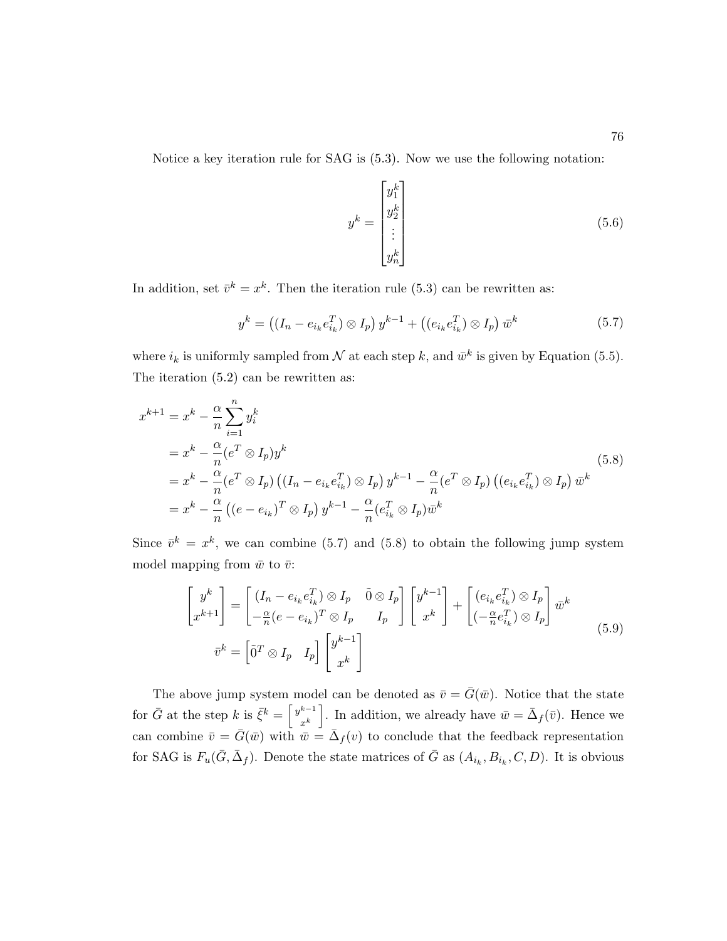Notice a key iteration rule for SAG is (5.3). Now we use the following notation:

$$
y^{k} = \begin{bmatrix} y_1^{k} \\ y_2^{k} \\ \vdots \\ y_n^{k} \end{bmatrix}
$$
 (5.6)

In addition, set  $\bar{v}^k = x^k$ . Then the iteration rule (5.3) can be rewritten as:

$$
y^{k} = ((I_{n} - e_{i_{k}}e_{i_{k}}^{T}) \otimes I_{p}) y^{k-1} + ((e_{i_{k}}e_{i_{k}}^{T}) \otimes I_{p}) \bar{w}^{k}
$$
(5.7)

where  $i_k$  is uniformly sampled from  $\mathcal N$  at each step k, and  $\bar{w}^k$  is given by Equation (5.5). The iteration (5.2) can be rewritten as:

$$
x^{k+1} = x^k - \frac{\alpha}{n} \sum_{i=1}^n y_i^k
$$
  
=  $x^k - \frac{\alpha}{n} (e^T \otimes I_p) y^k$   
=  $x^k - \frac{\alpha}{n} (e^T \otimes I_p) ((I_n - e_{i_k} e_{i_k}^T) \otimes I_p) y^{k-1} - \frac{\alpha}{n} (e^T \otimes I_p) ((e_{i_k} e_{i_k}^T) \otimes I_p) \bar{w}^k$   
=  $x^k - \frac{\alpha}{n} ((e - e_{i_k})^T \otimes I_p) y^{k-1} - \frac{\alpha}{n} (e_{i_k}^T \otimes I_p) \bar{w}^k$  (5.8)

Since  $\bar{v}^k = x^k$ , we can combine (5.7) and (5.8) to obtain the following jump system model mapping from  $\bar{w}$  to  $\bar{v}$ :

$$
\begin{bmatrix} y^k \\ x^{k+1} \end{bmatrix} = \begin{bmatrix} (I_n - e_{i_k} e_{i_k}^T) \otimes I_p & \tilde{0} \otimes I_p \\ -\frac{\alpha}{n} (e - e_{i_k})^T \otimes I_p & I_p \end{bmatrix} \begin{bmatrix} y^{k-1} \\ x^k \end{bmatrix} + \begin{bmatrix} (e_{i_k} e_{i_k}^T) \otimes I_p \\ (-\frac{\alpha}{n} e_{i_k}^T) \otimes I_p \end{bmatrix} \bar{w}^k
$$
\n
$$
\bar{v}^k = \begin{bmatrix} \tilde{0}^T \otimes I_p & I_p \end{bmatrix} \begin{bmatrix} y^{k-1} \\ x^k \end{bmatrix}
$$
\n(5.9)

The above jump system model can be denoted as  $\bar{v} = \bar{G}(\bar{w})$ . Notice that the state for  $\bar{G}$  at the step k is  $\bar{\xi}^k = \begin{bmatrix} y^{k-1} \\ k \end{bmatrix}$  $\begin{bmatrix} k-1 \\ x^k \end{bmatrix}$ . In addition, we already have  $\bar{w} = \bar{\Delta}_f(\bar{v})$ . Hence we can combine  $\bar{v} = \bar{G}(\bar{w})$  with  $\bar{w} = \bar{\Delta}_f(v)$  to conclude that the feedback representation for SAG is  $F_u(\bar{G}, \bar{\Delta}_f)$ . Denote the state matrices of  $\bar{G}$  as  $(A_{i_k}, B_{i_k}, C, D)$ . It is obvious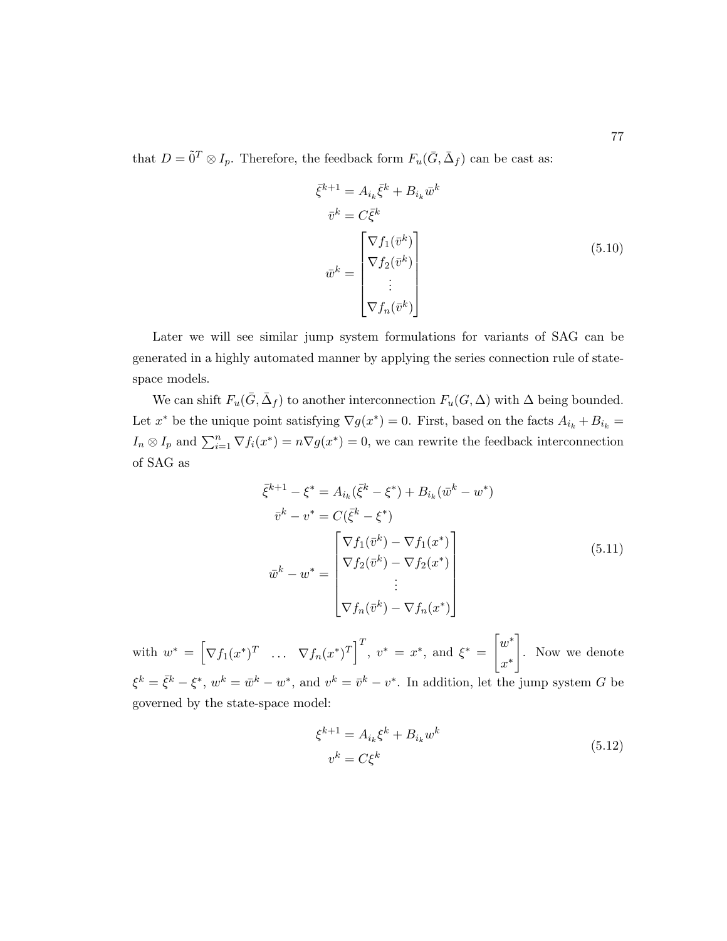that  $D = \tilde{0}^T \otimes I_p$ . Therefore, the feedback form  $F_u(\bar{G}, \bar{\Delta}_f)$  can be cast as:

$$
\bar{\xi}^{k+1} = A_{i_k} \bar{\xi}^k + B_{i_k} \bar{w}^k
$$

$$
\bar{v}^k = C \bar{\xi}^k
$$

$$
\bar{w}^k = \begin{bmatrix} \nabla f_1(\bar{v}^k) \\ \nabla f_2(\bar{v}^k) \\ \vdots \\ \nabla f_n(\bar{v}^k) \end{bmatrix}
$$
(5.10)

Later we will see similar jump system formulations for variants of SAG can be generated in a highly automated manner by applying the series connection rule of statespace models.

We can shift  $F_u(\bar{G}, \bar{\Delta}_f)$  to another interconnection  $F_u(G, \Delta)$  with  $\Delta$  being bounded. Let  $x^*$  be the unique point satisfying  $\nabla g(x^*) = 0$ . First, based on the facts  $A_{i_k} + B_{i_k} =$  $I_n \otimes I_p$  and  $\sum_{i=1}^n \nabla f_i(x^*) = n \nabla g(x^*) = 0$ , we can rewrite the feedback interconnection of SAG as

$$
\bar{\xi}^{k+1} - \xi^* = A_{i_k}(\bar{\xi}^k - \xi^*) + B_{i_k}(\bar{w}^k - w^*)
$$
  
\n
$$
\bar{v}^k - v^* = C(\bar{\xi}^k - \xi^*)
$$
  
\n
$$
\bar{w}^k - w^* = \begin{bmatrix} \nabla f_1(\bar{v}^k) - \nabla f_1(x^*) \\ \nabla f_2(\bar{v}^k) - \nabla f_2(x^*) \\ \n\vdots \\ \nabla f_n(\bar{v}^k) - \nabla f_n(x^*) \end{bmatrix}
$$
\n(5.11)

with  $w^* = \left[\nabla f_1(x^*)^T \dots \nabla f_n(x^*)^T\right]^T$ ,  $v^* = x^*$ , and  $\xi^* =$  $\lceil w^* \rceil$ x ∗ 1 . Now we denote  $\xi^k = \bar{\xi}^k - \xi^*, w^k = \bar{w}^k - w^*,$  and  $v^k = \bar{v}^k - v^*$ . In addition, let the jump system G be governed by the state-space model:

$$
\xi^{k+1} = A_{i_k} \xi^k + B_{i_k} w^k
$$
  
\n
$$
v^k = C \xi^k
$$
\n(5.12)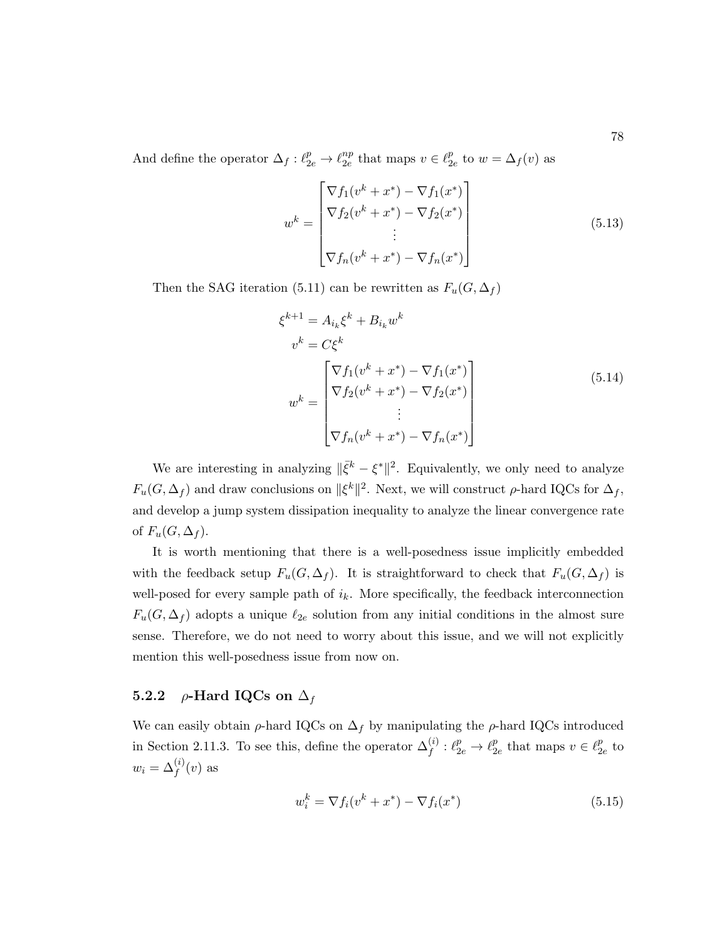And define the operator  $\Delta_f : \ell_{2e}^p \to \ell_{2e}^{np}$  $\frac{np}{2e}$  that maps  $v \in \ell_2^p$  $_{2e}^{p}$  to  $w = \Delta_{f}(v)$  as

$$
w^{k} = \begin{bmatrix} \nabla f_{1}(v^{k} + x^{*}) - \nabla f_{1}(x^{*}) \\ \nabla f_{2}(v^{k} + x^{*}) - \nabla f_{2}(x^{*}) \\ \n\vdots \\ \nabla f_{n}(v^{k} + x^{*}) - \nabla f_{n}(x^{*}) \end{bmatrix}
$$
(5.13)

Then the SAG iteration (5.11) can be rewritten as  $F_u(G, \Delta_f)$ 

$$
\xi^{k+1} = A_{i_k} \xi^k + B_{i_k} w^k
$$
  
\n
$$
v^k = C \xi^k
$$
  
\n
$$
w^k = \begin{bmatrix} \nabla f_1(v^k + x^*) - \nabla f_1(x^*) \\ \nabla f_2(v^k + x^*) - \nabla f_2(x^*) \\ \n\vdots \\ \nabla f_n(v^k + x^*) - \nabla f_n(x^*) \end{bmatrix}
$$
\n(5.14)

We are interesting in analyzing  $\|\bar{\xi}^k - \xi^*\|^2$ . Equivalently, we only need to analyze  $F_u(G, \Delta_f)$  and draw conclusions on  $\|\xi^k\|^2$ . Next, we will construct  $\rho$ -hard IQCs for  $\Delta_f$ , and develop a jump system dissipation inequality to analyze the linear convergence rate of  $F_u(G, \Delta_f)$ .

It is worth mentioning that there is a well-posedness issue implicitly embedded with the feedback setup  $F_u(G, \Delta_f)$ . It is straightforward to check that  $F_u(G, \Delta_f)$  is well-posed for every sample path of  $i_k$ . More specifically, the feedback interconnection  $F_u(G, \Delta_f)$  adopts a unique  $\ell_{2e}$  solution from any initial conditions in the almost sure sense. Therefore, we do not need to worry about this issue, and we will not explicitly mention this well-posedness issue from now on.

#### 5.2.2 *ρ*-Hard IQCs on  $\Delta_f$

We can easily obtain  $\rho$ -hard IQCs on  $\Delta_f$  by manipulating the  $\rho$ -hard IQCs introduced in Section 2.11.3. To see this, define the operator  $\Delta_f^{(i)}$  :  $\ell_{2e}^p \to \ell_2^p$  $_{2e}^p$  that maps  $v \in \ell_2^p$  $_{2e}^p$  to  $w_i = \Delta_f^{(i)}(v)$  as

$$
w_i^k = \nabla f_i(v^k + x^*) - \nabla f_i(x^*)
$$
\n(5.15)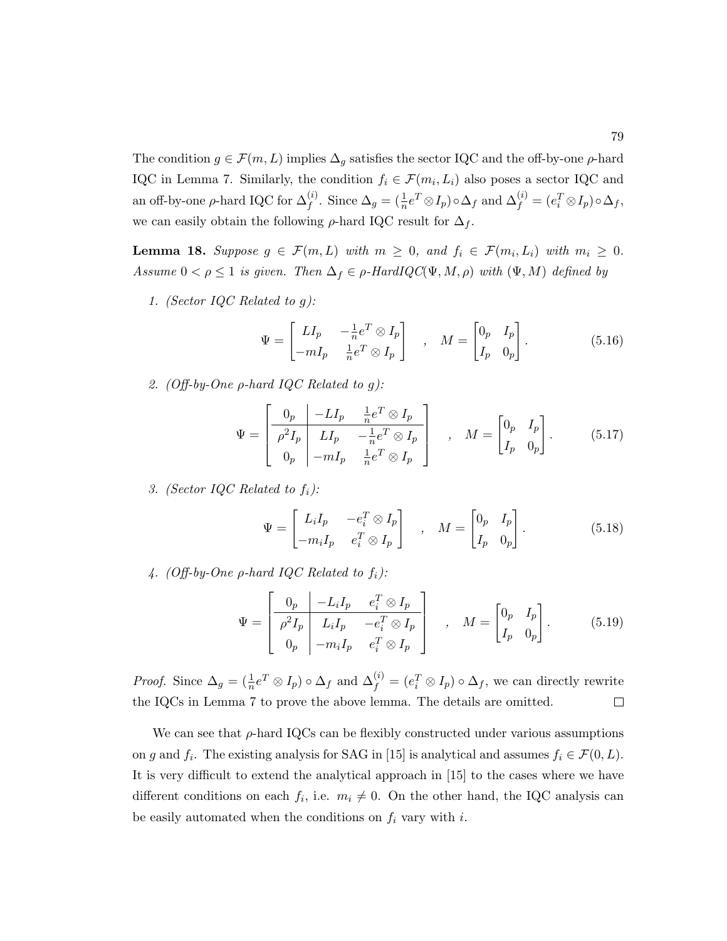The condition  $g \in \mathcal{F}(m, L)$  implies  $\Delta_g$  satisfies the sector IQC and the off-by-one  $\rho$ -hard IQC in Lemma 7. Similarly, the condition  $f_i \in \mathcal{F}(m_i, L_i)$  also poses a sector IQC and an off-by-one  $\rho$ -hard IQC for  $\Delta_f^{(i)}$ . Since  $\Delta_g = (\frac{1}{n}e^T \otimes I_p) \circ \Delta_f$  and  $\Delta_f^{(i)} = (e_i^T \otimes I_p) \circ \Delta_f$ , we can easily obtain the following  $\rho$ -hard IQC result for  $\Delta_f$ .

**Lemma 18.** Suppose  $g \in \mathcal{F}(m, L)$  with  $m \geq 0$ , and  $f_i \in \mathcal{F}(m_i, L_i)$  with  $m_i \geq 0$ . Assume  $0 < \rho \leq 1$  is given. Then  $\Delta_f \in \rho$ -HardIQC( $\Psi, M, \rho$ ) with  $(\Psi, M)$  defined by

1. (Sector IQC Related to g):

$$
\Psi = \begin{bmatrix} L I_p & -\frac{1}{n} e^T \otimes I_p \\ -m I_p & \frac{1}{n} e^T \otimes I_p \end{bmatrix} \quad , \quad M = \begin{bmatrix} 0_p & I_p \\ I_p & 0_p \end{bmatrix} . \tag{5.16}
$$

2. (Off-by-One  $\rho$ -hard IQC Related to g):

$$
\Psi = \begin{bmatrix} 0_p & -LI_p & \frac{1}{n}e^T \otimes I_p \\ \rho^2 I_p & LI_p & -\frac{1}{n}e^T \otimes I_p \\ 0_p & -mI_p & \frac{1}{n}e^T \otimes I_p \end{bmatrix} , \quad M = \begin{bmatrix} 0_p & I_p \\ I_p & 0_p \end{bmatrix} .
$$
 (5.17)

3. (Sector IQC Related to  $f_i$ ):

$$
\Psi = \begin{bmatrix} L_i I_p & -e_i^T \otimes I_p \\ -m_i I_p & e_i^T \otimes I_p \end{bmatrix} , \quad M = \begin{bmatrix} 0_p & I_p \\ I_p & 0_p \end{bmatrix} .
$$
 (5.18)

4. (Off-by-One  $\rho$ -hard IQC Related to  $f_i$ ):

$$
\Psi = \begin{bmatrix} 0_p & -L_i I_p & e_i^T \otimes I_p \\ \hline \rho^2 I_p & L_i I_p & -e_i^T \otimes I_p \\ 0_p & -m_i I_p & e_i^T \otimes I_p \end{bmatrix} , \quad M = \begin{bmatrix} 0_p & I_p \\ I_p & 0_p \end{bmatrix} .
$$
 (5.19)

*Proof.* Since  $\Delta_g = (\frac{1}{n}e^T \otimes I_p) \circ \Delta_f$  and  $\Delta_f^{(i)} = (e_i^T \otimes I_p) \circ \Delta_f$ , we can directly rewrite the IQCs in Lemma 7 to prove the above lemma. The details are omitted.  $\Box$ 

We can see that  $\rho$ -hard IQCs can be flexibly constructed under various assumptions on g and  $f_i$ . The existing analysis for SAG in [15] is analytical and assumes  $f_i \in \mathcal{F}(0,L)$ . It is very difficult to extend the analytical approach in [15] to the cases where we have different conditions on each  $f_i$ , i.e.  $m_i \neq 0$ . On the other hand, the IQC analysis can be easily automated when the conditions on  $f_i$  vary with i.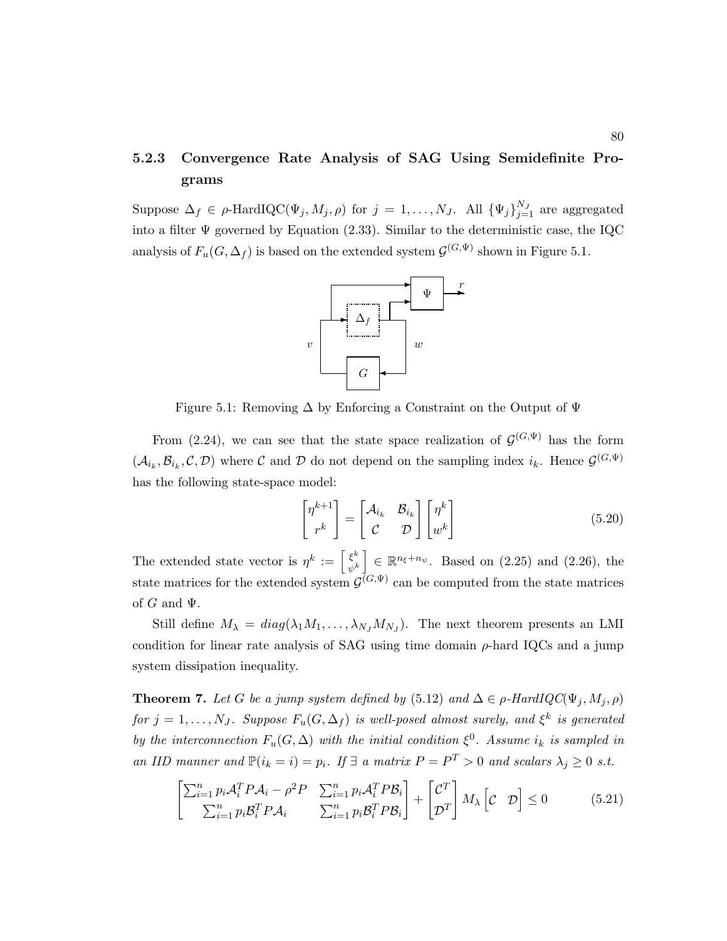### 5.2.3 Convergence Rate Analysis of SAG Using Semidefinite Programs

Suppose  $\Delta_f \in \rho$ -HardIQC $(\Psi_j, M_j, \rho)$  for  $j = 1, ..., N_J$ . All  $\{\Psi_j\}_{j=1}^{N_J}$  are aggregated into a filter  $\Psi$  governed by Equation (2.33). Similar to the deterministic case, the IQC analysis of  $F_u(G, \Delta_f)$  is based on the extended system  $\mathcal{G}^{(G,\Psi)}$  shown in Figure 5.1.



Figure 5.1: Removing  $\Delta$  by Enforcing a Constraint on the Output of  $\Psi$ 

From (2.24), we can see that the state space realization of  $\mathcal{G}^{(G,\Psi)}$  has the form  $(\mathcal{A}_{i_k}, \mathcal{B}_{i_k}, \mathcal{C}, \mathcal{D})$  where  $\mathcal C$  and  $\mathcal D$  do not depend on the sampling index  $i_k$ . Hence  $\mathcal G^{(G,\Psi)}$ has the following state-space model:

$$
\begin{bmatrix} \eta^{k+1} \\ r^k \end{bmatrix} = \begin{bmatrix} \mathcal{A}_{i_k} & \mathcal{B}_{i_k} \\ \mathcal{C} & \mathcal{D} \end{bmatrix} \begin{bmatrix} \eta^k \\ w^k \end{bmatrix}
$$
 (5.20)

The extended state vector is  $\eta^k := \left[\frac{\xi^k}{\xi^k}\right]$  $\begin{bmatrix} \xi^k \\ \psi^k \end{bmatrix} \in \mathbb{R}^{n_{\xi}+n_{\psi}}$ . Based on (2.25) and (2.26), the state matrices for the extended system  $\mathcal{G}^{(G,\Psi)}$  can be computed from the state matrices of  $G$  and  $\Psi$ .

Still define  $M_{\lambda} = diag(\lambda_1 M_1, \dots, \lambda_{N_J} M_{N_J})$ . The next theorem presents an LMI condition for linear rate analysis of SAG using time domain  $\rho$ -hard IQCs and a jump system dissipation inequality.

**Theorem 7.** Let G be a jump system defined by (5.12) and  $\Delta \in \rho$ -HardIQC( $\Psi_i, M_i, \rho$ ) for  $j = 1, \ldots, N_J$ . Suppose  $F_u(G, \Delta_f)$  is well-posed almost surely, and  $\xi^k$  is generated by the interconnection  $F_u(G, \Delta)$  with the initial condition  $\xi^0$ . Assume  $i_k$  is sampled in an IID manner and  $\mathbb{P}(i_k = i) = p_i$ . If  $\exists$  a matrix  $P = P^T > 0$  and scalars  $\lambda_j \geq 0$  s.t.

$$
\begin{bmatrix} \sum_{i=1}^{n} p_i \mathcal{A}_i^T P \mathcal{A}_i - \rho^2 P & \sum_{i=1}^{n} p_i \mathcal{A}_i^T P \mathcal{B}_i \\ \sum_{i=1}^{n} p_i \mathcal{B}_i^T P \mathcal{A}_i & \sum_{i=1}^{n} p_i \mathcal{B}_i^T P \mathcal{B}_i \end{bmatrix} + \begin{bmatrix} \mathcal{C}^T \\ \mathcal{D}^T \end{bmatrix} M_\lambda \begin{bmatrix} \mathcal{C} & \mathcal{D} \end{bmatrix} \leq 0 \tag{5.21}
$$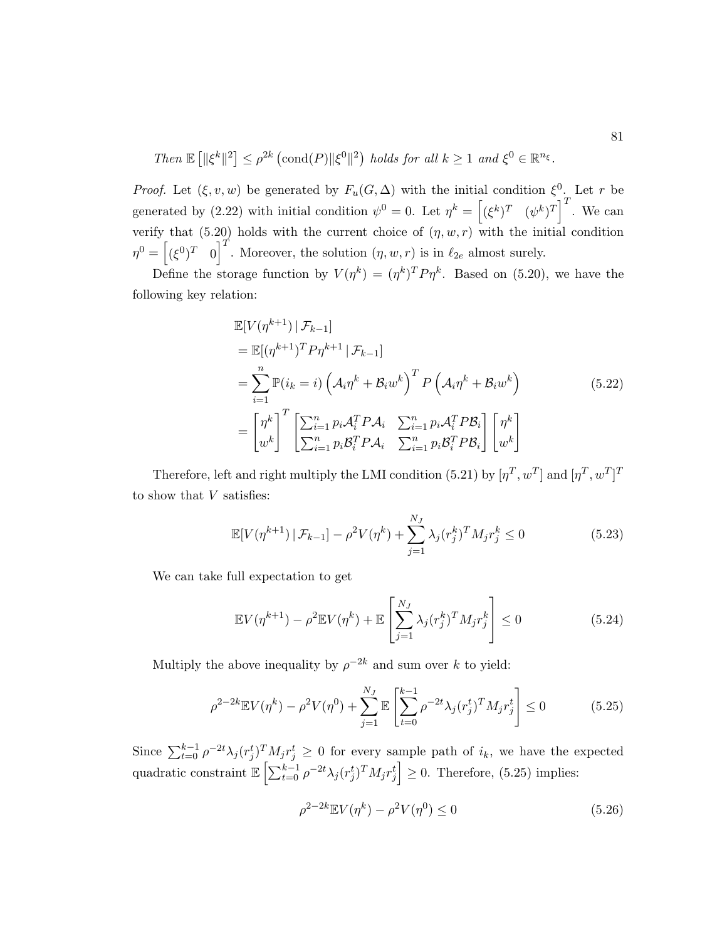Then  $\mathbb{E} \left[ \|\xi^k\|^2 \right] \leq \rho^{2k} \left( \text{cond}(P) \|\xi^0\|^2 \right)$  holds for all  $k \geq 1$  and  $\xi^0 \in \mathbb{R}^{n_{\xi}}$ .

*Proof.* Let  $(\xi, v, w)$  be generated by  $F_u(G, \Delta)$  with the initial condition  $\xi^0$ . Let r be generated by (2.22) with initial condition  $\psi^0 = 0$ . Let  $\eta^k = \left[ (\xi^k)^T \quad (\psi^k)^T \right]^T$ . We can verify that (5.20) holds with the current choice of  $(\eta, w, r)$  with the initial condition  $\eta^0 = \left[ (\xi^0)^T \right]^T$ . Moreover, the solution  $(\eta, w, r)$  is in  $\ell_{2e}$  almost surely.

Define the storage function by  $V(\eta^k) = (\eta^k)^T P \eta^k$ . Based on (5.20), we have the following key relation:

$$
\mathbb{E}[V(\eta^{k+1}) | \mathcal{F}_{k-1}]
$$
\n
$$
= \mathbb{E}[(\eta^{k+1})^T P \eta^{k+1} | \mathcal{F}_{k-1}]
$$
\n
$$
= \sum_{i=1}^n \mathbb{P}(i_k = i) \left(\mathcal{A}_i \eta^k + \mathcal{B}_i w^k\right)^T P \left(\mathcal{A}_i \eta^k + \mathcal{B}_i w^k\right)
$$
\n
$$
= \begin{bmatrix} \eta^k \\ w^k \end{bmatrix}^T \begin{bmatrix} \sum_{i=1}^n p_i \mathcal{A}_i^T P \mathcal{A}_i & \sum_{i=1}^n p_i \mathcal{A}_i^T P \mathcal{B}_i \\ \sum_{i=1}^n p_i \mathcal{B}_i^T P \mathcal{A}_i & \sum_{i=1}^n p_i \mathcal{B}_i^T P \mathcal{B}_i \end{bmatrix} \begin{bmatrix} \eta^k \\ w^k \end{bmatrix}
$$
\n(5.22)

Therefore, left and right multiply the LMI condition (5.21) by  $[\eta^T, w^T]$  and  $[\eta^T, w^T]^T$ to show that V satisfies:

$$
\mathbb{E}[V(\eta^{k+1}) \mid \mathcal{F}_{k-1}] - \rho^2 V(\eta^k) + \sum_{j=1}^{N_J} \lambda_j (r_j^k)^T M_j r_j^k \le 0 \tag{5.23}
$$

We can take full expectation to get

$$
\mathbb{E}V(\eta^{k+1}) - \rho^2 \mathbb{E}V(\eta^k) + \mathbb{E}\left[\sum_{j=1}^{N_J} \lambda_j (r_j^k)^T M_j r_j^k\right] \le 0
$$
\n(5.24)

Multiply the above inequality by  $\rho^{-2k}$  and sum over k to yield:

$$
\rho^{2-2k} \mathbb{E} V(\eta^k) - \rho^2 V(\eta^0) + \sum_{j=1}^{N_J} \mathbb{E} \left[ \sum_{t=0}^{k-1} \rho^{-2t} \lambda_j (r_j^t)^T M_j r_j^t \right] \le 0 \tag{5.25}
$$

Since  $\sum_{t=0}^{k-1} \rho^{-2t} \lambda_j (r_j^t)^T M_j r_j^t \geq 0$  for every sample path of  $i_k$ , we have the expected quadratic constraint  $\mathbb{E}\left[\sum_{t=0}^{k-1} \rho^{-2t} \lambda_j (r_j^t)^T M_j r_j^t \right] \geq 0$ . Therefore, (5.25) implies:

$$
\rho^{2-2k} \mathbb{E} V(\eta^k) - \rho^2 V(\eta^0) \le 0
$$
\n(5.26)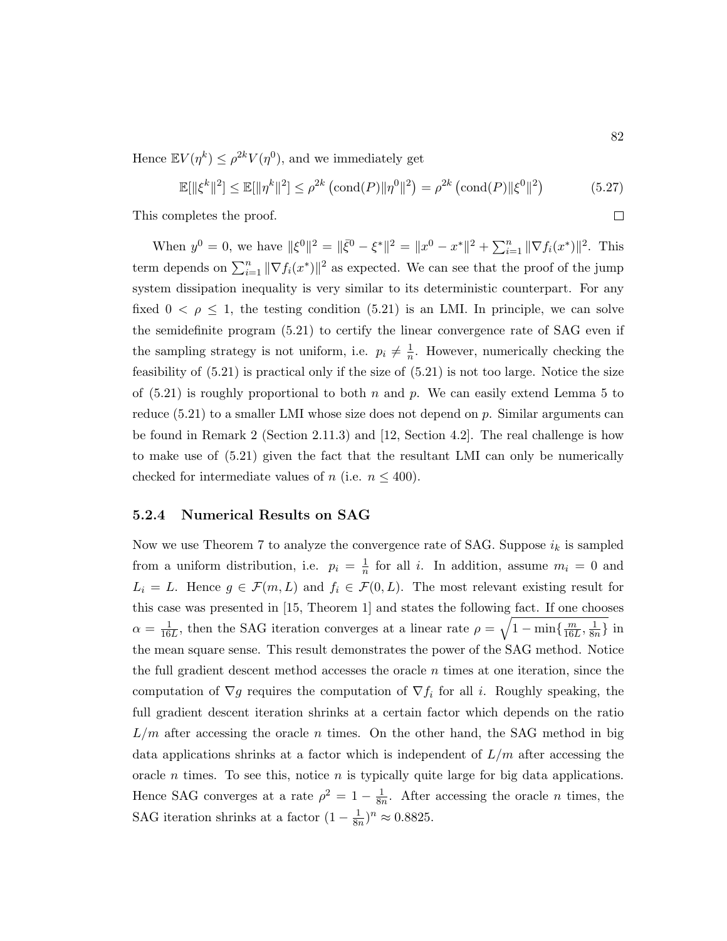Hence  $\mathbb{E} V(\eta^k) \leq \rho^{2k} V(\eta^0)$ , and we immediately get

$$
\mathbb{E}[\|\xi^k\|^2] \le \mathbb{E}[\|\eta^k\|^2] \le \rho^{2k} \left(\text{cond}(P)\|\eta^0\|^2\right) = \rho^{2k} \left(\text{cond}(P)\|\xi^0\|^2\right) \tag{5.27}
$$

This completes the proof.

When  $y^0 = 0$ , we have  $\|\xi^0\|^2 = \|\bar{\xi}^0 - \xi^*\|^2 = \|x^0 - x^*\|^2 + \sum_{i=1}^n \|\nabla f_i(x^*)\|^2$ . This term depends on  $\sum_{i=1}^{n} ||\nabla f_i(x^*)||^2$  as expected. We can see that the proof of the jump system dissipation inequality is very similar to its deterministic counterpart. For any fixed  $0 < \rho \leq 1$ , the testing condition (5.21) is an LMI. In principle, we can solve the semidefinite program (5.21) to certify the linear convergence rate of SAG even if the sampling strategy is not uniform, i.e.  $p_i \neq \frac{1}{n}$  $\frac{1}{n}$ . However, numerically checking the feasibility of (5.21) is practical only if the size of (5.21) is not too large. Notice the size of  $(5.21)$  is roughly proportional to both n and p. We can easily extend Lemma 5 to reduce  $(5.21)$  to a smaller LMI whose size does not depend on p. Similar arguments can be found in Remark 2 (Section 2.11.3) and [12, Section 4.2]. The real challenge is how to make use of (5.21) given the fact that the resultant LMI can only be numerically checked for intermediate values of *n* (i.e.  $n \leq 400$ ).

#### 5.2.4 Numerical Results on SAG

Now we use Theorem 7 to analyze the convergence rate of SAG. Suppose  $i_k$  is sampled from a uniform distribution, i.e.  $p_i = \frac{1}{n}$  $\frac{1}{n}$  for all *i*. In addition, assume  $m_i = 0$  and  $L_i = L$ . Hence  $g \in \mathcal{F}(m, L)$  and  $f_i \in \mathcal{F}(0, L)$ . The most relevant existing result for this case was presented in [15, Theorem 1] and states the following fact. If one chooses  $\alpha = \frac{1}{16}$  $\frac{1}{16L}$ , then the SAG iteration converges at a linear rate  $\rho = \sqrt{1 - \min\{\frac{m}{16L}\}}$  $\frac{m}{16L}, \frac{1}{8n}$  $\frac{1}{8n}\}$  in the mean square sense. This result demonstrates the power of the SAG method. Notice the full gradient descent method accesses the oracle  $n$  times at one iteration, since the computation of  $\nabla g$  requires the computation of  $\nabla f_i$  for all i. Roughly speaking, the full gradient descent iteration shrinks at a certain factor which depends on the ratio  $L/m$  after accessing the oracle n times. On the other hand, the SAG method in big data applications shrinks at a factor which is independent of  $L/m$  after accessing the oracle n times. To see this, notice  $n$  is typically quite large for big data applications. Hence SAG converges at a rate  $\rho^2 = 1 - \frac{1}{8g}$  $\frac{1}{8n}$ . After accessing the oracle *n* times, the SAG iteration shrinks at a factor  $(1 - \frac{1}{8r})$  $\frac{1}{8n})^n \approx 0.8825.$ 

 $\Box$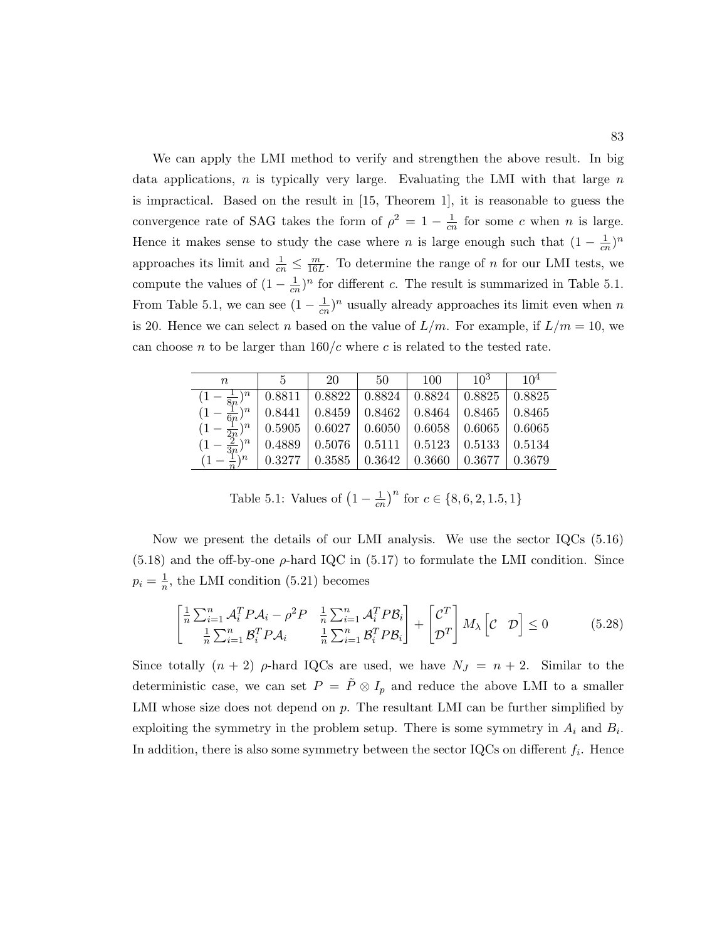We can apply the LMI method to verify and strengthen the above result. In big data applications,  $n$  is typically very large. Evaluating the LMI with that large  $n$ is impractical. Based on the result in [15, Theorem 1], it is reasonable to guess the convergence rate of SAG takes the form of  $\rho^2 = 1 - \frac{1}{cr}$  $\frac{1}{cn}$  for some c when n is large. Hence it makes sense to study the case where n is large enough such that  $(1 - \frac{1}{c_1})$  $\frac{1}{cn}$ <sup>n</sup> approaches its limit and  $\frac{1}{cn} \leq \frac{m}{16l}$  $\frac{m}{16L}$ . To determine the range of *n* for our LMI tests, we compute the values of  $(1 - \frac{1}{cr})$  $\frac{1}{cn}$ <sup>n</sup> for different c. The result is summarized in Table 5.1. From Table 5.1, we can see  $(1 - \frac{1}{cr})$  $\frac{1}{cn}$ <sup>n</sup> usually already approaches its limit even when n is 20. Hence we can select *n* based on the value of  $L/m$ . For example, if  $L/m = 10$ , we can choose n to be larger than  $160/c$  where c is related to the tested rate.

| $n\,$                                                                      | $\sqrt{2}$ | - 20 | -50 | $100 \quad   \quad 10^3 \quad   \quad 10^4$ |  |
|----------------------------------------------------------------------------|------------|------|-----|---------------------------------------------|--|
| $(1-\frac{1}{8n})^n$   0.8811   0.8822   0.8824   0.8824   0.8825   0.8825 |            |      |     |                                             |  |
| $(1-\frac{1}{6n})^n$   0.8441   0.8459   0.8462   0.8464   0.8465   0.8465 |            |      |     |                                             |  |
| $(1-\frac{1}{2n})^n$   0.5905   0.6027   0.6050   0.6058   0.6065   0.6065 |            |      |     |                                             |  |
| $(1-\frac{2}{3n})^n$   0.4889   0.5076   0.5111   0.5123   0.5133   0.5134 |            |      |     |                                             |  |
| $(1-\frac{1}{n})^n$   0.3277   0.3585   0.3642   0.3660   0.3677   0.3679  |            |      |     |                                             |  |

Table 5.1: Values of  $(1 - \frac{1}{cn})^n$  for  $c \in \{8, 6, 2, 1.5, 1\}$ 

Now we present the details of our LMI analysis. We use the sector IQCs (5.16)  $(5.18)$  and the off-by-one  $\rho$ -hard IQC in  $(5.17)$  to formulate the LMI condition. Since  $p_i = \frac{1}{n}$  $\frac{1}{n}$ , the LMI condition (5.21) becomes

$$
\begin{bmatrix} \frac{1}{n} \sum_{i=1}^{n} \mathcal{A}_i^T P \mathcal{A}_i - \rho^2 P & \frac{1}{n} \sum_{i=1}^{n} \mathcal{A}_i^T P \mathcal{B}_i \\ \frac{1}{n} \sum_{i=1}^{n} \mathcal{B}_i^T P \mathcal{A}_i & \frac{1}{n} \sum_{i=1}^{n} \mathcal{B}_i^T P \mathcal{B}_i \end{bmatrix} + \begin{bmatrix} \mathcal{C}^T \\ \mathcal{D}^T \end{bmatrix} M_{\lambda} \begin{bmatrix} \mathcal{C} & \mathcal{D} \end{bmatrix} \leq 0 \tag{5.28}
$$

Since totally  $(n + 2)$   $\rho$ -hard IQCs are used, we have  $N_J = n + 2$ . Similar to the deterministic case, we can set  $P = \tilde{P} \otimes I_p$  and reduce the above LMI to a smaller LMI whose size does not depend on  $p$ . The resultant LMI can be further simplified by exploiting the symmetry in the problem setup. There is some symmetry in  $A_i$  and  $B_i$ . In addition, there is also some symmetry between the sector IQCs on different  $f_i$ . Hence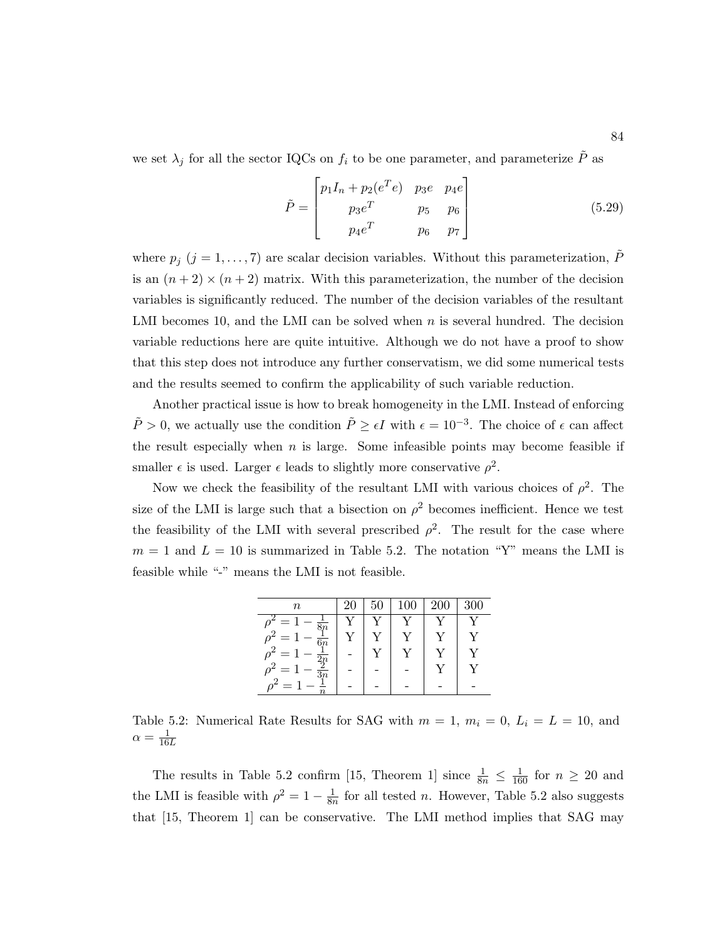we set  $\lambda_j$  for all the sector IQCs on  $f_i$  to be one parameter, and parameterize  $\tilde{P}$  as

$$
\tilde{P} = \begin{bmatrix} p_1 I_n + p_2(e^T e) & p_3 e & p_4 e \\ p_3 e^T & p_5 & p_6 \\ p_4 e^T & p_6 & p_7 \end{bmatrix}
$$
\n(5.29)

where  $p_j$  (j = 1, ..., 7) are scalar decision variables. Without this parameterization,  $\tilde{P}$ is an  $(n+2) \times (n+2)$  matrix. With this parameterization, the number of the decision variables is significantly reduced. The number of the decision variables of the resultant LMI becomes 10, and the LMI can be solved when  $n$  is several hundred. The decision variable reductions here are quite intuitive. Although we do not have a proof to show that this step does not introduce any further conservatism, we did some numerical tests and the results seemed to confirm the applicability of such variable reduction.

Another practical issue is how to break homogeneity in the LMI. Instead of enforcing  $\tilde{P} > 0$ , we actually use the condition  $\tilde{P} \ge \epsilon I$  with  $\epsilon = 10^{-3}$ . The choice of  $\epsilon$  can affect the result especially when  $n$  is large. Some infeasible points may become feasible if smaller  $\epsilon$  is used. Larger  $\epsilon$  leads to slightly more conservative  $\rho^2$ .

Now we check the feasibility of the resultant LMI with various choices of  $\rho^2$ . The size of the LMI is large such that a bisection on  $\rho^2$  becomes inefficient. Hence we test the feasibility of the LMI with several prescribed  $\rho^2$ . The result for the case where  $m = 1$  and  $L = 10$  is summarized in Table 5.2. The notation "Y" means the LMI is feasible while "-" means the LMI is not feasible.

| $\it{n}$              | 20 | Б | 100       | 200 | 300 |
|-----------------------|----|---|-----------|-----|-----|
|                       |    |   |           |     |     |
| $\frac{1}{6n}$        |    |   |           |     |     |
| —                     |    |   | $\sqrt{}$ |     |     |
| --<br>$\overline{3n}$ |    |   |           |     |     |
|                       |    |   |           |     |     |

Table 5.2: Numerical Rate Results for SAG with  $m = 1$ ,  $m_i = 0$ ,  $L_i = L = 10$ , and  $\alpha = \frac{1}{16L}$ 

The results in Table 5.2 confirm [15, Theorem 1] since  $\frac{1}{8n} \leq \frac{1}{160}$  for  $n \geq 20$  and the LMI is feasible with  $\rho^2 = 1 - \frac{1}{8r}$  $\frac{1}{8n}$  for all tested *n*. However, Table 5.2 also suggests that [15, Theorem 1] can be conservative. The LMI method implies that SAG may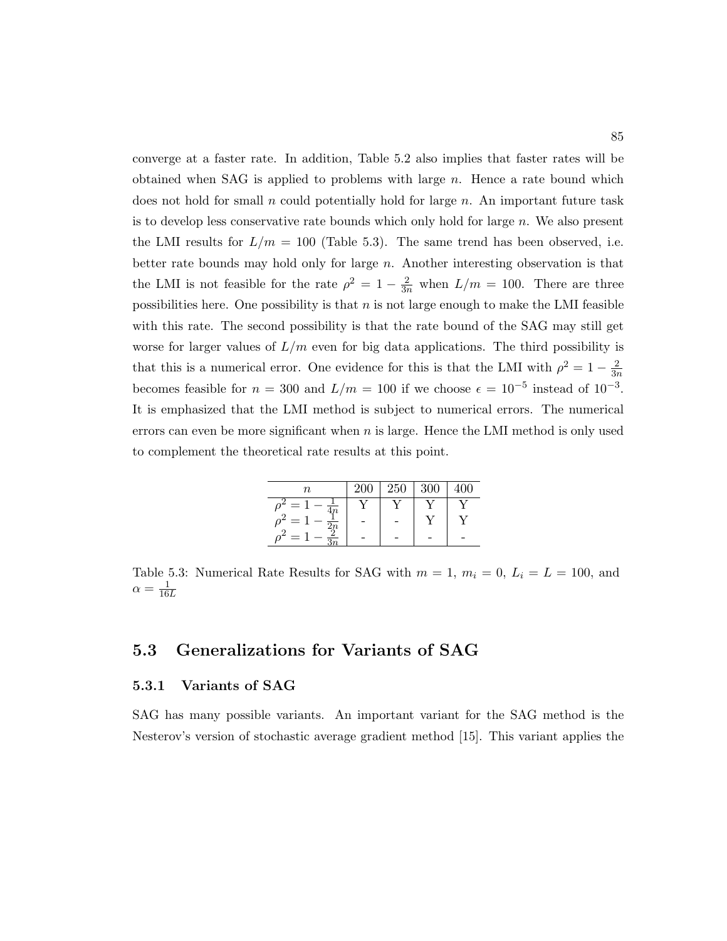converge at a faster rate. In addition, Table 5.2 also implies that faster rates will be obtained when SAG is applied to problems with large  $n$ . Hence a rate bound which does not hold for small n could potentially hold for large  $n$ . An important future task is to develop less conservative rate bounds which only hold for large  $n$ . We also present the LMI results for  $L/m = 100$  (Table 5.3). The same trend has been observed, i.e. better rate bounds may hold only for large n. Another interesting observation is that the LMI is not feasible for the rate  $\rho^2 = 1 - \frac{2}{3n}$  when  $L/m = 100$ . There are three possibilities here. One possibility is that  $n$  is not large enough to make the LMI feasible with this rate. The second possibility is that the rate bound of the SAG may still get worse for larger values of  $L/m$  even for big data applications. The third possibility is that this is a numerical error. One evidence for this is that the LMI with  $\rho^2 = 1 - \frac{2}{3r}$  $\overline{3n}$ becomes feasible for  $n = 300$  and  $L/m = 100$  if we choose  $\epsilon = 10^{-5}$  instead of  $10^{-3}$ . It is emphasized that the LMI method is subject to numerical errors. The numerical errors can even be more significant when  $n$  is large. Hence the LMI method is only used to complement the theoretical rate results at this point.

| $\it n$ | 200 | 250 | 300 |  |
|---------|-----|-----|-----|--|
| —       |     |     |     |  |
| $=$     |     |     |     |  |
| -       |     |     |     |  |

Table 5.3: Numerical Rate Results for SAG with  $m = 1$ ,  $m_i = 0$ ,  $L_i = L = 100$ , and  $\alpha = \frac{1}{16L}$ 

#### 5.3 Generalizations for Variants of SAG

#### 5.3.1 Variants of SAG

SAG has many possible variants. An important variant for the SAG method is the Nesterov's version of stochastic average gradient method [15]. This variant applies the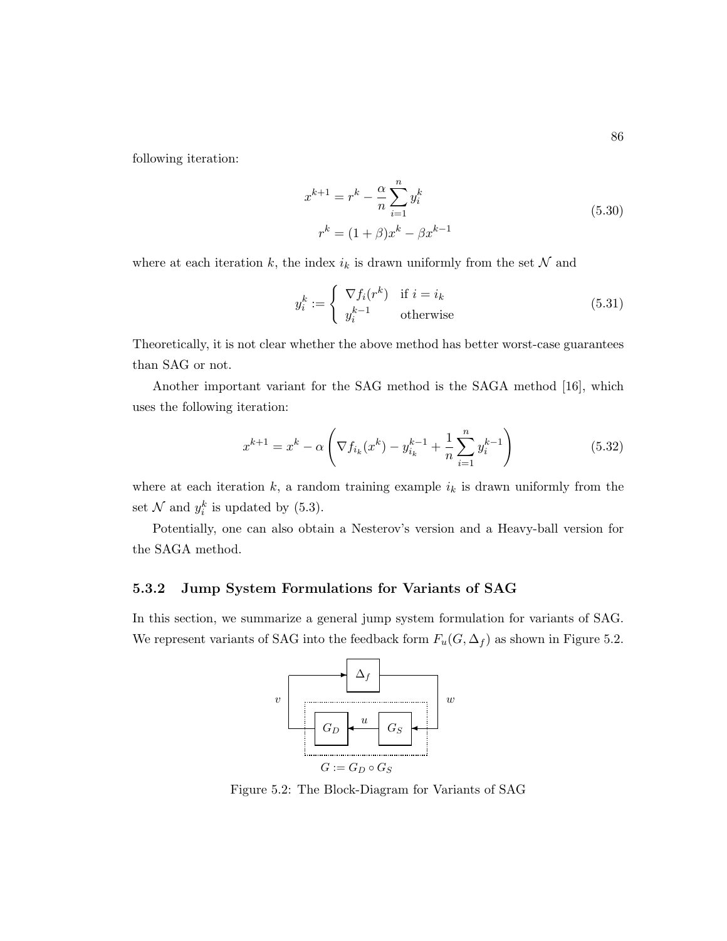following iteration:

$$
x^{k+1} = r^k - \frac{\alpha}{n} \sum_{i=1}^n y_i^k
$$
  

$$
r^k = (1+\beta)x^k - \beta x^{k-1}
$$
 (5.30)

where at each iteration  $k$ , the index  $i_k$  is drawn uniformly from the set  $\mathcal N$  and

$$
y_i^k := \begin{cases} \nabla f_i(r^k) & \text{if } i = i_k \\ y_i^{k-1} & \text{otherwise} \end{cases} \tag{5.31}
$$

Theoretically, it is not clear whether the above method has better worst-case guarantees than SAG or not.

Another important variant for the SAG method is the SAGA method [16], which uses the following iteration:

$$
x^{k+1} = x^k - \alpha \left( \nabla f_{i_k}(x^k) - y_{i_k}^{k-1} + \frac{1}{n} \sum_{i=1}^n y_i^{k-1} \right)
$$
 (5.32)

where at each iteration  $k$ , a random training example  $i_k$  is drawn uniformly from the set  $\mathcal N$  and  $y_i^k$  is updated by (5.3).

Potentially, one can also obtain a Nesterov's version and a Heavy-ball version for the SAGA method.

#### 5.3.2 Jump System Formulations for Variants of SAG

In this section, we summarize a general jump system formulation for variants of SAG. We represent variants of SAG into the feedback form  $F_u(G, \Delta_f)$  as shown in Figure 5.2.



Figure 5.2: The Block-Diagram for Variants of SAG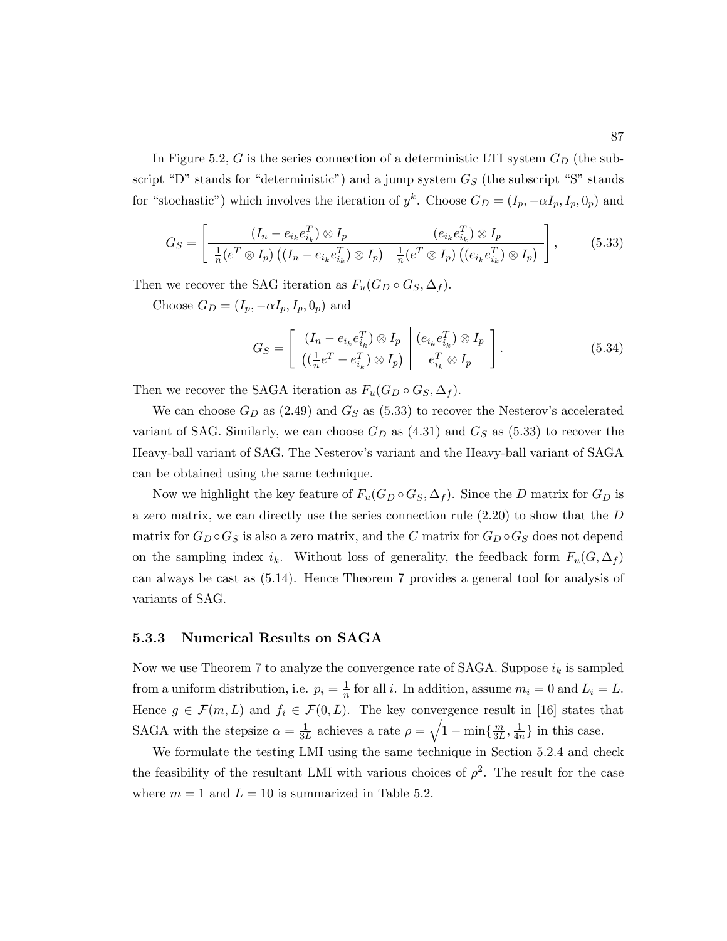In Figure 5.2, G is the series connection of a deterministic LTI system  $G_D$  (the subscript "D" stands for "deterministic") and a jump system  $G<sub>S</sub>$  (the subscript "S" stands for "stochastic") which involves the iteration of  $y^k$ . Choose  $G_D = (I_p, -\alpha I_p, I_p, 0_p)$  and

$$
G_S = \left[ \frac{\left(I_n - e_{i_k} e_{i_k}^T\right) \otimes I_p}{\frac{1}{n} \left(e^T \otimes I_p\right) \left(\left(I_n - e_{i_k} e_{i_k}^T\right) \otimes I_p\right)} \frac{\left(e_{i_k} e_{i_k}^T\right) \otimes I_p}{\frac{1}{n} \left(e^T \otimes I_p\right) \left(\left(e_{i_k} e_{i_k}^T\right) \otimes I_p\right)} \right],\tag{5.33}
$$

Then we recover the SAG iteration as  $F_u(G_D \circ G_S, \Delta_f)$ .

Choose  $G_D = (I_p, -\alpha I_p, I_p, 0_p)$  and

$$
G_S = \left[ \frac{\left(I_n - e_{i_k} e_{i_k}^T\right) \otimes I_p \quad \left(e_{i_k} e_{i_k}^T\right) \otimes I_p}{\left(\left(\frac{1}{n}e^T - e_{i_k}^T\right) \otimes I_p\right) \quad e_{i_k}^T \otimes I_p} \right].
$$
\n
$$
(5.34)
$$

Then we recover the SAGA iteration as  $F_u(G_D \circ G_S, \Delta_f)$ .

We can choose  $G_D$  as (2.49) and  $G_S$  as (5.33) to recover the Nesterov's accelerated variant of SAG. Similarly, we can choose  $G_D$  as  $(4.31)$  and  $G_S$  as  $(5.33)$  to recover the Heavy-ball variant of SAG. The Nesterov's variant and the Heavy-ball variant of SAGA can be obtained using the same technique.

Now we highlight the key feature of  $F_u(G_D \circ G_S, \Delta_f)$ . Since the D matrix for  $G_D$  is a zero matrix, we can directly use the series connection rule  $(2.20)$  to show that the  $D$ matrix for  $G_D \circ G_S$  is also a zero matrix, and the C matrix for  $G_D \circ G_S$  does not depend on the sampling index  $i_k$ . Without loss of generality, the feedback form  $F_u(G, \Delta_f)$ can always be cast as (5.14). Hence Theorem 7 provides a general tool for analysis of variants of SAG.

#### 5.3.3 Numerical Results on SAGA

Now we use Theorem 7 to analyze the convergence rate of SAGA. Suppose  $i_k$  is sampled from a uniform distribution, i.e.  $p_i = \frac{1}{n}$  $\frac{1}{n}$  for all *i*. In addition, assume  $m_i = 0$  and  $L_i = L$ . Hence  $g \in \mathcal{F}(m,L)$  and  $f_i \in \mathcal{F}(0,L)$ . The key convergence result in [16] states that SAGA with the stepsize  $\alpha = \frac{1}{3l}$  $\frac{1}{3L}$  achieves a rate  $\rho = \sqrt{1 - \min\{\frac{m}{3L}\}}$  $\frac{m}{3L}, \frac{1}{4n}$  $\frac{1}{4n}$  in this case.

We formulate the testing LMI using the same technique in Section 5.2.4 and check the feasibility of the resultant LMI with various choices of  $\rho^2$ . The result for the case where  $m = 1$  and  $L = 10$  is summarized in Table 5.2.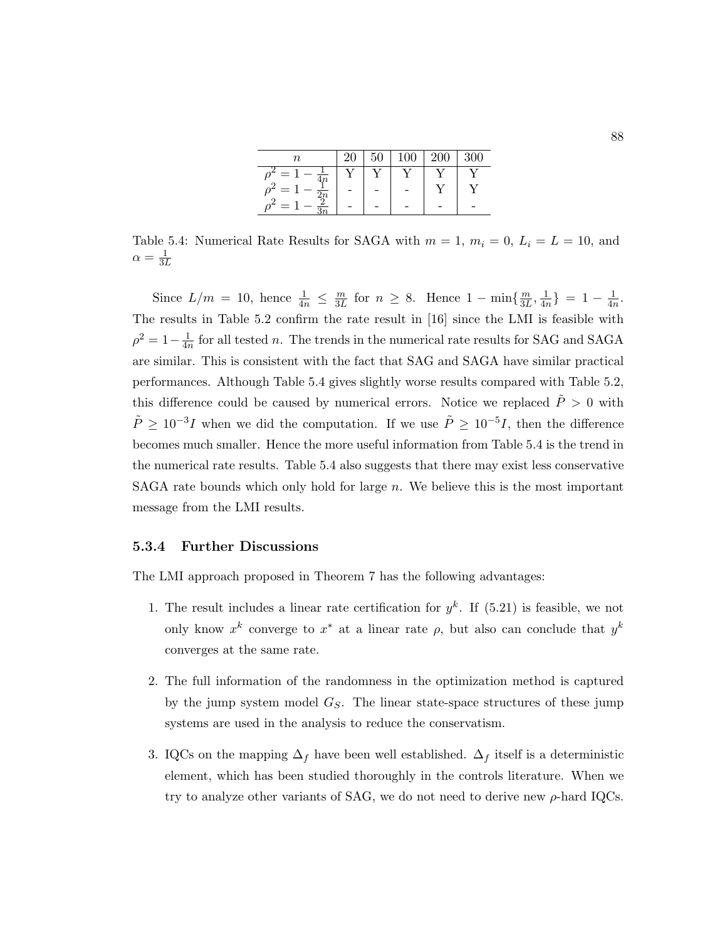| $\it n$                                            | 20 | 50 | 100 | 200 | 300 |
|----------------------------------------------------|----|----|-----|-----|-----|
| $\hspace{0.1mm}-\hspace{0.1mm}$<br>$\overline{4n}$ |    |    |     |     |     |
| $\Omega$                                           |    |    |     |     |     |
|                                                    |    |    |     |     |     |

Table 5.4: Numerical Rate Results for SAGA with  $m = 1$ ,  $m_i = 0$ ,  $L_i = L = 10$ , and  $\alpha = \frac{1}{3L}$ 

Since  $L/m = 10$ , hence  $\frac{1}{4n} \leq \frac{m}{3L}$  $\frac{m}{3L}$  for  $n \geq 8$ . Hence  $1 - \min\{\frac{m}{3L}\}$  $\frac{m}{3L}, \frac{1}{4n}$  $\frac{1}{4n}$ } = 1 –  $\frac{1}{4n}$  $\frac{1}{4n}$ . The results in Table 5.2 confirm the rate result in [16] since the LMI is feasible with  $\rho^2 = 1 - \frac{1}{4r}$  $\frac{1}{4n}$  for all tested *n*. The trends in the numerical rate results for SAG and SAGA are similar. This is consistent with the fact that SAG and SAGA have similar practical performances. Although Table 5.4 gives slightly worse results compared with Table 5.2, this difference could be caused by numerical errors. Notice we replaced  $\ddot{P} > 0$  with  $\tilde{P} \geq 10^{-3}I$  when we did the computation. If we use  $\tilde{P} \geq 10^{-5}I$ , then the difference becomes much smaller. Hence the more useful information from Table 5.4 is the trend in the numerical rate results. Table 5.4 also suggests that there may exist less conservative SAGA rate bounds which only hold for large  $n$ . We believe this is the most important message from the LMI results.

#### 5.3.4 Further Discussions

The LMI approach proposed in Theorem 7 has the following advantages:

- 1. The result includes a linear rate certification for  $y^k$ . If (5.21) is feasible, we not only know  $x^k$  converge to  $x^*$  at a linear rate  $\rho$ , but also can conclude that  $y^k$ converges at the same rate.
- 2. The full information of the randomness in the optimization method is captured by the jump system model  $G<sub>S</sub>$ . The linear state-space structures of these jump systems are used in the analysis to reduce the conservatism.
- 3. IQCs on the mapping  $\Delta_f$  have been well established.  $\Delta_f$  itself is a deterministic element, which has been studied thoroughly in the controls literature. When we try to analyze other variants of SAG, we do not need to derive new  $\rho$ -hard IQCs.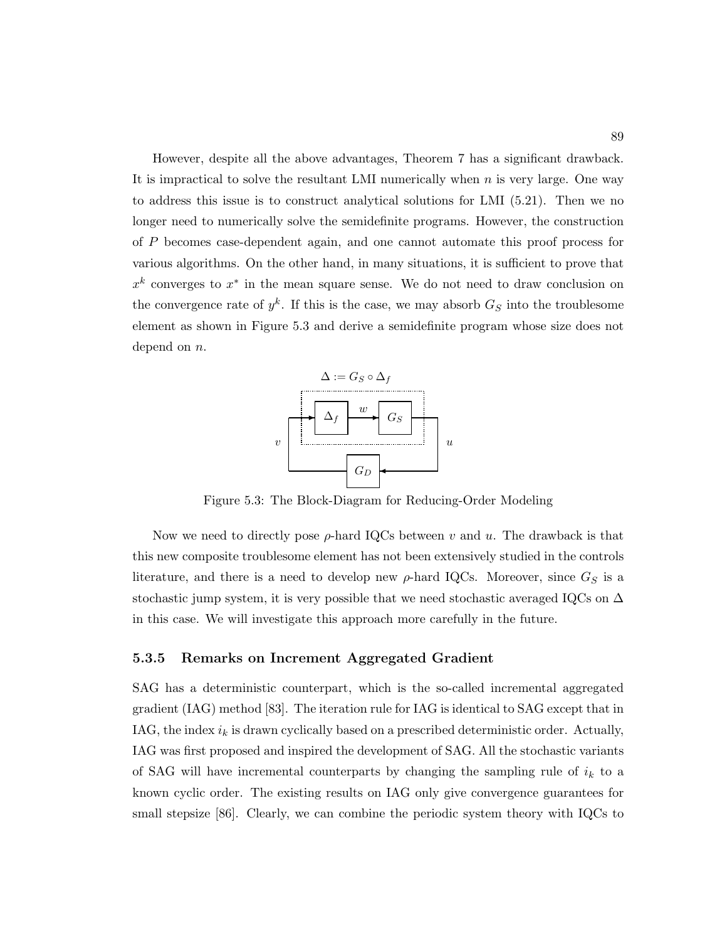However, despite all the above advantages, Theorem 7 has a significant drawback. It is impractical to solve the resultant LMI numerically when  $n$  is very large. One way to address this issue is to construct analytical solutions for LMI (5.21). Then we no longer need to numerically solve the semidefinite programs. However, the construction of P becomes case-dependent again, and one cannot automate this proof process for various algorithms. On the other hand, in many situations, it is sufficient to prove that  $x^k$  converges to  $x^*$  in the mean square sense. We do not need to draw conclusion on the convergence rate of  $y^k$ . If this is the case, we may absorb  $G_S$  into the troublesome element as shown in Figure 5.3 and derive a semidefinite program whose size does not depend on *n*.



Figure 5.3: The Block-Diagram for Reducing-Order Modeling

Now we need to directly pose  $\rho$ -hard IQCs between v and u. The drawback is that this new composite troublesome element has not been extensively studied in the controls literature, and there is a need to develop new  $\rho$ -hard IQCs. Moreover, since  $G_S$  is a stochastic jump system, it is very possible that we need stochastic averaged IQCs on  $\Delta$ in this case. We will investigate this approach more carefully in the future.

#### 5.3.5 Remarks on Increment Aggregated Gradient

SAG has a deterministic counterpart, which is the so-called incremental aggregated gradient (IAG) method [83]. The iteration rule for IAG is identical to SAG except that in IAG, the index  $i_k$  is drawn cyclically based on a prescribed deterministic order. Actually, IAG was first proposed and inspired the development of SAG. All the stochastic variants of SAG will have incremental counterparts by changing the sampling rule of  $i_k$  to a known cyclic order. The existing results on IAG only give convergence guarantees for small stepsize [86]. Clearly, we can combine the periodic system theory with IQCs to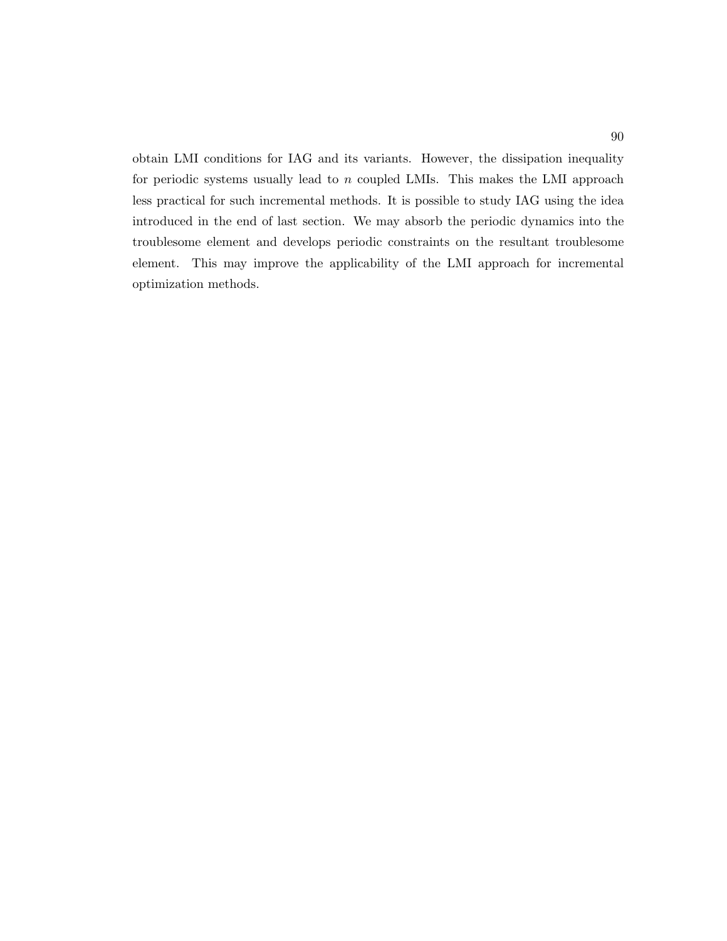obtain LMI conditions for IAG and its variants. However, the dissipation inequality for periodic systems usually lead to  $n$  coupled LMIs. This makes the LMI approach less practical for such incremental methods. It is possible to study IAG using the idea introduced in the end of last section. We may absorb the periodic dynamics into the troublesome element and develops periodic constraints on the resultant troublesome element. This may improve the applicability of the LMI approach for incremental optimization methods.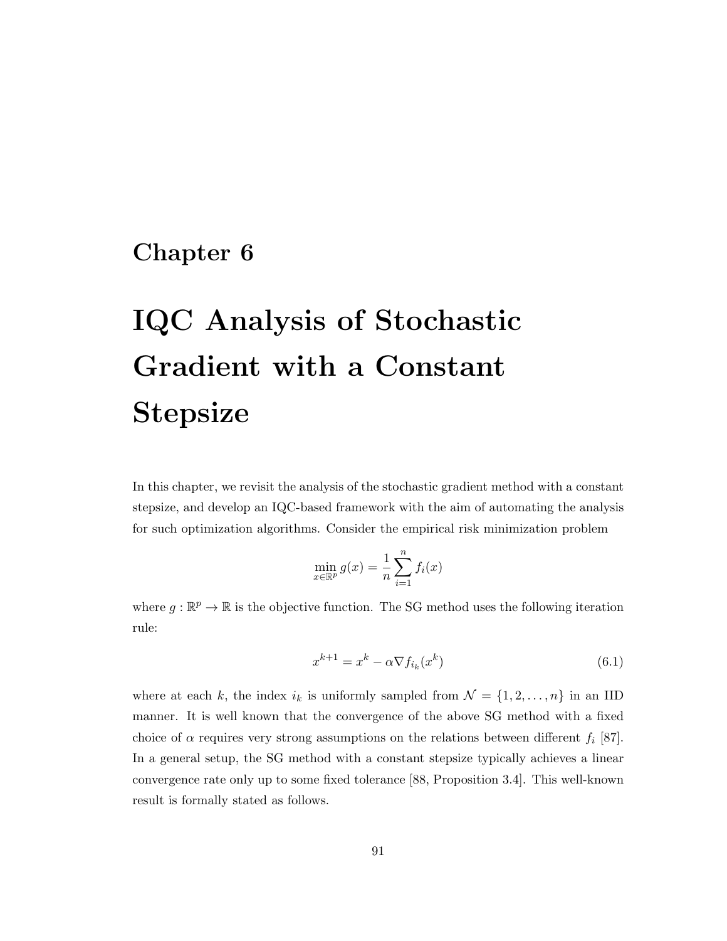# Chapter 6

# IQC Analysis of Stochastic Gradient with a Constant Stepsize

In this chapter, we revisit the analysis of the stochastic gradient method with a constant stepsize, and develop an IQC-based framework with the aim of automating the analysis for such optimization algorithms. Consider the empirical risk minimization problem

$$
\min_{x \in \mathbb{R}^p} g(x) = \frac{1}{n} \sum_{i=1}^n f_i(x)
$$

where  $g : \mathbb{R}^p \to \mathbb{R}$  is the objective function. The SG method uses the following iteration rule:

$$
x^{k+1} = x^k - \alpha \nabla f_{i_k}(x^k)
$$
\n
$$
(6.1)
$$

where at each k, the index  $i_k$  is uniformly sampled from  $\mathcal{N} = \{1, 2, \ldots, n\}$  in an IID manner. It is well known that the convergence of the above SG method with a fixed choice of  $\alpha$  requires very strong assumptions on the relations between different  $f_i$  [87]. In a general setup, the SG method with a constant stepsize typically achieves a linear convergence rate only up to some fixed tolerance [88, Proposition 3.4]. This well-known result is formally stated as follows.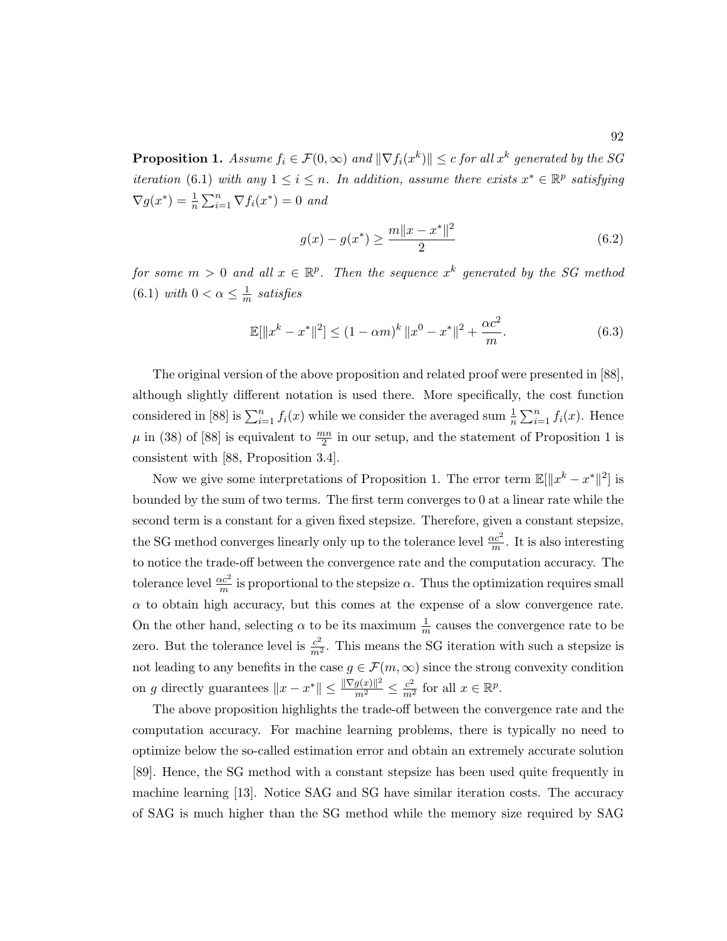**Proposition 1.** Assume  $f_i \in \mathcal{F}(0,\infty)$  and  $\|\nabla f_i(x^k)\| \leq c$  for all  $x^k$  generated by the SG iteration (6.1) with any  $1 \leq i \leq n$ . In addition, assume there exists  $x^* \in \mathbb{R}^p$  satisfying  $\nabla g(x^*) = \frac{1}{n} \sum_{i=1}^n \nabla f_i(x^*) = 0$  and

$$
g(x) - g(x^*) \ge \frac{m||x - x^*||^2}{2} \tag{6.2}
$$

for some  $m > 0$  and all  $x \in \mathbb{R}^p$ . Then the sequence  $x^k$  generated by the SG method  $(6.1)$  with  $0 < \alpha \leq \frac{1}{n}$  $\frac{1}{m}$  satisfies

$$
\mathbb{E}[\|x^{k} - x^{*}\|^{2}] \le (1 - \alpha m)^{k} \|x^{0} - x^{*}\|^{2} + \frac{\alpha c^{2}}{m}.
$$
\n(6.3)

The original version of the above proposition and related proof were presented in [88], although slightly different notation is used there. More specifically, the cost function considered in [88] is  $\sum_{i=1}^{n} f_i(x)$  while we consider the averaged sum  $\frac{1}{n} \sum_{i=1}^{n} f_i(x)$ . Hence  $\mu$  in (38) of [88] is equivalent to  $\frac{mn}{2}$  in our setup, and the statement of Proposition 1 is consistent with [88, Proposition 3.4].

Now we give some interpretations of Proposition 1. The error term  $\mathbb{E}[\Vert x^k - x^* \Vert^2]$  is bounded by the sum of two terms. The first term converges to 0 at a linear rate while the second term is a constant for a given fixed stepsize. Therefore, given a constant stepsize, the SG method converges linearly only up to the tolerance level  $\frac{\alpha c^2}{m}$ . It is also interesting to notice the trade-off between the convergence rate and the computation accuracy. The tolerance level  $\frac{\alpha c^2}{m}$  is proportional to the stepsize  $\alpha$ . Thus the optimization requires small  $\alpha$  to obtain high accuracy, but this comes at the expense of a slow convergence rate. On the other hand, selecting  $\alpha$  to be its maximum  $\frac{1}{m}$  causes the convergence rate to be zero. But the tolerance level is  $\frac{c^2}{m^2}$ . This means the SG iteration with such a stepsize is not leading to any benefits in the case  $g \in \mathcal{F}(m,\infty)$  since the strong convexity condition on g directly guarantees  $||x - x^*|| \leq \frac{\|\nabla g(x)\|^2}{m^2} \leq \frac{c^2}{m^2}$  for all  $x \in \mathbb{R}^p$ .

The above proposition highlights the trade-off between the convergence rate and the computation accuracy. For machine learning problems, there is typically no need to optimize below the so-called estimation error and obtain an extremely accurate solution [89]. Hence, the SG method with a constant stepsize has been used quite frequently in machine learning [13]. Notice SAG and SG have similar iteration costs. The accuracy of SAG is much higher than the SG method while the memory size required by SAG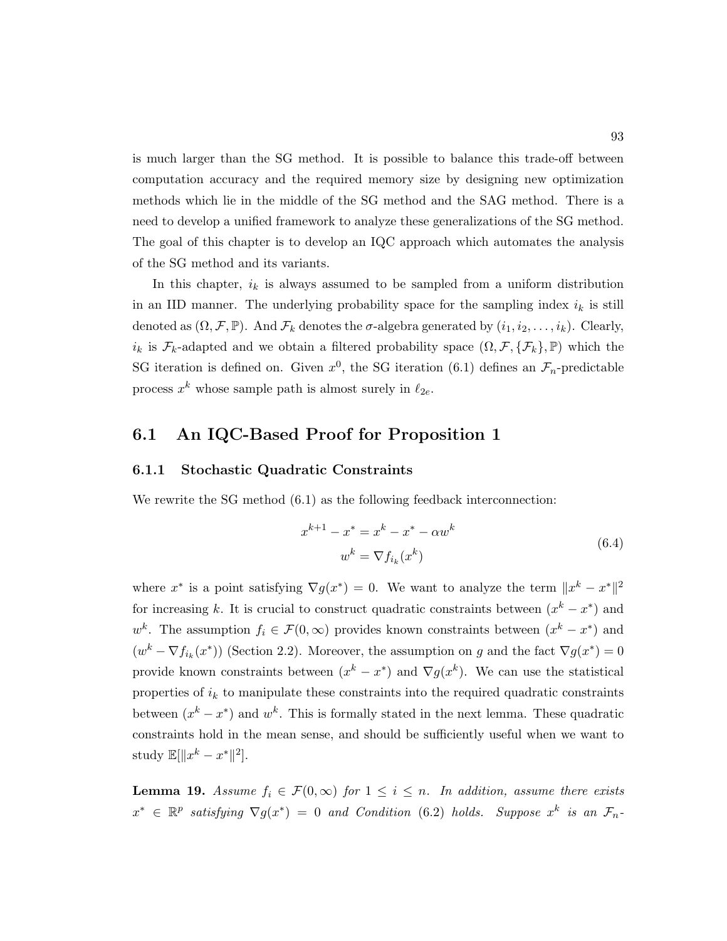is much larger than the SG method. It is possible to balance this trade-off between computation accuracy and the required memory size by designing new optimization methods which lie in the middle of the SG method and the SAG method. There is a need to develop a unified framework to analyze these generalizations of the SG method. The goal of this chapter is to develop an IQC approach which automates the analysis of the SG method and its variants.

In this chapter,  $i_k$  is always assumed to be sampled from a uniform distribution in an IID manner. The underlying probability space for the sampling index  $i_k$  is still denoted as  $(\Omega, \mathcal{F}, \mathbb{P})$ . And  $\mathcal{F}_k$  denotes the  $\sigma$ -algebra generated by  $(i_1, i_2, \ldots, i_k)$ . Clearly,  $i_k$  is  $\mathcal{F}_k$ -adapted and we obtain a filtered probability space  $(\Omega, \mathcal{F}, \{\mathcal{F}_k\}, \mathbb{P})$  which the SG iteration is defined on. Given  $x^0$ , the SG iteration (6.1) defines an  $\mathcal{F}_n$ -predictable process  $x^k$  whose sample path is almost surely in  $\ell_{2e}$ .

#### 6.1 An IQC-Based Proof for Proposition 1

#### 6.1.1 Stochastic Quadratic Constraints

We rewrite the SG method  $(6.1)$  as the following feedback interconnection:

$$
x^{k+1} - x^* = x^k - x^* - \alpha w^k
$$
  
\n
$$
w^k = \nabla f_{i_k}(x^k)
$$
\n(6.4)

where  $x^*$  is a point satisfying  $\nabla g(x^*) = 0$ . We want to analyze the term  $||x^k - x^*||^2$ for increasing k. It is crucial to construct quadratic constraints between  $(x<sup>k</sup> - x<sup>*</sup>)$  and  $w^k$ . The assumption  $f_i \in \mathcal{F}(0,\infty)$  provides known constraints between  $(x^k - x^*)$  and  $(w^k - \nabla f_{i_k}(x^*))$  (Section 2.2). Moreover, the assumption on g and the fact  $\nabla g(x^*) = 0$ provide known constraints between  $(x^k - x^*)$  and  $\nabla g(x^k)$ . We can use the statistical properties of  $i_k$  to manipulate these constraints into the required quadratic constraints between  $(x<sup>k</sup> - x<sup>*</sup>)$  and  $w<sup>k</sup>$ . This is formally stated in the next lemma. These quadratic constraints hold in the mean sense, and should be sufficiently useful when we want to study  $\mathbb{E}[\|x^k - x^*\|^2].$ 

**Lemma 19.** Assume  $f_i \in \mathcal{F}(0,\infty)$  for  $1 \leq i \leq n$ . In addition, assume there exists  $x^* \in \mathbb{R}^p$  satisfying  $\nabla g(x^*) = 0$  and Condition (6.2) holds. Suppose  $x^k$  is an  $\mathcal{F}_n$ -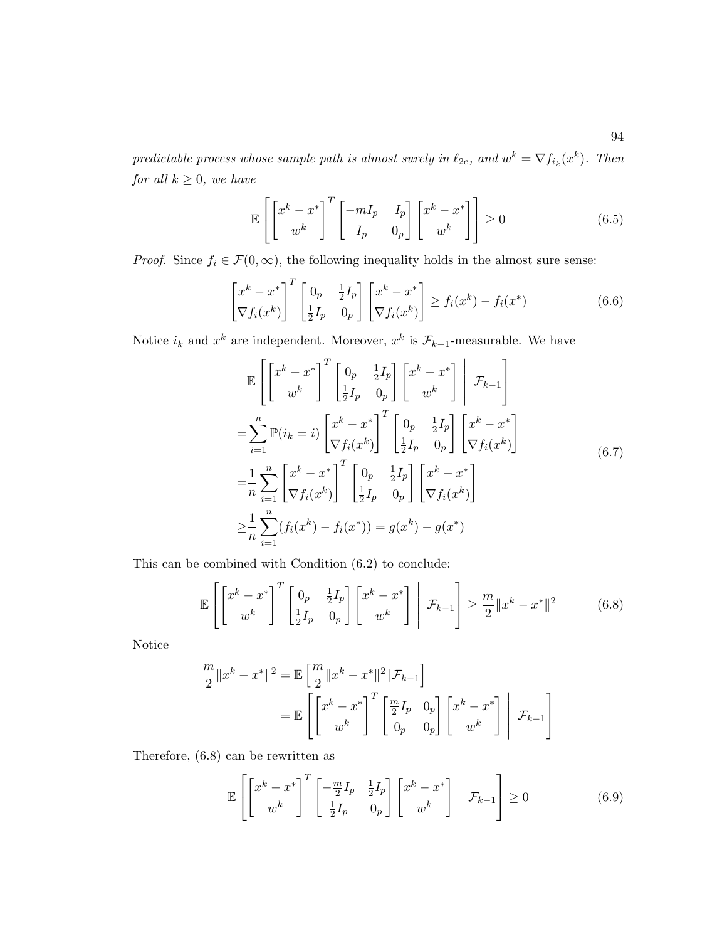predictable process whose sample path is almost surely in  $\ell_{2e}$ , and  $w^k = \nabla f_{i_k}(x^k)$ . Then for all  $k \geq 0$ , we have

$$
\mathbb{E}\left[\begin{bmatrix} x^k - x^* \\ w^k \end{bmatrix}^T \begin{bmatrix} -mI_p & I_p \\ I_p & 0_p \end{bmatrix} \begin{bmatrix} x^k - x^* \\ w^k \end{bmatrix}\right] \ge 0 \tag{6.5}
$$

*Proof.* Since  $f_i \in \mathcal{F}(0, \infty)$ , the following inequality holds in the almost sure sense:

$$
\begin{bmatrix} x^k - x^* \\ \nabla f_i(x^k) \end{bmatrix}^T \begin{bmatrix} 0_p & \frac{1}{2}I_p \\ \frac{1}{2}I_p & 0_p \end{bmatrix} \begin{bmatrix} x^k - x^* \\ \nabla f_i(x^k) \end{bmatrix} \ge f_i(x^k) - f_i(x^*)
$$
(6.6)

Notice  $i_k$  and  $x^k$  are independent. Moreover,  $x^k$  is  $\mathcal{F}_{k-1}$ -measurable. We have

$$
\mathbb{E}\left[\begin{bmatrix}x^{k}-x^{*}\\w^{k}\end{bmatrix}^{T}\begin{bmatrix}0_{p}&\frac{1}{2}I_{p}\\ \frac{1}{2}I_{p}&0_{p}\end{bmatrix}\begin{bmatrix}x^{k}-x^{*}\\w^{k}\end{bmatrix}\right|\mathcal{F}_{k-1}\right]
$$
\n
$$
=\sum_{i=1}^{n}\mathbb{P}(i_{k}=i)\begin{bmatrix}x^{k}-x^{*}\\ \nabla f_{i}(x^{k})\end{bmatrix}^{T}\begin{bmatrix}0_{p}&\frac{1}{2}I_{p}\\ \frac{1}{2}I_{p}&0_{p}\end{bmatrix}\begin{bmatrix}x^{k}-x^{*}\\ \nabla f_{i}(x^{k})\end{bmatrix}
$$
\n
$$
=\frac{1}{n}\sum_{i=1}^{n}\begin{bmatrix}x^{k}-x^{*}\\ \nabla f_{i}(x^{k})\end{bmatrix}^{T}\begin{bmatrix}0_{p}&\frac{1}{2}I_{p}\\ \frac{1}{2}I_{p}&0_{p}\end{bmatrix}\begin{bmatrix}x^{k}-x^{*}\\ \nabla f_{i}(x^{k})\end{bmatrix}
$$
\n
$$
\geq\frac{1}{n}\sum_{i=1}^{n}(f_{i}(x^{k})-f_{i}(x^{*}))=g(x^{k})-g(x^{*})
$$
\n(6.7)

This can be combined with Condition (6.2) to conclude:

$$
\mathbb{E}\left[\left[x^{k}-x^{*}\right]^{T}\left[\begin{array}{cc}0_{p}&\frac{1}{2}I_{p}\\ \frac{1}{2}I_{p}&0_{p}\end{array}\right]\left[x^{k}-x^{*}\right]\right|\mathcal{F}_{k-1}\right] \geq \frac{m}{2}||x^{k}-x^{*}||^{2} \tag{6.8}
$$

Notice

$$
\frac{m}{2}||x^k - x^*||^2 = \mathbb{E}\left[\frac{m}{2}||x^k - x^*||^2|\mathcal{F}_{k-1}\right]
$$

$$
= \mathbb{E}\left[\left[\frac{x^k - x^*}{w^k}\right]^T \left[\frac{m}{2}I_p \quad 0_p\right] \left[\frac{x^k - x^*}{w^k}\right] \middle| \mathcal{F}_{k-1}\right]
$$

Therefore, (6.8) can be rewritten as

$$
\mathbb{E}\left[\begin{bmatrix} x^k - x^* \\ w^k \end{bmatrix}^T \begin{bmatrix} -\frac{m}{2}I_p & \frac{1}{2}I_p \\ \frac{1}{2}I_p & 0_p \end{bmatrix} \begin{bmatrix} x^k - x^* \\ w^k \end{bmatrix} \middle| \mathcal{F}_{k-1} \right] \ge 0 \tag{6.9}
$$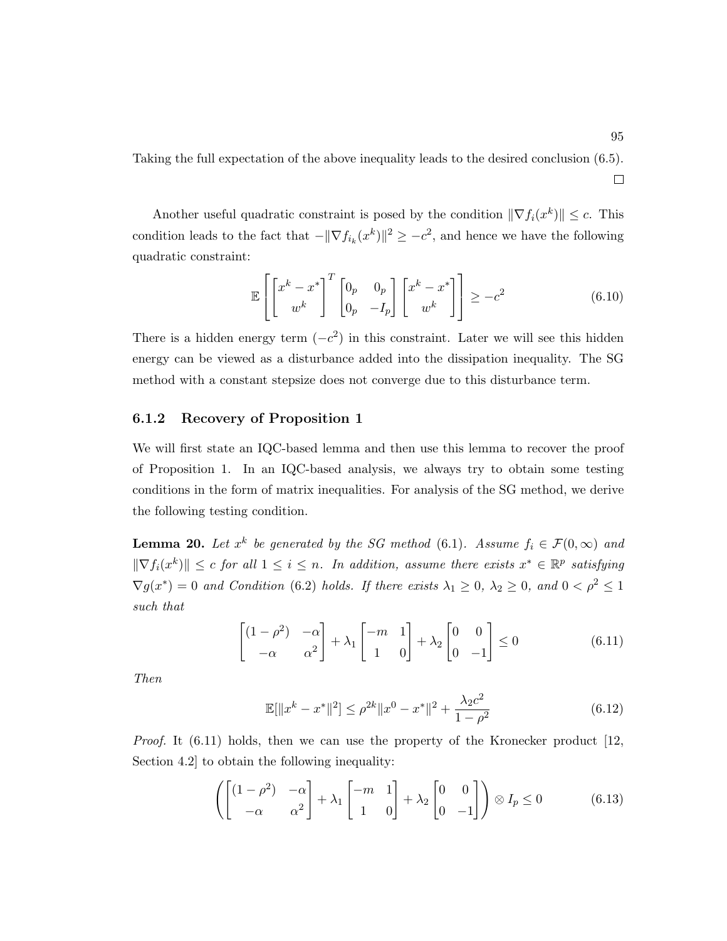Taking the full expectation of the above inequality leads to the desired conclusion (6.5).  $\Box$ 

Another useful quadratic constraint is posed by the condition  $\|\nabla f_i(x^k)\| \leq c$ . This condition leads to the fact that  $-\|\nabla f_{i_k}(x^k)\|^2 \geq -c^2$ , and hence we have the following quadratic constraint:

$$
\mathbb{E}\left[\begin{bmatrix} x^k - x^* \\ w^k \end{bmatrix}^T \begin{bmatrix} 0_p & 0_p \\ 0_p & -I_p \end{bmatrix} \begin{bmatrix} x^k - x^* \\ w^k \end{bmatrix} \right] \ge -c^2 \tag{6.10}
$$

There is a hidden energy term  $(-c^2)$  in this constraint. Later we will see this hidden energy can be viewed as a disturbance added into the dissipation inequality. The SG method with a constant stepsize does not converge due to this disturbance term.

#### 6.1.2 Recovery of Proposition 1

We will first state an IQC-based lemma and then use this lemma to recover the proof of Proposition 1. In an IQC-based analysis, we always try to obtain some testing conditions in the form of matrix inequalities. For analysis of the SG method, we derive the following testing condition.

**Lemma 20.** Let  $x^k$  be generated by the SG method (6.1). Assume  $f_i \in \mathcal{F}(0,\infty)$  and  $\|\nabla f_i(x^k)\| \leq c$  for all  $1 \leq i \leq n$ . In addition, assume there exists  $x^* \in \mathbb{R}^p$  satisfying  $\nabla g(x^*) = 0$  and Condition (6.2) holds. If there exists  $\lambda_1 \geq 0$ ,  $\lambda_2 \geq 0$ , and  $0 < \rho^2 \leq 1$ such that

$$
\begin{bmatrix} (1 - \rho^2) & -\alpha \\ -\alpha & \alpha^2 \end{bmatrix} + \lambda_1 \begin{bmatrix} -m & 1 \\ 1 & 0 \end{bmatrix} + \lambda_2 \begin{bmatrix} 0 & 0 \\ 0 & -1 \end{bmatrix} \le 0
$$
 (6.11)

Then

$$
\mathbb{E}[\|x^{k} - x^{*}\|^{2}] \le \rho^{2k} \|x^{0} - x^{*}\|^{2} + \frac{\lambda_{2}c^{2}}{1 - \rho^{2}}
$$
\n(6.12)

Proof. It (6.11) holds, then we can use the property of the Kronecker product [12, Section 4.2] to obtain the following inequality:

$$
\left( \begin{bmatrix} (1 - \rho^2) & -\alpha \\ -\alpha & \alpha^2 \end{bmatrix} + \lambda_1 \begin{bmatrix} -m & 1 \\ 1 & 0 \end{bmatrix} + \lambda_2 \begin{bmatrix} 0 & 0 \\ 0 & -1 \end{bmatrix} \right) \otimes I_p \le 0 \tag{6.13}
$$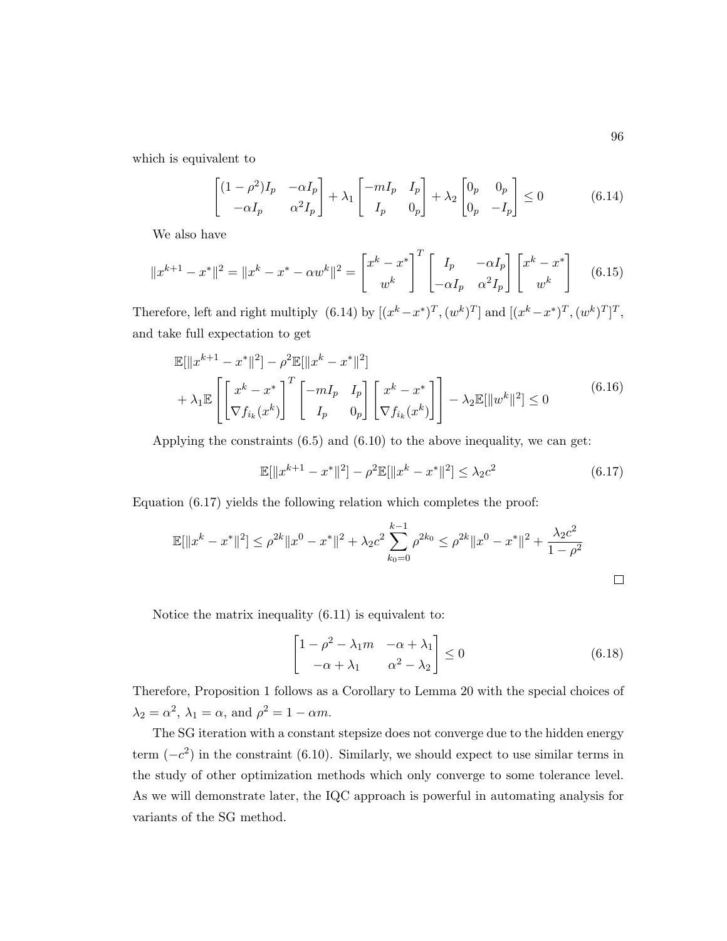which is equivalent to

$$
\begin{bmatrix} (1 - \rho^2)I_p & -\alpha I_p \ -\alpha I_p & \alpha^2 I_p \end{bmatrix} + \lambda_1 \begin{bmatrix} -mI_p & I_p \ I_p & 0_p \end{bmatrix} + \lambda_2 \begin{bmatrix} 0_p & 0_p \ 0_p & -I_p \end{bmatrix} \le 0 \tag{6.14}
$$

We also have

$$
||x^{k+1} - x^*||^2 = ||x^k - x^* - \alpha w^k||^2 = \begin{bmatrix} x^k - x^* \\ w^k \end{bmatrix}^T \begin{bmatrix} I_p & -\alpha I_p \\ -\alpha I_p & \alpha^2 I_p \end{bmatrix} \begin{bmatrix} x^k - x^* \\ w^k \end{bmatrix}
$$
(6.15)

Therefore, left and right multiply  $(6.14)$  by  $[(x^k - x^*)^T, (w^k)^T]$  and  $[(x^k - x^*)^T, (w^k)^T]^T$ , and take full expectation to get

$$
\mathbb{E}[\|x^{k+1} - x^*\|^2] - \rho^2 \mathbb{E}[\|x^k - x^*\|^2] + \lambda_1 \mathbb{E}\left[\begin{bmatrix} x^k - x^* \\ \nabla f_{i_k}(x^k) \end{bmatrix}^T \begin{bmatrix} -mI_p & I_p \\ I_p & 0_p \end{bmatrix} \begin{bmatrix} x^k - x^* \\ \nabla f_{i_k}(x^k) \end{bmatrix}\right] - \lambda_2 \mathbb{E}[\|w^k\|^2] \le 0
$$
\n(6.16)

Applying the constraints (6.5) and (6.10) to the above inequality, we can get:

$$
\mathbb{E}[\|x^{k+1} - x^*\|^2] - \rho^2 \mathbb{E}[\|x^k - x^*\|^2] \le \lambda_2 c^2
$$
\n(6.17)

Equation (6.17) yields the following relation which completes the proof:

$$
\mathbb{E}[\|x^{k} - x^{*}\|^{2}] \leq \rho^{2k} \|x^{0} - x^{*}\|^{2} + \lambda_{2} c^{2} \sum_{k_{0}=0}^{k-1} \rho^{2k_{0}} \leq \rho^{2k} \|x^{0} - x^{*}\|^{2} + \frac{\lambda_{2} c^{2}}{1 - \rho^{2}}
$$

Notice the matrix inequality (6.11) is equivalent to:

$$
\begin{bmatrix} 1 - \rho^2 - \lambda_1 m & -\alpha + \lambda_1 \\ -\alpha + \lambda_1 & \alpha^2 - \lambda_2 \end{bmatrix} \le 0
$$
 (6.18)

Therefore, Proposition 1 follows as a Corollary to Lemma 20 with the special choices of  $\lambda_2 = \alpha^2$ ,  $\lambda_1 = \alpha$ , and  $\rho^2 = 1 - \alpha m$ .

The SG iteration with a constant stepsize does not converge due to the hidden energy term  $(-c^2)$  in the constraint (6.10). Similarly, we should expect to use similar terms in the study of other optimization methods which only converge to some tolerance level. As we will demonstrate later, the IQC approach is powerful in automating analysis for variants of the SG method.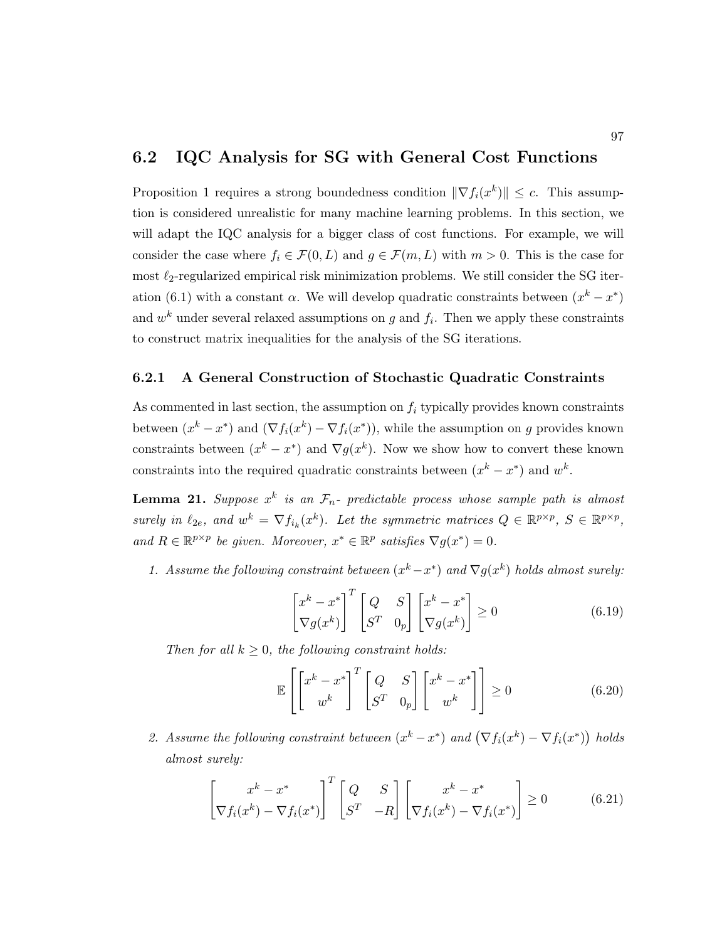#### 6.2 IQC Analysis for SG with General Cost Functions

Proposition 1 requires a strong boundedness condition  $\|\nabla f_i(x^k)\| \leq c$ . This assumption is considered unrealistic for many machine learning problems. In this section, we will adapt the IQC analysis for a bigger class of cost functions. For example, we will consider the case where  $f_i \in \mathcal{F}(0,L)$  and  $g \in \mathcal{F}(m,L)$  with  $m > 0$ . This is the case for most  $\ell_2\text{-regularized empirical risk minimization problems. We still consider the SG iter$ ation (6.1) with a constant  $\alpha$ . We will develop quadratic constraints between  $(x^k - x^*)$ and  $w^k$  under several relaxed assumptions on g and  $f_i$ . Then we apply these constraints to construct matrix inequalities for the analysis of the SG iterations.

#### 6.2.1 A General Construction of Stochastic Quadratic Constraints

As commented in last section, the assumption on  $f_i$  typically provides known constraints between  $(x^k - x^*)$  and  $(\nabla f_i(x^k) - \nabla f_i(x^*))$ , while the assumption on g provides known constraints between  $(x^{k} - x^{*})$  and  $\nabla g(x^{k})$ . Now we show how to convert these known constraints into the required quadratic constraints between  $(x^k - x^*)$  and  $w^k$ .

**Lemma 21.** Suppose  $x^k$  is an  $\mathcal{F}_n$ - predictable process whose sample path is almost surely in  $\ell_{2e}$ , and  $w^k = \nabla f_{i_k}(x^k)$ . Let the symmetric matrices  $Q \in \mathbb{R}^{p \times p}$ ,  $S \in \mathbb{R}^{p \times p}$ , and  $R \in \mathbb{R}^{p \times p}$  be given. Moreover,  $x^* \in \mathbb{R}^p$  satisfies  $\nabla g(x^*) = 0$ .

1. Assume the following constraint between  $(x<sup>k</sup> - x<sup>*</sup>)$  and  $\nabla g(x<sup>k</sup>)$  holds almost surely:

$$
\begin{bmatrix} x^k - x^* \\ \nabla g(x^k) \end{bmatrix}^T \begin{bmatrix} Q & S \\ S^T & 0_p \end{bmatrix} \begin{bmatrix} x^k - x^* \\ \nabla g(x^k) \end{bmatrix} \ge 0 \tag{6.19}
$$

Then for all  $k \geq 0$ , the following constraint holds:

$$
\mathbb{E}\left[\begin{bmatrix} x^k - x^* \\ w^k \end{bmatrix}^T \begin{bmatrix} Q & S \\ S^T & 0_p \end{bmatrix} \begin{bmatrix} x^k - x^* \\ w^k \end{bmatrix}\right] \ge 0
$$
\n(6.20)

2. Assume the following constraint between  $(x^k - x^*)$  and  $(\nabla f_i(x^k) - \nabla f_i(x^*))$  holds almost surely:

$$
\begin{bmatrix} x^k - x^* \\ \nabla f_i(x^k) - \nabla f_i(x^*) \end{bmatrix}^T \begin{bmatrix} Q & S \\ S^T & -R \end{bmatrix} \begin{bmatrix} x^k - x^* \\ \nabla f_i(x^k) - \nabla f_i(x^*) \end{bmatrix} \ge 0 \tag{6.21}
$$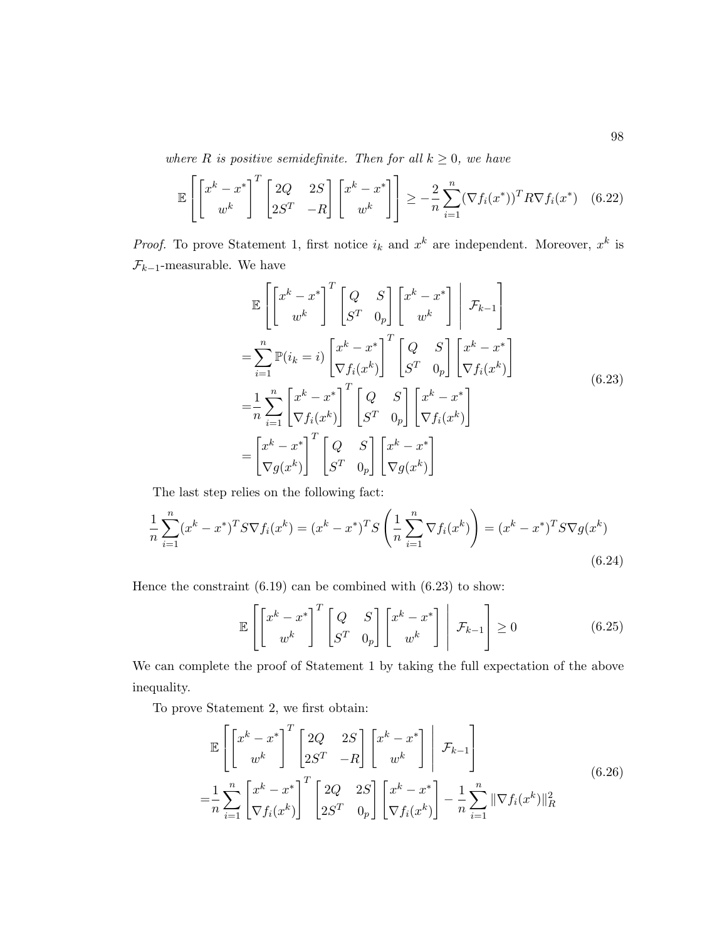where R is positive semidefinite. Then for all  $k \geq 0$ , we have

$$
\mathbb{E}\left[\begin{bmatrix}x^k - x^* \\ w^k\end{bmatrix}^T \begin{bmatrix}2Q & 2S \\ 2S^T & -R\end{bmatrix}\begin{bmatrix}x^k - x^* \\ w^k\end{bmatrix}\right] \ge -\frac{2}{n}\sum_{i=1}^n (\nabla f_i(x^*))^T R \nabla f_i(x^*) \quad (6.22)
$$

*Proof.* To prove Statement 1, first notice  $i_k$  and  $x^k$  are independent. Moreover,  $x^k$  is  $\mathcal{F}_{k-1}\text{-measurable.}$  We have

$$
\mathbb{E}\left[\begin{bmatrix} x^{k} - x^{*} \\ w^{k} \end{bmatrix}^{T} \begin{bmatrix} Q & S \\ S^{T} & 0_{p} \end{bmatrix} \begin{bmatrix} x^{k} - x^{*} \\ w^{k} \end{bmatrix} \middle| \mathcal{F}_{k-1} \right]
$$
\n
$$
= \sum_{i=1}^{n} \mathbb{P}(i_{k} = i) \begin{bmatrix} x^{k} - x^{*} \\ \nabla f_{i}(x^{k}) \end{bmatrix}^{T} \begin{bmatrix} Q & S \\ S^{T} & 0_{p} \end{bmatrix} \begin{bmatrix} x^{k} - x^{*} \\ \nabla f_{i}(x^{k}) \end{bmatrix}
$$
\n
$$
= \frac{1}{n} \sum_{i=1}^{n} \begin{bmatrix} x^{k} - x^{*} \\ \nabla f_{i}(x^{k}) \end{bmatrix}^{T} \begin{bmatrix} Q & S \\ S^{T} & 0_{p} \end{bmatrix} \begin{bmatrix} x^{k} - x^{*} \\ \nabla f_{i}(x^{k}) \end{bmatrix}
$$
\n
$$
= \begin{bmatrix} x^{k} - x^{*} \\ \nabla g(x^{k}) \end{bmatrix}^{T} \begin{bmatrix} Q & S \\ S^{T} & 0_{p} \end{bmatrix} \begin{bmatrix} x^{k} - x^{*} \\ \nabla g(x^{k}) \end{bmatrix}
$$
\n(6.23)

The last step relies on the following fact:

$$
\frac{1}{n}\sum_{i=1}^{n}(x^{k}-x^{*})^{T}S\nabla f_{i}(x^{k}) = (x^{k}-x^{*})^{T}S\left(\frac{1}{n}\sum_{i=1}^{n}\nabla f_{i}(x^{k})\right) = (x^{k}-x^{*})^{T}S\nabla g(x^{k})
$$
\n(6.24)

Hence the constraint  $(6.19)$  can be combined with  $(6.23)$  to show:

$$
\mathbb{E}\left[\begin{bmatrix} x^k - x^* \\ w^k \end{bmatrix}^T \begin{bmatrix} Q & S \\ S^T & 0_p \end{bmatrix} \begin{bmatrix} x^k - x^* \\ w^k \end{bmatrix} \middle| \mathcal{F}_{k-1} \right] \ge 0 \tag{6.25}
$$

We can complete the proof of Statement 1 by taking the full expectation of the above inequality.

To prove Statement 2, we first obtain:

$$
\mathbb{E}\left[\begin{bmatrix}x^{k}-x^{*}\\w^{k}\end{bmatrix}^{T}\begin{bmatrix}2Q & 2S\\2S^{T} & -R\end{bmatrix}\begin{bmatrix}x^{k}-x^{*}\\w^{k}\end{bmatrix}\right|\mathcal{F}_{k-1}\right]
$$
\n
$$
=\frac{1}{n}\sum_{i=1}^{n}\begin{bmatrix}x^{k}-x^{*}\\ \nabla f_{i}(x^{k})\end{bmatrix}^{T}\begin{bmatrix}2Q & 2S\\2S^{T} & 0_{p}\end{bmatrix}\begin{bmatrix}x^{k}-x^{*}\\ \nabla f_{i}(x^{k})\end{bmatrix}-\frac{1}{n}\sum_{i=1}^{n}\|\nabla f_{i}(x^{k})\|_{R}^{2}
$$
\n(6.26)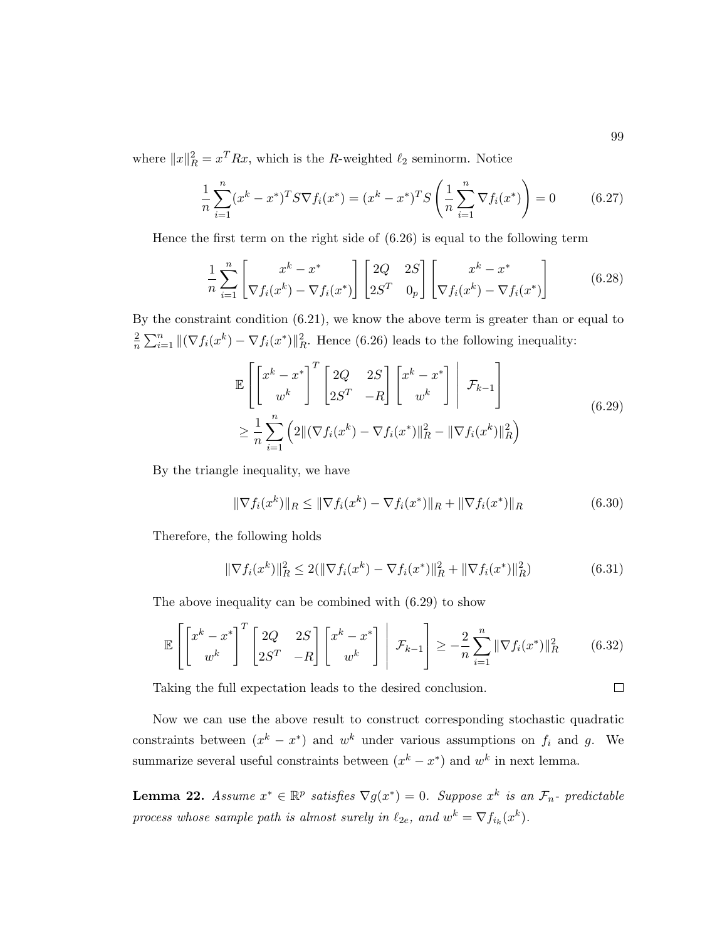where  $||x||_R^2 = x^T R x$ , which is the R-weighted  $\ell_2$  seminorm. Notice

$$
\frac{1}{n}\sum_{i=1}^{n}(x^{k}-x^{*})^{T}S\nabla f_{i}(x^{*}) = (x^{k}-x^{*})^{T}S\left(\frac{1}{n}\sum_{i=1}^{n}\nabla f_{i}(x^{*})\right) = 0
$$
\n(6.27)

Hence the first term on the right side of (6.26) is equal to the following term

$$
\frac{1}{n}\sum_{i=1}^{n}\left[\frac{x^{k}-x^{*}}{\nabla f_{i}(x^{k})-\nabla f_{i}(x^{*})}\right]\begin{bmatrix}2Q & 2S\\2S^{T} & 0_{p}\end{bmatrix}\begin{bmatrix}x^{k}-x^{*}\\ \nabla f_{i}(x^{k})-\nabla f_{i}(x^{*})\end{bmatrix}
$$
(6.28)

By the constraint condition (6.21), we know the above term is greater than or equal to 2  $\frac{2}{n}\sum_{i=1}^{n} ||(\nabla f_i(x^k) - \nabla f_i(x^*)||_R^2$ . Hence (6.26) leads to the following inequality:

$$
\mathbb{E}\left[\begin{bmatrix}x^k - x^* \\ w^k\end{bmatrix}^T \begin{bmatrix}2Q & 2S \\ 2S^T & -R\end{bmatrix}\begin{bmatrix}x^k - x^* \\ w^k\end{bmatrix}\middle| \mathcal{F}_{k-1}\right] \geq \frac{1}{n}\sum_{i=1}^n \left(2\|(\nabla f_i(x^k) - \nabla f_i(x^*)\|_R^2 - \|\nabla f_i(x^k)\|_R^2\right)
$$
\n(6.29)

By the triangle inequality, we have

$$
\|\nabla f_i(x^k)\|_{R} \le \|\nabla f_i(x^k) - \nabla f_i(x^*)\|_{R} + \|\nabla f_i(x^*)\|_{R}
$$
\n(6.30)

Therefore, the following holds

$$
\|\nabla f_i(x^k)\|_{R}^2 \le 2(\|\nabla f_i(x^k) - \nabla f_i(x^*)\|_{R}^2 + \|\nabla f_i(x^*)\|_{R}^2)
$$
\n(6.31)

The above inequality can be combined with (6.29) to show

$$
\mathbb{E}\left[\begin{bmatrix}x^k - x^* \\ w^k\end{bmatrix}^T \begin{bmatrix}2Q & 2S \\ 2S^T & -R\end{bmatrix}\begin{bmatrix}x^k - x^* \\ w^k\end{bmatrix}\middle| \mathcal{F}_{k-1}\right] \ge -\frac{2}{n}\sum_{i=1}^n \|\nabla f_i(x^*)\|_R^2 \tag{6.32}
$$

Taking the full expectation leads to the desired conclusion.

Now we can use the above result to construct corresponding stochastic quadratic constraints between  $(x^k - x^*)$  and  $w^k$  under various assumptions on  $f_i$  and  $g$ . We summarize several useful constraints between  $(x<sup>k</sup> - x<sup>*</sup>)$  and  $w<sup>k</sup>$  in next lemma.

**Lemma 22.** Assume  $x^* \in \mathbb{R}^p$  satisfies  $\nabla g(x^*) = 0$ . Suppose  $x^k$  is an  $\mathcal{F}_n$ - predictable process whose sample path is almost surely in  $\ell_{2e}$ , and  $w^k = \nabla f_{i_k}(x^k)$ .

 $\Box$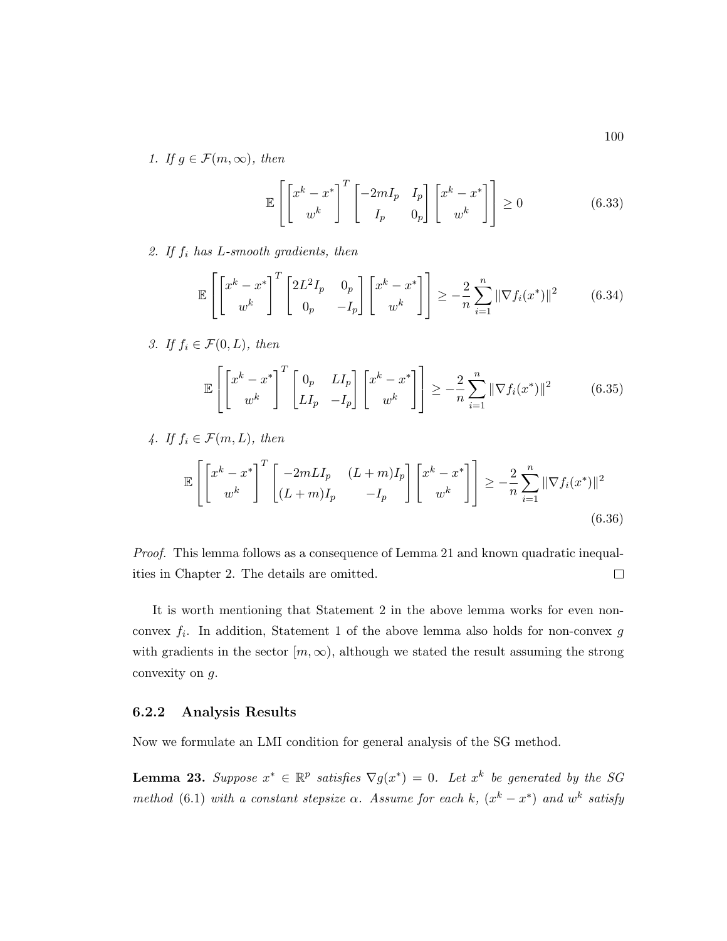1. If  $g \in \mathcal{F}(m,\infty)$ , then

$$
\mathbb{E}\left[\begin{bmatrix} x^k - x^* \\ w^k \end{bmatrix}^T \begin{bmatrix} -2mI_p & I_p \\ I_p & 0_p \end{bmatrix} \begin{bmatrix} x^k - x^* \\ w^k \end{bmatrix} \right] \ge 0 \tag{6.33}
$$

2. If  $f_i$  has  $L$ -smooth gradients, then

$$
\mathbb{E}\left[\begin{bmatrix}x^k - x^* \\ w^k\end{bmatrix}^T \begin{bmatrix}2L^2I_p & 0_p \\ 0_p & -I_p\end{bmatrix}\begin{bmatrix}x^k - x^* \\ w^k\end{bmatrix}\right] \ge -\frac{2}{n}\sum_{i=1}^n \|\nabla f_i(x^*)\|^2 \tag{6.34}
$$

3. If  $f_i \in \mathcal{F}(0,L)$ , then

$$
\mathbb{E}\left[\begin{bmatrix}x^k - x^* \\ w^k\end{bmatrix}^T \begin{bmatrix}0_p & L I_p \\ LI_p & -I_p\end{bmatrix} \begin{bmatrix}x^k - x^* \\ w^k\end{bmatrix}\right] \ge -\frac{2}{n}\sum_{i=1}^n \|\nabla f_i(x^*)\|^2 \tag{6.35}
$$

4. If 
$$
f_i \in \mathcal{F}(m, L)
$$
, then  
\n
$$
\mathbb{E}\left[\begin{bmatrix} x^k - x^* \\ w^k \end{bmatrix}^T \begin{bmatrix} -2mLI_p & (L+m)I_p \\ (L+m)I_p & -I_p \end{bmatrix} \begin{bmatrix} x^k - x^* \\ w^k \end{bmatrix}\right] \ge -\frac{2}{n} \sum_{i=1}^n \|\nabla f_i(x^*)\|^2
$$
\n(6.36)

Proof. This lemma follows as a consequence of Lemma 21 and known quadratic inequalities in Chapter 2. The details are omitted.  $\Box$ 

It is worth mentioning that Statement 2 in the above lemma works for even nonconvex  $f_i$ . In addition, Statement 1 of the above lemma also holds for non-convex  $g$ with gradients in the sector  $[m,\infty)$ , although we stated the result assuming the strong convexity on g.

#### 6.2.2 Analysis Results

Now we formulate an LMI condition for general analysis of the SG method.

**Lemma 23.** Suppose  $x^* \in \mathbb{R}^p$  satisfies  $\nabla g(x^*) = 0$ . Let  $x^k$  be generated by the SG method (6.1) with a constant stepsize  $\alpha$ . Assume for each k,  $(x^k - x^*)$  and  $w^k$  satisfy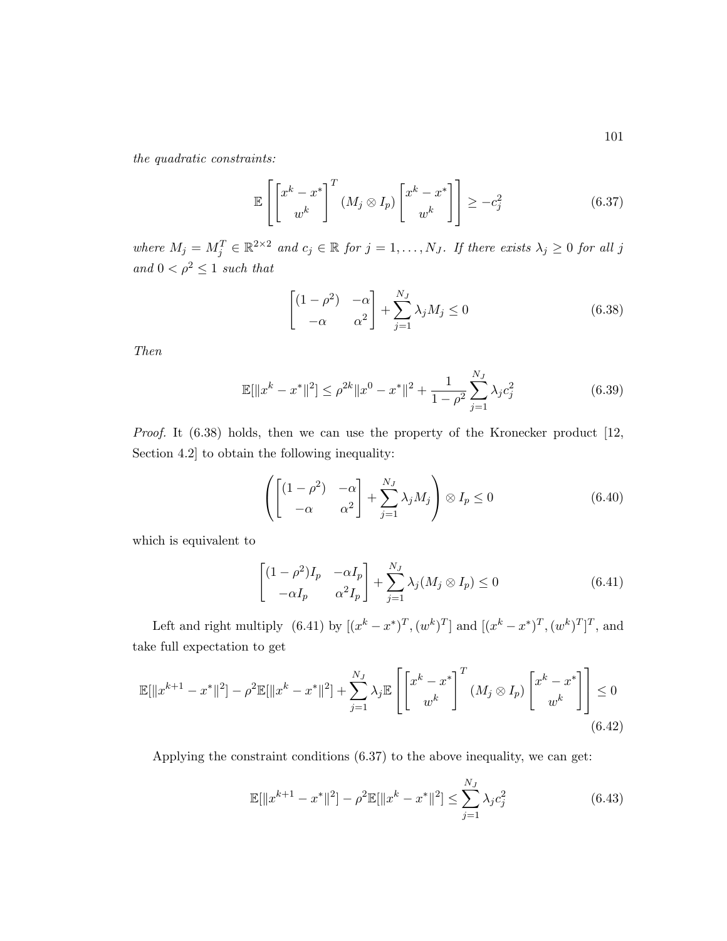the quadratic constraints:

$$
\mathbb{E}\left[\begin{bmatrix} x^k - x^* \\ w^k \end{bmatrix}^T (M_j \otimes I_p) \begin{bmatrix} x^k - x^* \\ w^k \end{bmatrix}\right] \ge -c_j^2 \tag{6.37}
$$

where  $M_j = M_j^T \in \mathbb{R}^{2 \times 2}$  and  $c_j \in \mathbb{R}$  for  $j = 1, ..., N_J$ . If there exists  $\lambda_j \geq 0$  for all j and  $0 < \rho^2 \leq 1$  such that

$$
\begin{bmatrix} (1 - \rho^2) & -\alpha \\ -\alpha & \alpha^2 \end{bmatrix} + \sum_{j=1}^{N_J} \lambda_j M_j \le 0
$$
 (6.38)

Then

$$
\mathbb{E}[\|x^k - x^*\|^2] \le \rho^{2k} \|x^0 - x^*\|^2 + \frac{1}{1 - \rho^2} \sum_{j=1}^{N_J} \lambda_j c_j^2 \tag{6.39}
$$

Proof. It (6.38) holds, then we can use the property of the Kronecker product [12, Section 4.2] to obtain the following inequality:

$$
\left( \begin{bmatrix} (1 - \rho^2) & -\alpha \\ -\alpha & \alpha^2 \end{bmatrix} + \sum_{j=1}^{N_J} \lambda_j M_j \right) \otimes I_p \le 0 \tag{6.40}
$$

which is equivalent to

$$
\begin{bmatrix} (1 - \rho^2)I_p & -\alpha I_p \ -\alpha I_p & \alpha^2 I_p \end{bmatrix} + \sum_{j=1}^{N_J} \lambda_j (M_j \otimes I_p) \le 0
$$
 (6.41)

Left and right multiply  $(6.41)$  by  $[(x^k - x^*)^T, (w^k)^T]$  and  $[(x^k - x^*)^T, (w^k)^T]^T$ , and take full expectation to get

$$
\mathbb{E}[\|x^{k+1} - x^*\|^2] - \rho^2 \mathbb{E}[\|x^k - x^*\|^2] + \sum_{j=1}^{N_J} \lambda_j \mathbb{E}\left[\left[x^k - x^*\right]^T (M_j \otimes I_p) \left[x^k - x^*\right]\right] \le 0
$$
\n(6.42)

Applying the constraint conditions (6.37) to the above inequality, we can get:

$$
\mathbb{E}[\|x^{k+1} - x^*\|^2] - \rho^2 \mathbb{E}[\|x^k - x^*\|^2] \le \sum_{j=1}^{N_J} \lambda_j c_j^2 \tag{6.43}
$$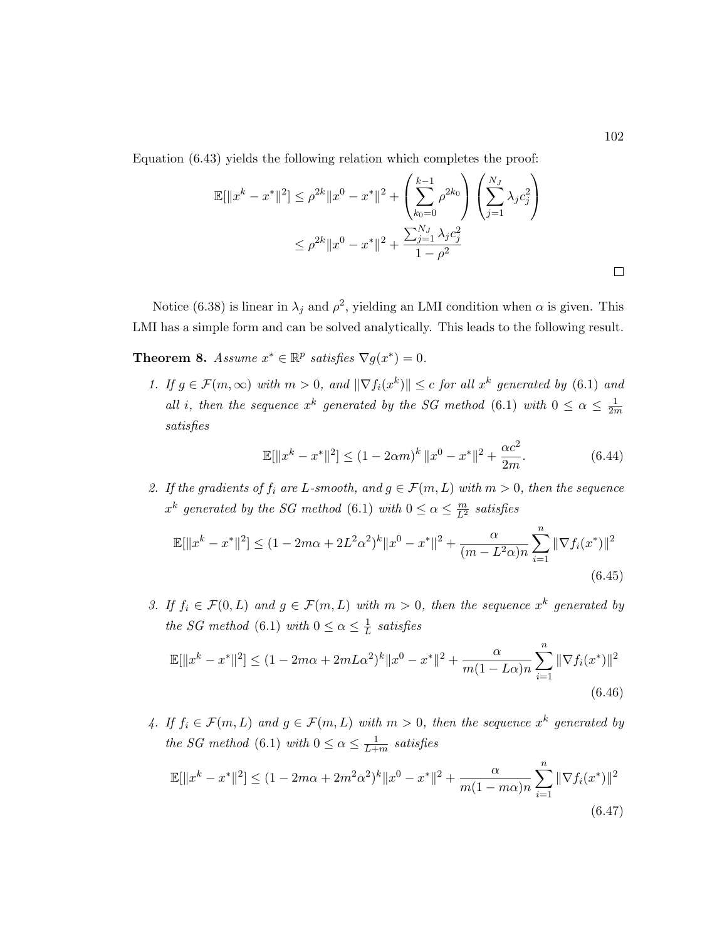Equation (6.43) yields the following relation which completes the proof:

$$
\mathbb{E}[\|x^{k} - x^{*}\|^{2}] \leq \rho^{2k} \|x^{0} - x^{*}\|^{2} + \left(\sum_{k_{0}=0}^{k-1} \rho^{2k_{0}}\right) \left(\sum_{j=1}^{N_{J}} \lambda_{j} c_{j}^{2}\right)
$$
  

$$
\leq \rho^{2k} \|x^{0} - x^{*}\|^{2} + \frac{\sum_{j=1}^{N_{J}} \lambda_{j} c_{j}^{2}}{1 - \rho^{2}}
$$

Notice (6.38) is linear in  $\lambda_j$  and  $\rho^2$ , yielding an LMI condition when  $\alpha$  is given. This LMI has a simple form and can be solved analytically. This leads to the following result.

**Theorem 8.** Assume  $x^* \in \mathbb{R}^p$  satisfies  $\nabla g(x^*) = 0$ .

1. If  $g \in \mathcal{F}(m,\infty)$  with  $m > 0$ , and  $\|\nabla f_i(x^k)\| \leq c$  for all  $x^k$  generated by (6.1) and all i, then the sequence  $x^k$  generated by the SG method (6.1) with  $0 \leq \alpha \leq \frac{1}{2n}$ 2m satisfies

$$
\mathbb{E}[\|x^{k} - x^{*}\|^{2}] \le (1 - 2\alpha m)^{k} \|x^{0} - x^{*}\|^{2} + \frac{\alpha c^{2}}{2m}.
$$
 (6.44)

2. If the gradients of  $f_i$  are L-smooth, and  $g \in \mathcal{F}(m,L)$  with  $m > 0$ , then the sequence  $x^k$  generated by the SG method (6.1) with  $0 \le \alpha \le \frac{m}{L^2}$  satisfies

$$
\mathbb{E}[\|x^{k} - x^{*}\|^{2}] \le (1 - 2m\alpha + 2L^{2}\alpha^{2})^{k} \|x^{0} - x^{*}\|^{2} + \frac{\alpha}{(m - L^{2}\alpha)n} \sum_{i=1}^{n} \|\nabla f_{i}(x^{*})\|^{2}
$$
\n(6.45)

3. If  $f_i \in \mathcal{F}(0,L)$  and  $g \in \mathcal{F}(m,L)$  with  $m > 0$ , then the sequence  $x^k$  generated by the SG method (6.1) with  $0 \leq \alpha \leq \frac{1}{l}$  $\frac{1}{L}$  satisfies

$$
\mathbb{E}[\|x^{k} - x^{*}\|^{2}] \le (1 - 2m\alpha + 2mL\alpha^{2})^{k} \|x^{0} - x^{*}\|^{2} + \frac{\alpha}{m(1 - L\alpha)n} \sum_{i=1}^{n} \|\nabla f_{i}(x^{*})\|^{2}
$$
\n(6.46)

4. If  $f_i \in \mathcal{F}(m,L)$  and  $g \in \mathcal{F}(m,L)$  with  $m > 0$ , then the sequence  $x^k$  generated by the SG method (6.1) with  $0 \leq \alpha \leq \frac{1}{L+1}$  $\frac{1}{L+m}$  satisfies

$$
\mathbb{E}[\|x^{k} - x^{*}\|^{2}] \le (1 - 2m\alpha + 2m^{2}\alpha^{2})^{k} \|x^{0} - x^{*}\|^{2} + \frac{\alpha}{m(1 - m\alpha)n} \sum_{i=1}^{n} \|\nabla f_{i}(x^{*})\|^{2}
$$
\n(6.47)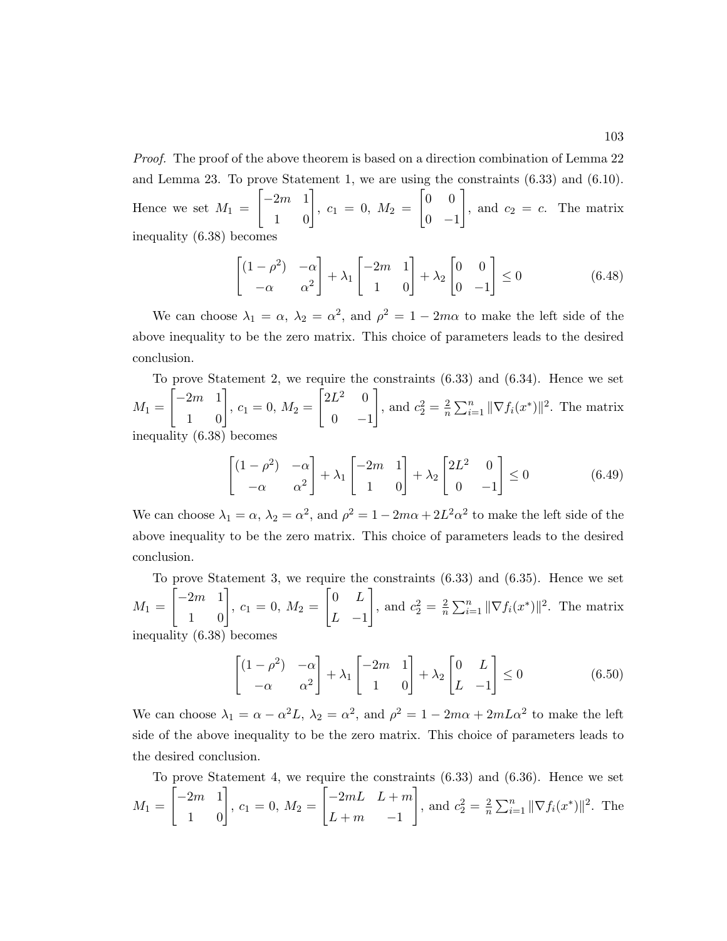Proof. The proof of the above theorem is based on a direction combination of Lemma 22 and Lemma 23. To prove Statement 1, we are using the constraints (6.33) and (6.10). Hence we set  $M_1 =$  $\begin{bmatrix} -2m & 1 \\ 1 & 0 \end{bmatrix}$  $, c_1 = 0, M_2 =$  $\begin{bmatrix} 0 & 0 \end{bmatrix}$  $0 -1$ 1 , and  $c_2 = c$ . The matrix inequality (6.38) becomes

$$
\begin{bmatrix} (1 - \rho^2) & -\alpha \\ -\alpha & \alpha^2 \end{bmatrix} + \lambda_1 \begin{bmatrix} -2m & 1 \\ 1 & 0 \end{bmatrix} + \lambda_2 \begin{bmatrix} 0 & 0 \\ 0 & -1 \end{bmatrix} \le 0
$$
 (6.48)

We can choose  $\lambda_1 = \alpha$ ,  $\lambda_2 = \alpha^2$ , and  $\rho^2 = 1 - 2m\alpha$  to make the left side of the above inequality to be the zero matrix. This choice of parameters leads to the desired conclusion.

To prove Statement 2, we require the constraints (6.33) and (6.34). Hence we set  $M_1 =$  $\begin{bmatrix} -2m & 1 \\ 1 & 0 \end{bmatrix}$  $, c_1 = 0, M_2 =$  $\begin{bmatrix} 2L^2 & 0 \end{bmatrix}$  $0 -1$ 1 , and  $c_2^2 = \frac{2}{n}$  $\frac{2}{n} \sum_{i=1}^{n} ||\nabla f_i(x^*)||^2$ . The matrix inequality (6.38) becomes

$$
\begin{bmatrix} (1 - \rho^2) & -\alpha \\ -\alpha & \alpha^2 \end{bmatrix} + \lambda_1 \begin{bmatrix} -2m & 1 \\ 1 & 0 \end{bmatrix} + \lambda_2 \begin{bmatrix} 2L^2 & 0 \\ 0 & -1 \end{bmatrix} \le 0 \tag{6.49}
$$

We can choose  $\lambda_1 = \alpha$ ,  $\lambda_2 = \alpha^2$ , and  $\rho^2 = 1 - 2m\alpha + 2L^2\alpha^2$  to make the left side of the above inequality to be the zero matrix. This choice of parameters leads to the desired conclusion.

To prove Statement 3, we require the constraints (6.33) and (6.35). Hence we set  $M_1 =$  $\begin{bmatrix} -2m & 1 \\ 1 & 0 \end{bmatrix}$  $, c_1 = 0, M_2 =$  $\begin{bmatrix} 0 & L \end{bmatrix}$  $L -1$ 1 , and  $c_2^2 = \frac{2}{n}$  $\frac{2}{n} \sum_{i=1}^{n} ||\nabla f_i(x^*)||^2$ . The matrix inequality (6.38) becomes

$$
\begin{bmatrix} (1 - \rho^2) & -\alpha \\ -\alpha & \alpha^2 \end{bmatrix} + \lambda_1 \begin{bmatrix} -2m & 1 \\ 1 & 0 \end{bmatrix} + \lambda_2 \begin{bmatrix} 0 & L \\ L & -1 \end{bmatrix} \le 0 \tag{6.50}
$$

We can choose  $\lambda_1 = \alpha - \alpha^2 L$ ,  $\lambda_2 = \alpha^2$ , and  $\rho^2 = 1 - 2m\alpha + 2mL\alpha^2$  to make the left side of the above inequality to be the zero matrix. This choice of parameters leads to the desired conclusion.

To prove Statement 4, we require the constraints (6.33) and (6.36). Hence we set  $M_1 =$  $\begin{bmatrix} -2m & 1 \\ 1 & 0 \end{bmatrix}$  $, c_1 = 0, M_2 =$  $\begin{bmatrix} -2mL & L+m \end{bmatrix}$  $L + m$  -1 1 , and  $c_2^2 = \frac{2}{n}$  $\frac{2}{n} \sum_{i=1}^{n} ||\nabla f_i(x^*)||^2$ . The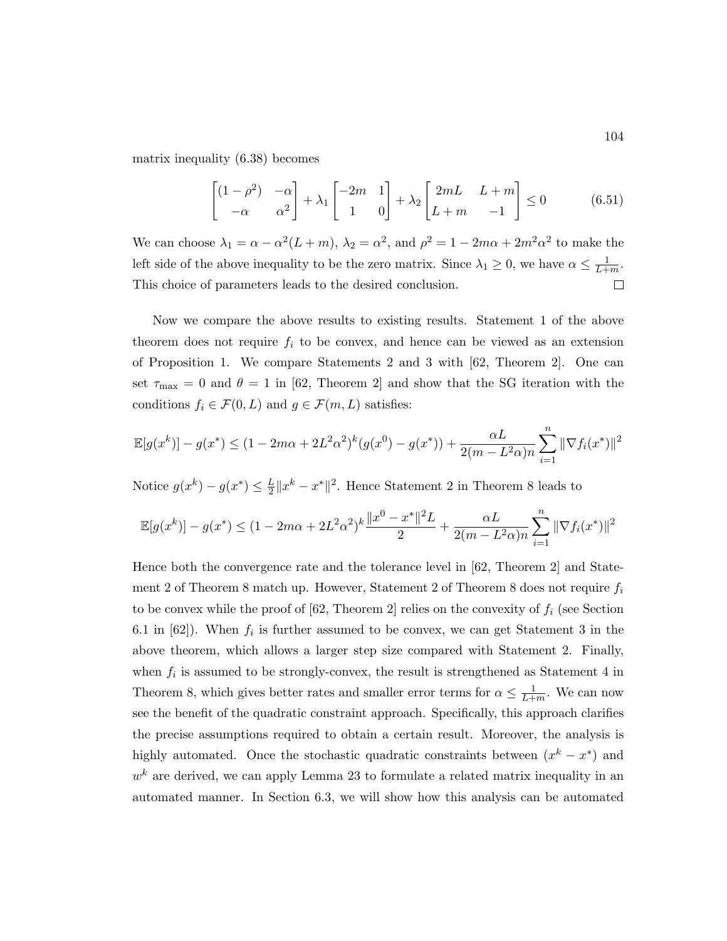matrix inequality (6.38) becomes

$$
\begin{bmatrix} (1 - \rho^2) & -\alpha \\ -\alpha & \alpha^2 \end{bmatrix} + \lambda_1 \begin{bmatrix} -2m & 1 \\ 1 & 0 \end{bmatrix} + \lambda_2 \begin{bmatrix} 2mL & L+m \\ L+m & -1 \end{bmatrix} \le 0 \tag{6.51}
$$

We can choose  $\lambda_1 = \alpha - \alpha^2 (L + m)$ ,  $\lambda_2 = \alpha^2$ , and  $\rho^2 = 1 - 2m\alpha + 2m^2\alpha^2$  to make the left side of the above inequality to be the zero matrix. Since  $\lambda_1 \geq 0$ , we have  $\alpha \leq \frac{1}{L+1}$  $\frac{1}{L+m}$ . This choice of parameters leads to the desired conclusion.  $\Box$ 

Now we compare the above results to existing results. Statement 1 of the above theorem does not require  $f_i$  to be convex, and hence can be viewed as an extension of Proposition 1. We compare Statements 2 and 3 with [62, Theorem 2]. One can set  $\tau_{\text{max}} = 0$  and  $\theta = 1$  in [62, Theorem 2] and show that the SG iteration with the conditions  $f_i \in \mathcal{F}(0,L)$  and  $g \in \mathcal{F}(m,L)$  satisfies:

$$
\mathbb{E}[g(x^k)] - g(x^*) \le (1 - 2m\alpha + 2L^2\alpha^2)^k (g(x^0) - g(x^*)) + \frac{\alpha L}{2(m - L^2\alpha)n} \sum_{i=1}^n \|\nabla f_i(x^*)\|^2
$$

Notice  $g(x^k) - g(x^*) \leq \frac{L}{2}$  $\frac{L}{2}||x^k - x^*||^2$ . Hence Statement 2 in Theorem 8 leads to

$$
\mathbb{E}[g(x^k)] - g(x^*) \le (1 - 2m\alpha + 2L^2\alpha^2)^k \frac{\|x^0 - x^*\|^2 L}{2} + \frac{\alpha L}{2(m - L^2\alpha)n} \sum_{i=1}^n \|\nabla f_i(x^*)\|^2
$$

Hence both the convergence rate and the tolerance level in [62, Theorem 2] and Statement 2 of Theorem 8 match up. However, Statement 2 of Theorem 8 does not require  $f_i$ to be convex while the proof of  $[62,$  Theorem 2] relies on the convexity of  $f_i$  (see Section 6.1 in  $[62]$ ). When  $f_i$  is further assumed to be convex, we can get Statement 3 in the above theorem, which allows a larger step size compared with Statement 2. Finally, when  $f_i$  is assumed to be strongly-convex, the result is strengthened as Statement 4 in Theorem 8, which gives better rates and smaller error terms for  $\alpha \leq \frac{1}{l+1}$  $\frac{1}{L+m}$ . We can now see the benefit of the quadratic constraint approach. Specifically, this approach clarifies the precise assumptions required to obtain a certain result. Moreover, the analysis is highly automated. Once the stochastic quadratic constraints between  $(x<sup>k</sup> - x<sup>*</sup>)$  and  $w<sup>k</sup>$  are derived, we can apply Lemma 23 to formulate a related matrix inequality in an automated manner. In Section 6.3, we will show how this analysis can be automated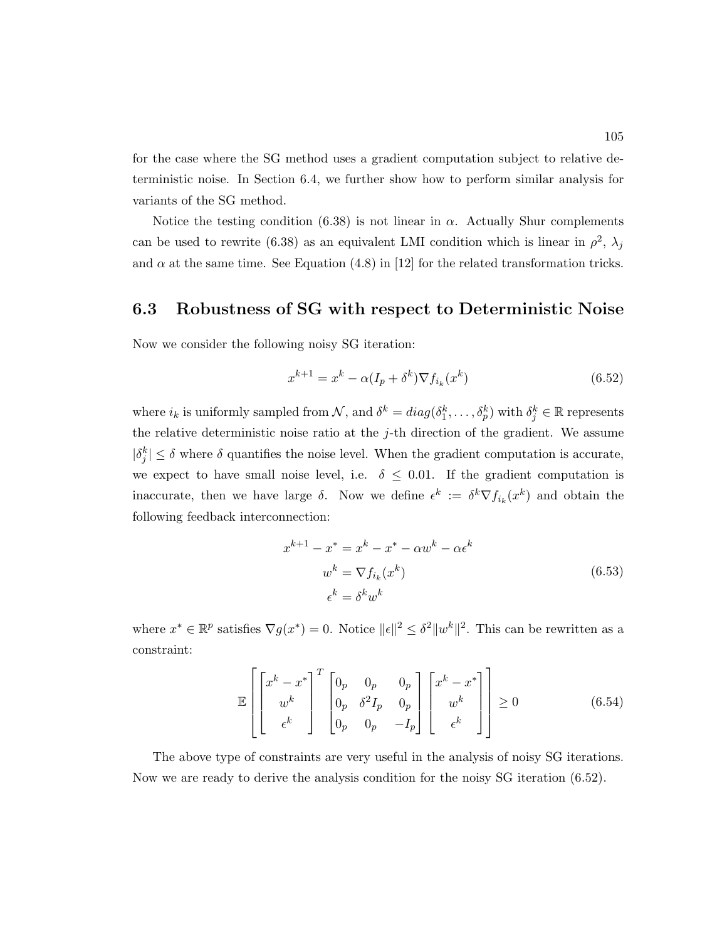for the case where the SG method uses a gradient computation subject to relative deterministic noise. In Section 6.4, we further show how to perform similar analysis for variants of the SG method.

Notice the testing condition (6.38) is not linear in  $\alpha$ . Actually Shur complements can be used to rewrite (6.38) as an equivalent LMI condition which is linear in  $\rho^2$ ,  $\lambda_j$ and  $\alpha$  at the same time. See Equation (4.8) in [12] for the related transformation tricks.

### 6.3 Robustness of SG with respect to Deterministic Noise

Now we consider the following noisy SG iteration:

$$
x^{k+1} = x^k - \alpha (I_p + \delta^k) \nabla f_{i_k}(x^k)
$$
\n(6.52)

where  $i_k$  is uniformly sampled from  $\mathcal{N}$ , and  $\delta^k = diag(\delta_1^k, \ldots, \delta_p^k)$  with  $\delta_j^k \in \mathbb{R}$  represents the relative deterministic noise ratio at the  $j$ -th direction of the gradient. We assume  $|\delta_j^k| \leq \delta$  where  $\delta$  quantifies the noise level. When the gradient computation is accurate, we expect to have small noise level, i.e.  $\delta \leq 0.01$ . If the gradient computation is inaccurate, then we have large  $\delta$ . Now we define  $\epsilon^k := \delta^k \nabla f_{i_k}(x^k)$  and obtain the following feedback interconnection:

$$
x^{k+1} - x^* = x^k - x^* - \alpha w^k - \alpha \epsilon^k
$$
  

$$
w^k = \nabla f_{i_k}(x^k)
$$
  

$$
\epsilon^k = \delta^k w^k
$$
 (6.53)

where  $x^* \in \mathbb{R}^p$  satisfies  $\nabla g(x^*) = 0$ . Notice  $||\epsilon||^2 \leq \delta^2 ||w^k||^2$ . This can be rewritten as a constraint:

$$
\mathbb{E}\left[\begin{bmatrix} x^k - x^* \\ w^k \\ \epsilon^k \end{bmatrix}^T \begin{bmatrix} 0_p & 0_p & 0_p \\ 0_p & \delta^2 I_p & 0_p \\ 0_p & 0_p & -I_p \end{bmatrix} \begin{bmatrix} x^k - x^* \\ w^k \\ \epsilon^k \end{bmatrix}\right] \ge 0
$$
\n(6.54)

The above type of constraints are very useful in the analysis of noisy SG iterations. Now we are ready to derive the analysis condition for the noisy SG iteration (6.52).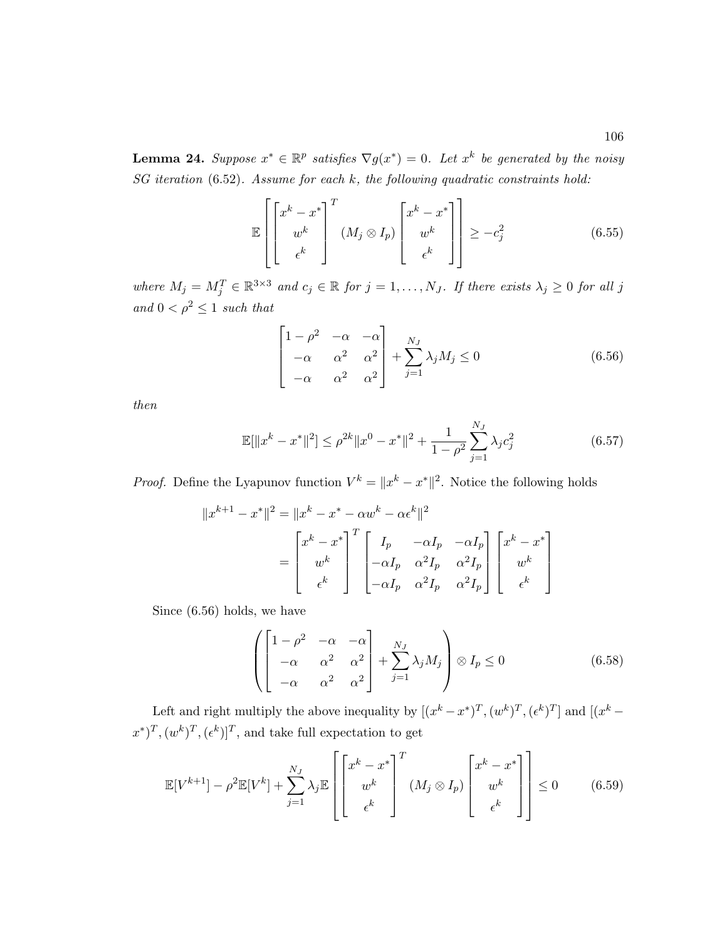$$
\mathbb{E}\left[\begin{bmatrix} x^k - x^* \\ w^k \\ \epsilon^k \end{bmatrix}^T (M_j \otimes I_p) \begin{bmatrix} x^k - x^* \\ w^k \\ \epsilon^k \end{bmatrix}\right] \ge -c_j^2 \tag{6.55}
$$

where  $M_j = M_j^T \in \mathbb{R}^{3 \times 3}$  and  $c_j \in \mathbb{R}$  for  $j = 1, ..., N_J$ . If there exists  $\lambda_j \geq 0$  for all j and  $0 < \rho^2 \leq 1$  such that

$$
\begin{bmatrix}\n1 - \rho^2 & -\alpha & -\alpha \\
-\alpha & \alpha^2 & \alpha^2 \\
-\alpha & \alpha^2 & \alpha^2\n\end{bmatrix} + \sum_{j=1}^{N_J} \lambda_j M_j \le 0
$$
\n(6.56)

then

$$
\mathbb{E}[\|x^{k} - x^{*}\|^{2}] \leq \rho^{2k} \|x^{0} - x^{*}\|^{2} + \frac{1}{1 - \rho^{2}} \sum_{j=1}^{N_{J}} \lambda_{j} c_{j}^{2}
$$
(6.57)

*Proof.* Define the Lyapunov function  $V^k = ||x^k - x^*||^2$ . Notice the following holds

$$
||x^{k+1} - x^*||^2 = ||x^k - x^* - \alpha w^k - \alpha \epsilon^k||^2
$$
  
= 
$$
\begin{bmatrix} x^k - x^* \\ w^k \\ \epsilon^k \end{bmatrix}^T \begin{bmatrix} I_p & -\alpha I_p & -\alpha I_p \\ -\alpha I_p & \alpha^2 I_p & \alpha^2 I_p \\ -\alpha I_p & \alpha^2 I_p & \alpha^2 I_p \end{bmatrix} \begin{bmatrix} x^k - x^* \\ w^k \\ \epsilon^k \end{bmatrix}
$$

Since (6.56) holds, we have

$$
\left( \begin{bmatrix} 1 - \rho^2 & -\alpha & -\alpha \\ -\alpha & \alpha^2 & \alpha^2 \\ -\alpha & \alpha^2 & \alpha^2 \end{bmatrix} + \sum_{j=1}^{N_J} \lambda_j M_j \right) \otimes I_p \le 0 \tag{6.58}
$$

Left and right multiply the above inequality by  $[(x^k - x^*)^T, (w^k)^T, (\epsilon^k)^T]$  and  $[(x^k - x^*)^T, (w^k)^T]$  $(x^*)^T, (w^k)^T, (\epsilon^k)$ <sup>T</sup>, and take full expectation to get

$$
\mathbb{E}[V^{k+1}] - \rho^2 \mathbb{E}[V^k] + \sum_{j=1}^{N_J} \lambda_j \mathbb{E}\left[\begin{bmatrix} x^k - x^* \\ w^k \\ \epsilon^k \end{bmatrix}^T (M_j \otimes I_p) \begin{bmatrix} x^k - x^* \\ w^k \\ \epsilon^k \end{bmatrix}\right] \le 0 \qquad (6.59)
$$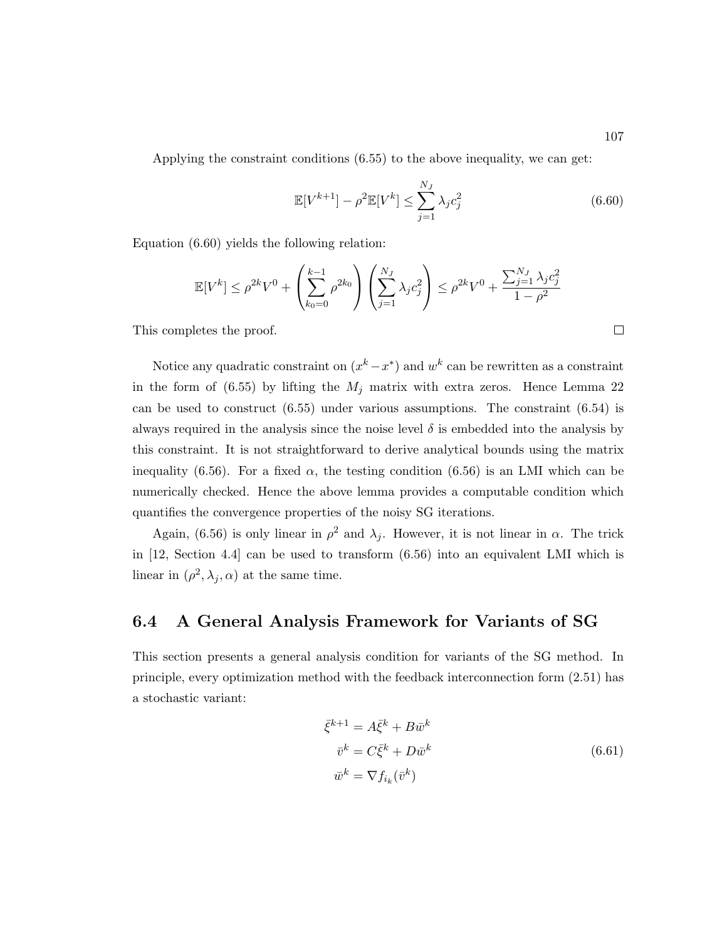Applying the constraint conditions (6.55) to the above inequality, we can get:

$$
\mathbb{E}[V^{k+1}] - \rho^2 \mathbb{E}[V^k] \le \sum_{j=1}^{N_J} \lambda_j c_j^2
$$
 (6.60)

Equation (6.60) yields the following relation:

$$
\mathbb{E}[V^k] \le \rho^{2k} V^0 + \left(\sum_{k_0=0}^{k-1} \rho^{2k_0}\right) \left(\sum_{j=1}^{N_J} \lambda_j c_j^2\right) \le \rho^{2k} V^0 + \frac{\sum_{j=1}^{N_J} \lambda_j c_j^2}{1-\rho^2}
$$

This completes the proof.

Notice any quadratic constraint on  $(x<sup>k</sup> - x<sup>*</sup>)$  and  $w<sup>k</sup>$  can be rewritten as a constraint in the form of  $(6.55)$  by lifting the  $M_i$  matrix with extra zeros. Hence Lemma 22 can be used to construct (6.55) under various assumptions. The constraint (6.54) is always required in the analysis since the noise level  $\delta$  is embedded into the analysis by this constraint. It is not straightforward to derive analytical bounds using the matrix inequality (6.56). For a fixed  $\alpha$ , the testing condition (6.56) is an LMI which can be numerically checked. Hence the above lemma provides a computable condition which quantifies the convergence properties of the noisy SG iterations.

Again, (6.56) is only linear in  $\rho^2$  and  $\lambda_j$ . However, it is not linear in  $\alpha$ . The trick in [12, Section 4.4] can be used to transform (6.56) into an equivalent LMI which is linear in  $(\rho^2, \lambda_j, \alpha)$  at the same time.

#### 6.4 A General Analysis Framework for Variants of SG

This section presents a general analysis condition for variants of the SG method. In principle, every optimization method with the feedback interconnection form (2.51) has a stochastic variant:

$$
\bar{\xi}^{k+1} = A \bar{\xi}^k + B \bar{w}^k
$$
  
\n
$$
\bar{v}^k = C \bar{\xi}^k + D \bar{w}^k
$$
  
\n
$$
\bar{w}^k = \nabla f_{i_k} (\bar{v}^k)
$$
\n(6.61)

 $\Box$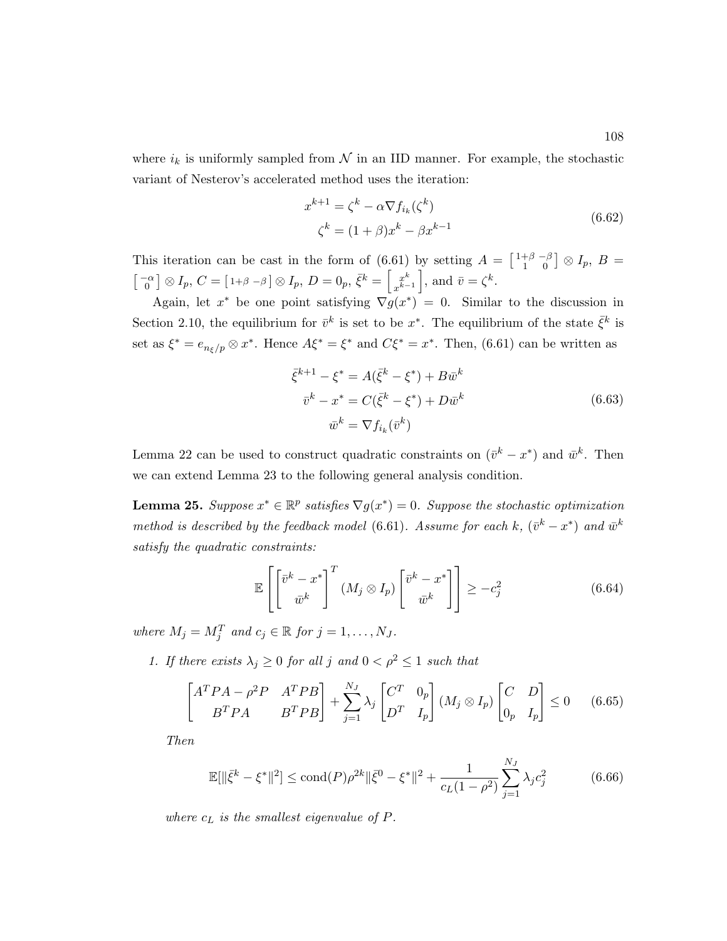where  $i_k$  is uniformly sampled from  $\mathcal N$  in an IID manner. For example, the stochastic variant of Nesterov's accelerated method uses the iteration:

$$
x^{k+1} = \zeta^k - \alpha \nabla f_{i_k}(\zeta^k)
$$
  

$$
\zeta^k = (1+\beta)x^k - \beta x^{k-1}
$$
 (6.62)

This iteration can be cast in the form of (6.61) by setting  $A = \begin{bmatrix} 1+\beta & -\beta \\ 1 & 0 \end{bmatrix}$  $\left[\begin{smallmatrix} +\beta & -\beta \ 1 & 0 \end{smallmatrix}\right]\otimes I_p, \ B=$  $\begin{bmatrix} -\alpha \\ 0 \end{bmatrix} \otimes I_p, C = \begin{bmatrix} 1+\beta-\beta \end{bmatrix} \otimes I_p, D = 0_p, \bar{\xi}^k = \begin{bmatrix} x^k \\ x^{k-k} \end{bmatrix}$  $\begin{bmatrix} x^k \\ x^{k-1} \end{bmatrix}$ , and  $\bar{v} = \zeta^k$ .

Again, let  $x^*$  be one point satisfying  $\nabla g(x^*) = 0$ . Similar to the discussion in Section 2.10, the equilibrium for  $\bar{v}^k$  is set to be  $x^*$ . The equilibrium of the state  $\bar{\xi}^k$  is set as  $\xi^* = e_{n_{\xi}/p} \otimes x^*$ . Hence  $A\xi^* = \xi^*$  and  $C\xi^* = x^*$ . Then, (6.61) can be written as

$$
\bar{\xi}^{k+1} - \xi^* = A(\bar{\xi}^k - \xi^*) + B\bar{w}^k
$$
  

$$
\bar{v}^k - x^* = C(\bar{\xi}^k - \xi^*) + D\bar{w}^k
$$
  

$$
\bar{w}^k = \nabla f_{i_k}(\bar{v}^k)
$$
 (6.63)

Lemma 22 can be used to construct quadratic constraints on  $(\bar{v}^k - x^*)$  and  $\bar{w}^k$ . Then we can extend Lemma 23 to the following general analysis condition.

**Lemma 25.** Suppose  $x^* \in \mathbb{R}^p$  satisfies  $\nabla g(x^*) = 0$ . Suppose the stochastic optimization method is described by the feedback model (6.61). Assume for each k,  $(\bar{v}^k - x^*)$  and  $\bar{w}^k$ satisfy the quadratic constraints:

$$
\mathbb{E}\left[\left[\bar{v}^k - x^* \right]^T (M_j \otimes I_p) \left[\bar{v}^k - x^* \right] \right] \geq -c_j^2 \tag{6.64}
$$

where  $M_j = M_j^T$  and  $c_j \in \mathbb{R}$  for  $j = 1, \ldots, N_J$ .

1. If there exists  $\lambda_j \geq 0$  for all j and  $0 < \rho^2 \leq 1$  such that

$$
\begin{bmatrix} A^T P A - \rho^2 P & A^T P B \\ B^T P A & B^T P B \end{bmatrix} + \sum_{j=1}^{N_J} \lambda_j \begin{bmatrix} C^T & 0_p \\ D^T & I_p \end{bmatrix} (M_j \otimes I_p) \begin{bmatrix} C & D \\ 0_p & I_p \end{bmatrix} \le 0 \quad (6.65)
$$

Then

$$
\mathbb{E}[\|\bar{\xi}^k - \xi^*\|^2] \le \text{cond}(P)\rho^{2k} \|\bar{\xi}^0 - \xi^*\|^2 + \frac{1}{c_L(1 - \rho^2)} \sum_{j=1}^{N_J} \lambda_j c_j^2 \tag{6.66}
$$

where  $c_L$  is the smallest eigenvalue of  $P$ .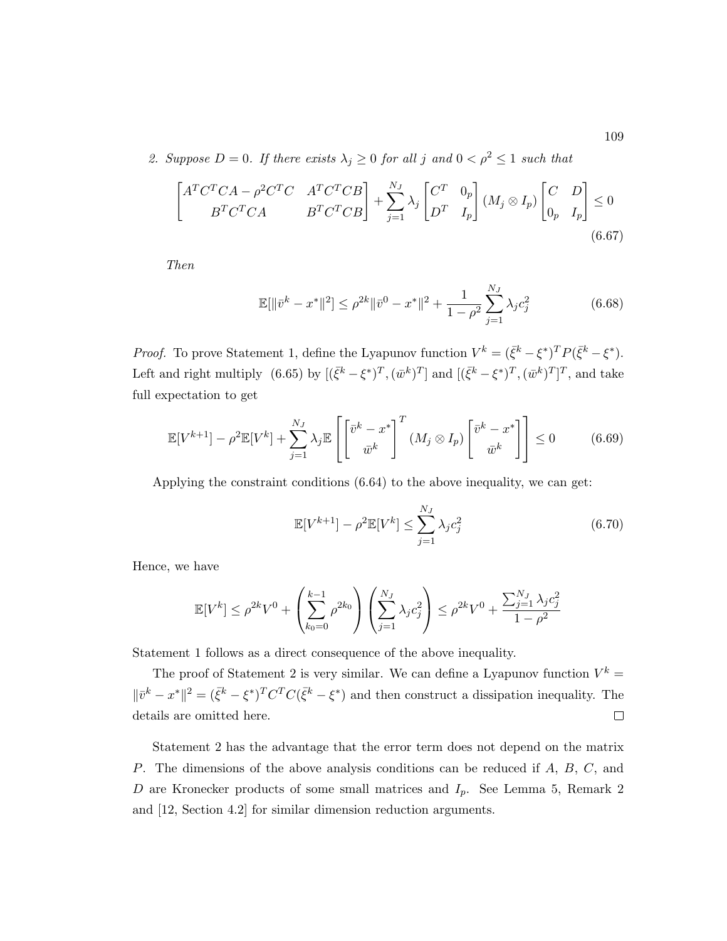2. Suppose  $D = 0$ . If there exists  $\lambda_j \geq 0$  for all j and  $0 < \rho^2 \leq 1$  such that

$$
\begin{bmatrix} A^T C^T C A - \rho^2 C^T C & A^T C^T C B \\ B^T C^T C A & B^T C^T C B \end{bmatrix} + \sum_{j=1}^{N_J} \lambda_j \begin{bmatrix} C^T & 0_p \\ D^T & I_p \end{bmatrix} (M_j \otimes I_p) \begin{bmatrix} C & D \\ 0_p & I_p \end{bmatrix} \le 0
$$
\n(6.67)

Then

$$
\mathbb{E}[\|\bar{v}^k - x^*\|^2] \le \rho^{2k} \|\bar{v}^0 - x^*\|^2 + \frac{1}{1 - \rho^2} \sum_{j=1}^{N_J} \lambda_j c_j^2 \tag{6.68}
$$

*Proof.* To prove Statement 1, define the Lyapunov function  $V^k = (\bar{\xi}^k - {\xi}^*)^T P (\bar{\xi}^k - {\xi}^*)$ . Left and right multiply (6.65) by  $[(\bar{\xi}^k - {\xi}^*)^T, (\bar{w}^k)^T]$  and  $[(\bar{\xi}^k - {\xi}^*)^T, (\bar{w}^k)^T]^T$ , and take full expectation to get

$$
\mathbb{E}[V^{k+1}] - \rho^2 \mathbb{E}[V^k] + \sum_{j=1}^{N_J} \lambda_j \mathbb{E}\left[\left[\bar{v}^k - x^* \right]^T (M_j \otimes I_p) \left[\bar{v}^k - x^* \right] \right] \le 0 \tag{6.69}
$$

Applying the constraint conditions (6.64) to the above inequality, we can get:

$$
\mathbb{E}[V^{k+1}] - \rho^2 \mathbb{E}[V^k] \le \sum_{j=1}^{N_J} \lambda_j c_j^2
$$
 (6.70)

Hence, we have

$$
\mathbb{E}[V^k] \le \rho^{2k} V^0 + \left(\sum_{k_0=0}^{k-1} \rho^{2k_0}\right) \left(\sum_{j=1}^{N_J} \lambda_j c_j^2\right) \le \rho^{2k} V^0 + \frac{\sum_{j=1}^{N_J} \lambda_j c_j^2}{1-\rho^2}
$$

Statement 1 follows as a direct consequence of the above inequality.

The proof of Statement 2 is very similar. We can define a Lyapunov function  $V^k =$  $\|\bar{v}^k - x^*\|^2 = (\bar{\xi}^k - \xi^*)^T C^T C (\bar{\xi}^k - \xi^*)$  and then construct a dissipation inequality. The details are omitted here.  $\Box$ 

Statement 2 has the advantage that the error term does not depend on the matrix P. The dimensions of the above analysis conditions can be reduced if A, B, C, and D are Kronecker products of some small matrices and  $I_p$ . See Lemma 5, Remark 2 and [12, Section 4.2] for similar dimension reduction arguments.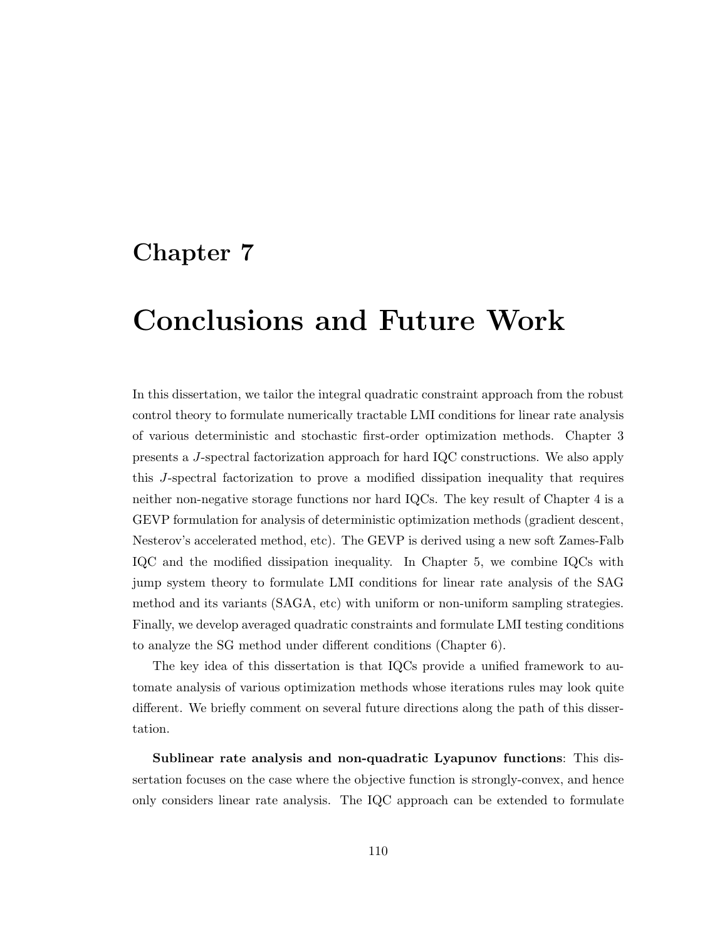### Chapter 7

## Conclusions and Future Work

In this dissertation, we tailor the integral quadratic constraint approach from the robust control theory to formulate numerically tractable LMI conditions for linear rate analysis of various deterministic and stochastic first-order optimization methods. Chapter 3 presents a J-spectral factorization approach for hard IQC constructions. We also apply this J-spectral factorization to prove a modified dissipation inequality that requires neither non-negative storage functions nor hard IQCs. The key result of Chapter 4 is a GEVP formulation for analysis of deterministic optimization methods (gradient descent, Nesterov's accelerated method, etc). The GEVP is derived using a new soft Zames-Falb IQC and the modified dissipation inequality. In Chapter 5, we combine IQCs with jump system theory to formulate LMI conditions for linear rate analysis of the SAG method and its variants (SAGA, etc) with uniform or non-uniform sampling strategies. Finally, we develop averaged quadratic constraints and formulate LMI testing conditions to analyze the SG method under different conditions (Chapter 6).

The key idea of this dissertation is that IQCs provide a unified framework to automate analysis of various optimization methods whose iterations rules may look quite different. We briefly comment on several future directions along the path of this dissertation.

Sublinear rate analysis and non-quadratic Lyapunov functions: This dissertation focuses on the case where the objective function is strongly-convex, and hence only considers linear rate analysis. The IQC approach can be extended to formulate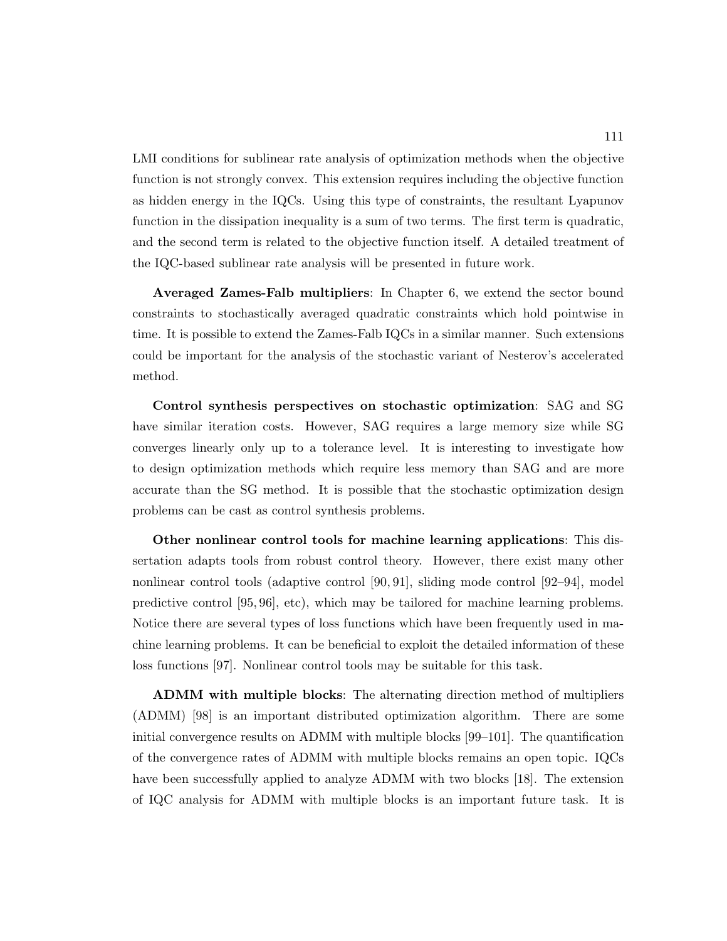LMI conditions for sublinear rate analysis of optimization methods when the objective function is not strongly convex. This extension requires including the objective function as hidden energy in the IQCs. Using this type of constraints, the resultant Lyapunov function in the dissipation inequality is a sum of two terms. The first term is quadratic, and the second term is related to the objective function itself. A detailed treatment of the IQC-based sublinear rate analysis will be presented in future work.

Averaged Zames-Falb multipliers: In Chapter 6, we extend the sector bound constraints to stochastically averaged quadratic constraints which hold pointwise in time. It is possible to extend the Zames-Falb IQCs in a similar manner. Such extensions could be important for the analysis of the stochastic variant of Nesterov's accelerated method.

Control synthesis perspectives on stochastic optimization: SAG and SG have similar iteration costs. However, SAG requires a large memory size while SG converges linearly only up to a tolerance level. It is interesting to investigate how to design optimization methods which require less memory than SAG and are more accurate than the SG method. It is possible that the stochastic optimization design problems can be cast as control synthesis problems.

Other nonlinear control tools for machine learning applications: This dissertation adapts tools from robust control theory. However, there exist many other nonlinear control tools (adaptive control [90, 91], sliding mode control [92–94], model predictive control [95, 96], etc), which may be tailored for machine learning problems. Notice there are several types of loss functions which have been frequently used in machine learning problems. It can be beneficial to exploit the detailed information of these loss functions [97]. Nonlinear control tools may be suitable for this task.

ADMM with multiple blocks: The alternating direction method of multipliers (ADMM) [98] is an important distributed optimization algorithm. There are some initial convergence results on ADMM with multiple blocks [99–101]. The quantification of the convergence rates of ADMM with multiple blocks remains an open topic. IQCs have been successfully applied to analyze ADMM with two blocks [18]. The extension of IQC analysis for ADMM with multiple blocks is an important future task. It is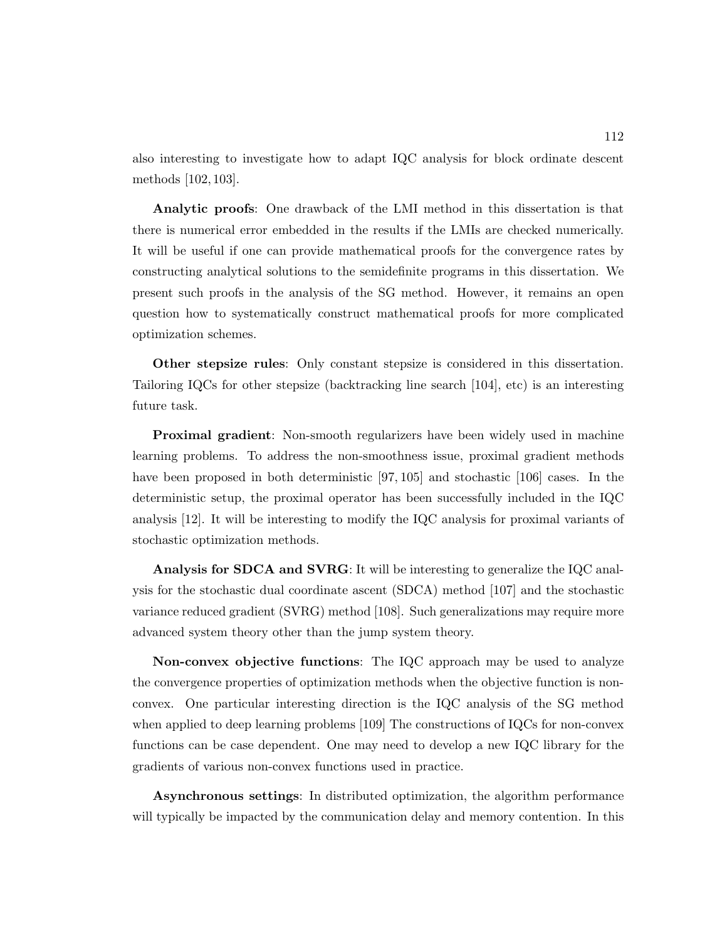also interesting to investigate how to adapt IQC analysis for block ordinate descent methods [102, 103].

Analytic proofs: One drawback of the LMI method in this dissertation is that there is numerical error embedded in the results if the LMIs are checked numerically. It will be useful if one can provide mathematical proofs for the convergence rates by constructing analytical solutions to the semidefinite programs in this dissertation. We present such proofs in the analysis of the SG method. However, it remains an open question how to systematically construct mathematical proofs for more complicated optimization schemes.

Other stepsize rules: Only constant stepsize is considered in this dissertation. Tailoring IQCs for other stepsize (backtracking line search [104], etc) is an interesting future task.

**Proximal gradient**: Non-smooth regularizers have been widely used in machine learning problems. To address the non-smoothness issue, proximal gradient methods have been proposed in both deterministic [97, 105] and stochastic [106] cases. In the deterministic setup, the proximal operator has been successfully included in the IQC analysis [12]. It will be interesting to modify the IQC analysis for proximal variants of stochastic optimization methods.

Analysis for SDCA and SVRG: It will be interesting to generalize the IQC analysis for the stochastic dual coordinate ascent (SDCA) method [107] and the stochastic variance reduced gradient (SVRG) method [108]. Such generalizations may require more advanced system theory other than the jump system theory.

Non-convex objective functions: The IQC approach may be used to analyze the convergence properties of optimization methods when the objective function is nonconvex. One particular interesting direction is the IQC analysis of the SG method when applied to deep learning problems [109] The constructions of IQCs for non-convex functions can be case dependent. One may need to develop a new IQC library for the gradients of various non-convex functions used in practice.

Asynchronous settings: In distributed optimization, the algorithm performance will typically be impacted by the communication delay and memory contention. In this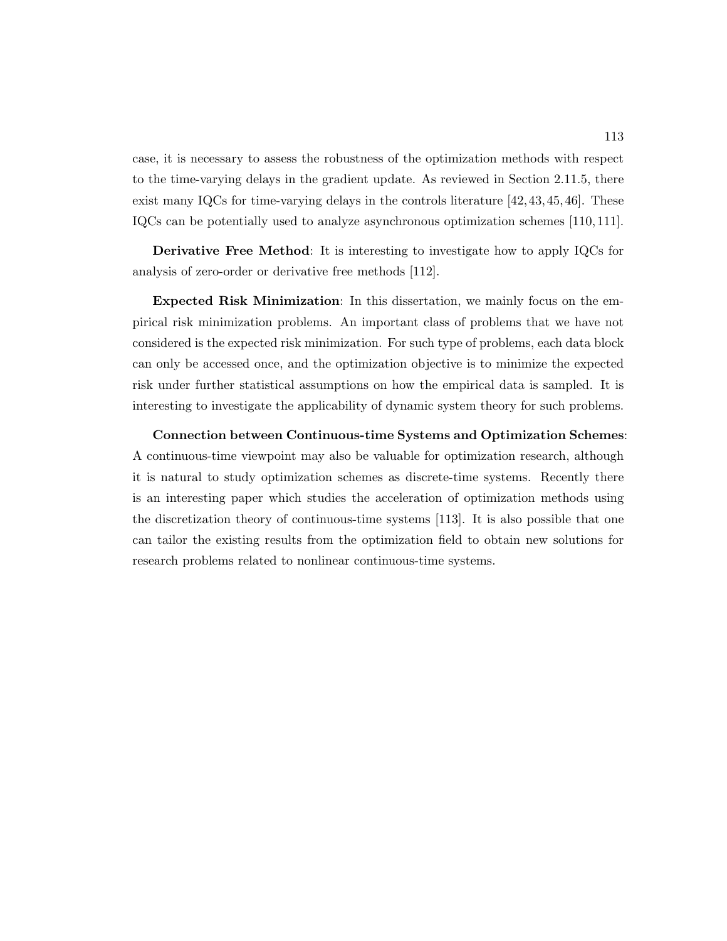case, it is necessary to assess the robustness of the optimization methods with respect to the time-varying delays in the gradient update. As reviewed in Section 2.11.5, there exist many IQCs for time-varying delays in the controls literature [42, 43, 45, 46]. These IQCs can be potentially used to analyze asynchronous optimization schemes [110, 111].

Derivative Free Method: It is interesting to investigate how to apply IQCs for analysis of zero-order or derivative free methods [112].

Expected Risk Minimization: In this dissertation, we mainly focus on the empirical risk minimization problems. An important class of problems that we have not considered is the expected risk minimization. For such type of problems, each data block can only be accessed once, and the optimization objective is to minimize the expected risk under further statistical assumptions on how the empirical data is sampled. It is interesting to investigate the applicability of dynamic system theory for such problems.

Connection between Continuous-time Systems and Optimization Schemes: A continuous-time viewpoint may also be valuable for optimization research, although it is natural to study optimization schemes as discrete-time systems. Recently there is an interesting paper which studies the acceleration of optimization methods using the discretization theory of continuous-time systems [113]. It is also possible that one can tailor the existing results from the optimization field to obtain new solutions for research problems related to nonlinear continuous-time systems.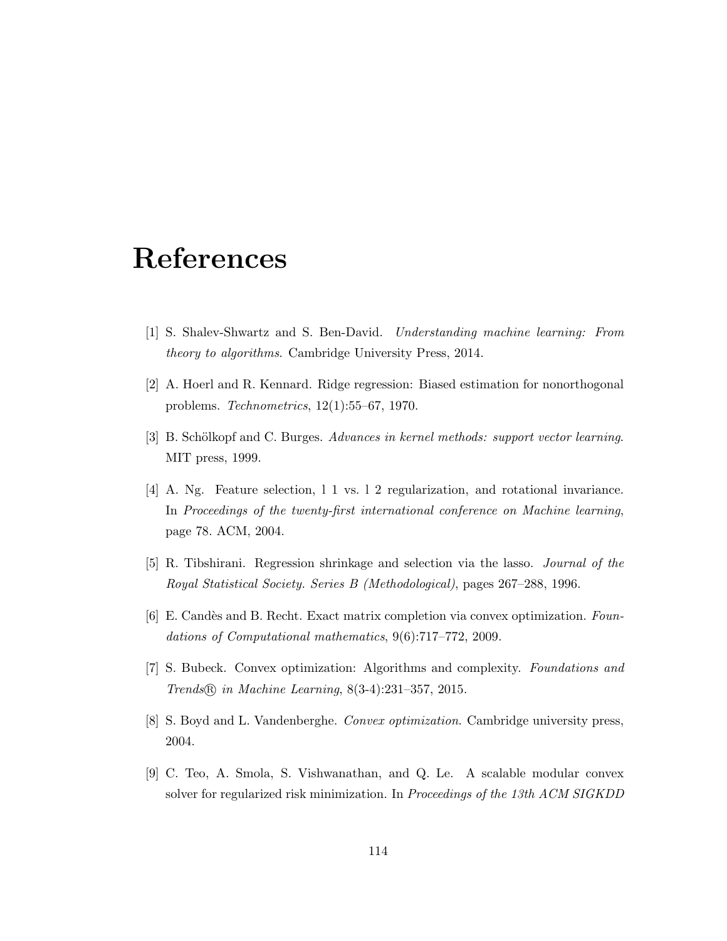# References

- [1] S. Shalev-Shwartz and S. Ben-David. Understanding machine learning: From theory to algorithms. Cambridge University Press, 2014.
- [2] A. Hoerl and R. Kennard. Ridge regression: Biased estimation for nonorthogonal problems. Technometrics, 12(1):55–67, 1970.
- [3] B. Schölkopf and C. Burges. Advances in kernel methods: support vector learning. MIT press, 1999.
- [4] A. Ng. Feature selection, l 1 vs. l 2 regularization, and rotational invariance. In Proceedings of the twenty-first international conference on Machine learning, page 78. ACM, 2004.
- [5] R. Tibshirani. Regression shrinkage and selection via the lasso. Journal of the Royal Statistical Society. Series B (Methodological), pages 267–288, 1996.
- [6] E. Candès and B. Recht. Exact matrix completion via convex optimization. Foundations of Computational mathematics, 9(6):717–772, 2009.
- [7] S. Bubeck. Convex optimization: Algorithms and complexity. Foundations and Trends R in Machine Learning, 8(3-4):231–357, 2015.
- [8] S. Boyd and L. Vandenberghe. Convex optimization. Cambridge university press, 2004.
- [9] C. Teo, A. Smola, S. Vishwanathan, and Q. Le. A scalable modular convex solver for regularized risk minimization. In Proceedings of the 13th ACM SIGKDD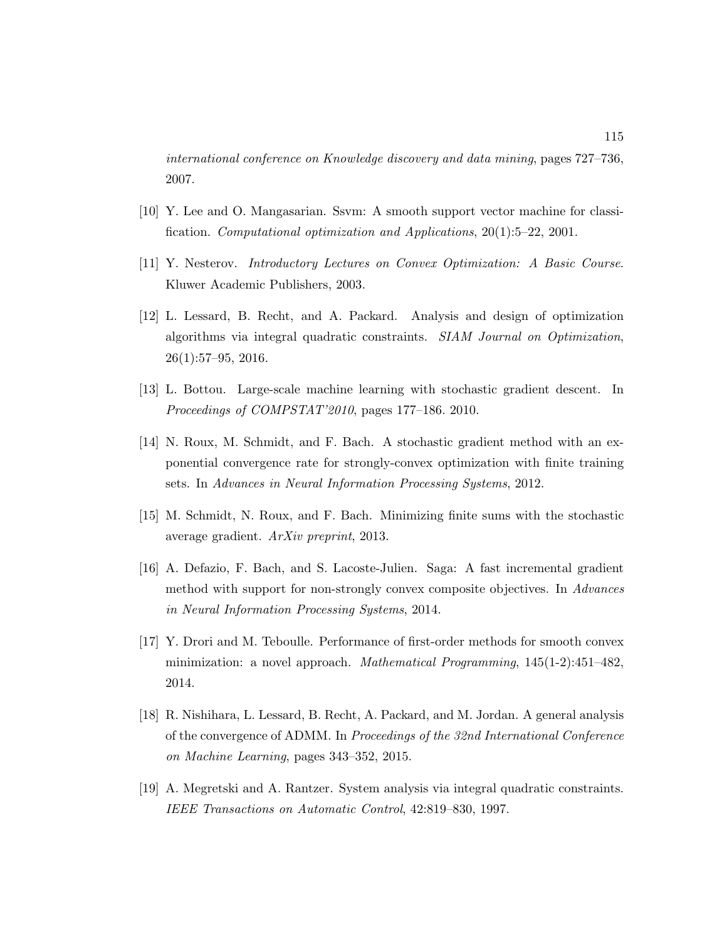international conference on Knowledge discovery and data mining, pages 727–736, 2007.

- [10] Y. Lee and O. Mangasarian. Ssvm: A smooth support vector machine for classification. Computational optimization and Applications, 20(1):5–22, 2001.
- [11] Y. Nesterov. Introductory Lectures on Convex Optimization: A Basic Course. Kluwer Academic Publishers, 2003.
- [12] L. Lessard, B. Recht, and A. Packard. Analysis and design of optimization algorithms via integral quadratic constraints. SIAM Journal on Optimization, 26(1):57–95, 2016.
- [13] L. Bottou. Large-scale machine learning with stochastic gradient descent. In Proceedings of COMPSTAT'2010, pages 177–186. 2010.
- [14] N. Roux, M. Schmidt, and F. Bach. A stochastic gradient method with an exponential convergence rate for strongly-convex optimization with finite training sets. In Advances in Neural Information Processing Systems, 2012.
- [15] M. Schmidt, N. Roux, and F. Bach. Minimizing finite sums with the stochastic average gradient. ArXiv preprint, 2013.
- [16] A. Defazio, F. Bach, and S. Lacoste-Julien. Saga: A fast incremental gradient method with support for non-strongly convex composite objectives. In Advances in Neural Information Processing Systems, 2014.
- [17] Y. Drori and M. Teboulle. Performance of first-order methods for smooth convex minimization: a novel approach. Mathematical Programming, 145(1-2):451–482, 2014.
- [18] R. Nishihara, L. Lessard, B. Recht, A. Packard, and M. Jordan. A general analysis of the convergence of ADMM. In Proceedings of the 32nd International Conference on Machine Learning, pages 343–352, 2015.
- [19] A. Megretski and A. Rantzer. System analysis via integral quadratic constraints. IEEE Transactions on Automatic Control, 42:819–830, 1997.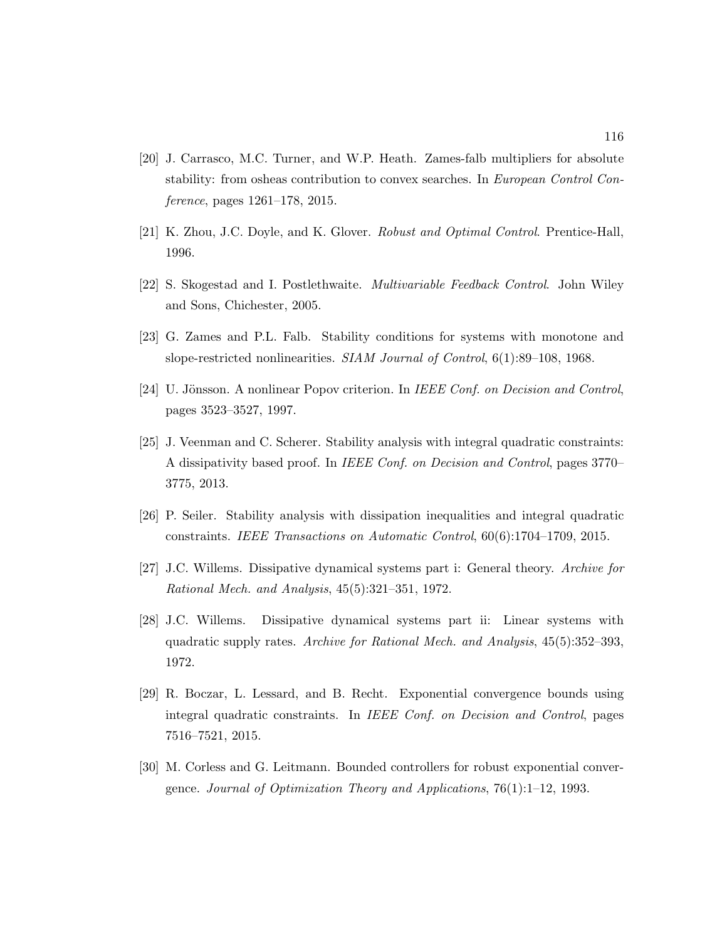- [20] J. Carrasco, M.C. Turner, and W.P. Heath. Zames-falb multipliers for absolute stability: from osheas contribution to convex searches. In European Control Conference, pages 1261–178, 2015.
- [21] K. Zhou, J.C. Doyle, and K. Glover. Robust and Optimal Control. Prentice-Hall, 1996.
- [22] S. Skogestad and I. Postlethwaite. Multivariable Feedback Control. John Wiley and Sons, Chichester, 2005.
- [23] G. Zames and P.L. Falb. Stability conditions for systems with monotone and slope-restricted nonlinearities. SIAM Journal of Control, 6(1):89–108, 1968.
- [24] U. Jönsson. A nonlinear Popov criterion. In *IEEE Conf. on Decision and Control*, pages 3523–3527, 1997.
- [25] J. Veenman and C. Scherer. Stability analysis with integral quadratic constraints: A dissipativity based proof. In IEEE Conf. on Decision and Control, pages 3770– 3775, 2013.
- [26] P. Seiler. Stability analysis with dissipation inequalities and integral quadratic constraints. IEEE Transactions on Automatic Control, 60(6):1704–1709, 2015.
- [27] J.C. Willems. Dissipative dynamical systems part i: General theory. Archive for Rational Mech. and Analysis, 45(5):321–351, 1972.
- [28] J.C. Willems. Dissipative dynamical systems part ii: Linear systems with quadratic supply rates. Archive for Rational Mech. and Analysis, 45(5):352–393, 1972.
- [29] R. Boczar, L. Lessard, and B. Recht. Exponential convergence bounds using integral quadratic constraints. In IEEE Conf. on Decision and Control, pages 7516–7521, 2015.
- [30] M. Corless and G. Leitmann. Bounded controllers for robust exponential convergence. Journal of Optimization Theory and Applications,  $76(1):1-12$ , 1993.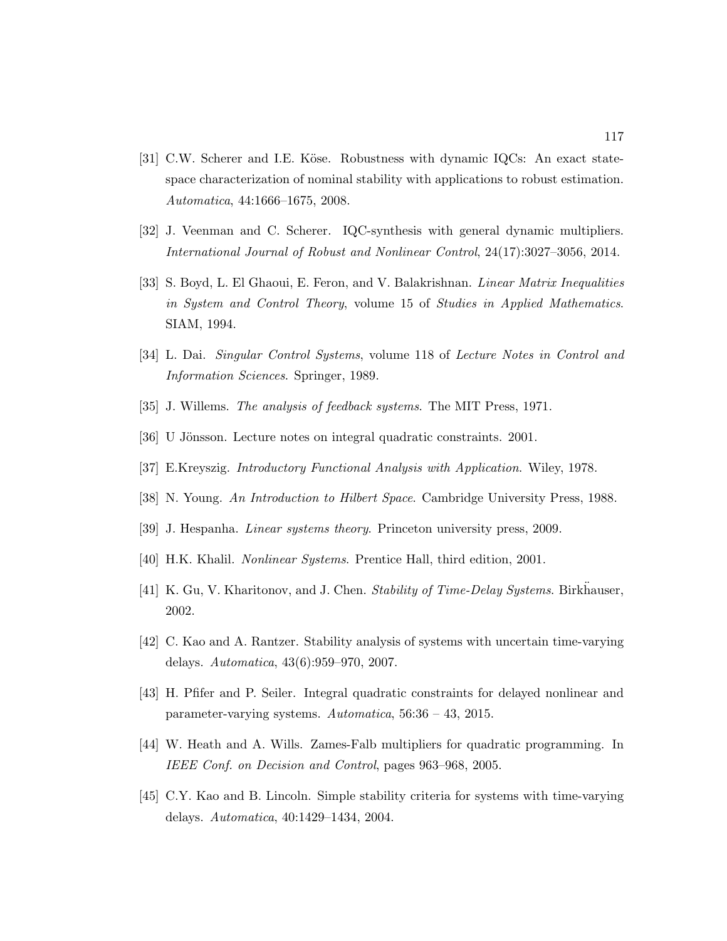- [31] C.W. Scherer and I.E. Köse. Robustness with dynamic IQCs: An exact statespace characterization of nominal stability with applications to robust estimation. Automatica, 44:1666–1675, 2008.
- [32] J. Veenman and C. Scherer. IQC-synthesis with general dynamic multipliers. International Journal of Robust and Nonlinear Control, 24(17):3027–3056, 2014.
- [33] S. Boyd, L. El Ghaoui, E. Feron, and V. Balakrishnan. Linear Matrix Inequalities in System and Control Theory, volume 15 of Studies in Applied Mathematics. SIAM, 1994.
- [34] L. Dai. Singular Control Systems, volume 118 of Lecture Notes in Control and Information Sciences. Springer, 1989.
- [35] J. Willems. The analysis of feedback systems. The MIT Press, 1971.
- [36] U Jönsson. Lecture notes on integral quadratic constraints. 2001.
- [37] E.Kreyszig. Introductory Functional Analysis with Application. Wiley, 1978.
- [38] N. Young. An Introduction to Hilbert Space. Cambridge University Press, 1988.
- [39] J. Hespanha. Linear systems theory. Princeton university press, 2009.
- [40] H.K. Khalil. Nonlinear Systems. Prentice Hall, third edition, 2001.
- [41] K. Gu, V. Kharitonov, and J. Chen. Stability of Time-Delay Systems. Birkhauser, 2002.
- [42] C. Kao and A. Rantzer. Stability analysis of systems with uncertain time-varying delays. Automatica, 43(6):959–970, 2007.
- [43] H. Pfifer and P. Seiler. Integral quadratic constraints for delayed nonlinear and parameter-varying systems. Automatica, 56:36 – 43, 2015.
- [44] W. Heath and A. Wills. Zames-Falb multipliers for quadratic programming. In IEEE Conf. on Decision and Control, pages 963–968, 2005.
- [45] C.Y. Kao and B. Lincoln. Simple stability criteria for systems with time-varying delays. Automatica, 40:1429–1434, 2004.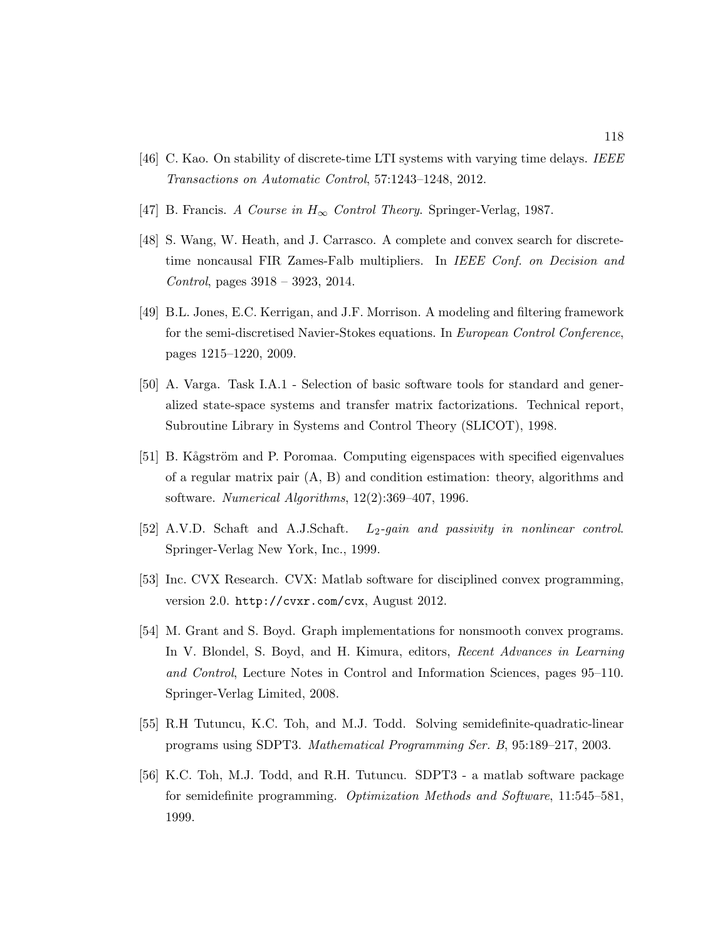- [46] C. Kao. On stability of discrete-time LTI systems with varying time delays. IEEE Transactions on Automatic Control, 57:1243–1248, 2012.
- [47] B. Francis. A Course in  $H_{\infty}$  Control Theory. Springer-Verlag, 1987.
- [48] S. Wang, W. Heath, and J. Carrasco. A complete and convex search for discretetime noncausal FIR Zames-Falb multipliers. In IEEE Conf. on Decision and Control, pages 3918 – 3923, 2014.
- [49] B.L. Jones, E.C. Kerrigan, and J.F. Morrison. A modeling and filtering framework for the semi-discretised Navier-Stokes equations. In European Control Conference, pages 1215–1220, 2009.
- [50] A. Varga. Task I.A.1 Selection of basic software tools for standard and generalized state-space systems and transfer matrix factorizations. Technical report, Subroutine Library in Systems and Control Theory (SLICOT), 1998.
- [51] B. Kågström and P. Poromaa. Computing eigenspaces with specified eigenvalues of a regular matrix pair (A, B) and condition estimation: theory, algorithms and software. Numerical Algorithms, 12(2):369–407, 1996.
- [52] A.V.D. Schaft and A.J.Schaft. L<sub>2</sub>-gain and passivity in nonlinear control. Springer-Verlag New York, Inc., 1999.
- [53] Inc. CVX Research. CVX: Matlab software for disciplined convex programming, version 2.0. http://cvxr.com/cvx, August 2012.
- [54] M. Grant and S. Boyd. Graph implementations for nonsmooth convex programs. In V. Blondel, S. Boyd, and H. Kimura, editors, Recent Advances in Learning and Control, Lecture Notes in Control and Information Sciences, pages 95–110. Springer-Verlag Limited, 2008.
- [55] R.H Tutuncu, K.C. Toh, and M.J. Todd. Solving semidefinite-quadratic-linear programs using SDPT3. Mathematical Programming Ser. B, 95:189–217, 2003.
- [56] K.C. Toh, M.J. Todd, and R.H. Tutuncu. SDPT3 a matlab software package for semidefinite programming. Optimization Methods and Software, 11:545–581, 1999.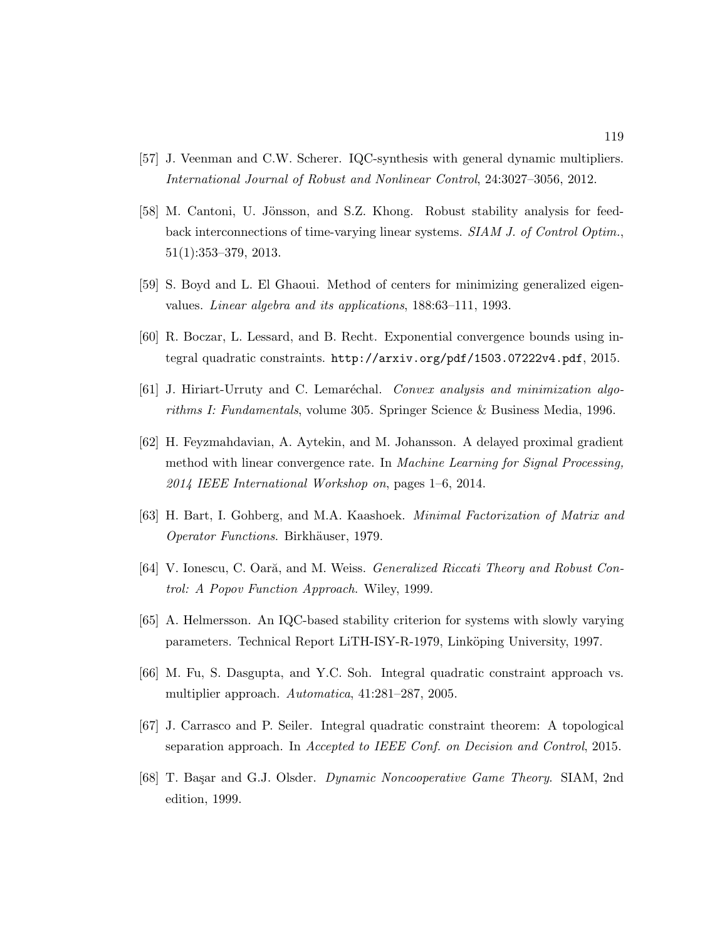- [57] J. Veenman and C.W. Scherer. IQC-synthesis with general dynamic multipliers. International Journal of Robust and Nonlinear Control, 24:3027–3056, 2012.
- [58] M. Cantoni, U. Jönsson, and S.Z. Khong. Robust stability analysis for feedback interconnections of time-varying linear systems. SIAM J. of Control Optim., 51(1):353–379, 2013.
- [59] S. Boyd and L. El Ghaoui. Method of centers for minimizing generalized eigenvalues. Linear algebra and its applications, 188:63–111, 1993.
- [60] R. Boczar, L. Lessard, and B. Recht. Exponential convergence bounds using integral quadratic constraints. http://arxiv.org/pdf/1503.07222v4.pdf, 2015.
- [61] J. Hiriart-Urruty and C. Lemaréchal. Convex analysis and minimization algorithms I: Fundamentals, volume 305. Springer Science & Business Media, 1996.
- [62] H. Feyzmahdavian, A. Aytekin, and M. Johansson. A delayed proximal gradient method with linear convergence rate. In Machine Learning for Signal Processing, 2014 IEEE International Workshop on, pages 1–6, 2014.
- [63] H. Bart, I. Gohberg, and M.A. Kaashoek. Minimal Factorization of Matrix and Operator Functions. Birkhäuser, 1979.
- [64] V. Ionescu, C. Oară, and M. Weiss. *Generalized Riccati Theory and Robust Con*trol: A Popov Function Approach. Wiley, 1999.
- [65] A. Helmersson. An IQC-based stability criterion for systems with slowly varying parameters. Technical Report LiTH-ISY-R-1979, Linköping University, 1997.
- [66] M. Fu, S. Dasgupta, and Y.C. Soh. Integral quadratic constraint approach vs. multiplier approach. Automatica, 41:281–287, 2005.
- [67] J. Carrasco and P. Seiler. Integral quadratic constraint theorem: A topological separation approach. In Accepted to IEEE Conf. on Decision and Control, 2015.
- [68] T. Başar and G.J. Olsder. Dynamic Noncooperative Game Theory. SIAM, 2nd edition, 1999.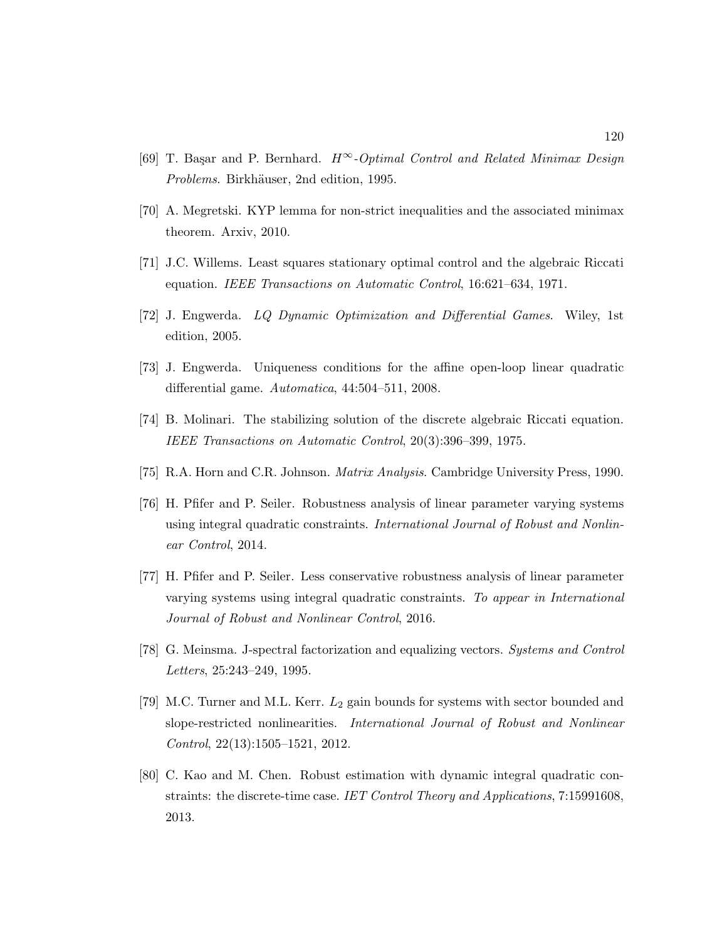- [69] T. Başar and P. Bernhard.  $H^{\infty}$ -Optimal Control and Related Minimax Design Problems. Birkhäuser, 2nd edition, 1995.
- [70] A. Megretski. KYP lemma for non-strict inequalities and the associated minimax theorem. Arxiv, 2010.
- [71] J.C. Willems. Least squares stationary optimal control and the algebraic Riccati equation. IEEE Transactions on Automatic Control, 16:621–634, 1971.
- [72] J. Engwerda. LQ Dynamic Optimization and Differential Games. Wiley, 1st edition, 2005.
- [73] J. Engwerda. Uniqueness conditions for the affine open-loop linear quadratic differential game. Automatica, 44:504–511, 2008.
- [74] B. Molinari. The stabilizing solution of the discrete algebraic Riccati equation. IEEE Transactions on Automatic Control, 20(3):396–399, 1975.
- [75] R.A. Horn and C.R. Johnson. Matrix Analysis. Cambridge University Press, 1990.
- [76] H. Pfifer and P. Seiler. Robustness analysis of linear parameter varying systems using integral quadratic constraints. International Journal of Robust and Nonlinear Control, 2014.
- [77] H. Pfifer and P. Seiler. Less conservative robustness analysis of linear parameter varying systems using integral quadratic constraints. To appear in International Journal of Robust and Nonlinear Control, 2016.
- [78] G. Meinsma. J-spectral factorization and equalizing vectors. Systems and Control Letters, 25:243–249, 1995.
- [79] M.C. Turner and M.L. Kerr.  $L_2$  gain bounds for systems with sector bounded and slope-restricted nonlinearities. International Journal of Robust and Nonlinear Control, 22(13):1505–1521, 2012.
- [80] C. Kao and M. Chen. Robust estimation with dynamic integral quadratic constraints: the discrete-time case. IET Control Theory and Applications, 7:15991608, 2013.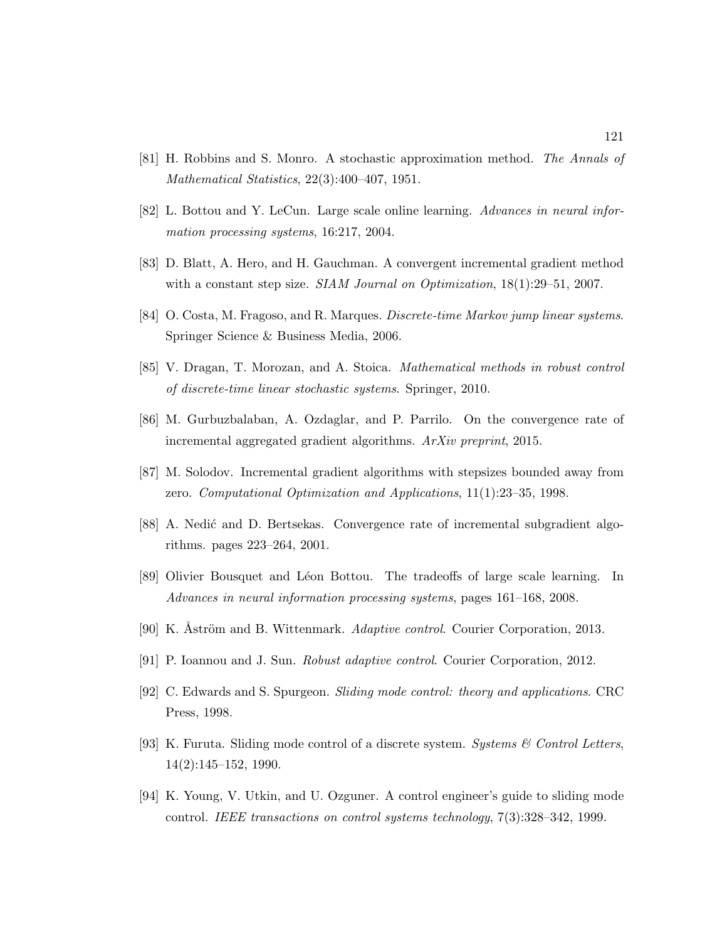- [81] H. Robbins and S. Monro. A stochastic approximation method. The Annals of Mathematical Statistics, 22(3):400–407, 1951.
- [82] L. Bottou and Y. LeCun. Large scale online learning. Advances in neural information processing systems, 16:217, 2004.
- [83] D. Blatt, A. Hero, and H. Gauchman. A convergent incremental gradient method with a constant step size. *SIAM Journal on Optimization*,  $18(1):29-51$ , 2007.
- [84] O. Costa, M. Fragoso, and R. Marques. Discrete-time Markov jump linear systems. Springer Science & Business Media, 2006.
- [85] V. Dragan, T. Morozan, and A. Stoica. Mathematical methods in robust control of discrete-time linear stochastic systems. Springer, 2010.
- [86] M. Gurbuzbalaban, A. Ozdaglar, and P. Parrilo. On the convergence rate of incremental aggregated gradient algorithms. ArXiv preprint, 2015.
- [87] M. Solodov. Incremental gradient algorithms with stepsizes bounded away from zero. Computational Optimization and Applications, 11(1):23–35, 1998.
- [88] A. Nedić and D. Bertsekas. Convergence rate of incremental subgradient algorithms. pages 223–264, 2001.
- [89] Olivier Bousquet and Léon Bottou. The tradeoffs of large scale learning. In Advances in neural information processing systems, pages 161–168, 2008.
- [90] K. Åström and B. Wittenmark. Adaptive control. Courier Corporation, 2013.
- [91] P. Ioannou and J. Sun. Robust adaptive control. Courier Corporation, 2012.
- [92] C. Edwards and S. Spurgeon. Sliding mode control: theory and applications. CRC Press, 1998.
- [93] K. Furuta. Sliding mode control of a discrete system. Systems & Control Letters, 14(2):145–152, 1990.
- [94] K. Young, V. Utkin, and U. Ozguner. A control engineer's guide to sliding mode control. IEEE transactions on control systems technology, 7(3):328–342, 1999.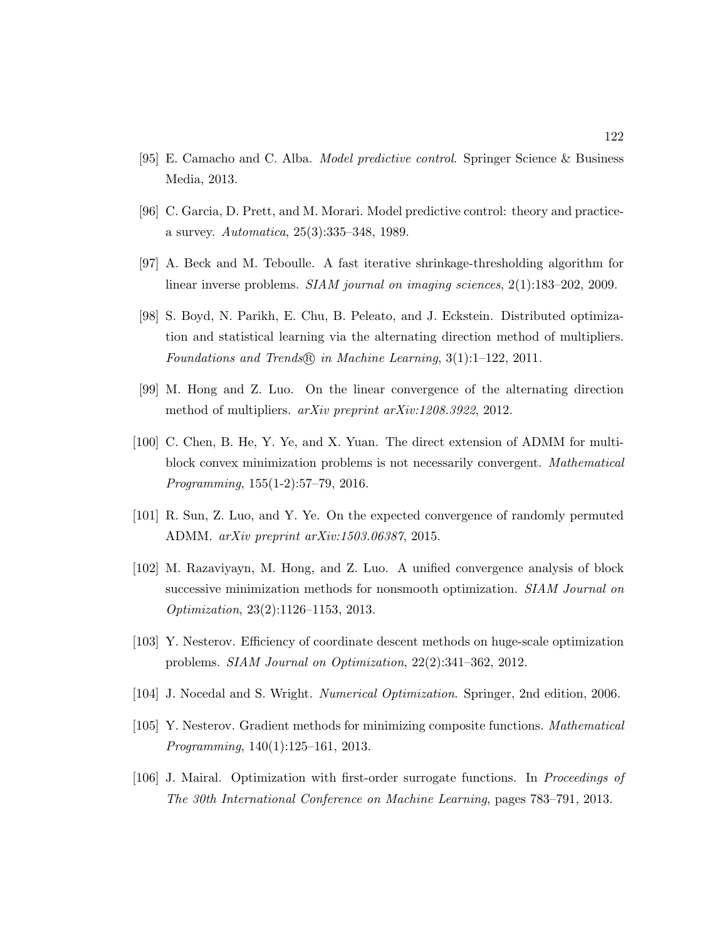- [95] E. Camacho and C. Alba. Model predictive control. Springer Science & Business Media, 2013.
- [96] C. Garcia, D. Prett, and M. Morari. Model predictive control: theory and practicea survey. Automatica, 25(3):335–348, 1989.
- [97] A. Beck and M. Teboulle. A fast iterative shrinkage-thresholding algorithm for linear inverse problems. SIAM journal on imaging sciences, 2(1):183–202, 2009.
- [98] S. Boyd, N. Parikh, E. Chu, B. Peleato, and J. Eckstein. Distributed optimization and statistical learning via the alternating direction method of multipliers. Foundations and Trends $\mathcal{R}$  in Machine Learning, 3(1):1-122, 2011.
- [99] M. Hong and Z. Luo. On the linear convergence of the alternating direction method of multipliers. arXiv preprint arXiv:1208.3922, 2012.
- [100] C. Chen, B. He, Y. Ye, and X. Yuan. The direct extension of ADMM for multiblock convex minimization problems is not necessarily convergent. Mathematical Programming, 155(1-2):57–79, 2016.
- [101] R. Sun, Z. Luo, and Y. Ye. On the expected convergence of randomly permuted ADMM. arXiv preprint arXiv:1503.06387, 2015.
- [102] M. Razaviyayn, M. Hong, and Z. Luo. A unified convergence analysis of block successive minimization methods for nonsmooth optimization. SIAM Journal on Optimization, 23(2):1126–1153, 2013.
- [103] Y. Nesterov. Efficiency of coordinate descent methods on huge-scale optimization problems. SIAM Journal on Optimization, 22(2):341–362, 2012.
- [104] J. Nocedal and S. Wright. Numerical Optimization. Springer, 2nd edition, 2006.
- [105] Y. Nesterov. Gradient methods for minimizing composite functions. Mathematical Programming, 140(1):125–161, 2013.
- [106] J. Mairal. Optimization with first-order surrogate functions. In Proceedings of The 30th International Conference on Machine Learning, pages 783–791, 2013.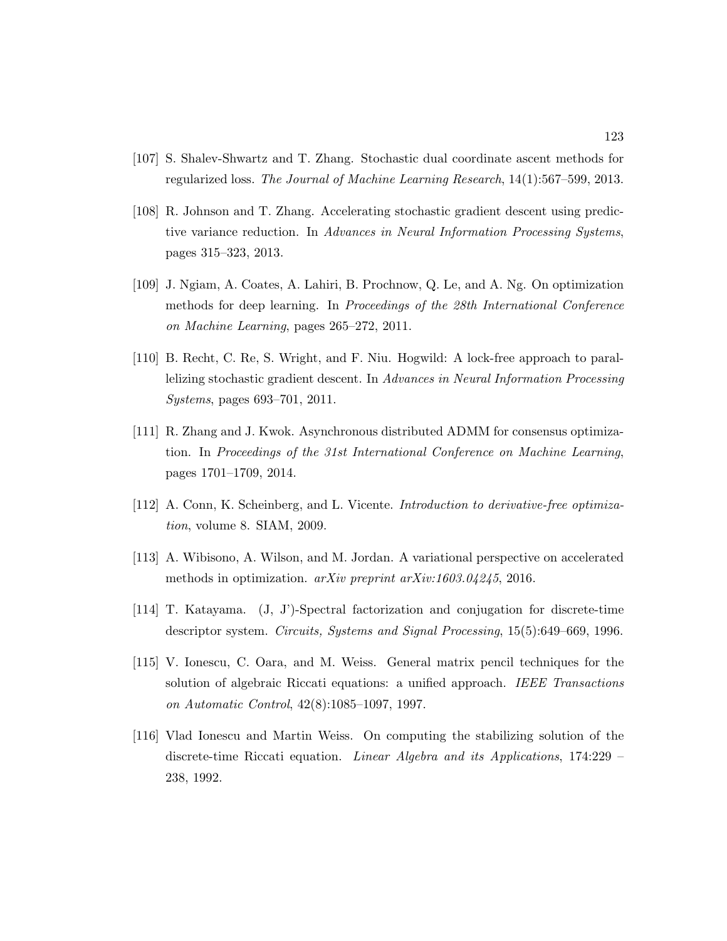- [107] S. Shalev-Shwartz and T. Zhang. Stochastic dual coordinate ascent methods for regularized loss. The Journal of Machine Learning Research, 14(1):567–599, 2013.
- [108] R. Johnson and T. Zhang. Accelerating stochastic gradient descent using predictive variance reduction. In Advances in Neural Information Processing Systems, pages 315–323, 2013.
- [109] J. Ngiam, A. Coates, A. Lahiri, B. Prochnow, Q. Le, and A. Ng. On optimization methods for deep learning. In Proceedings of the 28th International Conference on Machine Learning, pages 265–272, 2011.
- [110] B. Recht, C. Re, S. Wright, and F. Niu. Hogwild: A lock-free approach to parallelizing stochastic gradient descent. In Advances in Neural Information Processing Systems, pages 693–701, 2011.
- [111] R. Zhang and J. Kwok. Asynchronous distributed ADMM for consensus optimization. In Proceedings of the 31st International Conference on Machine Learning, pages 1701–1709, 2014.
- [112] A. Conn, K. Scheinberg, and L. Vicente. Introduction to derivative-free optimization, volume 8. SIAM, 2009.
- [113] A. Wibisono, A. Wilson, and M. Jordan. A variational perspective on accelerated methods in optimization. arXiv preprint arXiv:1603.04245, 2016.
- [114] T. Katayama. (J, J')-Spectral factorization and conjugation for discrete-time descriptor system. Circuits, Systems and Signal Processing, 15(5):649–669, 1996.
- [115] V. Ionescu, C. Oara, and M. Weiss. General matrix pencil techniques for the solution of algebraic Riccati equations: a unified approach. IEEE Transactions on Automatic Control, 42(8):1085–1097, 1997.
- [116] Vlad Ionescu and Martin Weiss. On computing the stabilizing solution of the discrete-time Riccati equation. Linear Algebra and its Applications, 174:229 – 238, 1992.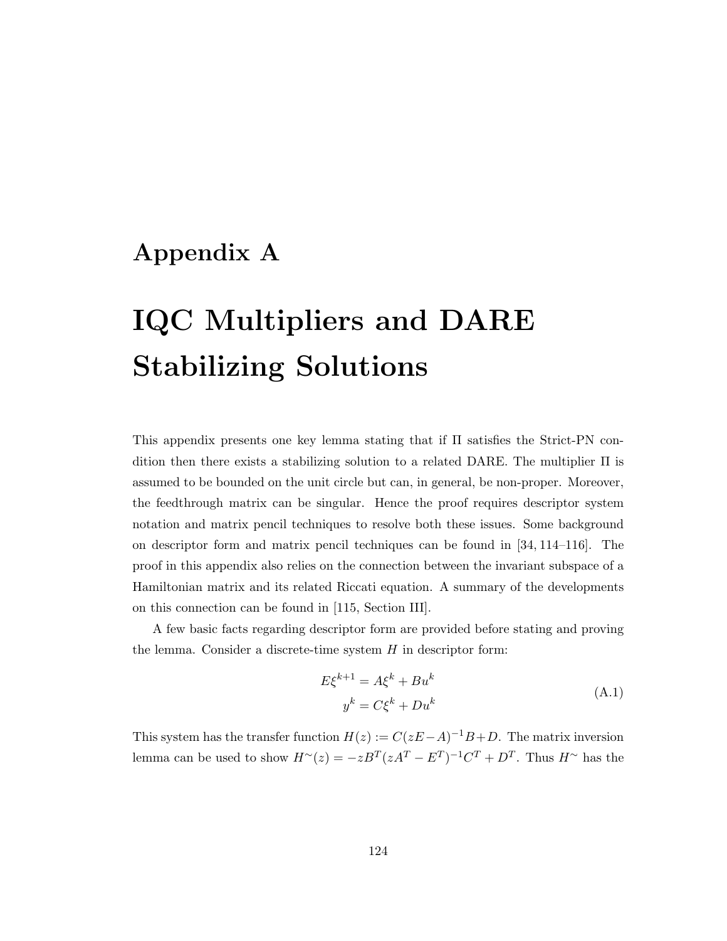### Appendix A

# IQC Multipliers and DARE Stabilizing Solutions

This appendix presents one key lemma stating that if Π satisfies the Strict-PN condition then there exists a stabilizing solution to a related DARE. The multiplier  $\Pi$  is assumed to be bounded on the unit circle but can, in general, be non-proper. Moreover, the feedthrough matrix can be singular. Hence the proof requires descriptor system notation and matrix pencil techniques to resolve both these issues. Some background on descriptor form and matrix pencil techniques can be found in [34, 114–116]. The proof in this appendix also relies on the connection between the invariant subspace of a Hamiltonian matrix and its related Riccati equation. A summary of the developments on this connection can be found in [115, Section III].

A few basic facts regarding descriptor form are provided before stating and proving the lemma. Consider a discrete-time system  $H$  in descriptor form:

$$
E\xi^{k+1} = A\xi^k + Bu^k
$$
  
\n
$$
y^k = C\xi^k + Du^k
$$
\n(A.1)

This system has the transfer function  $H(z) := C(zE-A)^{-1}B+D$ . The matrix inversion lemma can be used to show  $H^{\sim}(z) = -zB^{T}(zA^{T} - E^{T})^{-1}C^{T} + D^{T}$ . Thus  $H^{\sim}$  has the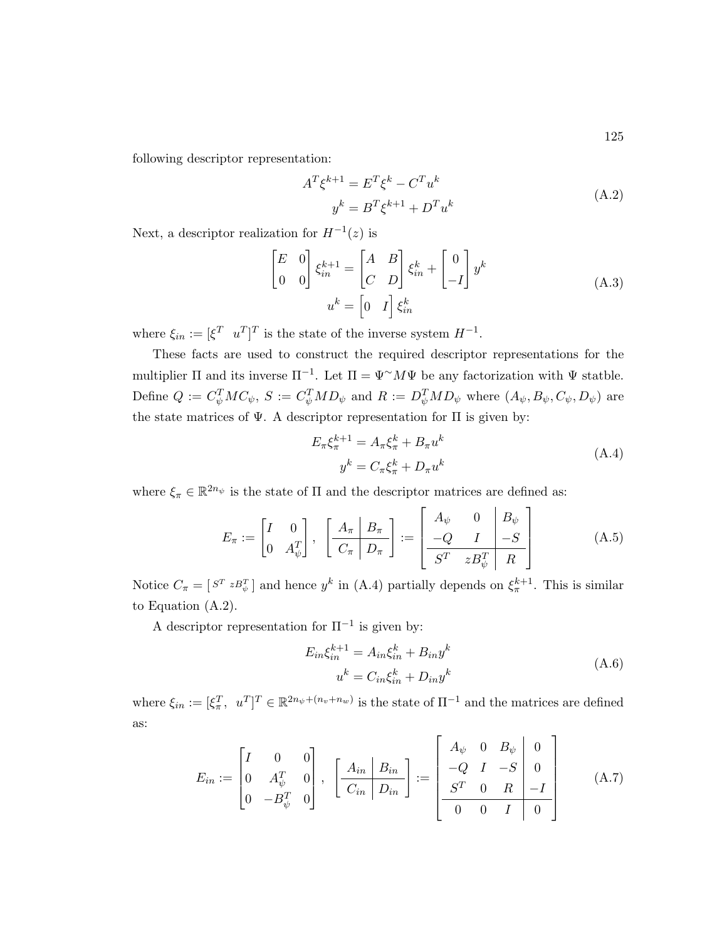following descriptor representation:

$$
AT \xik+1 = ET \xik - CT uk
$$
  

$$
yk = BT \xik+1 + DT uk
$$
 (A.2)

Next, a descriptor realization for  $H^{-1}(z)$  is

$$
\begin{bmatrix} E & 0 \\ 0 & 0 \end{bmatrix} \xi_{in}^{k+1} = \begin{bmatrix} A & B \\ C & D \end{bmatrix} \xi_{in}^{k} + \begin{bmatrix} 0 \\ -I \end{bmatrix} y^{k}
$$
\n
$$
u^{k} = \begin{bmatrix} 0 & I \end{bmatrix} \xi_{in}^{k}
$$
\n(A.3)

where  $\xi_{in} := [\xi^T \quad u^T]^T$  is the state of the inverse system  $H^{-1}$ .

These facts are used to construct the required descriptor representations for the multiplier  $\Pi$  and its inverse  $\Pi^{-1}$ . Let  $\Pi = \Psi^{\sim} M \Psi$  be any factorization with  $\Psi$  statble. Define  $Q := C_{\psi}^{T}MC_{\psi}, S := C_{\psi}^{T}MD_{\psi}$  and  $R := D_{\psi}^{T}MD_{\psi}$  where  $(A_{\psi}, B_{\psi}, C_{\psi}, D_{\psi})$  are the state matrices of  $\Psi$ . A descriptor representation for  $\Pi$  is given by:

$$
E_{\pi}\xi_{\pi}^{k+1} = A_{\pi}\xi_{\pi}^{k} + B_{\pi}u^{k}
$$
  
\n
$$
y^{k} = C_{\pi}\xi_{\pi}^{k} + D_{\pi}u^{k}
$$
\n(A.4)

where  $\xi_{\pi} \in \mathbb{R}^{2n_{\psi}}$  is the state of  $\Pi$  and the descriptor matrices are defined as:

$$
E_{\pi} := \begin{bmatrix} I & 0 \\ 0 & A_{\psi}^{T} \end{bmatrix}, \quad \begin{bmatrix} A_{\pi} \mid B_{\pi} \\ C_{\pi} \mid D_{\pi} \end{bmatrix} := \begin{bmatrix} A_{\psi} & 0 & B_{\psi} \\ -Q & I & -S \\ S^{T} & zB_{\psi}^{T} \mid R \end{bmatrix} \tag{A.5}
$$

Notice  $C_{\pi} = [S^T z B_{\psi}^T]$  and hence  $y^k$  in (A.4) partially depends on  $\xi_{\pi}^{k+1}$ . This is similar to Equation (A.2).

A descriptor representation for  $\Pi^{-1}$  is given by:

$$
E_{in}\xi_{in}^{k+1} = A_{in}\xi_{in}^k + B_{in}y^k
$$
  

$$
u^k = C_{in}\xi_{in}^k + D_{in}y^k
$$
 (A.6)

where  $\xi_{in} := [\xi_{\pi}^T, u^T]^T \in \mathbb{R}^{2n_{\psi} + (n_v + n_w)}$  is the state of  $\Pi^{-1}$  and the matrices are defined as:

$$
E_{in} := \begin{bmatrix} I & 0 & 0 \\ 0 & A_{\psi}^{T} & 0 \\ 0 & -B_{\psi}^{T} & 0 \end{bmatrix}, \ \left[ \frac{A_{in} \mid B_{in}}{C_{in} \mid D_{in}} \right] := \begin{bmatrix} A_{\psi} & 0 & B_{\psi} & 0 \\ -Q & I & -S & 0 \\ S^{T} & 0 & R & -I \\ 0 & 0 & I & 0 \end{bmatrix}
$$
(A.7)

125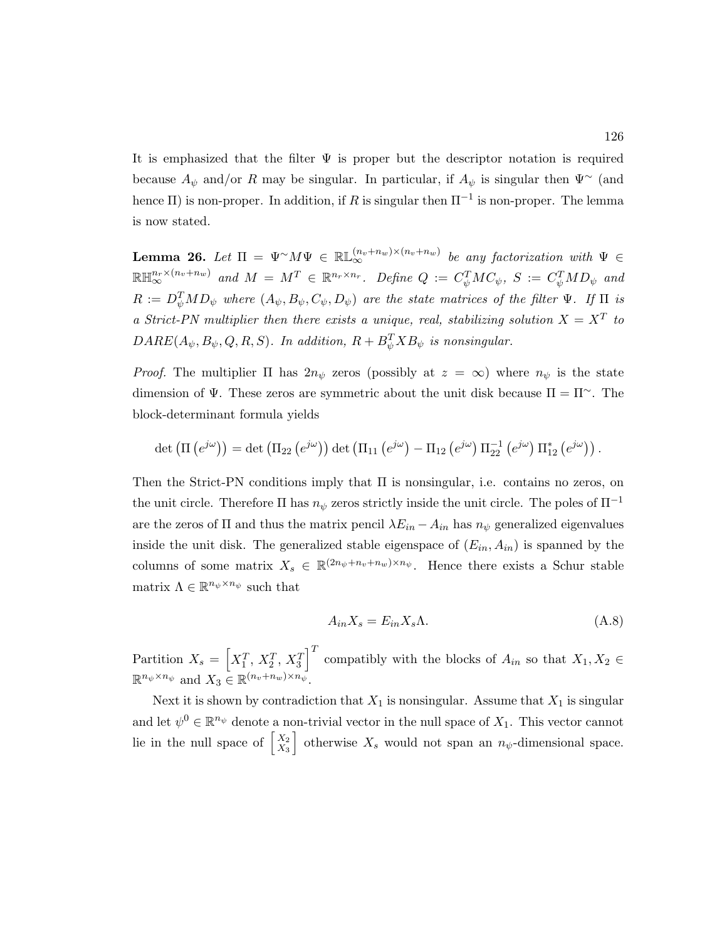It is emphasized that the filter  $\Psi$  is proper but the descriptor notation is required because  $A_{\psi}$  and/or R may be singular. In particular, if  $A_{\psi}$  is singular then  $\Psi^{\sim}$  (and hence  $\Pi$ ) is non-proper. In addition, if R is singular then  $\Pi^{-1}$  is non-proper. The lemma is now stated.

**Lemma 26.** Let  $\Pi = \Psi^{\sim} M \Psi \in \mathbb{RL}_{\infty}^{(n_v+n_w)\times(n_v+n_w)}$  be any factorization with  $\Psi \in$  $\mathbb{R} \mathbb{H}^{n_r \times (n_v+n_w)}_{\infty}$  and  $M = M^T \in \mathbb{R}^{n_r \times n_r}$ . Define  $Q := C_\psi^T M C_\psi$ ,  $S := C_\psi^T M D_\psi$  and  $R:=D_\psi^TMD_\psi$  where  $(A_\psi,B_\psi,C_\psi,D_\psi)$  are the state matrices of the filter  $\Psi$ . If  $\Pi$  is a Strict-PN multiplier then there exists a unique, real, stabilizing solution  $X = X^T$  to  $DARE(A_{\psi}, B_{\psi}, Q, R, S)$ . In addition,  $R + B_{\psi}^{T}XB_{\psi}$  is nonsingular.

*Proof.* The multiplier  $\Pi$  has  $2n_{\psi}$  zeros (possibly at  $z = \infty$ ) where  $n_{\psi}$  is the state dimension of  $\Psi$ . These zeros are symmetric about the unit disk because  $\Pi = \Pi^{\sim}$ . The block-determinant formula yields

$$
\det\left(\Pi\left(e^{j\omega}\right)\right)=\det\left(\Pi_{22}\left(e^{j\omega}\right)\right)\det\left(\Pi_{11}\left(e^{j\omega}\right)-\Pi_{12}\left(e^{j\omega}\right)\Pi_{22}^{-1}\left(e^{j\omega}\right)\Pi_{12}^*\left(e^{j\omega}\right)\right).
$$

Then the Strict-PN conditions imply that Π is nonsingular, i.e. contains no zeros, on the unit circle. Therefore  $\Pi$  has  $n_{\psi}$  zeros strictly inside the unit circle. The poles of  $\Pi^{-1}$ are the zeros of  $\Pi$  and thus the matrix pencil  $\lambda E_{in} - A_{in}$  has  $n_{\psi}$  generalized eigenvalues inside the unit disk. The generalized stable eigenspace of  $(E_{in}, A_{in})$  is spanned by the columns of some matrix  $X_s \in \mathbb{R}^{(2n_{\psi}+n_{v}+n_{w})\times n_{\psi}}$ . Hence there exists a Schur stable matrix  $\Lambda \in \mathbb{R}^{n_{\psi} \times n_{\psi}}$  such that

$$
A_{in}X_s = E_{in}X_s \Lambda. \tag{A.8}
$$

Partition  $X_s = \begin{bmatrix} X_1^T, X_2^T, X_3^T \end{bmatrix}^T$  compatibly with the blocks of  $A_{in}$  so that  $X_1, X_2 \in$  $\mathbb{R}^{n_{\psi}\times n_{\psi}}$  and  $X_3 \in \mathbb{R}^{(n_v+n_w)\times n_{\psi}}$ .

Next it is shown by contradiction that  $X_1$  is nonsingular. Assume that  $X_1$  is singular and let  $\psi^0 \in \mathbb{R}^{n_{\psi}}$  denote a non-trivial vector in the null space of  $X_1$ . This vector cannot lie in the null space of  $\begin{bmatrix} X_2 \\ Y_3 \end{bmatrix}$  $\begin{bmatrix} X_2 \ X_3 \end{bmatrix}$  otherwise  $X_s$  would not span an  $n_{\psi}$ -dimensional space.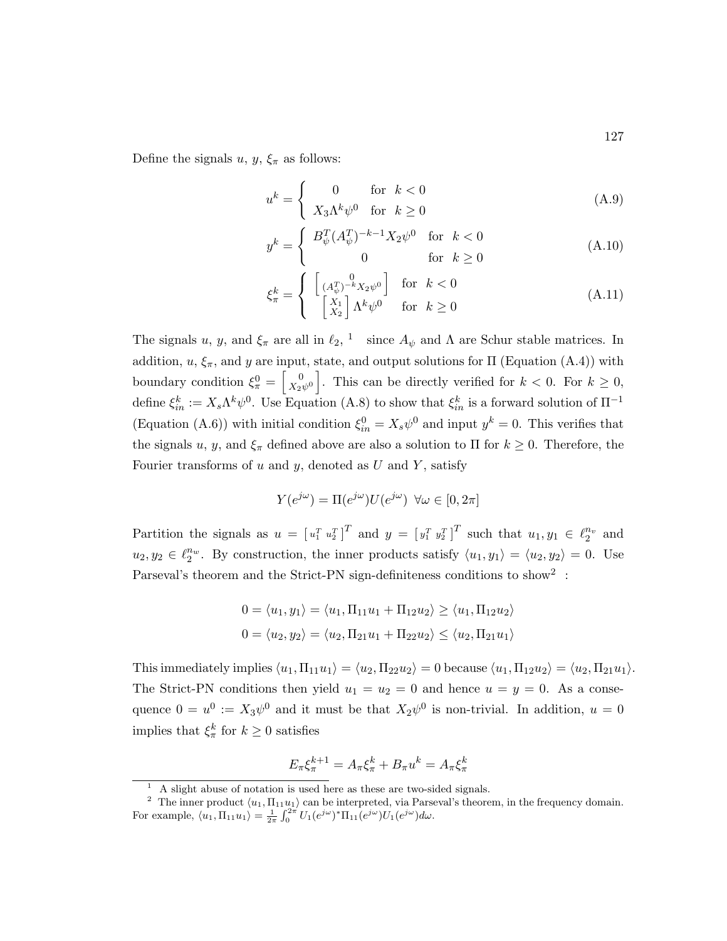Define the signals  $u, y, \xi_{\pi}$  as follows:

$$
u^{k} = \begin{cases} 0 & \text{for } k < 0\\ X_{3} \Lambda^{k} \psi^{0} & \text{for } k \ge 0 \end{cases}
$$
 (A.9)

$$
y^{k} = \begin{cases} B_{\psi}^{T} (A_{\psi}^{T})^{-k-1} X_{2} \psi^{0} & \text{for } k < 0\\ 0 & \text{for } k \ge 0 \end{cases}
$$
 (A.10)

$$
\xi_{\pi}^{k} = \begin{cases} \begin{bmatrix} 0\\ (A_{\psi}^{T})^{-k} X_{2} \psi^{0} \end{bmatrix} & \text{for } k < 0\\ \begin{bmatrix} X_{1} \\ X_{2} \end{bmatrix} \Lambda^{k} \psi^{0} & \text{for } k \ge 0 \end{cases}
$$
 (A.11)

The signals u, y, and  $\xi_{\pi}$  are all in  $\ell_2$ , <sup>1</sup> since  $A_{\psi}$  and  $\Lambda$  are Schur stable matrices. In addition,  $u, \xi_{\pi}$ , and y are input, state, and output solutions for  $\Pi$  (Equation (A.4)) with boundary condition  $\xi_{\pi}^{0} = \begin{bmatrix} 0 \\ X_{2}^{0} \end{bmatrix}$  $\left[\begin{array}{c} 0 \\ X_2\psi^0 \end{array}\right]$ . This can be directly verified for  $k < 0$ . For  $k \geq 0$ , define  $\xi_{in}^k := X_s \Lambda^k \psi^0$ . Use Equation (A.8) to show that  $\xi_{in}^k$  is a forward solution of  $\Pi^{-1}$ (Equation (A.6)) with initial condition  $\xi_{in}^0 = X_s \psi^0$  and input  $y^k = 0$ . This verifies that the signals u, y, and  $\xi_{\pi}$  defined above are also a solution to  $\Pi$  for  $k \geq 0$ . Therefore, the Fourier transforms of u and y, denoted as U and Y, satisfy

$$
Y(e^{j\omega}) = \Pi(e^{j\omega})U(e^{j\omega}) \ \forall \omega \in [0, 2\pi]
$$

Partition the signals as  $u = [u_1^T u_2^T]^T$  and  $y = [y_1^T y_2^T]^T$  such that  $u_1, y_1 \in \ell_2^{n_v}$  and  $u_2, y_2 \in \ell_2^{n_w}$ . By construction, the inner products satisfy  $\langle u_1, y_1 \rangle = \langle u_2, y_2 \rangle = 0$ . Use Parseval's theorem and the Strict-PN sign-definiteness conditions to show<sup>2</sup>:

$$
0 = \langle u_1, y_1 \rangle = \langle u_1, \Pi_{11} u_1 + \Pi_{12} u_2 \rangle \ge \langle u_1, \Pi_{12} u_2 \rangle
$$
  

$$
0 = \langle u_2, y_2 \rangle = \langle u_2, \Pi_{21} u_1 + \Pi_{22} u_2 \rangle \le \langle u_2, \Pi_{21} u_1 \rangle
$$

This immediately implies  $\langle u_1, \Pi_{11} u_1 \rangle = \langle u_2, \Pi_{22} u_2 \rangle = 0$  because  $\langle u_1, \Pi_{12} u_2 \rangle = \langle u_2, \Pi_{21} u_1 \rangle$ . The Strict-PN conditions then yield  $u_1 = u_2 = 0$  and hence  $u = y = 0$ . As a consequence  $0 = u^0 := X_3 \psi^0$  and it must be that  $X_2 \psi^0$  is non-trivial. In addition,  $u = 0$ implies that  $\xi_{\pi}^{k}$  for  $k \geq 0$  satisfies

$$
E_{\pi}\xi_{\pi}^{k+1} = A_{\pi}\xi_{\pi}^k + B_{\pi}u^k = A_{\pi}\xi_{\pi}^k
$$

127

<sup>1</sup> A slight abuse of notation is used here as these are two-sided signals.

<sup>&</sup>lt;sup>2</sup> The inner product  $\langle u_1, \Pi_{11}u_1 \rangle$  can be interpreted, via Parseval's theorem, in the frequency domain. For example,  $\langle u_1, \Pi_{11} u_1 \rangle = \frac{1}{2\pi} \int_0^{2\pi} U_1(e^{j\omega})^* \Pi_{11}(e^{j\omega}) U_1(e^{j\omega}) d\omega.$